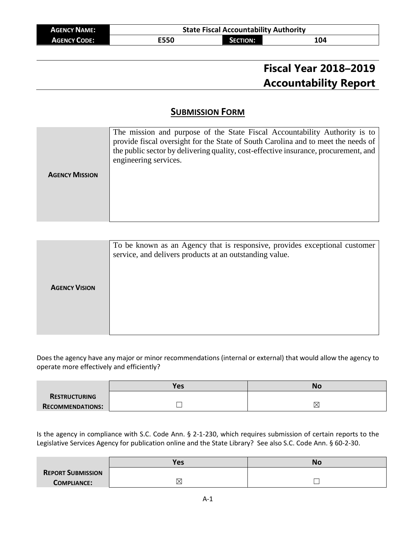| <b>AGENCY NAME:</b> | <b>State Fiscal Accountability Authority</b> |                 |     |
|---------------------|----------------------------------------------|-----------------|-----|
| <b>AGENCY CODE:</b> | E550                                         | <b>SECTION:</b> | 104 |

# **Fiscal Year 2018–2019 Accountability Report**

## **SUBMISSION FORM**

|                       | The mission and purpose of the State Fiscal Accountability Authority is to<br>provide fiscal oversight for the State of South Carolina and to meet the needs of<br>the public sector by delivering quality, cost-effective insurance, procurement, and<br>engineering services. |
|-----------------------|---------------------------------------------------------------------------------------------------------------------------------------------------------------------------------------------------------------------------------------------------------------------------------|
| <b>AGENCY MISSION</b> |                                                                                                                                                                                                                                                                                 |
|                       |                                                                                                                                                                                                                                                                                 |
|                       |                                                                                                                                                                                                                                                                                 |
|                       |                                                                                                                                                                                                                                                                                 |
|                       |                                                                                                                                                                                                                                                                                 |

| <b>AGENCY VISION</b> | To be known as an Agency that is responsive, provides exceptional customer<br>service, and delivers products at an outstanding value. |
|----------------------|---------------------------------------------------------------------------------------------------------------------------------------|
|                      |                                                                                                                                       |

Does the agency have any major or minor recommendations (internal or external) that would allow the agency to operate more effectively and efficiently?

|                         | <b>Yes</b> | No |
|-------------------------|------------|----|
| RESTRUCTURING           |            |    |
| <b>RECOMMENDATIONS:</b> | _          | `× |

Is the agency in compliance with S.C. Code Ann. § 2-1-230, which requires submission of certain reports to the Legislative Services Agency for publication online and the State Library? See also S.C. Code Ann. § 60-2-30.

|                          | <b>Yes</b>  | No |
|--------------------------|-------------|----|
| <b>REPORT SUBMISSION</b> |             |    |
| <b>COMPLIANCE:</b>       | $\boxtimes$ |    |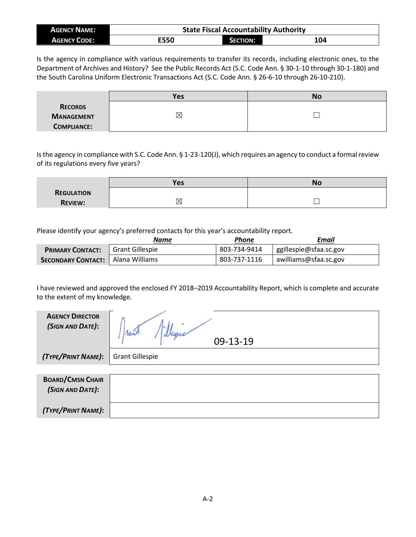| <b>AGENCY NAME:</b> | <b>State Fiscal Accountability Authority</b> |          |     |
|---------------------|----------------------------------------------|----------|-----|
| <b>AGENCY CODE:</b> | E550                                         | SECTION: | 104 |

Is the agency in compliance with various requirements to transfer its records, including electronic ones, to the Department of Archives and History? See the Public Records Act (S.C. Code Ann. § 30-1-10 through 30-1-180) and the South Carolina Uniform Electronic Transactions Act (S.C. Code Ann. § 26-6-10 through 26-10-210).

|                    | <b>Yes</b> | <b>No</b> |
|--------------------|------------|-----------|
| <b>RECORDS</b>     |            |           |
| <b>MANAGEMENT</b>  | $\times$   |           |
| <b>COMPLIANCE:</b> |            |           |

Is the agency in compliance with S.C. Code Ann. § 1-23-120(J), which requires an agency to conduct a formal review of its regulations every five years?

|                   | Yes         | <b>No</b> |
|-------------------|-------------|-----------|
| <b>REGULATION</b> |             |           |
| <b>REVIEW:</b>    | $\boxtimes$ |           |

Please identify your agency's preferred contacts for this year's accountability report.

|                           | Name                   | Phone        | Email                  |
|---------------------------|------------------------|--------------|------------------------|
| <b>PRIMARY CONTACT:</b>   | <b>Grant Gillespie</b> | 803-734-9414 | ggillespie@sfaa.sc.gov |
| <b>SECONDARY CONTACT:</b> | Alana Williams         | 803-737-1116 | awilliams@sfaa.sc.gov  |

I have reviewed and approved the enclosed FY 2018–2019 Accountability Report, which is complete and accurate to the extent of my knowledge.

| <b>AGENCY DIRECTOR</b><br>(SIGN AND DATE):  | 09-13-19               |
|---------------------------------------------|------------------------|
| (TYPE/PRINT NAME):                          | <b>Grant Gillespie</b> |
|                                             |                        |
| <b>BOARD/CMSN CHAIR</b><br>(SIGN AND DATE): |                        |
| (TYPE/PRINT NAME):                          |                        |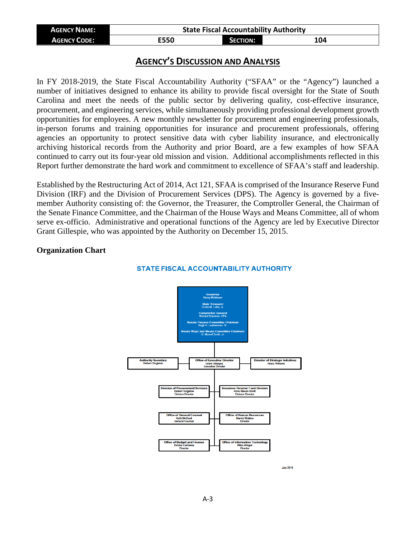| <b>AGENCY NAME:</b> | <b>State Fiscal Accountability Authority</b> |                 |     |
|---------------------|----------------------------------------------|-----------------|-----|
| <b>AGENCY CODE:</b> | E550                                         | <b>SECTION:</b> | 104 |

# **AGENCY'S DISCUSSION AND ANALYSIS**

In FY 2018-2019, the State Fiscal Accountability Authority ("SFAA" or the "Agency") launched a number of initiatives designed to enhance its ability to provide fiscal oversight for the State of South Carolina and meet the needs of the public sector by delivering quality, cost-effective insurance, procurement, and engineering services, while simultaneously providing professional development growth opportunities for employees. A new monthly newsletter for procurement and engineering professionals, in-person forums and training opportunities for insurance and procurement professionals, offering agencies an opportunity to protect sensitive data with cyber liability insurance, and electronically archiving historical records from the Authority and prior Board, are a few examples of how SFAA continued to carry out its four-year old mission and vision. Additional accomplishments reflected in this Report further demonstrate the hard work and commitment to excellence of SFAA's staff and leadership.

Established by the Restructuring Act of 2014, Act 121, SFAA is comprised of the Insurance Reserve Fund Division (IRF) and the Division of Procurement Services (DPS). The Agency is governed by a fivemember Authority consisting of: the Governor, the Treasurer, the Comptroller General, the Chairman of the Senate Finance Committee, and the Chairman of the House Ways and Means Committee, all of whom serve ex-officio. Administrative and operational functions of the Agency are led by Executive Director Grant Gillespie, who was appointed by the Authority on December 15, 2015.

#### **Organization Chart**



#### **STATE FISCAL ACCOUNTABILITY AUTHORITY**

**July 2019**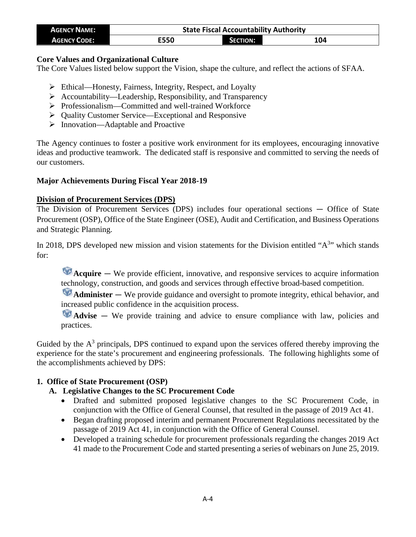| <b>AGENCY NAME:</b> | <b>State Fiscal Accountability Authority</b> |          |     |
|---------------------|----------------------------------------------|----------|-----|
| <b>AGENCY CODE:</b> | E550                                         | SECTION: | 104 |

#### **Core Values and Organizational Culture**

The Core Values listed below support the Vision, shape the culture, and reflect the actions of SFAA.

- Ethical—Honesty, Fairness, Integrity, Respect, and Loyalty
- $\triangleright$  Accountability—Leadership, Responsibility, and Transparency
- Professionalism—Committed and well-trained Workforce
- Quality Customer Service—Exceptional and Responsive
- $\triangleright$  Innovation—Adaptable and Proactive

The Agency continues to foster a positive work environment for its employees, encouraging innovative ideas and productive teamwork. The dedicated staff is responsive and committed to serving the needs of our customers.

#### **Major Achievements During Fiscal Year 2018-19**

#### **Division of Procurement Services (DPS)**

The Division of Procurement Services (DPS) includes four operational sections — Office of State Procurement (OSP), Office of the State Engineer (OSE), Audit and Certification, and Business Operations and Strategic Planning.

In 2018, DPS developed new mission and vision statements for the Division entitled " $A<sup>3</sup>$ " which stands for:

**Acquire** — We provide efficient, innovative, and responsive services to acquire information technology, construction, and goods and services through effective broad-based competition.

**Administer** — We provide guidance and oversight to promote integrity, ethical behavior, and increased public confidence in the acquisition process.

Advise — We provide training and advice to ensure compliance with law, policies and practices.

Guided by the  $A<sup>3</sup>$  principals, DPS continued to expand upon the services offered thereby improving the experience for the state's procurement and engineering professionals. The following highlights some of the accomplishments achieved by DPS:

#### **1. Office of State Procurement (OSP)**

#### **A. Legislative Changes to the SC Procurement Code**

- Drafted and submitted proposed legislative changes to the SC Procurement Code, in conjunction with the Office of General Counsel, that resulted in the passage of 2019 Act 41.
- Began drafting proposed interim and permanent Procurement Regulations necessitated by the passage of 2019 Act 41, in conjunction with the Office of General Counsel.
- Developed a training schedule for procurement professionals regarding the changes 2019 Act 41 made to the Procurement Code and started presenting a series of webinars on June 25, 2019.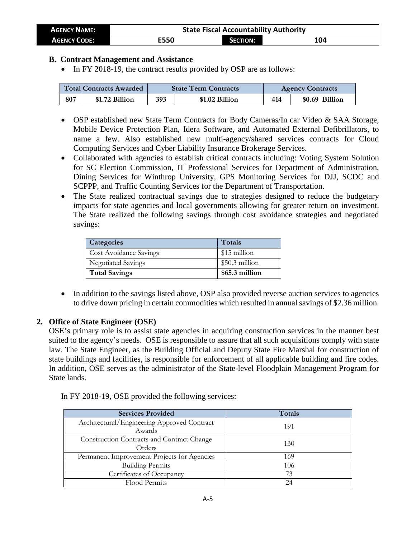| <b>AGENCY NAME:</b> | <b>State Fiscal Accountability Authority</b> |                 |     |  |  |  |  |
|---------------------|----------------------------------------------|-----------------|-----|--|--|--|--|
| <b>AGENCY CODE:</b> | <b>E550</b>                                  | <b>SECTION:</b> | 104 |  |  |  |  |

#### **B. Contract Management and Assistance**

• In FY 2018-19, the contract results provided by OSP are as follows:

|     | Total Contracts Awarded |     | <b>State Term Contracts</b> | <b>Agency Contracts</b> |                |  |  |
|-----|-------------------------|-----|-----------------------------|-------------------------|----------------|--|--|
| 807 | \$1.72 Billion          | 393 | \$1.02 Billion              | 414                     | \$0.69 Billion |  |  |

- OSP established new State Term Contracts for Body Cameras/In car Video & SAA Storage, Mobile Device Protection Plan, Idera Software, and Automated External Defibrillators, to name a few. Also established new multi-agency/shared services contracts for Cloud Computing Services and Cyber Liability Insurance Brokerage Services.
- Collaborated with agencies to establish critical contracts including: Voting System Solution for SC Election Commission, IT Professional Services for Department of Administration, Dining Services for Winthrop University, GPS Monitoring Services for DJJ, SCDC and SCPPP, and Traffic Counting Services for the Department of Transportation.
- The State realized contractual savings due to strategies designed to reduce the budgetary impacts for state agencies and local governments allowing for greater return on investment. The State realized the following savings through cost avoidance strategies and negotiated savings:

| Categories                    | Totals          |
|-------------------------------|-----------------|
| <b>Cost Avoidance Savings</b> | \$15 million    |
| Negotiated Savings            | $$50.3$ million |
| <b>Total Savings</b>          | \$65.3 million  |

• In addition to the savings listed above, OSP also provided reverse auction services to agencies to drive down pricing in certain commodities which resulted in annual savings of \$2.36 million.

#### **2. Office of State Engineer (OSE)**

OSE's primary role is to assist state agencies in acquiring construction services in the manner best suited to the agency's needs. OSE is responsible to assure that all such acquisitions comply with state law. The State Engineer, as the Building Official and Deputy State Fire Marshal for construction of state buildings and facilities, is responsible for enforcement of all applicable building and fire codes. In addition, OSE serves as the administrator of the State-level Floodplain Management Program for State lands.

| <b>Services Provided</b>                                    | <b>Totals</b> |  |  |  |
|-------------------------------------------------------------|---------------|--|--|--|
| Architectural/Engineering Approved Contract<br>Awards       | 191           |  |  |  |
| <b>Construction Contracts and Contract Change</b><br>Orders | 130           |  |  |  |
| Permanent Improvement Projects for Agencies                 | 169           |  |  |  |
| <b>Building Permits</b>                                     | 106           |  |  |  |
| Certificates of Occupancy                                   | 73            |  |  |  |
| Flood Permits                                               | 24            |  |  |  |

In FY 2018-19, OSE provided the following services: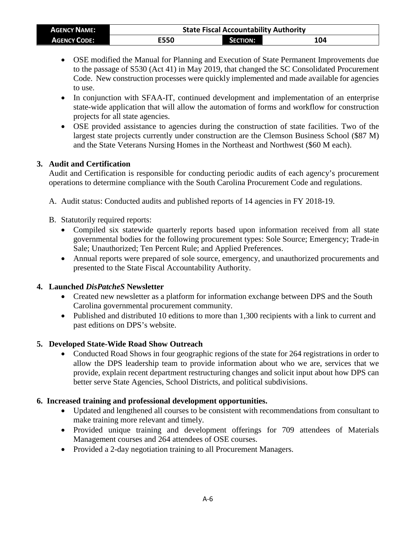| <b>AGENCY NAME:</b> | <b>State Fiscal Accountability Authority</b> |                 |     |  |  |  |  |
|---------------------|----------------------------------------------|-----------------|-----|--|--|--|--|
| <b>AGENCY CODE:</b> | <b>E550</b>                                  | <b>SECTION:</b> | 104 |  |  |  |  |

- OSE modified the Manual for Planning and Execution of State Permanent Improvements due to the passage of S530 (Act 41) in May 2019, that changed the SC Consolidated Procurement Code. New construction processes were quickly implemented and made available for agencies to use.
- In conjunction with SFAA-IT, continued development and implementation of an enterprise state-wide application that will allow the automation of forms and workflow for construction projects for all state agencies.
- OSE provided assistance to agencies during the construction of state facilities. Two of the largest state projects currently under construction are the Clemson Business School (\$87 M) and the State Veterans Nursing Homes in the Northeast and Northwest (\$60 M each).

### **3. Audit and Certification**

Audit and Certification is responsible for conducting periodic audits of each agency's procurement operations to determine compliance with the South Carolina Procurement Code and regulations.

- A. Audit status: Conducted audits and published reports of 14 agencies in FY 2018-19.
- B. Statutorily required reports:
	- Compiled six statewide quarterly reports based upon information received from all state governmental bodies for the following procurement types: Sole Source; Emergency; Trade-in Sale; Unauthorized; Ten Percent Rule; and Applied Preferences.
	- Annual reports were prepared of sole source, emergency, and unauthorized procurements and presented to the State Fiscal Accountability Authority.

#### **4. Launched** *DisPatcheS* **Newsletter**

- Created new newsletter as a platform for information exchange between DPS and the South Carolina governmental procurement community.
- Published and distributed 10 editions to more than 1,300 recipients with a link to current and past editions on DPS's website.

#### **5. Developed State-Wide Road Show Outreach**

• Conducted Road Shows in four geographic regions of the state for 264 registrations in order to allow the DPS leadership team to provide information about who we are, services that we provide, explain recent department restructuring changes and solicit input about how DPS can better serve State Agencies, School Districts, and political subdivisions.

#### **6. Increased training and professional development opportunities.**

- Updated and lengthened all courses to be consistent with recommendations from consultant to make training more relevant and timely.
- Provided unique training and development offerings for 709 attendees of Materials Management courses and 264 attendees of OSE courses.
- Provided a 2-day negotiation training to all Procurement Managers.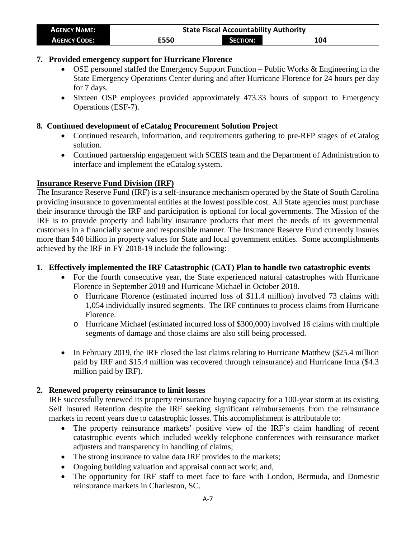| <b>AGENCY NAME:</b> | <b>State Fiscal Accountability Authority</b> |          |     |  |  |  |  |
|---------------------|----------------------------------------------|----------|-----|--|--|--|--|
| <b>AGENCY CODE:</b> | <b>E550</b>                                  | Section: | 104 |  |  |  |  |

#### **7. Provided emergency support for Hurricane Florence**

- OSE personnel staffed the Emergency Support Function Public Works & Engineering in the State Emergency Operations Center during and after Hurricane Florence for 24 hours per day for 7 days.
- Sixteen OSP employees provided approximately 473.33 hours of support to Emergency Operations (ESF-7).

#### **8. Continued development of eCatalog Procurement Solution Project**

- Continued research, information, and requirements gathering to pre-RFP stages of eCatalog solution.
- Continued partnership engagement with SCEIS team and the Department of Administration to interface and implement the eCatalog system.

### **Insurance Reserve Fund Division (IRF)**

The Insurance Reserve Fund (IRF) is a self-insurance mechanism operated by the State of South Carolina providing insurance to governmental entities at the lowest possible cost. All State agencies must purchase their insurance through the IRF and participation is optional for local governments. The Mission of the IRF is to provide property and liability insurance products that meet the needs of its governmental customers in a financially secure and responsible manner. The Insurance Reserve Fund currently insures more than \$40 billion in property values for State and local government entities. Some accomplishments achieved by the IRF in FY 2018-19 include the following:

#### **1. Effectively implemented the IRF Catastrophic (CAT) Plan to handle two catastrophic events**

- For the fourth consecutive year, the State experienced natural catastrophes with Hurricane Florence in September 2018 and Hurricane Michael in October 2018.
	- o Hurricane Florence (estimated incurred loss of \$11.4 million) involved 73 claims with 1,054 individually insured segments. The IRF continues to process claims from Hurricane Florence.
	- o Hurricane Michael (estimated incurred loss of \$300,000) involved 16 claims with multiple segments of damage and those claims are also still being processed.
- In February 2019, the IRF closed the last claims relating to Hurricane Matthew (\$25.4 million paid by IRF and \$15.4 million was recovered through reinsurance) and Hurricane Irma (\$4.3 million paid by IRF).

#### **2. Renewed property reinsurance to limit losses**

IRF successfully renewed its property reinsurance buying capacity for a 100-year storm at its existing Self Insured Retention despite the IRF seeking significant reimbursements from the reinsurance markets in recent years due to catastrophic losses. This accomplishment is attributable to:

- The property reinsurance markets' positive view of the IRF's claim handling of recent catastrophic events which included weekly telephone conferences with reinsurance market adjusters and transparency in handling of claims;
- The strong insurance to value data IRF provides to the markets;
- Ongoing building valuation and appraisal contract work; and,
- The opportunity for IRF staff to meet face to face with London, Bermuda, and Domestic reinsurance markets in Charleston, SC.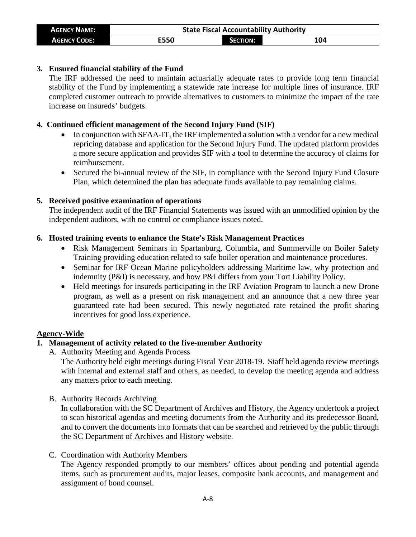| <b>AGENCY NAME:</b> | <b>State Fiscal Accountability Authority</b> |                 |     |  |  |  |  |
|---------------------|----------------------------------------------|-----------------|-----|--|--|--|--|
| <b>AGENCY CODE:</b> | E550                                         | <b>SECTION:</b> | 104 |  |  |  |  |

#### **3. Ensured financial stability of the Fund**

The IRF addressed the need to maintain actuarially adequate rates to provide long term financial stability of the Fund by implementing a statewide rate increase for multiple lines of insurance. IRF completed customer outreach to provide alternatives to customers to minimize the impact of the rate increase on insureds' budgets.

#### **4. Continued efficient management of the Second Injury Fund (SIF)**

- In conjunction with SFAA-IT, the IRF implemented a solution with a vendor for a new medical repricing database and application for the Second Injury Fund. The updated platform provides a more secure application and provides SIF with a tool to determine the accuracy of claims for reimbursement.
- Secured the bi-annual review of the SIF, in compliance with the Second Injury Fund Closure Plan, which determined the plan has adequate funds available to pay remaining claims.

#### **5. Received positive examination of operations**

The independent audit of the IRF Financial Statements was issued with an unmodified opinion by the independent auditors, with no control or compliance issues noted.

#### **6. Hosted training events to enhance the State's Risk Management Practices**

- Risk Management Seminars in Spartanburg, Columbia, and Summerville on Boiler Safety Training providing education related to safe boiler operation and maintenance procedures.
- Seminar for IRF Ocean Marine policyholders addressing Maritime law, why protection and indemnity (P&I) is necessary, and how P&I differs from your Tort Liability Policy.
- Held meetings for insureds participating in the IRF Aviation Program to launch a new Drone program, as well as a present on risk management and an announce that a new three year guaranteed rate had been secured. This newly negotiated rate retained the profit sharing incentives for good loss experience.

#### **Agency-Wide**

#### **1. Management of activity related to the five-member Authority**

A. Authority Meeting and Agenda Process

The Authority held eight meetings during Fiscal Year 2018-19. Staff held agenda review meetings with internal and external staff and others, as needed, to develop the meeting agenda and address any matters prior to each meeting.

B. Authority Records Archiving

In collaboration with the SC Department of Archives and History, the Agency undertook a project to scan historical agendas and meeting documents from the Authority and its predecessor Board, and to convert the documents into formats that can be searched and retrieved by the public through the SC Department of Archives and History website.

C. Coordination with Authority Members

The Agency responded promptly to our members' offices about pending and potential agenda items, such as procurement audits, major leases, composite bank accounts, and management and assignment of bond counsel.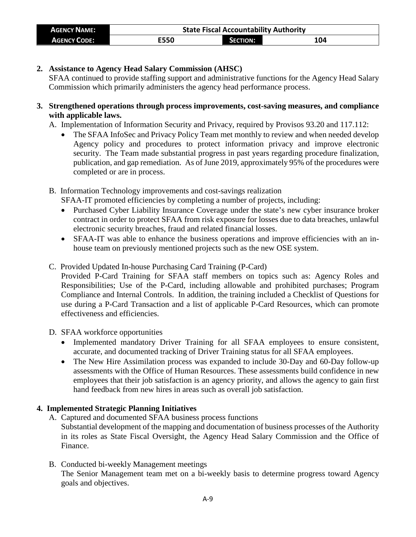| <b>AGENCY NAME:</b> | <b>State Fiscal Accountability Authority</b> |                 |     |  |  |  |  |
|---------------------|----------------------------------------------|-----------------|-----|--|--|--|--|
| <b>AGENCY CODE:</b> | E550                                         | <b>SECTION:</b> | 104 |  |  |  |  |

**2. Assistance to Agency Head Salary Commission (AHSC)**

SFAA continued to provide staffing support and administrative functions for the Agency Head Salary Commission which primarily administers the agency head performance process.

- **3. Strengthened operations through process improvements, cost-saving measures, and compliance with applicable laws.**
	- A. Implementation of Information Security and Privacy, required by Provisos 93.20 and 117.112:
		- The SFAA InfoSec and Privacy Policy Team met monthly to review and when needed develop Agency policy and procedures to protect information privacy and improve electronic security. The Team made substantial progress in past years regarding procedure finalization, publication, and gap remediation. As of June 2019, approximately 95% of the procedures were completed or are in process.
	- B. Information Technology improvements and cost-savings realization

SFAA-IT promoted efficiencies by completing a number of projects, including:

- Purchased Cyber Liability Insurance Coverage under the state's new cyber insurance broker contract in order to protect SFAA from risk exposure for losses due to data breaches, unlawful electronic security breaches, fraud and related financial losses.
- SFAA-IT was able to enhance the business operations and improve efficiencies with an inhouse team on previously mentioned projects such as the new OSE system.
- C. Provided Updated In-house Purchasing Card Training (P-Card)

Provided P-Card Training for SFAA staff members on topics such as: Agency Roles and Responsibilities; Use of the P-Card, including allowable and prohibited purchases; Program Compliance and Internal Controls. In addition, the training included a Checklist of Questions for use during a P-Card Transaction and a list of applicable P-Card Resources, which can promote effectiveness and efficiencies.

- D. SFAA workforce opportunities
	- Implemented mandatory Driver Training for all SFAA employees to ensure consistent, accurate, and documented tracking of Driver Training status for all SFAA employees.
	- The New Hire Assimilation process was expanded to include 30-Day and 60-Day follow-up assessments with the Office of Human Resources. These assessments build confidence in new employees that their job satisfaction is an agency priority, and allows the agency to gain first hand feedback from new hires in areas such as overall job satisfaction.

## **4. Implemented Strategic Planning Initiatives**

Finance.

- A. Captured and documented SFAA business process functions Substantial development of the mapping and documentation of business processes of the Authority in its roles as State Fiscal Oversight, the Agency Head Salary Commission and the Office of
- B. Conducted bi-weekly Management meetings

The Senior Management team met on a bi-weekly basis to determine progress toward Agency goals and objectives.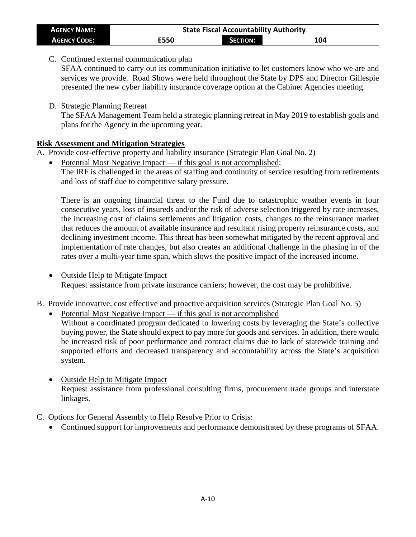| <b>AGENCY NAME:</b> | <b>State Fiscal Accountability Authority</b> |                 |     |  |  |  |  |
|---------------------|----------------------------------------------|-----------------|-----|--|--|--|--|
| <b>AGENCY CODE:</b> | <b>E550</b>                                  | <b>SECTION:</b> | 104 |  |  |  |  |

C. Continued external communication plan

SFAA continued to carry out its communication initiative to let customers know who we are and services we provide. Road Shows were held throughout the State by DPS and Director Gillespie presented the new cyber liability insurance coverage option at the Cabinet Agencies meeting.

D. Strategic Planning Retreat

The SFAA Management Team held a strategic planning retreat in May 2019 to establish goals and plans for the Agency in the upcoming year.

### **Risk Assessment and Mitigation Strategies**

- A. Provide cost-effective property and liability insurance (Strategic Plan Goal No. 2)
	- Potential Most Negative Impact if this goal is not accomplished: The IRF is challenged in the areas of staffing and continuity of service resulting from retirements and loss of staff due to competitive salary pressure.

There is an ongoing financial threat to the Fund due to catastrophic weather events in four consecutive years, loss of insureds and/or the risk of adverse selection triggered by rate increases, the increasing cost of claims settlements and litigation costs, changes to the reinsurance market that reduces the amount of available insurance and resultant rising property reinsurance costs, and declining investment income. This threat has been somewhat mitigated by the recent approval and implementation of rate changes, but also creates an additional challenge in the phasing in of the rates over a multi-year time span, which slows the positive impact of the increased income.

- Outside Help to Mitigate Impact Request assistance from private insurance carriers; however, the cost may be prohibitive.
- B. Provide innovative, cost effective and proactive acquisition services (Strategic Plan Goal No. 5)
	- Potential Most Negative Impact if this goal is not accomplished Without a coordinated program dedicated to lowering costs by leveraging the State's collective buying power, the State should expect to pay more for goods and services. In addition, there would be increased risk of poor performance and contract claims due to lack of statewide training and supported efforts and decreased transparency and accountability across the State's acquisition system.
	- Outside Help to Mitigate Impact Request assistance from professional consulting firms, procurement trade groups and interstate linkages.
- C. Options for General Assembly to Help Resolve Prior to Crisis:
	- Continued support for improvements and performance demonstrated by these programs of SFAA.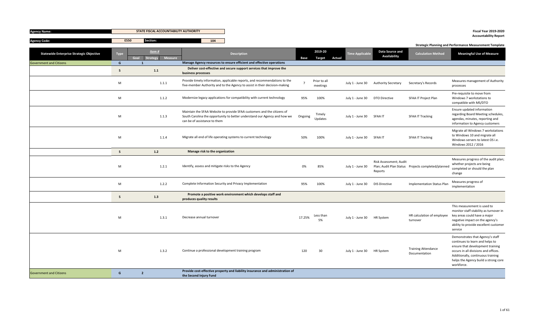| <b>Agency Name:</b>                             |              | STATE FISCAL ACCOUNTABILITY AUTHORITY       |                                                      |                                                                                                                                                          |         |                                    |                        |                                   |                                                    | <b>Fiscal Year 2019-2020</b><br><b>Accountability Report</b>                                                                                                                                                                               |
|-------------------------------------------------|--------------|---------------------------------------------|------------------------------------------------------|----------------------------------------------------------------------------------------------------------------------------------------------------------|---------|------------------------------------|------------------------|-----------------------------------|----------------------------------------------------|--------------------------------------------------------------------------------------------------------------------------------------------------------------------------------------------------------------------------------------------|
| <b>Agency Code:</b>                             |              | Section:<br>E550                            | 104                                                  |                                                                                                                                                          |         |                                    |                        |                                   |                                                    |                                                                                                                                                                                                                                            |
| <b>Statewide Enterprise Strategic Objective</b> | <b>Type</b>  | Item#<br>Goal<br><b>Strategy</b><br>Measure |                                                      | <b>Description</b>                                                                                                                                       | Base    | 2019-20<br><b>Target</b><br>Actual | <b>Time Applicable</b> | Data Source and<br>Availability   | <b>Calculation Method</b>                          | <b>Strategic Planning and Performance Measurement Template</b><br><b>Meaningful Use of Measure</b>                                                                                                                                         |
| <b>Government and Citizens</b>                  | G            | $\mathbf{1}$                                |                                                      | Manage Agency resources to ensure efficient and effective operations                                                                                     |         |                                    |                        |                                   |                                                    |                                                                                                                                                                                                                                            |
|                                                 | $\mathsf{s}$ | $1.1$                                       | business processes                                   | Deliver cost-effective and secure support services that improve the                                                                                      |         |                                    |                        |                                   |                                                    |                                                                                                                                                                                                                                            |
|                                                 | M            | 1.1.1                                       |                                                      | Provide timely information, applicable reports, and recommendations to the<br>five-member Authority and to the Agency to assist in their decision-making |         | Prior to all<br>meetings           | July 1 - June 30       | <b>Authority Secretary</b>        | Secretary's Records                                | Measures management of Authority<br>processes                                                                                                                                                                                              |
|                                                 | M            | 1.1.2                                       |                                                      | Modernize legacy applications for compatibility with current technology                                                                                  | 95%     | 100%                               | July 1 - June 30       | DTO Directive                     | SFAA IT Project Plan                               | Pre-requisite to move from<br>Windows 7 workstations to<br>compatible with MS/DTO                                                                                                                                                          |
|                                                 | M            | 1.1.3                                       | can be of assistance to them                         | Maintain the SFAA Website to provide SFAA customers and the citizens of<br>South Carolina the opportunity to better understand our Agency and how we     | Ongoing | Timely<br>Updates                  | July 1 - June 30       | SFAA IT                           | <b>SFAA IT Tracking</b>                            | Ensure updated information<br>regarding Board Meeting schedules,<br>agendas, minutes, reporting and<br>information to Agency customers                                                                                                     |
|                                                 | M            | 1.1.4                                       |                                                      | Migrate all end of life operating systems to current technology                                                                                          |         | 100%                               | July 1 - June 30       | SFAA IT                           | <b>SFAA IT Tracking</b>                            | Migrate all Windows 7 workstations<br>to Windows 10 and migrate all<br>Windows servers to latest OS i.e.<br>Windows 2012 / 2016                                                                                                            |
|                                                 | $\mathsf{s}$ | $1.2$                                       |                                                      | Manage risk to the organization                                                                                                                          |         |                                    |                        |                                   |                                                    |                                                                                                                                                                                                                                            |
|                                                 | M            | 1.2.1                                       | Identify, assess and mitigate risks to the Agency    |                                                                                                                                                          | 0%      | 85%                                | July 1 - June 30       | Risk Assessment; Audit<br>Reports | Plan; Audit Plan Status Projects completed/planned | Measures progress of the audit plan;<br>whether projects are being<br>completed or should the plan<br>change                                                                                                                               |
|                                                 | M            | 1.2.2                                       |                                                      | Complete Information Security and Privacy Implementation                                                                                                 | 95%     | 100%                               | July 1 - June 30       | <b>DIS Directive</b>              | <b>Implementation Status Plan</b>                  | Measures progress of<br>implementation                                                                                                                                                                                                     |
|                                                 | $\mathsf{s}$ | 1.3                                         | produces quality results                             | Promote a positive work environment which develops staff and                                                                                             |         |                                    |                        |                                   |                                                    |                                                                                                                                                                                                                                            |
|                                                 | M            | 1.3.1                                       | Decrease annual turnover                             |                                                                                                                                                          | 17.25%  | Less than<br>5%                    | July 1 - June 30       | <b>HR System</b>                  | HR calculation of employee<br>turnover             | This measurement is used to<br>monitor staff stability as turnover in<br>key areas could have a major<br>negative impact on the agency's<br>ability to provide excellent customer<br>service                                               |
|                                                 | M            | 1.3.2                                       | Continue a professional development training program |                                                                                                                                                          | 120     | 30                                 | July 1 - June 30       | <b>HR System</b>                  | <b>Training Attendance</b><br>Documentation        | Demonstrates that Agency's staff<br>continues to learn and helps to<br>ensure that development training<br>occurs in all divisions and offices.<br>Additionally, continuous training<br>helps the Agency build a strong core<br>workforce. |
| <b>Government and Citizens</b>                  | G            | $\overline{2}$                              | the Second Injury Fund                               | Provide cost-effective property and liability insurance and administration of                                                                            |         |                                    |                        |                                   |                                                    |                                                                                                                                                                                                                                            |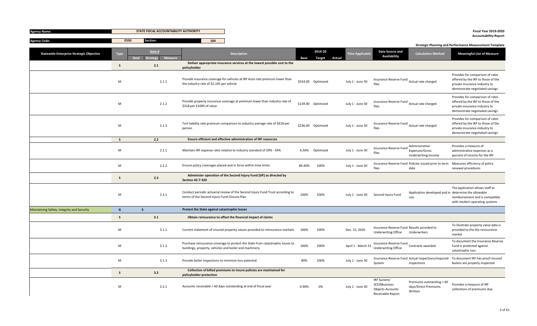| <b>Agency Name:</b>                             |              | STATE FISCAL ACCOUNTABILITY AUTHORITY       |                                                        |                                                                                |             |                                    |                    |                                                                           |                                                                   | <b>Fiscal Year 2019-2020</b>                                                                                                              |
|-------------------------------------------------|--------------|---------------------------------------------|--------------------------------------------------------|--------------------------------------------------------------------------------|-------------|------------------------------------|--------------------|---------------------------------------------------------------------------|-------------------------------------------------------------------|-------------------------------------------------------------------------------------------------------------------------------------------|
| <b>Agency Code:</b>                             | E550         | Section:                                    | 104                                                    |                                                                                |             |                                    |                    |                                                                           |                                                                   | <b>Accountability Report</b>                                                                                                              |
| <b>Statewide Enterprise Strategic Objective</b> | <b>Type</b>  | Item#<br><b>Strategy</b><br>Measure<br>Goal |                                                        | <b>Description</b>                                                             | <b>Base</b> | 2019-20<br><b>Actual</b><br>Target | Time Applicable    | <b>Data Source and</b><br><b>Availability</b>                             | <b>Calculation Method</b>                                         | <b>Strategic Planning and Performance Measurement Template</b><br><b>Meaningful Use of Measure</b>                                        |
|                                                 | $\mathsf{s}$ | 2.1                                         | policyholder                                           | Deliver appropriate insurance services at the lowest possible cost to the      |             |                                    |                    |                                                                           |                                                                   |                                                                                                                                           |
|                                                 | M            | 2.1.1                                       | the industry rate of \$2,105 per vehicle               | Provide insurance coverage for vehicles at IRF Auto rate premium lower than    |             | \$554.00 Optimized                 | July 1 - June 30   | Insurance Reserve Fund<br>files                                           | Actual rate charged                                               | Provides for comparison of rates<br>offered by the IRF to those of the<br>private insurance industry to<br>demonstrate negotiated savings |
|                                                 | M            | 2.1.2                                       | \$318 per \$1000 of value                              | Provide property insurance coverage at premium lower than industry rate of     |             | \$139.00 Optimized                 | July 1 - June 30   | Insurance Reserve Fund<br>Actual rate charged<br>files                    |                                                                   | Provides for comparison of rates<br>offered by the IRF to those of the<br>private insurance industry to<br>demonstrate negotiated savings |
|                                                 | M            | 2.1.3                                       | person                                                 | Tort liability rate premium comparison to industry average rate of \$618 per   |             | \$236.00 Optimized                 | July 1 - June 30   | Insurance Reserve Fund<br>files                                           | Actual rate charged                                               | Provides for comparison of rates<br>offered by the IRF to those of the<br>private insurance industry to<br>demonstrate negotiated savings |
|                                                 | $\mathsf{s}$ | 2.2                                         |                                                        | Ensure efficient and effective administration of IRF resources                 |             |                                    |                    |                                                                           |                                                                   |                                                                                                                                           |
|                                                 | M            | 2.2.1                                       |                                                        | Maintain IRF expense ratio relative to industry standard of 29% - 34%          |             | 4.56% Optimized                    | July 1 - June 30   | Insurance Reserve Fund<br>files                                           | Administrative<br>Expenses/Gross<br>Underwriting Income           | Provides a measure of<br>administrative expenses as a<br>percent of income for the IRF                                                    |
|                                                 | M            | 2.2.2                                       |                                                        | Ensure policy coverages placed and in force within time limits                 | 89.40%      | 100%                               | July 1 - June 30   | files                                                                     | Insurance Reserve Fund Policies issued prior to term<br>date      | Measures efficiency of policy<br>renewal procedures                                                                                       |
|                                                 | $\mathsf S$  | 2.3                                         | <b>Section 42-7-320</b>                                | Administer operation of the Second Injury Fund (SIF) as directed by            |             |                                    |                    |                                                                           |                                                                   |                                                                                                                                           |
|                                                 | M            | 2.3.1                                       | terms of the Second Injury Fund Closure Plan           | Conduct periodic actuarial review of the Second Injury Fund Trust according to | 100%        | 100%                               | July 1 - June 30   | Second Injury Fund                                                        | Application developed and in determine the allowable<br>use.      | The application allows staff to<br>reimbursement and is compatible<br>with modern operating systems                                       |
| Maintaining Safety, Integrity and Security      | G            | $\overline{\mathbf{3}}$                     | Protect the State against catastrophic losses          |                                                                                |             |                                    |                    |                                                                           |                                                                   |                                                                                                                                           |
|                                                 | $\mathsf{s}$ | 3.1                                         |                                                        | Obtain reinsurance to offset the financial impact of claims                    |             |                                    |                    |                                                                           |                                                                   |                                                                                                                                           |
|                                                 | M            | 3.1.1                                       |                                                        | Current statement of insured property values provided to reinsurance markets   | 100%        | 100%                               | Dec. 31, 2020      | Insurance Reserve Fund Results provided to<br><b>Underwriting Office</b>  | Underwriters                                                      | To illustrate property value data is<br>provided to the the reinsurance<br>market                                                         |
|                                                 | M            | 3.1.2                                       | buildings, property, vehicles and boiler and machinery | Purchase reinsurance coverage to protect the State from catastrophic losses to | 100%        | 100%                               | April 1 - March 31 | Insurance Reserve Fund<br>Contracts awarded<br><b>Underwriting Office</b> |                                                                   | To document the Insurance Reserve<br>Fund is protected against<br>catastrophic loss                                                       |
|                                                 | M            | 3.1.3                                       | Provide boiler inspections to minimize loss potential  |                                                                                | 89%         | 100%                               | July 1 - June 30   | System                                                                    | Insurance Reserve Fund Actual inspections/required<br>inspections | To document IRF has proof insured<br>boilers are properly inspected                                                                       |
|                                                 | $\mathsf{s}$ | 3.2                                         | policyholder protection                                | Collection of billed premiums to insure policies are maintained for            |             |                                    |                    |                                                                           |                                                                   |                                                                                                                                           |
|                                                 | M            | 3.2.1                                       |                                                        | Accounts receivable > 60 days outstanding at end of fiscal year                | 0.90%       | 0%                                 | July 1 - June 30   | IRF System/<br>SCEISBusiness<br>Objects-Accounts<br>Receivable Report     | Premiums outstanding > 60<br>days/Direct Premiums<br>Written      | Provides a measure of IRF<br>collections of premiums due.                                                                                 |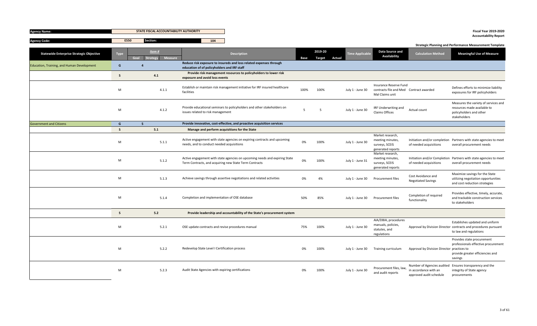| <b>Agency Name:</b>                             | STATE FISCAL ACCOUNTABILITY AUTHORITY |                                      |                                                        |                                                                             |      |                                           |                  |                                                                                      | <b>Fiscal Year 2019-2020</b><br><b>Accountability Report</b> |                                                                                                                              |
|-------------------------------------------------|---------------------------------------|--------------------------------------|--------------------------------------------------------|-----------------------------------------------------------------------------|------|-------------------------------------------|------------------|--------------------------------------------------------------------------------------|--------------------------------------------------------------|------------------------------------------------------------------------------------------------------------------------------|
| <b>Agency Code:</b>                             | E550                                  | Section:                             | 104                                                    |                                                                             |      |                                           |                  |                                                                                      |                                                              |                                                                                                                              |
| <b>Statewide Enterprise Strategic Objective</b> | <b>Type</b>                           | Item#<br>Goal<br>Strategy<br>Measure |                                                        | <b>Description</b>                                                          | Base | 2019-20<br><b>Target</b><br><b>Actual</b> | Time Applicable  | Data Source and<br><b>Availability</b>                                               | <b>Calculation Method</b>                                    | <b>Strategic Planning and Performance Measurement Template</b><br><b>Meaningful Use of Measure</b>                           |
| Education, Training, and Human Development      | G                                     | $\overline{a}$                       | education of of policyholders and IRF staff            | Reduce risk exposure to insureds and loss related expenses through          |      |                                           |                  |                                                                                      |                                                              |                                                                                                                              |
|                                                 | s.                                    | 4.1                                  | exposure and avoid loss events                         | Provide risk management resources to policyholders to lower risk            |      |                                           |                  |                                                                                      |                                                              |                                                                                                                              |
|                                                 | M                                     | 4.1.1                                | facilities                                             | Establish or maintain risk management initiative for IRF insured healthcare | 100% | 100%                                      | July 1 - June 30 | Insurance Reserve Fund<br>contracts file and Med Contract awarded<br>Mal Claims unit |                                                              | Defines efforts to minimize liability<br>exposures for IRF policyholders                                                     |
|                                                 | M                                     | 4.1.2                                | issues related to risk management                      | Provide educational seminars to policyholders and other stakeholders on     | 5    | 5                                         | July 1 - June 30 | IRF Underwriting and<br><b>Claims Offices</b>                                        | Actual count                                                 | Measures the variety of services and<br>resources made available to<br>policyholders and other<br>stakeholders               |
| <b>Government and Citizens</b>                  | G                                     | 5                                    |                                                        | Provide innovative, cost-effective, and proactive acquisition services      |      |                                           |                  |                                                                                      |                                                              |                                                                                                                              |
|                                                 | $\mathsf{s}$                          | 5.1                                  | Manage and perform acquisitions for the State          |                                                                             |      |                                           |                  |                                                                                      |                                                              |                                                                                                                              |
|                                                 | M                                     | 5.1.1                                | needs, and to conduct needed acquisitions              | Active engagement with state agencies on expiring contracts and upcoming    | 0%   | 100%                                      | July 1 - June 30 | Market research,<br>meeting minutes,<br>surveys, SCEIS<br>generated reports          | of needed acquisitions                                       | Initiation and/or completion Partners with state agencies to meet<br>overall procurement needs                               |
|                                                 | M                                     | 5.1.2                                | Term Contracts, and acquiring new State Term Contracts | Active engagement with state agencies on upcoming needs and expiring State  | 0%   | 100%                                      | July 1 - June 31 | Market research,<br>meeting minutes,<br>surveys, SCEIS<br>generated reports          | of needed acquisitions                                       | Initiation and/or Completion Partners with state agencies to meet<br>overall procurement needs                               |
|                                                 | M                                     | 5.1.3                                |                                                        | Achieve savings through assertive negotiations and related activities       | 0%   | 4%                                        | July 1 - June 30 | Procurement files                                                                    | Cost Avoidance and<br><b>Negotiated Savings</b>              | Maximize savings for the State<br>utilizing negotiation opportunities<br>and cost reduction strategies                       |
|                                                 | M                                     | 5.1.4                                | Completion and implementation of OSE database          |                                                                             | 50%  | 85%                                       | July 1 - June 30 | <b>Procurement files</b>                                                             | Completion of required<br>functionality                      | Provides effective, timely, accurate,<br>and trackable construction services<br>to stakeholders                              |
|                                                 | $\mathsf{s}$                          | 5.2                                  |                                                        | Provide leadership and accountability of the State's procurement system     |      |                                           |                  |                                                                                      |                                                              |                                                                                                                              |
|                                                 | M                                     | 5.2.1                                | OSE update contracts and revise procedures manual      |                                                                             | 75%  | 100%                                      | July 1 - June 30 | AIA/DBIA, procedures<br>manuals, policies,<br>statutes, and<br>regulations           |                                                              | Establishes updated and uniform<br>Approval by Division Director contracts and procedures pursuant<br>to law and regulations |
|                                                 | M                                     | 5.2.2                                | Redevelop State Level I Certification process          |                                                                             | 0%   | 100%                                      | July 1 - June 30 | <b>Training curriculum</b>                                                           | Approval by Division Director practices to                   | Provides state procurement<br>professionals effective procurement<br>provide greater efficiencies and<br>savings             |
|                                                 | M                                     | 5.2.3                                | Audit State Agencies with expiring certifications      |                                                                             | 0%   | 100%                                      | July 1 - June 30 | Procurement files, law,<br>and audit reports                                         | in accordance with an<br>approved audit schedule             | Number of Agencies audited Ensures transparency and the<br>integrity of State agency<br>procurements                         |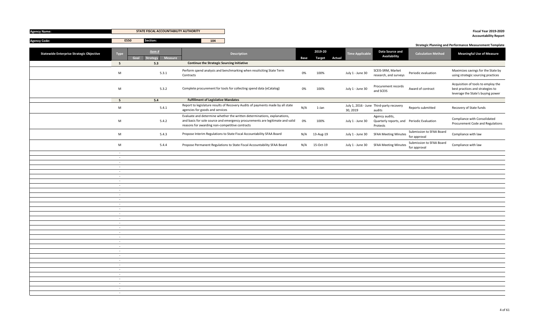| <b>Agency Name:</b>                             |                  | STATE FISCAL ACCOUNTABILITY AUTHORITY        |                                                   |                                                                                                                                                           |      |                                    |                  |                                                                          |                                          | <b>Fiscal Year 2019-2020</b>                                                                                |
|-------------------------------------------------|------------------|----------------------------------------------|---------------------------------------------------|-----------------------------------------------------------------------------------------------------------------------------------------------------------|------|------------------------------------|------------------|--------------------------------------------------------------------------|------------------------------------------|-------------------------------------------------------------------------------------------------------------|
| <b>Agency Code:</b>                             | E550             | Section:                                     | 104                                               |                                                                                                                                                           |      |                                    |                  |                                                                          |                                          | <b>Accountability Report</b>                                                                                |
|                                                 |                  |                                              |                                                   |                                                                                                                                                           |      |                                    |                  |                                                                          |                                          | <b>Strategic Planning and Performance Measurement Template</b>                                              |
| <b>Statewide Enterprise Strategic Objective</b> | <b>Type</b>      | Item #<br><b>Strategy</b><br>Measure<br>Goal |                                                   | <b>Description</b>                                                                                                                                        | Base | 2019-20<br><b>Actual</b><br>Target | Time Applicable  | Data Source and<br>Availability                                          | <b>Calculation Method</b>                | <b>Meaningful Use of Measure</b>                                                                            |
|                                                 | $\mathsf{s}$     | 5.3                                          | <b>Continue the Strategic Sourcing Initiative</b> |                                                                                                                                                           |      |                                    |                  |                                                                          |                                          |                                                                                                             |
|                                                 | M                | 5.3.1                                        | Contracts                                         | Perform spend analysis and benchmarking when resoliciting State Term                                                                                      | 0%   | 100%                               | July 1 - June 30 | SCEIS-SRM, Market<br>research, and surveys                               | Periodic evaluation                      | Maximizes savings for the State by<br>using strategic sourcing practices                                    |
|                                                 | M                | 5.3.2                                        |                                                   | Complete procurement for tools for collecting spend data (eCatalog)                                                                                       | 0%   | 100%                               | July 1 - June 30 | Procurement records<br>and SCEIS                                         | Award of contract                        | Acquisition of tools to employ the<br>best practices and strategies to<br>leverage the State's buying power |
|                                                 | $\mathsf{s}$     | 5.4                                          | <b>Fulfillment of Legislative Mandates</b>        |                                                                                                                                                           |      |                                    |                  |                                                                          |                                          |                                                                                                             |
|                                                 | M                | 5.4.1                                        | agencies for goods and services                   | Report to legislature results of Recovery Audits of payments made by all state                                                                            | N/A  | 1-Jan                              | 30, 2019         | July 1, 2016 - June Third-party recovery<br>audits                       | Reports submitted                        | Recovery of State funds                                                                                     |
|                                                 | M                | 5.4.2                                        | reasons for awarding non-competitive contracts    | Evaluate and determine whether the written determinations, explanations,<br>and basis for sole source and emergency procurements are legitimate and valid | 0%   | 100%                               | July 1 - June 30 | Agency audits,<br>Quarterly reports, and Periodic Evaluation<br>Protests |                                          | Compliance with Consolidated<br>Procurement Code and Regulations                                            |
|                                                 | ${\sf M}$        | 5.4.3                                        |                                                   | Propose Interim Regulations to State Fiscal Accountability SFAA Board                                                                                     |      | N/A 13-Aug-19                      | July 1 - June 30 | <b>SFAA Meeting Minutes</b>                                              | Submission to SFAA Board<br>for approval | Compliance with law                                                                                         |
|                                                 | ${\sf M}$        | 5.4.4                                        |                                                   | Propose Permanent Regulations to State Fiscal Accountability SFAA Board                                                                                   |      | N/A 15-Oct-19                      | July 1 - June 30 | <b>SFAA Meeting Minutes</b>                                              | Submission to SFAA Board<br>for approval | Compliance with law                                                                                         |
|                                                 | $\sim$           |                                              |                                                   |                                                                                                                                                           |      |                                    |                  |                                                                          |                                          |                                                                                                             |
|                                                 | $\sim$           |                                              |                                                   |                                                                                                                                                           |      |                                    |                  |                                                                          |                                          |                                                                                                             |
|                                                 | $\sim$<br>$\sim$ |                                              |                                                   |                                                                                                                                                           |      |                                    |                  |                                                                          |                                          |                                                                                                             |
|                                                 | $\sim$           |                                              |                                                   |                                                                                                                                                           |      |                                    |                  |                                                                          |                                          |                                                                                                             |
|                                                 | $\sim$           |                                              |                                                   |                                                                                                                                                           |      |                                    |                  |                                                                          |                                          |                                                                                                             |
|                                                 | $\sim$           |                                              |                                                   |                                                                                                                                                           |      |                                    |                  |                                                                          |                                          |                                                                                                             |
|                                                 | $\sim$           |                                              |                                                   |                                                                                                                                                           |      |                                    |                  |                                                                          |                                          |                                                                                                             |
|                                                 | $\sim$<br>$\sim$ |                                              |                                                   |                                                                                                                                                           |      |                                    |                  |                                                                          |                                          |                                                                                                             |
|                                                 | $\sim$           |                                              |                                                   |                                                                                                                                                           |      |                                    |                  |                                                                          |                                          |                                                                                                             |
|                                                 | $\sim$           |                                              |                                                   |                                                                                                                                                           |      |                                    |                  |                                                                          |                                          |                                                                                                             |
|                                                 | $\sim$           |                                              |                                                   |                                                                                                                                                           |      |                                    |                  |                                                                          |                                          |                                                                                                             |
|                                                 | $\sim$           |                                              |                                                   |                                                                                                                                                           |      |                                    |                  |                                                                          |                                          |                                                                                                             |
|                                                 | $\sim$<br>$\sim$ |                                              |                                                   |                                                                                                                                                           |      |                                    |                  |                                                                          |                                          |                                                                                                             |
|                                                 | $\sim$           |                                              |                                                   |                                                                                                                                                           |      |                                    |                  |                                                                          |                                          |                                                                                                             |
|                                                 | $\sim$           |                                              |                                                   |                                                                                                                                                           |      |                                    |                  |                                                                          |                                          |                                                                                                             |
|                                                 | $\sim$           |                                              |                                                   |                                                                                                                                                           |      |                                    |                  |                                                                          |                                          |                                                                                                             |
|                                                 | $\sim$           |                                              |                                                   |                                                                                                                                                           |      |                                    |                  |                                                                          |                                          |                                                                                                             |
|                                                 | $\sim$           |                                              |                                                   |                                                                                                                                                           |      |                                    |                  |                                                                          |                                          |                                                                                                             |
|                                                 | $\sim$           |                                              |                                                   |                                                                                                                                                           |      |                                    |                  |                                                                          |                                          |                                                                                                             |
|                                                 | $\sim$<br>$\sim$ |                                              |                                                   |                                                                                                                                                           |      |                                    |                  |                                                                          |                                          |                                                                                                             |
|                                                 | $\sim$           |                                              |                                                   |                                                                                                                                                           |      |                                    |                  |                                                                          |                                          |                                                                                                             |
|                                                 | $\sim$           |                                              |                                                   |                                                                                                                                                           |      |                                    |                  |                                                                          |                                          |                                                                                                             |
|                                                 | $\sim$           |                                              |                                                   |                                                                                                                                                           |      |                                    |                  |                                                                          |                                          |                                                                                                             |
|                                                 | $\sim$           |                                              |                                                   |                                                                                                                                                           |      |                                    |                  |                                                                          |                                          |                                                                                                             |
|                                                 | $\sim$           |                                              |                                                   |                                                                                                                                                           |      |                                    |                  |                                                                          |                                          |                                                                                                             |
|                                                 | $\sim$           |                                              |                                                   |                                                                                                                                                           |      |                                    |                  |                                                                          |                                          |                                                                                                             |
|                                                 | $\sim$           |                                              |                                                   |                                                                                                                                                           |      |                                    |                  |                                                                          |                                          |                                                                                                             |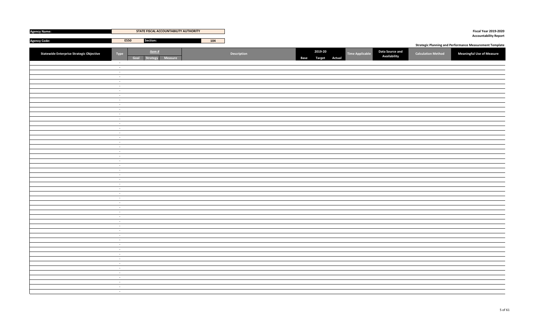| <b>Agency Name:</b>                             |                          | STATE FISCAL ACCOUNTABILITY AUTHORITY |     |             |                               |                 |                                        |                           | <b>Fiscal Year 2019-2020</b>                                   |
|-------------------------------------------------|--------------------------|---------------------------------------|-----|-------------|-------------------------------|-----------------|----------------------------------------|---------------------------|----------------------------------------------------------------|
| <b>Agency Code:</b>                             | E550                     | Section:                              | 104 |             |                               |                 |                                        |                           | <b>Accountability Report</b>                                   |
|                                                 |                          |                                       |     |             |                               |                 |                                        |                           | <b>Strategic Planning and Performance Measurement Template</b> |
| <b>Statewide Enterprise Strategic Objective</b> | Type<br>Goal             | Item #<br>Strategy<br>Measure         |     | Description | 2019-20<br>Base Target Actual | Time Applicable | <b>Data Source and</b><br>Availability | <b>Calculation Method</b> | <b>Meaningful Use of Measure</b>                               |
|                                                 | $\sim$                   |                                       |     |             |                               |                 |                                        |                           |                                                                |
|                                                 | $\sim$<br>$\sim$         |                                       |     |             |                               |                 |                                        |                           |                                                                |
|                                                 | $\sim$                   |                                       |     |             |                               |                 |                                        |                           |                                                                |
|                                                 | $\sim$                   |                                       |     |             |                               |                 |                                        |                           |                                                                |
|                                                 | $\sim$                   |                                       |     |             |                               |                 |                                        |                           |                                                                |
|                                                 | $\sim$ $-$<br>$\sim$     |                                       |     |             |                               |                 |                                        |                           |                                                                |
|                                                 | $\sim$                   |                                       |     |             |                               |                 |                                        |                           |                                                                |
|                                                 | $\sim$                   |                                       |     |             |                               |                 |                                        |                           |                                                                |
|                                                 | $\sim 10$                |                                       |     |             |                               |                 |                                        |                           |                                                                |
|                                                 | $\sim$                   |                                       |     |             |                               |                 |                                        |                           |                                                                |
|                                                 | $\sim$<br>$\sim$ $-$     |                                       |     |             |                               |                 |                                        |                           |                                                                |
|                                                 | $\sim$                   |                                       |     |             |                               |                 |                                        |                           |                                                                |
|                                                 | $\sim$                   |                                       |     |             |                               |                 |                                        |                           |                                                                |
|                                                 | $\sim$                   |                                       |     |             |                               |                 |                                        |                           |                                                                |
|                                                 | $\sim$                   |                                       |     |             |                               |                 |                                        |                           |                                                                |
|                                                 | $\sim$<br>$\sim$         |                                       |     |             |                               |                 |                                        |                           |                                                                |
|                                                 | $\sim$                   |                                       |     |             |                               |                 |                                        |                           |                                                                |
|                                                 | $\sim$                   |                                       |     |             |                               |                 |                                        |                           |                                                                |
|                                                 | $\sim$                   |                                       |     |             |                               |                 |                                        |                           |                                                                |
|                                                 | $\sim$                   |                                       |     |             |                               |                 |                                        |                           |                                                                |
|                                                 | $\sim$<br>$\sim$         |                                       |     |             |                               |                 |                                        |                           |                                                                |
|                                                 | $\sim$                   |                                       |     |             |                               |                 |                                        |                           |                                                                |
|                                                 | $\sim$                   |                                       |     |             |                               |                 |                                        |                           |                                                                |
|                                                 | $\sim$                   |                                       |     |             |                               |                 |                                        |                           |                                                                |
|                                                 | $\sim$                   |                                       |     |             |                               |                 |                                        |                           |                                                                |
|                                                 | $\sim$<br>$\sim$         |                                       |     |             |                               |                 |                                        |                           |                                                                |
|                                                 | $\sim$ $-$               |                                       |     |             |                               |                 |                                        |                           |                                                                |
|                                                 | $\sim$                   |                                       |     |             |                               |                 |                                        |                           |                                                                |
|                                                 | $\sim$ $-$               |                                       |     |             |                               |                 |                                        |                           |                                                                |
|                                                 | $\sim$                   |                                       |     |             |                               |                 |                                        |                           |                                                                |
|                                                 | $\sim$<br>$\sim$         |                                       |     |             |                               |                 |                                        |                           |                                                                |
|                                                 | $\sim$                   |                                       |     |             |                               |                 |                                        |                           |                                                                |
|                                                 | $\sim$ $-$               |                                       |     |             |                               |                 |                                        |                           |                                                                |
|                                                 | $\sim$                   |                                       |     |             |                               |                 |                                        |                           |                                                                |
|                                                 | $\sim$                   |                                       |     |             |                               |                 |                                        |                           |                                                                |
|                                                 | $\sim$                   |                                       |     |             |                               |                 |                                        |                           |                                                                |
|                                                 | $\sim$<br>$\sim 10^{-1}$ |                                       |     |             |                               |                 |                                        |                           |                                                                |
|                                                 | $\sim$                   |                                       |     |             |                               |                 |                                        |                           |                                                                |
|                                                 | $\sim$                   |                                       |     |             |                               |                 |                                        |                           |                                                                |
|                                                 | $\sim$                   |                                       |     |             |                               |                 |                                        |                           |                                                                |
|                                                 | $\sim$                   |                                       |     |             |                               |                 |                                        |                           |                                                                |
|                                                 | $\sim$                   |                                       |     |             |                               |                 |                                        |                           |                                                                |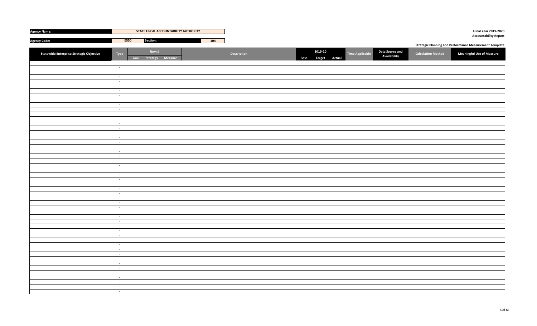| <b>Agency Name:</b>                             |                      | STATE FISCAL ACCOUNTABILITY AUTHORITY |     |             |                               |                 |                                        |                           | <b>Fiscal Year 2019-2020</b>                                   |
|-------------------------------------------------|----------------------|---------------------------------------|-----|-------------|-------------------------------|-----------------|----------------------------------------|---------------------------|----------------------------------------------------------------|
| <b>Agency Code:</b>                             | E550                 | Section:                              | 104 |             |                               |                 |                                        |                           | <b>Accountability Report</b>                                   |
|                                                 |                      |                                       |     |             |                               |                 |                                        |                           | <b>Strategic Planning and Performance Measurement Template</b> |
| <b>Statewide Enterprise Strategic Objective</b> | Type<br>Goal         | Item #<br>Strategy<br>Measure         |     | Description | 2019-20<br>Base Target Actual | Time Applicable | <b>Data Source and</b><br>Availability | <b>Calculation Method</b> | <b>Meaningful Use of Measure</b>                               |
|                                                 | $\sim$ $-$           |                                       |     |             |                               |                 |                                        |                           |                                                                |
|                                                 | $\sim$<br>$\sim$     |                                       |     |             |                               |                 |                                        |                           |                                                                |
|                                                 | $\sim$               |                                       |     |             |                               |                 |                                        |                           |                                                                |
|                                                 | $\sim$               |                                       |     |             |                               |                 |                                        |                           |                                                                |
|                                                 | $\sim$               |                                       |     |             |                               |                 |                                        |                           |                                                                |
|                                                 | $\sim$ $-$           |                                       |     |             |                               |                 |                                        |                           |                                                                |
|                                                 | $\sim$<br>$\sim$     |                                       |     |             |                               |                 |                                        |                           |                                                                |
|                                                 | $\sim$               |                                       |     |             |                               |                 |                                        |                           |                                                                |
|                                                 | $\sim$               |                                       |     |             |                               |                 |                                        |                           |                                                                |
|                                                 | $\sim$               |                                       |     |             |                               |                 |                                        |                           |                                                                |
|                                                 | $\sim$               |                                       |     |             |                               |                 |                                        |                           |                                                                |
|                                                 | $\sim$ $-$<br>$\sim$ |                                       |     |             |                               |                 |                                        |                           |                                                                |
|                                                 | $\sim$               |                                       |     |             |                               |                 |                                        |                           |                                                                |
|                                                 | $\sim$ $-$           |                                       |     |             |                               |                 |                                        |                           |                                                                |
|                                                 | $\sim$               |                                       |     |             |                               |                 |                                        |                           |                                                                |
|                                                 | $\sim$               |                                       |     |             |                               |                 |                                        |                           |                                                                |
|                                                 | $\sim$               |                                       |     |             |                               |                 |                                        |                           |                                                                |
|                                                 | $\sim$<br>$\sim$     |                                       |     |             |                               |                 |                                        |                           |                                                                |
|                                                 | $\sim$               |                                       |     |             |                               |                 |                                        |                           |                                                                |
|                                                 | $\sim 10^{-1}$       |                                       |     |             |                               |                 |                                        |                           |                                                                |
|                                                 | $\sim$               |                                       |     |             |                               |                 |                                        |                           |                                                                |
|                                                 | $\sim$               |                                       |     |             |                               |                 |                                        |                           |                                                                |
|                                                 | $\sim$<br>$\sim$     |                                       |     |             |                               |                 |                                        |                           |                                                                |
|                                                 | $\sim$               |                                       |     |             |                               |                 |                                        |                           |                                                                |
|                                                 | $\sim$               |                                       |     |             |                               |                 |                                        |                           |                                                                |
|                                                 | $\sim$               |                                       |     |             |                               |                 |                                        |                           |                                                                |
|                                                 | $\sim$               |                                       |     |             |                               |                 |                                        |                           |                                                                |
|                                                 | $\sim$               |                                       |     |             |                               |                 |                                        |                           |                                                                |
|                                                 | $\sim$<br>$\sim$     |                                       |     |             |                               |                 |                                        |                           |                                                                |
|                                                 | $\sim$               |                                       |     |             |                               |                 |                                        |                           |                                                                |
|                                                 | $\sim$               |                                       |     |             |                               |                 |                                        |                           |                                                                |
|                                                 | $\sim$               |                                       |     |             |                               |                 |                                        |                           |                                                                |
|                                                 | $\sim$               |                                       |     |             |                               |                 |                                        |                           |                                                                |
|                                                 | $\sim$               |                                       |     |             |                               |                 |                                        |                           |                                                                |
|                                                 | $\sim$<br>$\sim$     |                                       |     |             |                               |                 |                                        |                           |                                                                |
|                                                 | $\sim$               |                                       |     |             |                               |                 |                                        |                           |                                                                |
|                                                 | $\sim$               |                                       |     |             |                               |                 |                                        |                           |                                                                |
|                                                 | $\sim$ $-$           |                                       |     |             |                               |                 |                                        |                           |                                                                |
|                                                 | $\sim$               |                                       |     |             |                               |                 |                                        |                           |                                                                |
|                                                 | $\sim$<br>$\sim$     |                                       |     |             |                               |                 |                                        |                           |                                                                |
|                                                 | $\sim$               |                                       |     |             |                               |                 |                                        |                           |                                                                |
|                                                 | $\sim$               |                                       |     |             |                               |                 |                                        |                           |                                                                |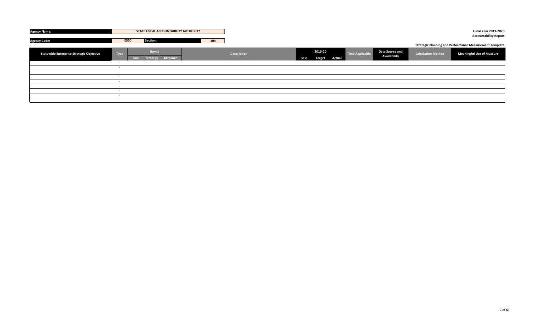| <b>Agency Name:</b>                      |        | STATE FISCAL ACCOUNTABILITY AUTHORITY |     |             |      |                          |        |                        |                                        |                           | <b>Fiscal Year 2019-2020</b><br><b>Accountability Report</b>   |
|------------------------------------------|--------|---------------------------------------|-----|-------------|------|--------------------------|--------|------------------------|----------------------------------------|---------------------------|----------------------------------------------------------------|
| <b>Agency Code:</b>                      | E550   | Section:                              | 104 |             |      |                          |        |                        |                                        |                           | <b>Strategic Planning and Performance Measurement Template</b> |
| Statewide Enterprise Strategic Objective | Type   | Item #<br>Strategy Measure<br>Goal    |     | Description | Base | 2019-20<br><b>Target</b> | Actual | <b>Time Applicable</b> | Data Source and<br><b>Availability</b> | <b>Calculation Method</b> | <b>Meaningful Use of Measure</b>                               |
|                                          | $\sim$ |                                       |     |             |      |                          |        |                        |                                        |                           |                                                                |
|                                          |        |                                       |     |             |      |                          |        |                        |                                        |                           |                                                                |
|                                          |        |                                       |     |             |      |                          |        |                        |                                        |                           |                                                                |
|                                          |        |                                       |     |             |      |                          |        |                        |                                        |                           |                                                                |
|                                          | $\sim$ |                                       |     |             |      |                          |        |                        |                                        |                           |                                                                |
|                                          |        |                                       |     |             |      |                          |        |                        |                                        |                           |                                                                |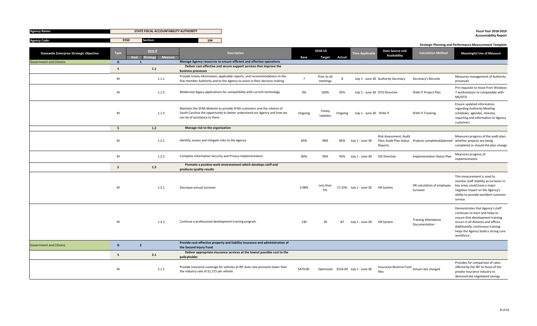| <b>Agency Name:</b>                      |              | STATE FISCAL ACCOUNTABILITY AUTHORITY              |                                                                                                                                                                                      |                |                          |                  |                                     |                                                     |                                                    | <b>Fiscal Year 2018-2019</b><br><b>Accountability Report</b>                                                                                                                                                                               |
|------------------------------------------|--------------|----------------------------------------------------|--------------------------------------------------------------------------------------------------------------------------------------------------------------------------------------|----------------|--------------------------|------------------|-------------------------------------|-----------------------------------------------------|----------------------------------------------------|--------------------------------------------------------------------------------------------------------------------------------------------------------------------------------------------------------------------------------------------|
| <b>Agency Code:</b>                      | E550         | Section:                                           | 104                                                                                                                                                                                  |                |                          |                  |                                     |                                                     |                                                    |                                                                                                                                                                                                                                            |
| Statewide Enterprise Strategic Objective | <b>Type</b>  | Item#<br><b>Measure</b><br>Goal<br><b>Strategy</b> | <b>Description</b>                                                                                                                                                                   | Base           | 2018-19<br><b>Target</b> | Actual           | Time Applicable                     | Data Source and<br><b>Availability</b>              | <b>Calculation Method</b>                          | <b>Strategic Planning and Performance Measurement Template</b><br><b>Meaningful Use of Measure</b>                                                                                                                                         |
| <b>Government and Citizens</b>           | G            | $\mathbf{1}$                                       | Manage Agency resources to ensure efficient and effective operations                                                                                                                 |                |                          |                  |                                     |                                                     |                                                    |                                                                                                                                                                                                                                            |
|                                          | $\mathsf{s}$ | 1.1                                                | Deliver cost-effective and secure support services that improve the<br>business processes                                                                                            |                |                          |                  |                                     |                                                     |                                                    |                                                                                                                                                                                                                                            |
|                                          | M            | 1.1.1                                              | Provide timely information, applicable reports, and recommendations to the<br>five-member Authority and to the Agency to assist in their decision-making                             | $\overline{7}$ | Prior to all<br>meetings | $\boldsymbol{8}$ |                                     | July 1 - June 30 Authority Secretary                | Secretary's Records                                | Measures management of Authority<br>processes                                                                                                                                                                                              |
|                                          | M            | 1.1.2                                              | Modernize legacy applications for compatibility with current technology                                                                                                              | 0%             | 100%                     | 95%              | July 1 - June 30 DTO Directive      |                                                     | SFAA IT Project Plan                               | Pre-requisite to move from Windows<br>7 workstations to compatable with<br>MS/DTO                                                                                                                                                          |
|                                          | M            | 1.1.3                                              | Maintain the SFAA Website to provide SFAA customers and the citizens of<br>South Carolina the opportunity to better understand our Agency and how we<br>can be of assistance to them | Ongoing        | Timely<br>Updates        | Ongoing          | July 1 - June 30 SFAA IT            |                                                     | <b>SFAA IT Tracking</b>                            | Ensure updated information<br>regarding Authority Meeting<br>schedules, agendas, minutes,<br>reporting and information to Agency<br>customers                                                                                              |
|                                          | $\mathsf{s}$ | 1.2                                                | Manage risk to the organization                                                                                                                                                      |                |                          |                  |                                     |                                                     |                                                    |                                                                                                                                                                                                                                            |
|                                          | M            | 1.2.1                                              | Identify, assess and mitigate risks to the Agency                                                                                                                                    | 85%            | 90%                      | 85%              | July 1 - June 30                    | Risk Assessment; Audit<br>Reports                   | Plan; Audit Plan Status Projects completed/planned | Measures progress of the audit plan;<br>whether projects are being<br>completed or should the plan change                                                                                                                                  |
|                                          | M            | 1.2.2                                              | Complete Information Security and Privacy Implementation                                                                                                                             | 80%            | 95%                      | 95%              | July 1 - June 30                    | <b>DIS Directive</b>                                | Implementation Status Plan                         | Measures progress of<br>implementation                                                                                                                                                                                                     |
|                                          | S            | 1.3                                                | Promote a positive work environement which develops staff and<br>produces quality results                                                                                            |                |                          |                  |                                     |                                                     |                                                    |                                                                                                                                                                                                                                            |
|                                          | M            | 1.3.1                                              | Decrease annual turnover                                                                                                                                                             | 3.98%          | Less than<br>5%          |                  | 17.25% July 1 - June 30             | <b>HR System</b>                                    | HR calculation of employee<br>turnover             | This measurement is used to<br>monitor staff stability as turnover in<br>key areas could have a major<br>negative impact on the Agency's<br>ability to provide excellent customer<br>service                                               |
|                                          | M            | 1.3.2                                              | Continue a professional development training program                                                                                                                                 | 130            | 26                       | 87               | July 1 - June 30                    | <b>HR System</b>                                    | <b>Training Attendance</b><br>Documentation        | Demonstrates that Agency's staff<br>continues to learn and helps to<br>ensure that development training<br>occurs in all divisions and offices.<br>Additionally, continuous training<br>helps the Agency build a strong core<br>workforce. |
| <b>Government and Citizens</b>           | G            | $\overline{2}$                                     | Provide cost-effective property and liability insurance and administration of<br>the Second Injury Fund                                                                              |                |                          |                  |                                     |                                                     |                                                    |                                                                                                                                                                                                                                            |
|                                          | S.           | 2.1                                                | Deliver appropriate insurance services at the lowest possible cost to the<br>policyholder                                                                                            |                |                          |                  |                                     |                                                     |                                                    |                                                                                                                                                                                                                                            |
|                                          | M            | 2.1.1                                              | Provide insurance coverage for vehicles at IRF Auto rate premium lower than<br>the industry rate of \$1,715 per vehicle                                                              | \$479.00       |                          |                  | Optimized \$554.00 July 1 - June 30 | Insurance Reserve Fund Actual rate charged<br>files |                                                    | Provides for comparison of rates<br>offered by the IRF to those of the<br>private insurance industry to<br>demonstrate negotiated savings                                                                                                  |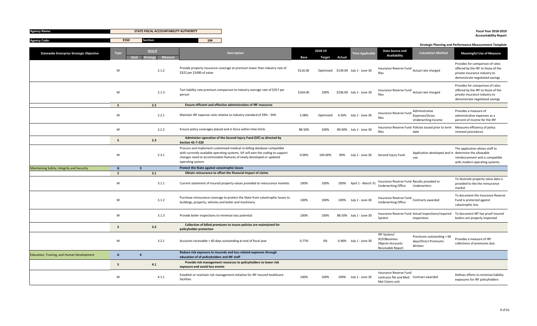| <b>Agency Name:</b>                             |              | STATE FISCAL ACCOUNTABILITY AUTHORITY |                                                                                                                                                                                                                                                      |          |           |        |                                     |                                                                                      |                                                                   | <b>Fiscal Year 2018-2019</b>                                                                                                              |
|-------------------------------------------------|--------------|---------------------------------------|------------------------------------------------------------------------------------------------------------------------------------------------------------------------------------------------------------------------------------------------------|----------|-----------|--------|-------------------------------------|--------------------------------------------------------------------------------------|-------------------------------------------------------------------|-------------------------------------------------------------------------------------------------------------------------------------------|
| <b>Agency Code:</b>                             | E550         | Section:                              | 104                                                                                                                                                                                                                                                  |          |           |        |                                     |                                                                                      |                                                                   | <b>Accountability Report</b>                                                                                                              |
|                                                 |              | Item#                                 |                                                                                                                                                                                                                                                      |          | 2018-19   |        |                                     | Data Source and                                                                      |                                                                   | <b>Strategic Planning and Performance Measurement Template</b>                                                                            |
| <b>Statewide Enterprise Strategic Objective</b> | <b>Type</b>  | <b>Measure</b>                        | <b>Description</b>                                                                                                                                                                                                                                   | Base     | Target    | Actual | <b>Time Applicable</b>              | Availability                                                                         | <b>Calculation Method</b>                                         | <b>Meaningful Use of Measure</b>                                                                                                          |
|                                                 | M            | 2.1.2                                 | Provide property insurance coverage at premium lower than industry rate of<br>\$322 per \$1000 of value                                                                                                                                              | \$116.00 |           |        | Optimized \$139.00 July 1 - June 30 | Insurance Reserve Fund<br>files                                                      | Actual rate charged                                               | Provides for comparison of rates<br>offered by the IRF to those of the<br>private insurance industry to<br>demonstrate negotiated savings |
|                                                 | M            | 2.1.3                                 | Tort liability rate premium comparison to industry average rate of \$357 per<br>person                                                                                                                                                               | \$164.00 | 100%      |        | \$236.00 July 1 - June 30           | Insurance Reserve Fund<br>files                                                      | Actual rate charged                                               | Provides for comparison of rates<br>offered by the IRF to those of the<br>private insurance industry to<br>demonstrate negotiated savings |
|                                                 | $\mathsf{s}$ | 2.2                                   | Ensure efficient and effective administration of IRF resources                                                                                                                                                                                       |          |           |        |                                     |                                                                                      |                                                                   |                                                                                                                                           |
|                                                 | M            | 2.2.1                                 | Maintain IRF expense ratio relative to industry standard of 29% - 34%                                                                                                                                                                                | 5.08%    | Optimized |        | 4.56% July 1 - June 30              | Insurance Reserve Fund<br>files                                                      | Administrative<br>Expenses/Gross<br>Underwriting Income           | Provides a measure of<br>administrative expenses as a<br>percent of income for the IRF                                                    |
|                                                 | M            | 2.2.2                                 | Ensure policy coverages placed and in force within time limits                                                                                                                                                                                       | 88.50%   | 100%      |        | 89.40% July 1 - June 30             | files                                                                                | Insurance Reserve Fund Policies issued prior to term<br>date      | Measures efficiency of policy<br>renewal procedures                                                                                       |
|                                                 | $\mathsf{s}$ | 2.3                                   | Administer operation of the Second Injury Fund (SIF) as directed by<br><b>Section 42-7-320</b>                                                                                                                                                       |          |           |        |                                     |                                                                                      |                                                                   |                                                                                                                                           |
|                                                 | M            | 2.3.1                                 | Procure and implement customized medical re-billing database compatible<br>with currently available operating systems. SIF will own the coding to support<br>changes need to accommodate features of newly developed or updated<br>operating system. | 0.00%    | 100.00%   | 90%    | July 1 - June 30                    | Second Injury Fund                                                                   | Application developed and in determine the allowable<br>use.      | The application allows staff to<br>reimbursement and is compatible<br>with modern operating systems.                                      |
| Maintaining Safety, Integrity and Security      | G            | $\overline{\mathbf{3}}$               | Protect the State against catastrophic losses                                                                                                                                                                                                        |          |           |        |                                     |                                                                                      |                                                                   |                                                                                                                                           |
|                                                 | S            | 3.1                                   | Obtain reinsurance to offset the financial impact of claims                                                                                                                                                                                          |          |           |        |                                     |                                                                                      |                                                                   |                                                                                                                                           |
|                                                 | ${\sf M}$    | 3.1.1                                 | Current statement of insured property values provided to reinsurance markets                                                                                                                                                                         | 100%     | 100%      |        | 100% April 1 - March 31             | Insurance Reserve Fund Results provided to<br>Underwriting Office Underwriters       |                                                                   | To illustrate property value data is<br>provided to the the reinsurance<br>market                                                         |
|                                                 | M            | 3.1.2                                 | Purchase reinsurance coverage to protect the State from catastrophic losses to<br>buildings, property, vehicles and boiler and machinery                                                                                                             | 100%     | 100%      |        | 100% July 1 - June 30               | Insurance Reserve Fund Contracts awarded<br><b>Underwriting Office</b>               |                                                                   | To document the Insurance Reserve<br>Fund is protected against<br>catastrophic loss                                                       |
|                                                 | M            | 3.1.3                                 | Provide boiler inspections to minimize loss potential                                                                                                                                                                                                | 100%     | 100%      |        | 88.50% July 1 - June 30             | System                                                                               | Insurance Reserve Fund Actual inspections/required<br>inspections | To document IRF has proof insured<br>boilers are properly inspected                                                                       |
|                                                 | S.           | 3.2                                   | Collection of billed premiums to insure policies are maintained for<br>policyholder protection                                                                                                                                                       |          |           |        |                                     |                                                                                      |                                                                   |                                                                                                                                           |
|                                                 | M            | 3.2.1                                 | Accounts receivable > 60 days outstanding at end of fiscal year                                                                                                                                                                                      | 0.77%    | 0%        |        | 0.90% July 1 - June 30              | IRF System/<br><b>SCEISBusiness</b><br>Objects-Accounts<br>Receivable Report         | Premiums outstanding > 60<br>days/Direct Premiums<br>Written      | Provides a measure of IRF<br>collections of premiums due.                                                                                 |
| Education, Training, and Human Development      | G            | $\overline{a}$                        | Reduce risk exposure to insureds and loss related expenses through<br>education of of policyholders and IRF staff                                                                                                                                    |          |           |        |                                     |                                                                                      |                                                                   |                                                                                                                                           |
|                                                 | S.           | 4.1                                   | Provide risk management resources to policyholders to lower risk<br>exposure and avoid loss events                                                                                                                                                   |          |           |        |                                     |                                                                                      |                                                                   |                                                                                                                                           |
|                                                 | M            | 4.1.1                                 | Establish or maintain risk management initiative for IRF insured healthcare<br>facilities                                                                                                                                                            | 100%     | 100%      |        | 100% July 1 - June 30               | Insurance Reserve Fund<br>contracts file and Med Contract awarded<br>Mal Claims unit |                                                                   | Defines efforts to minimize liability<br>exposures for IRF policyholders                                                                  |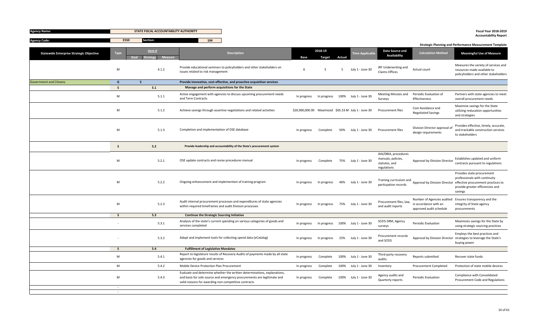| <b>Agency Name:</b>                      |              | STATE FISCAL ACCOUNTABILITY AUTHORITY      |                                                         |                                                                                                                                                     |             |                          |        |                                                      |                                                                            |                                                                                | <b>Fiscal Year 2018-2019</b>                                                                                                                                                   |
|------------------------------------------|--------------|--------------------------------------------|---------------------------------------------------------|-----------------------------------------------------------------------------------------------------------------------------------------------------|-------------|--------------------------|--------|------------------------------------------------------|----------------------------------------------------------------------------|--------------------------------------------------------------------------------|--------------------------------------------------------------------------------------------------------------------------------------------------------------------------------|
| <b>Agency Code:</b>                      |              | E550<br>Section:                           | 104                                                     |                                                                                                                                                     |             |                          |        |                                                      |                                                                            |                                                                                | <b>Accountability Report</b>                                                                                                                                                   |
|                                          |              |                                            |                                                         |                                                                                                                                                     |             |                          |        |                                                      |                                                                            |                                                                                | <b>Strategic Planning and Performance Measurement Template</b>                                                                                                                 |
| Statewide Enterprise Strategic Objective | <b>Type</b>  | Item#<br><b>Strategy</b><br><b>Measure</b> |                                                         | <b>Description</b>                                                                                                                                  | Base        | 2018-19<br><b>Target</b> | Actual | Time Applicable                                      | <b>Data Source and</b><br>Availability                                     | <b>Calculation Method</b>                                                      | <b>Meaningful Use of Measure</b>                                                                                                                                               |
|                                          | M            | 4.1.2                                      | issues related to risk management                       | Provide educational seminars to policyholders and other stakeholders on                                                                             | 6           | 5                        | 5      | July 1 - June 30                                     | IRF Underwriting and<br><b>Claims Offices</b>                              | Actual count                                                                   | Measures the variety of services and<br>resources made available to<br>policyholders and other stakeholders                                                                    |
| <b>Government and Citizens</b>           | G            | 5                                          |                                                         | Provide innovative, cost-effective, and proactive acquisition services                                                                              |             |                          |        |                                                      |                                                                            |                                                                                |                                                                                                                                                                                |
|                                          | $\mathsf{s}$ | 5.1                                        | Manage and perform acquisitions for the State           |                                                                                                                                                     |             |                          |        |                                                      |                                                                            |                                                                                |                                                                                                                                                                                |
|                                          | ${\sf M}$    | 5.1.1                                      | and Term Contracts                                      | Active engagement with agencies to discuss upcoming procurement needs                                                                               | In progress | In progress 100%         |        | July 1 - June 30                                     | Meeting Minutes and<br>Surveys                                             | Periodic Evaluation of<br>Effectiveness                                        | Partners with state agencies to meet<br>overall procurement needs                                                                                                              |
|                                          | M            | 5.1.2                                      |                                                         | Achieve savings through assertive negotiations and related activities                                                                               |             |                          |        | \$20,900,000.00 Maximized \$65.33 M July 1 - June 30 | Procurement files                                                          | Cost Avoidance and<br><b>Negotiated Savings</b>                                | Maximize savings for the State<br>utilizing reducation opportunities<br>and strategies                                                                                         |
|                                          | M            | 5.1.3                                      | Completion and implementation of OSE database           |                                                                                                                                                     | In progress | Complete                 | 50%    | July 1 - June 30                                     | Procurement files                                                          | Division Director approval of<br>design requirements                           | Provides effective, timely, accurate,<br>and trackable construction services<br>to stakeholders                                                                                |
|                                          | S.           | 5.2                                        |                                                         | Provide leadership and accountability of the State's procurement system                                                                             |             |                          |        |                                                      |                                                                            |                                                                                |                                                                                                                                                                                |
|                                          | M            | 5.2.1                                      | OSE update contracts and revise procedures manual       |                                                                                                                                                     | In progress | Complete                 | 75%    | July 1 - June 30                                     | AIA/DBIA, procedures<br>manuals, policies,<br>statutes, and<br>regulations | Approval by Division Director                                                  | Establishes updated and uniform<br>contracts pursuant to regulations                                                                                                           |
|                                          | M            | 5.2.2                                      |                                                         | Ongoing enhancement and implemention of training program                                                                                            | In progress | In progress              | 46%    | July 1 - June 30                                     | Training curriculum and<br>particpation records                            |                                                                                | Provides state procurement<br>professionals with continuity<br>Approval by Division Director effective procurement practices to<br>provide greater efficiencies and<br>savings |
|                                          | M            | 5.2.3                                      | within required timeframes and audit Division processes | Audit internal procurement processes and expenditures of state agencies                                                                             | In progress | In progress              | 75%    | July 1 - June 30                                     | Procurement files, law,<br>and audit reports                               | Number of Agencies audited<br>in accordance with an<br>approved audit schedule | Ensures transparency and the<br>integrity of State agency<br>procurements                                                                                                      |
|                                          | s.           | 5.3                                        | <b>Continue the Strategic Sourcing Initiative</b>       |                                                                                                                                                     |             |                          |        |                                                      |                                                                            |                                                                                |                                                                                                                                                                                |
|                                          |              | 5.3.1                                      | services completed                                      | Analysis of the state's current spending on various categories of goods and                                                                         |             |                          |        | In progress In progress 100% July 1 - June 30        | SCEIS-SRM, Agency<br>surveys                                               | Periodic Evaluation                                                            | Maximizes savings for the State by<br>using strategic sourcing practices                                                                                                       |
|                                          |              | 5.3.2                                      |                                                         | Adopt and implement tools for collecting spend data (eCatalog)                                                                                      | In progress | In progress              | 25%    | July 1 - June 30                                     | Procurement records<br>and SCEIS                                           |                                                                                | Employs the best practices and<br>Approval by Division Director strategies to leverage the State's<br>buying power                                                             |
|                                          | <sub>S</sub> | 5.4                                        | <b>Fulfillment of Legislative Mandates</b>              |                                                                                                                                                     |             |                          |        |                                                      |                                                                            |                                                                                |                                                                                                                                                                                |
|                                          | M            | 5.4.1                                      | agencies for goods and services                         | Report to legislature results of Recovery Audits of payments made by all state                                                                      | In progress | Complete                 | 100%   | July 1 - June 30                                     | Third-party recovery<br>audits                                             | Reports submitted                                                              | Recover state funds                                                                                                                                                            |
|                                          | M            | 5.4.2                                      | Mobile Device Protection Plan Procurement               |                                                                                                                                                     | In progress | Complete                 | 100%   | July 1 - June 30                                     | Inventory                                                                  | Procurement Completed                                                          | Protection of state mobile devices                                                                                                                                             |
|                                          | M            | 5.4.3                                      | valid reasons for awarding non-competitive contracts    | Evaluate and determine whether the written determinations, explanations,<br>and basis for sole source and emergency procurements are legitimate and | In progress | Complete                 | 100%   | July 1 - June 30                                     | Agency audits and<br>Quarterly reports                                     | Periodic Evaluation                                                            | Compliance with Consolidated<br>Procurement Code and Regulations                                                                                                               |
|                                          | $\sim$       |                                            |                                                         |                                                                                                                                                     |             |                          |        |                                                      |                                                                            |                                                                                |                                                                                                                                                                                |
|                                          |              |                                            |                                                         |                                                                                                                                                     |             |                          |        |                                                      |                                                                            |                                                                                |                                                                                                                                                                                |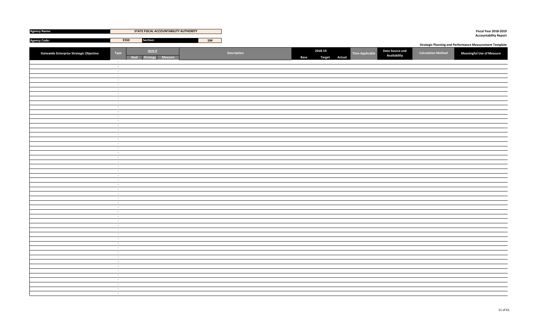| <b>Agency Name:</b>                      | STATE FISCAL ACCOUNTABILITY AUTHORITY      |     |                    |                                                                             |                                 |                           | <b>Fiscal Year 2018-2019</b>                                   |
|------------------------------------------|--------------------------------------------|-----|--------------------|-----------------------------------------------------------------------------|---------------------------------|---------------------------|----------------------------------------------------------------|
| <b>Agency Code:</b>                      | E550<br>Section:                           | 104 |                    |                                                                             |                                 |                           | <b>Accountability Report</b>                                   |
|                                          |                                            |     |                    |                                                                             |                                 |                           | <b>Strategic Planning and Performance Measurement Template</b> |
| Statewide Enterprise Strategic Objective | Item #<br>Type<br>Strategy Measure<br>Goal |     | <b>Description</b> | 2018-19<br>Time Applicable<br><b>Actual</b><br><b>Base</b><br><b>Target</b> | Data Source and<br>Availability | <b>Calculation Method</b> | <b>Meaningful Use of Measure</b>                               |
|                                          | $\sim$<br>$\sim$                           |     |                    |                                                                             |                                 |                           |                                                                |
|                                          | $\sim$                                     |     |                    |                                                                             |                                 |                           |                                                                |
|                                          | $\sim$<br>$\sim$                           |     |                    |                                                                             |                                 |                           |                                                                |
|                                          | $\sim$                                     |     |                    |                                                                             |                                 |                           |                                                                |
|                                          | $\sim$<br>$\sim$                           |     |                    |                                                                             |                                 |                           |                                                                |
|                                          | $\sim$                                     |     |                    |                                                                             |                                 |                           |                                                                |
|                                          | $\sim$                                     |     |                    |                                                                             |                                 |                           |                                                                |
|                                          | $\sim$<br>$\sim$                           |     |                    |                                                                             |                                 |                           |                                                                |
|                                          | $\sim$                                     |     |                    |                                                                             |                                 |                           |                                                                |
|                                          | $\sim$                                     |     |                    |                                                                             |                                 |                           |                                                                |
|                                          | $\sim$<br>$\sim$                           |     |                    |                                                                             |                                 |                           |                                                                |
|                                          | $\sim$                                     |     |                    |                                                                             |                                 |                           |                                                                |
|                                          | $\sim$<br>$\sim$                           |     |                    |                                                                             |                                 |                           |                                                                |
|                                          | $\sim$                                     |     |                    |                                                                             |                                 |                           |                                                                |
|                                          | $\sim$                                     |     |                    |                                                                             |                                 |                           |                                                                |
|                                          | $\sim$<br>$\sim$                           |     |                    |                                                                             |                                 |                           |                                                                |
|                                          | $\sim$                                     |     |                    |                                                                             |                                 |                           |                                                                |
|                                          | $\sim$<br>$\sim$                           |     |                    |                                                                             |                                 |                           |                                                                |
|                                          | $\sim$                                     |     |                    |                                                                             |                                 |                           |                                                                |
|                                          | $\sim$<br>$\sim$                           |     |                    |                                                                             |                                 |                           |                                                                |
|                                          | $\sim$                                     |     |                    |                                                                             |                                 |                           |                                                                |
|                                          | $\sim$                                     |     |                    |                                                                             |                                 |                           |                                                                |
|                                          | $\sim$<br>$\sim$                           |     |                    |                                                                             |                                 |                           |                                                                |
|                                          | $\sim$                                     |     |                    |                                                                             |                                 |                           |                                                                |
|                                          | $\sim$                                     |     |                    |                                                                             |                                 |                           |                                                                |
|                                          | $\sim$<br>$\sim$                           |     |                    |                                                                             |                                 |                           |                                                                |
|                                          | $\sim$                                     |     |                    |                                                                             |                                 |                           |                                                                |
|                                          | $\sim$<br>$\sim$                           |     |                    |                                                                             |                                 |                           |                                                                |
|                                          | $\sim$                                     |     |                    |                                                                             |                                 |                           |                                                                |
|                                          | $\sim$                                     |     |                    |                                                                             |                                 |                           |                                                                |
|                                          | $\sim$<br>$\sim$                           |     |                    |                                                                             |                                 |                           |                                                                |
|                                          | $\sim$                                     |     |                    |                                                                             |                                 |                           |                                                                |
|                                          | $\sim$<br>$\sim$                           |     |                    |                                                                             |                                 |                           |                                                                |
|                                          | $\sim$                                     |     |                    |                                                                             |                                 |                           |                                                                |
|                                          | $\sim$                                     |     |                    |                                                                             |                                 |                           |                                                                |
|                                          | $\sim$<br>$\sim$                           |     |                    |                                                                             |                                 |                           |                                                                |
|                                          | $\sim$                                     |     |                    |                                                                             |                                 |                           |                                                                |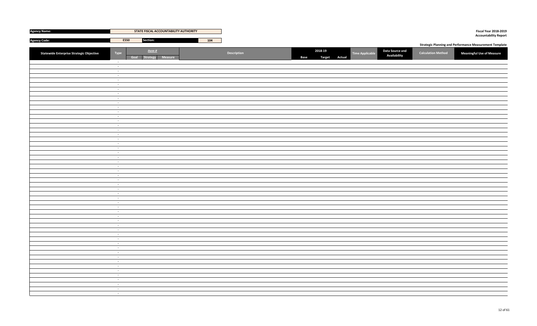| <b>Agency Name:</b>                      | STATE FISCAL ACCOUNTABILITY AUTHORITY      |     |                    |                                                                             |                                 |                           | <b>Fiscal Year 2018-2019</b>                                   |
|------------------------------------------|--------------------------------------------|-----|--------------------|-----------------------------------------------------------------------------|---------------------------------|---------------------------|----------------------------------------------------------------|
| <b>Agency Code:</b>                      | E550<br>Section:                           | 104 |                    |                                                                             |                                 |                           | <b>Accountability Report</b>                                   |
|                                          |                                            |     |                    |                                                                             |                                 |                           | <b>Strategic Planning and Performance Measurement Template</b> |
| Statewide Enterprise Strategic Objective | Item #<br>Type<br>Strategy Measure<br>Goal |     | <b>Description</b> | 2018-19<br>Time Applicable<br><b>Actual</b><br><b>Base</b><br><b>Target</b> | Data Source and<br>Availability | <b>Calculation Method</b> | <b>Meaningful Use of Measure</b>                               |
|                                          | $\sim$<br>$\sim$                           |     |                    |                                                                             |                                 |                           |                                                                |
|                                          | $\sim$                                     |     |                    |                                                                             |                                 |                           |                                                                |
|                                          | $\sim$<br>$\sim$                           |     |                    |                                                                             |                                 |                           |                                                                |
|                                          | $\sim$                                     |     |                    |                                                                             |                                 |                           |                                                                |
|                                          | $\sim$<br>$\sim$                           |     |                    |                                                                             |                                 |                           |                                                                |
|                                          | $\sim$                                     |     |                    |                                                                             |                                 |                           |                                                                |
|                                          | $\sim$                                     |     |                    |                                                                             |                                 |                           |                                                                |
|                                          | $\sim$<br>$\sim$                           |     |                    |                                                                             |                                 |                           |                                                                |
|                                          | $\sim$                                     |     |                    |                                                                             |                                 |                           |                                                                |
|                                          | $\sim$                                     |     |                    |                                                                             |                                 |                           |                                                                |
|                                          | $\sim$<br>$\sim$                           |     |                    |                                                                             |                                 |                           |                                                                |
|                                          | $\sim$                                     |     |                    |                                                                             |                                 |                           |                                                                |
|                                          | $\sim$<br>$\sim$                           |     |                    |                                                                             |                                 |                           |                                                                |
|                                          | $\sim$                                     |     |                    |                                                                             |                                 |                           |                                                                |
|                                          | $\sim$                                     |     |                    |                                                                             |                                 |                           |                                                                |
|                                          | $\sim$<br>$\sim$                           |     |                    |                                                                             |                                 |                           |                                                                |
|                                          | $\sim$                                     |     |                    |                                                                             |                                 |                           |                                                                |
|                                          | $\sim$<br>$\sim$                           |     |                    |                                                                             |                                 |                           |                                                                |
|                                          | $\sim$                                     |     |                    |                                                                             |                                 |                           |                                                                |
|                                          | $\sim$<br>$\sim$                           |     |                    |                                                                             |                                 |                           |                                                                |
|                                          | $\sim$                                     |     |                    |                                                                             |                                 |                           |                                                                |
|                                          | $\sim$                                     |     |                    |                                                                             |                                 |                           |                                                                |
|                                          | $\sim$<br>$\sim$                           |     |                    |                                                                             |                                 |                           |                                                                |
|                                          | $\sim$                                     |     |                    |                                                                             |                                 |                           |                                                                |
|                                          | $\sim$                                     |     |                    |                                                                             |                                 |                           |                                                                |
|                                          | $\sim$<br>$\sim$                           |     |                    |                                                                             |                                 |                           |                                                                |
|                                          | $\sim$                                     |     |                    |                                                                             |                                 |                           |                                                                |
|                                          | $\sim$<br>$\sim$                           |     |                    |                                                                             |                                 |                           |                                                                |
|                                          | $\sim$                                     |     |                    |                                                                             |                                 |                           |                                                                |
|                                          | $\sim$                                     |     |                    |                                                                             |                                 |                           |                                                                |
|                                          | $\sim$<br>$\sim$                           |     |                    |                                                                             |                                 |                           |                                                                |
|                                          | $\sim$                                     |     |                    |                                                                             |                                 |                           |                                                                |
|                                          | $\sim$<br>$\sim$                           |     |                    |                                                                             |                                 |                           |                                                                |
|                                          | $\sim$                                     |     |                    |                                                                             |                                 |                           |                                                                |
|                                          | $\sim$                                     |     |                    |                                                                             |                                 |                           |                                                                |
|                                          | $\sim$<br>$\sim$                           |     |                    |                                                                             |                                 |                           |                                                                |
|                                          | $\sim$                                     |     |                    |                                                                             |                                 |                           |                                                                |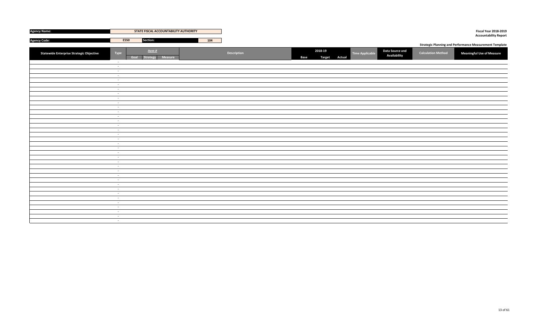| <b>Agency Name:</b>                      |                      | STATE FISCAL ACCOUNTABILITY AUTHORITY |               |             |                                         |                           |                                        |                           | <b>Fiscal Year 2018-2019</b><br><b>Accountability Report</b>   |
|------------------------------------------|----------------------|---------------------------------------|---------------|-------------|-----------------------------------------|---------------------------|----------------------------------------|---------------------------|----------------------------------------------------------------|
| <b>Agency Code:</b>                      | E550                 | Section:                              | $\boxed{104}$ |             |                                         |                           |                                        |                           |                                                                |
|                                          |                      |                                       |               |             |                                         |                           |                                        |                           | <b>Strategic Planning and Performance Measurement Template</b> |
| Statewide Enterprise Strategic Objective | Type                 | Item#<br>Goal Strategy<br>Measure     |               | Description | 2018-19<br><b>Base</b><br><b>Target</b> | Time Applicable<br>Actual | <b>Data Source and</b><br>Availability | <b>Calculation Method</b> | <b>Meaningful Use of Measure</b>                               |
|                                          | $\sim 10^{-1}$       |                                       |               |             |                                         |                           |                                        |                           |                                                                |
|                                          | $\sim$ $-$           |                                       |               |             |                                         |                           |                                        |                           |                                                                |
|                                          | $\sim$               |                                       |               |             |                                         |                           |                                        |                           |                                                                |
|                                          | $\sim$               |                                       |               |             |                                         |                           |                                        |                           |                                                                |
|                                          | $\sim$               |                                       |               |             |                                         |                           |                                        |                           |                                                                |
|                                          | $\sim$<br>$\sim$ $-$ |                                       |               |             |                                         |                           |                                        |                           |                                                                |
|                                          | $\sim 10^{-1}$       |                                       |               |             |                                         |                           |                                        |                           |                                                                |
|                                          | $\sim$               |                                       |               |             |                                         |                           |                                        |                           |                                                                |
|                                          | $\sim$               |                                       |               |             |                                         |                           |                                        |                           |                                                                |
|                                          | $\sim$               |                                       |               |             |                                         |                           |                                        |                           |                                                                |
|                                          | $\sim$ $-$           |                                       |               |             |                                         |                           |                                        |                           |                                                                |
|                                          | $\sim$               |                                       |               |             |                                         |                           |                                        |                           |                                                                |
|                                          | $\sim$               |                                       |               |             |                                         |                           |                                        |                           |                                                                |
|                                          | $\sim$               |                                       |               |             |                                         |                           |                                        |                           |                                                                |
|                                          | $\sim$               |                                       |               |             |                                         |                           |                                        |                           |                                                                |
|                                          | $\sim$ $-$           |                                       |               |             |                                         |                           |                                        |                           |                                                                |
|                                          | $\sim$ $-$           |                                       |               |             |                                         |                           |                                        |                           |                                                                |
|                                          | $\sim$ $-$           |                                       |               |             |                                         |                           |                                        |                           |                                                                |
|                                          | $\sim 10^{-1}$       |                                       |               |             |                                         |                           |                                        |                           |                                                                |
|                                          | $\sim$<br>$\sim$     |                                       |               |             |                                         |                           |                                        |                           |                                                                |
|                                          | $\sim$               |                                       |               |             |                                         |                           |                                        |                           |                                                                |
|                                          | $\sim$               |                                       |               |             |                                         |                           |                                        |                           |                                                                |
|                                          | $\sim 10^{-1}$       |                                       |               |             |                                         |                           |                                        |                           |                                                                |
|                                          | $\sim$               |                                       |               |             |                                         |                           |                                        |                           |                                                                |
|                                          | $\sim 10^{-1}$       |                                       |               |             |                                         |                           |                                        |                           |                                                                |
|                                          | $\sim$ $-$           |                                       |               |             |                                         |                           |                                        |                           |                                                                |
|                                          | $\sim 10^{-11}$      |                                       |               |             |                                         |                           |                                        |                           |                                                                |
|                                          | $\sim$               |                                       |               |             |                                         |                           |                                        |                           |                                                                |
|                                          | $\sim$               |                                       |               |             |                                         |                           |                                        |                           |                                                                |
|                                          | $\sim 10^{-1}$       |                                       |               |             |                                         |                           |                                        |                           |                                                                |
|                                          | $\sim$               |                                       |               |             |                                         |                           |                                        |                           |                                                                |
|                                          | $\sim$ $-$           |                                       |               |             |                                         |                           |                                        |                           |                                                                |
|                                          | $\sim$               |                                       |               |             |                                         |                           |                                        |                           |                                                                |
|                                          | $\sim$ $-$           |                                       |               |             |                                         |                           |                                        |                           |                                                                |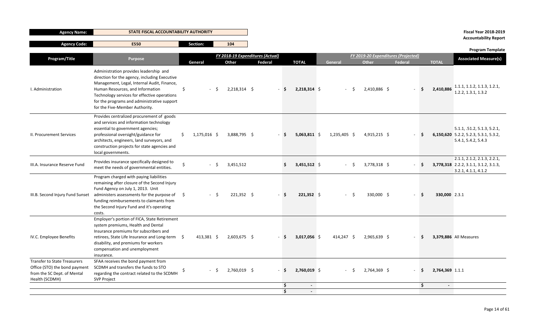| <b>Agency Name:</b>                                                                                                   | <b>STATE FISCAL ACCOUNTABILITY AUTHORITY</b>                                                                                                                                                                                                                                                                |          |                |                |                                                    |          |                       |         |                |              |                                                              |    |                          | <b>Fiscal Year 2018-2019</b>                                                                |
|-----------------------------------------------------------------------------------------------------------------------|-------------------------------------------------------------------------------------------------------------------------------------------------------------------------------------------------------------------------------------------------------------------------------------------------------------|----------|----------------|----------------|----------------------------------------------------|----------|-----------------------|---------|----------------|--------------|--------------------------------------------------------------|----|--------------------------|---------------------------------------------------------------------------------------------|
| <b>Agency Code:</b>                                                                                                   | E550                                                                                                                                                                                                                                                                                                        | Section: |                | 104            |                                                    |          |                       |         |                |              |                                                              |    |                          | <b>Accountability Report</b>                                                                |
| Program/Title                                                                                                         | <b>Purpose</b>                                                                                                                                                                                                                                                                                              | General  |                | Other          | <b>FY 2018-19 Expenditures (Actual)</b><br>Federal |          | <b>TOTAL</b>          | General |                | <b>Other</b> | <b>FY 2019-20 Expenditures (Projected)</b><br><b>Federal</b> |    | <b>TOTAL</b>             | <b>Program Template</b><br><b>Associated Measure(s)</b>                                     |
| I. Administration                                                                                                     | Administration provides leadership and<br>direction for the agency, including Executive<br>Management, Legal, Internal Audit, Finance,<br>Human Resources, and Information<br>Technology services for effective operations<br>for the programs and administrative support<br>for the Five-Member Authority. | \$       | - S            | $2,218,314$ \$ |                                                    | ∣S.      | $2,218,314$ \$        |         |                | 2,410,886 \$ |                                                              | S. | 2,410,886                | 1.1.1, 1.1.2, 1.1.3, 1.2.1,<br>1.2.2, 1.3.1, 1.3.2                                          |
| II. Procurement Services                                                                                              | Provides centralized procurement of goods<br>and services and information technology<br>essential to government agencies;<br>professional oversight/guidance for<br>architects, engineers, land surveyors, and<br>construction projects for state agencies and<br>local governments.                        | \$       | $1,175,016$ \$ | 3,888,795 \$   |                                                    | - S      | $5,063,811$ \$        |         | $1,235,405$ \$ | 4,915,215 \$ |                                                              | -S |                          | 5.1.1, .51.2, 5.1.3, 5.2.1,<br>6,150,620 5.2.2, 5.2.3, 5.3.1, 5.3.2,<br>5.4.1, 5.4.2, 5.4.3 |
| III.A. Insurance Reserve Fund                                                                                         | Provides insurance specifically designed to<br>meet the needs of governmental entities.                                                                                                                                                                                                                     | \$       | S.             | 3,451,512      |                                                    | Ŝ.       | $3,451,512$ \$        |         | - Ś            | 3,778,318 \$ |                                                              |    |                          | 2.1.1, 2.1.2, 2.1.3, 2.2.1,<br>3,778,318 2.2.2, 3.1.1, 3.1.2, 3.1.3,<br>3.2.1, 4.1.1, 4.1.2 |
| III.B. Second Injury Fund Sunset                                                                                      | Program charged with paying liabilities<br>remaining after closure of the Second Injury<br>Fund Agency on July 1, 2013. Unit<br>administers assessments for the purpose of<br>funding reimbursements to claimants from<br>the Second Injury Fund and it's operating<br>costs.                               | \$       | $-5$           | $221,352$ \$   |                                                    | - \$     | $221,352 \quad \zeta$ |         | $-5$           | 330,000 \$   |                                                              | -S | 330,000 2.3.1            |                                                                                             |
| IV.C. Employee Benefits                                                                                               | Employer's portion of FICA, State Retirement<br>system premiums, Health and Dental<br>Insurance premiums for subscribers and<br>retirees, State Life Insurance and Long-term \$<br>disability, and premiums for workers<br>compensation and unemployment<br>insurance.                                      |          | 413,381 \$     | $2,603,675$ \$ |                                                    | - S      | 3,017,056 \$          |         | 414,247 \$     | 2,965,639 \$ |                                                              |    |                          | 3,379,886 All Measures                                                                      |
| <b>Transfer to State Treasurers</b><br>Office (STO) the bond payment<br>from the SC Dept. of Mental<br>Health (SCDMH) | SFAA receives the bond payment from<br>SCDMH and transfers the funds to STO<br>regarding the contract related to the SCDMH<br><b>SVP Project</b>                                                                                                                                                            |          | S.             | 2,760,019 \$   |                                                    |          | $2,760,019$ \$        |         | -S             | 2,764,369 \$ |                                                              |    | 2,764,369 1.1.1          |                                                                                             |
|                                                                                                                       |                                                                                                                                                                                                                                                                                                             |          |                |                |                                                    | \$<br>\$ | $\sim$<br>$\sim$      |         |                |              |                                                              | \$ | $\overline{\phantom{a}}$ |                                                                                             |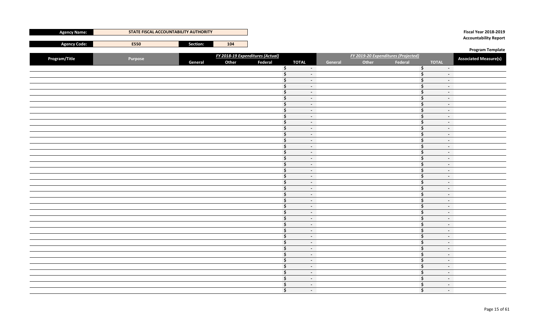| <b>Agency Name:</b> | STATE FISCAL ACCOUNTABILITY AUTHORITY |          |     |
|---------------------|---------------------------------------|----------|-----|
|                     |                                       |          |     |
| <b>Agency Code:</b> | E550                                  | Section: | 104 |
|                     |                                       |          |     |

| Program/Title | Purpose |         |       | <b>FY 2018-19 Expenditures (Actual)</b> |                           |         | <b>FY 2019-20 Expenditures (Projected)</b> |                                 |                     | <b>Associated Measure(s)</b> |
|---------------|---------|---------|-------|-----------------------------------------|---------------------------|---------|--------------------------------------------|---------------------------------|---------------------|------------------------------|
|               |         | General | Other | Federal                                 | <b>TOTAL</b>              | General | Other                                      | Federal                         | <b>TOTAL</b>        |                              |
|               |         |         |       | $\ddot{\mathsf{s}}$                     | $\sim$ $-$                |         |                                            | $\ddot{\bm{\zeta}}$             | $\sim$ $-$          |                              |
|               |         |         |       | $\ddot{\bm{\zeta}}$                     | $\sim$                    |         |                                            | $\ddot{\bm{\zeta}}$             | $\sim$              |                              |
|               |         |         |       | $\ddot{\bm{s}}$                         | $\sim$                    |         |                                            | $\ddot{\bm{\zeta}}$             | $\sim$              |                              |
|               |         |         |       | $\overline{\boldsymbol{\zeta}}$         | $\sim$                    |         |                                            | $\overline{\boldsymbol{\zeta}}$ | $\sim$              |                              |
|               |         |         |       | $\overline{\xi}$                        | $\sim$                    |         |                                            | $\overline{\xi}$                | $\sim$              |                              |
|               |         |         |       | $\boldsymbol{\mathsf{S}}$               | $\sim$                    |         |                                            | $\boldsymbol{\mathsf{s}}$       | $\sim$              |                              |
|               |         |         |       | $\ddot{\bm{\zeta}}$                     | $\sim$                    |         |                                            | $\ddot{\bm{\zeta}}$             | $\sim$              |                              |
|               |         |         |       | $\frac{1}{2}$                           | $\sim$                    |         |                                            | $\ddot{\bm{\zeta}}$             | $\sim 10$           |                              |
|               |         |         |       | \$                                      | $\sim$                    |         |                                            | $\ddot{\bm{\zeta}}$             | $\sim$              |                              |
|               |         |         |       | $\ddot{\bm{s}}$                         | $\sim$                    |         |                                            | $\ddot{\bm{\zeta}}$             | $\sim$              |                              |
|               |         |         |       | $\overline{\mathbf{S}}$                 | $\sim$                    |         |                                            | $\overline{\mathbf{S}}$         | $\sim$              |                              |
|               |         |         |       | $\overline{\mathbf{r}}$                 | $\sim$                    |         |                                            | $\overline{\boldsymbol{\zeta}}$ | $\sim$              |                              |
|               |         |         |       | $\overline{\mathbf{S}}$                 | $\sim$                    |         |                                            | $\overline{\boldsymbol{\zeta}}$ | $\sim$              |                              |
|               |         |         |       | $\overline{\xi}$                        | $\sim$                    |         |                                            | $\overline{\mathbf{S}}$         | $\omega_{\rm{eff}}$ |                              |
|               |         |         |       | $\ddot{\bm{\zeta}}$                     | $\sim$                    |         |                                            | \$                              | $\sim$              |                              |
|               |         |         |       | $\ddot{\bm{\zeta}}$                     | $\sim$                    |         |                                            | \$                              | $\sim$              |                              |
|               |         |         |       | $\overline{\boldsymbol{\zeta}}$         | $\sim$                    |         |                                            | $\overline{\boldsymbol{\zeta}}$ | $\sim$              |                              |
|               |         |         |       | $\boldsymbol{\mathsf{S}}$               | $\sim$                    |         |                                            | $\boldsymbol{\mathsf{s}}$       | $\sim$              |                              |
|               |         |         |       | $\frac{1}{2}$                           | $\sim$                    |         |                                            | $\boldsymbol{\mathsf{S}}$       | $\sim$              |                              |
|               |         |         |       | $\boldsymbol{\mathsf{S}}$               | $\sim$                    |         |                                            | $\overline{\boldsymbol{\zeta}}$ | $\sim$              |                              |
|               |         |         |       | $\ddot{\bm{z}}$                         | $\sim$                    |         |                                            | \$                              | $\sim$              |                              |
|               |         |         |       | $\boldsymbol{\mathsf{S}}$               | $\sim$                    |         |                                            | $\boldsymbol{\mathsf{S}}$       | $\sim$              |                              |
|               |         |         |       | $\ddot{\bm{\zeta}}$                     | $\sim$                    |         |                                            | $\ddot{\bm{\zeta}}$             | $\sim$              |                              |
|               |         |         |       | $\ddot{\bm{z}}$                         | $\sim$                    |         |                                            | \$                              | $\sim$              |                              |
|               |         |         |       | $\overline{\mathbf{v}}$                 | $\sim$                    |         |                                            | $\overline{\boldsymbol{\zeta}}$ | $\sim$              |                              |
|               |         |         |       | $\overline{\mathbf{v}}$                 | $\sim$                    |         |                                            | $\overline{\boldsymbol{\zeta}}$ | $\mathcal{L}^{\pm}$ |                              |
|               |         |         |       | $\overline{\mathbf{v}}$                 | $\sim$                    |         |                                            | $\overline{\boldsymbol{\zeta}}$ | $\sim$              |                              |
|               |         |         |       | $\overline{\boldsymbol{\zeta}}$         | $\sim$                    |         |                                            | $\overline{\mathbf{S}}$         | $\omega_{\rm{eff}}$ |                              |
|               |         |         |       | $\overline{\boldsymbol{\zeta}}$         | $\sim$                    |         |                                            | $\overline{\boldsymbol{\zeta}}$ | $\sim$ $-$          |                              |
|               |         |         |       | $\ddot{\bm{\zeta}}$                     | $\sim$                    |         |                                            | $\boldsymbol{\mathsf{S}}$       | $\sim$              |                              |
|               |         |         |       | $\boldsymbol{\mathsf{S}}$               | $\sim$                    |         |                                            | $\boldsymbol{\mathsf{S}}$       | $\sim$              |                              |
|               |         |         |       | $\ddot{\bm{\zeta}}$                     | $\sim$                    |         |                                            | $\ddot{\bm{\zeta}}$             | $\sim$              |                              |
|               |         |         |       | $\boldsymbol{\mathsf{S}}$               | $\mathbb{Z}^{\mathbb{Z}}$ |         |                                            | $\boldsymbol{\mathsf{S}}$       | $\sim$              |                              |
|               |         |         |       | $\frac{1}{2}$                           | $\sim$                    |         |                                            | $\ddot{\bm{\zeta}}$             | $\sim$              |                              |
|               |         |         |       | $\boldsymbol{\mathsf{S}}$               | $\mathbb{Z}^{\times}$     |         |                                            | $\boldsymbol{\mathsf{s}}$       | $\omega_{\rm{eff}}$ |                              |
|               |         |         |       | \$                                      | $\sim$                    |         |                                            | $\overline{\boldsymbol{\zeta}}$ | $\sim$              |                              |
|               |         |         |       | $\ddot{\bm{\zeta}}$                     | $\sim$                    |         |                                            | $\boldsymbol{\mathsf{S}}$       | $\sim$              |                              |
|               |         |         |       | $\ddot{\bm{\zeta}}$                     | $\sim$                    |         |                                            | $\ddot{\bm{\zeta}}$             | $\sim$              |                              |
|               |         |         |       |                                         |                           |         |                                            |                                 |                     |                              |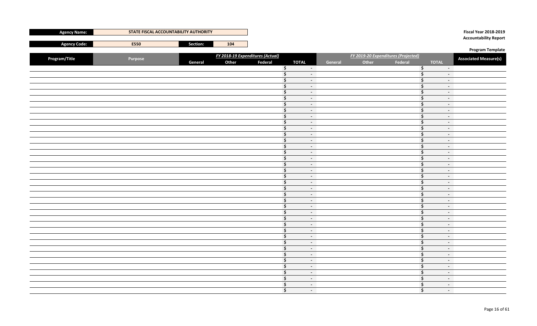| <b>Agency Name:</b> | STATE FISCAL ACCOUNTABILITY AUTHORITY |          |     |
|---------------------|---------------------------------------|----------|-----|
|                     |                                       |          |     |
| <b>Agency Code:</b> | E550                                  | Section: | 104 |
|                     |                                       |          |     |

| Program/Title |         |         |       | <b>FY 2018-19 Expenditures (Actual)</b> |                             |         | <b>FY 2019-20 Expenditures (Projected)</b> |                                 |              | <b>Associated Measure(s)</b> |
|---------------|---------|---------|-------|-----------------------------------------|-----------------------------|---------|--------------------------------------------|---------------------------------|--------------|------------------------------|
|               | Purpose | General | Other | Federal                                 | <b>TOTAL</b>                | General | Other                                      | Federal                         | <b>TOTAL</b> |                              |
|               |         |         |       | $\ddot{\mathsf{s}}$                     | $\sim$ $-$                  |         |                                            | $\ddot{\bm{\zeta}}$             | $\sim$ $-$   |                              |
|               |         |         |       | $\ddot{\bm{\zeta}}$                     | $\sim$                      |         |                                            | $\ddot{\bm{\zeta}}$             | $\sim$       |                              |
|               |         |         |       | $\ddot{\bm{s}}$                         | $\sim$                      |         |                                            | $\ddot{\bm{\zeta}}$             | $\sim$       |                              |
|               |         |         |       | $\overline{\mathbf{S}}$                 | $\sim$                      |         |                                            | $\overline{\mathbf{S}}$         | $\sim$       |                              |
|               |         |         |       | $\overline{\mathbf{S}}$                 | $\sim$                      |         |                                            | $\overline{\boldsymbol{\zeta}}$ | $\sim$       |                              |
|               |         |         |       | $\boldsymbol{\mathsf{S}}$               | $\sim$                      |         |                                            | $\boldsymbol{\mathsf{s}}$       | $\sim$       |                              |
|               |         |         |       | \$                                      | $\sim$                      |         |                                            | \$                              | $\sim$       |                              |
|               |         |         |       | $\ddot{\bm{\zeta}}$                     | $\sim$                      |         |                                            | $\boldsymbol{\mathsf{S}}$       | $\sim$ $-$   |                              |
|               |         |         |       | \$                                      | $\sim$                      |         |                                            | \$                              | $\sim$       |                              |
|               |         |         |       | $\ddot{\bm{z}}$                         | $\sim$                      |         |                                            | \$                              | $\sim$       |                              |
|               |         |         |       | \$                                      | $\sim$                      |         |                                            | $\boldsymbol{\mathsf{S}}$       | $\sim$       |                              |
|               |         |         |       | $\overline{\mathbf{v}}$                 | $\sim$ .                    |         |                                            | $\overline{\xi}$                | $\sim$       |                              |
|               |         |         |       | $\overline{\mathbf{S}}$                 | $\sim$                      |         |                                            | $\overline{\mathbf{S}}$         | $\sim$       |                              |
|               |         |         |       | $\overline{\mathbf{v}}$                 | $\sim$                      |         |                                            | $\overline{\mathbf{S}}$         | $\sim$       |                              |
|               |         |         |       | $\ddot{\bm{\zeta}}$                     | $\sim$                      |         |                                            | $\overline{\boldsymbol{\zeta}}$ | $\sim$       |                              |
|               |         |         |       | \$                                      | $\sim$                      |         |                                            | $\overline{\mathbf{S}}$         | $\sim$       |                              |
|               |         |         |       | $\ddot{\bm{\zeta}}$                     | $\sim$                      |         |                                            | $\boldsymbol{\mathsf{S}}$       | $\sim$       |                              |
|               |         |         |       | $\boldsymbol{\mathsf{S}}$               | $\sim$                      |         |                                            | $\ddot{\bm{\zeta}}$             | $\sim$       |                              |
|               |         |         |       | $\ddot{\bm{\zeta}}$                     | $\sim$                      |         |                                            | $\overline{\boldsymbol{\zeta}}$ | $\sim$       |                              |
|               |         |         |       | $\boldsymbol{\mathsf{S}}$               | $\mathcal{L}^{\mathcal{L}}$ |         |                                            | $\boldsymbol{\mathsf{S}}$       | $\sim$       |                              |
|               |         |         |       | $\ddot{\bm{\zeta}}$                     | $\sim$                      |         |                                            | $\ddot{\mathsf{s}}$             | $\sim$       |                              |
|               |         |         |       | $\ddot{\bm{s}}$                         | $\sim$                      |         |                                            | \$                              | $\sim$       |                              |
|               |         |         |       | $\ddot{\bm{\zeta}}$                     | $\sim$                      |         |                                            | \$                              | $\sim$       |                              |
|               |         |         |       | $\ddot{\bm{s}}$                         | $\sim$                      |         |                                            | $\ddot{\bm{\zeta}}$             | $\sim$       |                              |
|               |         |         |       | \$                                      | $\sim$                      |         |                                            | \$                              | $\sim$       |                              |
|               |         |         |       | $\overline{\boldsymbol{\zeta}}$         | $\sim$                      |         |                                            | $\overline{\boldsymbol{\zeta}}$ | $\sim$       |                              |
|               |         |         |       | $\overline{\boldsymbol{\zeta}}$         | $\sim$                      |         |                                            | $\overline{\mathbf{S}}$         | $\sim$       |                              |
|               |         |         |       | $\overline{\boldsymbol{\zeta}}$         | $\sim$                      |         |                                            | $\overline{\mathbf{S}}$         | $\sim$       |                              |
|               |         |         |       | $\ddot{\bm{\zeta}}$                     | $\sim$                      |         |                                            | $\boldsymbol{\mathsf{S}}$       | $\sim$ $-$   |                              |
|               |         |         |       | \$                                      | $\sim$                      |         |                                            | $\boldsymbol{\mathsf{S}}$       | $\sim$       |                              |
|               |         |         |       | $\ddot{\bm{z}}$                         | $\sim$                      |         |                                            | \$                              | $\sim$       |                              |
|               |         |         |       | $\ddot{\bm{\zeta}}$                     | $\sim$                      |         |                                            | $\boldsymbol{\mathsf{s}}$       | $\sim$       |                              |
|               |         |         |       | $\boldsymbol{\mathsf{S}}$               | $\sim$                      |         |                                            | $\boldsymbol{\mathsf{\dot{S}}}$ | $\sim$       |                              |
|               |         |         |       | $\boldsymbol{\mathsf{S}}$               | $\sim$                      |         |                                            | $\boldsymbol{\mathsf{S}}$       | $\sim$       |                              |
|               |         |         |       | $\ddot{\bm{z}}$                         | $\sim$                      |         |                                            | \$                              | $\sim$       |                              |
|               |         |         |       | $\overline{\mathbf{v}}$                 | $\sim$                      |         |                                            | $\overline{\mathbf{S}}$         | $\sim$       |                              |
|               |         |         |       | \$                                      | $\sim$                      |         |                                            | $\boldsymbol{\mathsf{S}}$       | $\sim$       |                              |
|               |         |         |       | $\overline{\boldsymbol{\zeta}}$         | $\sim$                      |         |                                            | $\overline{\boldsymbol{\zeta}}$ | $\sim$       |                              |
|               |         |         |       |                                         |                             |         |                                            |                                 |              |                              |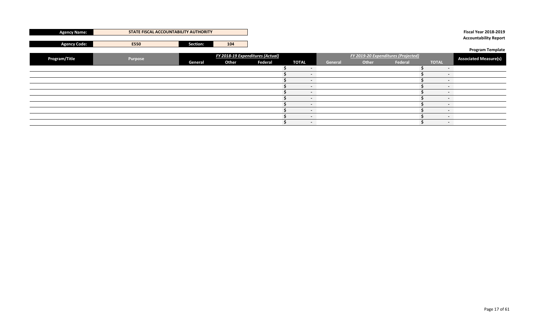| <b>Fiscal Year 2018-2019</b> |                          |         |                                            |         |              |         |                                                    |          | STATE FISCAL ACCOUNTABILITY AUTHORITY | <b>Agency Name:</b> |
|------------------------------|--------------------------|---------|--------------------------------------------|---------|--------------|---------|----------------------------------------------------|----------|---------------------------------------|---------------------|
| <b>Accountability Report</b> |                          |         |                                            |         |              |         |                                                    |          |                                       |                     |
|                              |                          |         |                                            |         |              |         | 104                                                | Section: | <b>E550</b>                           | <b>Agency Code:</b> |
| <b>Program Template</b>      |                          |         |                                            |         |              |         |                                                    |          |                                       |                     |
| <b>Associated Measure(s)</b> |                          |         | <b>FY 2019-20 Expenditures (Projected)</b> |         |              |         | <b>FY 2018-19 Expenditures (Actual)</b><br>Purpose |          |                                       | Program/Title       |
|                              | <b>TOTAL</b>             | Federal | <b>Other</b>                               | General | <b>TOTAL</b> | Federal | Other                                              | General  |                                       |                     |
|                              | $\overline{\phantom{a}}$ |         |                                            |         | $\sim$       |         |                                                    |          |                                       |                     |
|                              | $\overline{\phantom{a}}$ |         |                                            |         | $\sim$       |         |                                                    |          |                                       |                     |
|                              | $\sim$                   |         |                                            |         | $\sim$       |         |                                                    |          |                                       |                     |
|                              | $\sim$                   |         |                                            |         | $\sim$       |         |                                                    |          |                                       |                     |
|                              | $\sim$                   |         |                                            |         | $\sim$       |         |                                                    |          |                                       |                     |
|                              | $\sim$                   |         |                                            |         | $\sim$       |         |                                                    |          |                                       |                     |
|                              | $\sim$                   |         |                                            |         | $\sim$       |         |                                                    |          |                                       |                     |
|                              | $\sim$                   |         |                                            |         | $\sim$       |         |                                                    |          |                                       |                     |

**\$** 5 - **b**  $\frac{1}{2}$  **5** - **b**  $\frac{1}{2}$  **5** - **b**  $\frac{1}{2}$  **5** - **c \$** 5 - **b**  $\frac{1}{2}$  **5** - **b**  $\frac{1}{2}$  **5** - **b**  $\frac{1}{2}$  **5** - **c**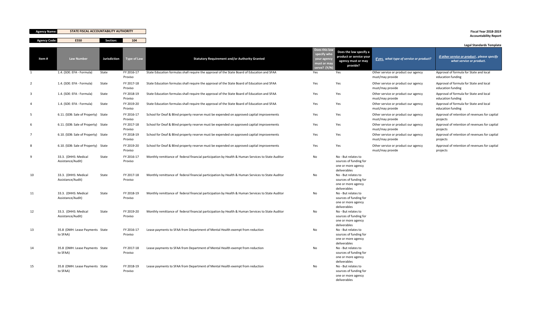| <b>Agency Name:</b> | STATE FISCAL ACCOUNTABILITY AUTHORITY       |              |                       |                                                                                                   |                                                                           |                                                                                                     |                                                         | <b>Fiscal Year 2018-2019</b>                                            |
|---------------------|---------------------------------------------|--------------|-----------------------|---------------------------------------------------------------------------------------------------|---------------------------------------------------------------------------|-----------------------------------------------------------------------------------------------------|---------------------------------------------------------|-------------------------------------------------------------------------|
| <b>Agency Code:</b> | E550                                        | Section:     | 104                   |                                                                                                   |                                                                           |                                                                                                     |                                                         | <b>Accountability Report</b>                                            |
|                     |                                             |              |                       |                                                                                                   |                                                                           |                                                                                                     |                                                         | <b>Legal Standards Template</b>                                         |
| Item#               | <b>Law Number</b>                           | Jurisdiction | <b>Type of Law</b>    | <b>Statutory Requirement and/or Authority Granted</b>                                             | Does this law<br>specify who<br>your agency<br>must or may<br>serve? (Y/N | Does the law specify a<br>product or service your<br>agency must or may<br>provide?                 | If yes, what type of service or product?                | If other service or product, please specify<br>what service or product. |
| 1                   | 1.4. (SDE: EFA - Formula)                   | State        | FY 2016-17<br>Proviso | State Education formulas shall require the approval of the State Board of Education and SFAA      | Yes                                                                       | Yes                                                                                                 | Other service or product our agency<br>must/may provide | Approval of formula for State and local<br>education funding            |
| $\overline{2}$      | 1.4. (SDE: EFA - Formula)                   | State        | FY 2017-18<br>Proviso | State Education formulas shall require the approval of the State Board of Education and SFAA      | Yes                                                                       | Yes                                                                                                 | Other service or product our agency<br>must/may provide | Approval of formula for State and local<br>education funding            |
| $\overline{3}$      | 1.4. (SDE: EFA - Formula)                   | State        | FY 2018-19<br>Proviso | State Education formulas shall require the approval of the State Board of Education and SFAA      | Yes                                                                       | Yes                                                                                                 | Other service or product our agency<br>must/may provide | Approval of formula for State and local<br>education funding            |
| $\overline{a}$      | 1.4. (SDE: EFA - Formula)                   | State        | FY 2019-20<br>Proviso | State Education formulas shall require the approval of the State Board of Education and SFAA      | Yes                                                                       | Yes                                                                                                 | Other service or product our agency<br>must/may provide | Approval of formula for State and local<br>education funding            |
| -5                  | 6.11. (SDB: Sale of Property) State         |              | FY 2016-17<br>Proviso | School for Deaf & Blind property reserve must be expended on approved capital improvements        | Yes                                                                       | Yes                                                                                                 | Other service or product our agency<br>must/may provide | Approval of retention of revenues for capital<br>projects               |
| -6                  | 6.11. (SDB: Sale of Property) State         |              | FY 2017-18<br>Proviso | School for Deaf & Blind property reserve must be expended on approved capital improvements        | Yes                                                                       | Yes                                                                                                 | Other service or product our agency<br>must/may provide | Approval of retention of revenues for capital<br>projects               |
| $\overline{7}$      | 6.10. (SDB: Sale of Property) State         |              | FY 2018-19<br>Proviso | School for Deaf & Blind property reserve must be expended on approved capital improvements        | Yes                                                                       | Yes                                                                                                 | Other service or product our agency<br>must/may provide | Approval of retention of revenues for capital<br>projects               |
| 8                   | 6.10. (SDB: Sale of Property) State         |              | FY 2019-20<br>Proviso | School for Deaf & Blind property reserve must be expended on approved capital improvements        | Yes                                                                       | Yes                                                                                                 | Other service or product our agency<br>must/may provide | Approval of retention of revenues for capital<br>projects               |
| -9                  | 33.3. (DHHS: Medical<br>Assistance/Audit)   | State        | FY 2016-17<br>Proviso | Monthly remittance of federal financial participation by Health & Human Services to State Auditor | No                                                                        | No - But relates to<br>sources of funding for<br>one or more agency<br>deliverables                 |                                                         |                                                                         |
| 10                  | 33.3. (DHHS: Medical<br>Assistance/Audit)   | State        | FY 2017-18<br>Proviso | Monthly remittance of federal financial participation by Health & Human Services to State Auditor | No                                                                        | No - But relates to<br>sources of funding for<br>one or more agency<br>deliverables                 |                                                         |                                                                         |
| 11                  | 33.3. (DHHS: Medical<br>Assistance/Audit)   | State        | FY 2018-19<br>Proviso | Monthly remittance of federal financial participation by Health & Human Services to State Auditor | No                                                                        | No - But relates to<br>sources of funding for<br>one or more agency                                 |                                                         |                                                                         |
| 12                  | 33.3. (DHHS: Medical<br>Assistance/Audit)   | State        | FY 2019-20<br>Proviso | Monthly remittance of federal financial participation by Health & Human Services to State Auditor | No                                                                        | deliverables<br>No - But relates to<br>sources of funding for<br>one or more agency<br>deliverables |                                                         |                                                                         |
| 13                  | 35.8 (DMH: Lease Payments State<br>to SFAA) |              | FY 2016-17<br>Proviso | Lease payments to SFAA from Department of Mental Health exempt from reduction                     | No                                                                        | No - But relates to<br>sources of funding for<br>one or more agency<br>deliverables                 |                                                         |                                                                         |
| 14                  | 35.8 (DMH: Lease Payments State<br>to SFAA) |              | FY 2017-18<br>Proviso | Lease payments to SFAA from Department of Mental Health exempt from reduction                     | No                                                                        | No - But relates to<br>sources of funding for<br>one or more agency<br>deliverables                 |                                                         |                                                                         |
| 15                  | 35.8 (DMH: Lease Payments State<br>to SFAA) |              | FY 2018-19<br>Proviso | Lease payments to SFAA from Department of Mental Health exempt from reduction                     | No                                                                        | No - But relates to<br>sources of funding for<br>one or more agency<br>deliverables                 |                                                         |                                                                         |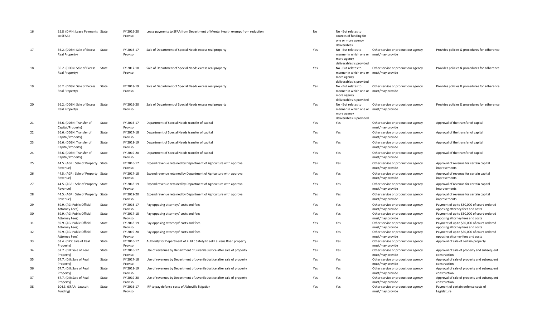| 16  | 35.8 (DMH: Lease Payments State<br>to SFAA)         |       | FY 2019-20<br>Proviso | Lease payments to SFAA from Department of Mental Health exempt from reduction | No  | No - But relates to<br>sources of funding for<br>one or more agency<br>deliverables                       |                                                         |                                                                                |
|-----|-----------------------------------------------------|-------|-----------------------|-------------------------------------------------------------------------------|-----|-----------------------------------------------------------------------------------------------------------|---------------------------------------------------------|--------------------------------------------------------------------------------|
| 17  | 36.2. (DDSN: Sale of Excess State<br>Real Property) |       | FY 2016-17<br>Proviso | Sale of Department of Special Needs excess real property                      | Yes | No - But relates to<br>manner in which one or must/may provide<br>more agency<br>deliverables is provided | Other service or product our agency                     | Provides policies & procedures for adherence                                   |
| 18  | 36.2. (DDSN: Sale of Excess<br>Real Property)       | State | FY 2017-18<br>Proviso | Sale of Department of Special Needs excess real property                      | Yes | No - But relates to<br>manner in which one or<br>more agency<br>deliverables is provided                  | Other service or product our agency<br>must/may provide | Provides policies & procedures for adherence                                   |
| 19  | 36.2. (DDSN: Sale of Excess State<br>Real Property) |       | FY 2018-19<br>Proviso | Sale of Department of Special Needs excess real property                      | Yes | No - But relates to<br>manner in which one or must/may provide<br>more agency<br>deliverables is provided | Other service or product our agency                     | Provides policies & procedures for adherence                                   |
| 20  | 36.2. (DDSN: Sale of Excess<br>Real Property)       | State | FY 2019-20<br>Proviso | Sale of Department of Special Needs excess real property                      | Yes | No - But relates to<br>manner in which one or<br>more agency<br>deliverables is provided                  | Other service or product our agency<br>must/may provide | Provides policies & procedures for adherence                                   |
| 21  | 36.6. (DDSN: Transfer of<br>Capital/Property)       | State | FY 2016-17<br>Proviso | Department of Special Needs transfer of capital                               | Yes | Yes                                                                                                       | Other service or product our agency<br>must/may provide | Approval of the transfer of capital                                            |
| 22  | 36.6. (DDSN: Transfer of<br>Capital/Property)       | State | FY 2017-18<br>Proviso | Department of Special Needs transfer of capital                               | Yes | Yes                                                                                                       | Other service or product our agency<br>must/may provide | Approval of the transfer of capital                                            |
| 23  | 36.6. (DDSN: Transfer of<br>Capital/Property)       | State | FY 2018-19<br>Proviso | Department of Special Needs transfer of capital                               | Yes | Yes                                                                                                       | Other service or product our agency<br>must/may provide | Approval of the transfer of capital                                            |
| -24 | 36.6. (DDSN: Transfer of<br>Capital/Property)       | State | FY 2019-20<br>Proviso | Department of Special Needs transfer of capital                               | Yes | Yes                                                                                                       | Other service or product our agency<br>must/may provide | Approval of the transfer of capital                                            |
| 25  | 44.5. (AGRI: Sale of Property State<br>Revenue)     |       | FY 2016-17<br>Proviso | Expend revenue retained by Department of Agriculture with approval            | Yes | Yes                                                                                                       | Other service or product our agency<br>must/may provide | Approval of revenue for certain capital<br>improvements                        |
| 26  | 44.5. (AGRI: Sale of Property State<br>Revenue)     |       | FY 2017-18<br>Proviso | Expend revenue retained by Department of Agriculture with approval            | Yes | Yes                                                                                                       | Other service or product our agency<br>must/may provide | Approval of revenue for certain capital<br>improvements                        |
| 27  | 44.5. (AGRI: Sale of Property State<br>Revenue)     |       | FY 2018-19<br>Proviso | Expend revenue retained by Department of Agriculture with approval            | Yes | Yes                                                                                                       | Other service or product our agency<br>must/may provide | Approval of revenue for certain capital<br>improvements                        |
| 28  | 44.5. (AGRI: Sale of Property State<br>Revenue)     |       | FY 2019-20<br>Proviso | Expend revenue retained by Department of Agriculture with approval            | Yes | Yes                                                                                                       | Other service or product our agency<br>must/may provide | Approval of revenue for certain capital<br>improvements                        |
| 29  | 59.9. (AG: Public Official<br>Attorney Fees)        | State | FY 2016-17<br>Proviso | Pay opposing attorneys' costs and fees                                        | Yes | Yes                                                                                                       | Other service or product our agency<br>must/may provide | Payment of up to \$50,000 of court-ordered<br>opposing attorney fees and costs |
| 30  | 59.9. (AG: Public Official<br>Attorney Fees)        | State | FY 2017-18<br>Proviso | Pay opposing attorneys' costs and fees                                        | Yes | Yes                                                                                                       | Other service or product our agency<br>must/may provide | Payment of up to \$50,000 of court-ordered<br>opposing attorney fees and costs |
| 31  | 59.9. (AG: Public Official<br>Attorney Fees)        | State | FY 2018-19<br>Proviso | Pay opposing attorneys' costs and fees                                        | Yes | Yes                                                                                                       | Other service or product our agency<br>must/may provide | Payment of up to \$50,000 of court-ordered<br>opposing attorney fees and costs |
| 32  | 59.9. (AG: Public Official<br>Attorney Fees)        | State | FY 2019-20<br>Proviso | Pay opposing attorneys' costs and fees                                        | Yes | Yes                                                                                                       | Other service or product our agency<br>must/may provide | Payment of up to \$50,000 of court-ordered<br>opposing attorney fees and costs |
| 33  | 63.4. (DPS: Sale of Real<br>Property)               | State | FY 2016-17<br>Proviso | Authority for Department of Public Safety to sell Laurens Road property       | Yes | Yes                                                                                                       | Other service or product our agency<br>must/may provide | Approval of sale of certain property                                           |
| 34  | 67.7. (DJJ: Sale of Real<br>Property)               | State | FY 2016-17<br>Proviso | Use of revenues by Department of Juvenile Justice after sale of property      | Yes | Yes                                                                                                       | Other service or product our agency<br>must/may provide | Approval of sale of property and subsequent<br>construction                    |
| 35  | 67.7. (DJJ: Sale of Real<br>Property)               | State | FY 2017-18<br>Proviso | Use of revenues by Department of Juvenile Justice after sale of property      | Yes | Yes                                                                                                       | Other service or product our agency<br>must/may provide | Approval of sale of property and subsequent<br>construction                    |
| 36  | 67.7. (DJJ: Sale of Real<br>Property)               | State | FY 2018-19<br>Proviso | Use of revenues by Department of Juvenile Justice after sale of property      | Yes | Yes                                                                                                       | Other service or product our agency<br>must/may provide | Approval of sale of property and subsequent<br>construction                    |
| 37  | 67.7. (DJJ: Sale of Real<br>Property)               | State | FY 2019-20<br>Proviso | Use of revenues by Department of Juvenile Justice after sale of property      | Yes | Yes                                                                                                       | Other service or product our agency<br>must/may provide | Approval of sale of property and subsequent<br>construction                    |
| 38  | 104.3. (SFAA: Lawsuit<br>Funding)                   | State | FY 2016-17<br>Proviso | IRF to pay defense costs of Abbeville litigation                              | Yes | Yes                                                                                                       | Other service or product our agency<br>must/may provide | Payment of certain defense costs of<br>Legislature                             |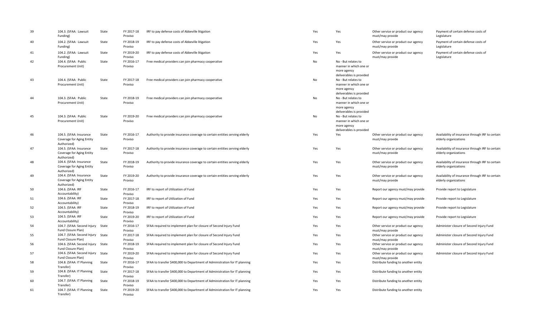| 39 | 104.3. (SFAA: Lawsuit<br>Funding)                                   | State | FY 2017-18<br>Proviso | IRF to pay defense costs of Abbeville litigation                            | Yes | Yes                                                                                                                  | Other service or product our agency<br>must/may provide | Payment of certain defense costs of<br>Legislature                        |
|----|---------------------------------------------------------------------|-------|-----------------------|-----------------------------------------------------------------------------|-----|----------------------------------------------------------------------------------------------------------------------|---------------------------------------------------------|---------------------------------------------------------------------------|
| 40 | 104.2. (SFAA: Lawsuit<br>Funding)                                   | State | FY 2018-19<br>Proviso | IRF to pay defense costs of Abbeville litigation                            | Yes | Yes                                                                                                                  | Other service or product our agency<br>must/may provide | Payment of certain defense costs of<br>Legislature                        |
| 41 | 104.2. (SFAA: Lawsuit<br>Funding)                                   | State | FY 2019-20<br>Proviso | IRF to pay defense costs of Abbeville litigation                            | Yes | Yes                                                                                                                  | Other service or product our agency<br>must/may provide | Payment of certain defense costs of<br>Legislature                        |
| 42 | 104.4. (SFAA: Public<br>Procurement Unit)                           | State | FY 2016-17<br>Proviso | Free medical providers can join pharmacy cooperative                        | No  | No - But relates to<br>manner in which one or<br>more agency                                                         |                                                         |                                                                           |
| 43 | 104.4. (SFAA: Public<br>Procurement Unit)                           | State | FY 2017-18<br>Proviso | Free medical providers can join pharmacy cooperative                        | No  | deliverables is provided<br>No - But relates to<br>manner in which one or<br>more agency                             |                                                         |                                                                           |
| 44 | 104.3. (SFAA: Public<br>Procurement Unit)                           | State | FY 2018-19<br>Proviso | Free medical providers can join pharmacy cooperative                        | No  | deliverables is provided<br>No - But relates to<br>manner in which one or<br>more agency                             |                                                         |                                                                           |
| 45 | 104.3. (SFAA: Public<br>Procurement Unit)                           | State | FY 2019-20<br>Proviso | Free medical providers can join pharmacy cooperative                        | No  | deliverables is provided<br>No - But relates to<br>manner in which one or<br>more agency<br>deliverables is provided |                                                         |                                                                           |
| 46 | 104.5. (SFAA: Insurance<br>Coverage for Aging Entity<br>Authorized) | State | FY 2016-17<br>Proviso | Authority to provide insurance coverage to certain entities serving elderly | Yes | Yes                                                                                                                  | Other service or product our agency<br>must/may provide | Availability of insurance through IRF to certain<br>elderly organizations |
| 47 | 104.5. (SFAA: Insurance<br>Coverage for Aging Entity<br>Authorized) | State | FY 2017-18<br>Proviso | Authority to provide insurance coverage to certain entities serving elderly | Yes | Yes                                                                                                                  | Other service or product our agency<br>must/may provide | Availability of insurance through IRF to certain<br>elderly organizations |
| 48 | 104.4. (SFAA: Insurance<br>Coverage for Aging Entity<br>Authorized) | State | FY 2018-19<br>Proviso | Authority to provide insurance coverage to certain entities serving elderly | Yes | Yes                                                                                                                  | Other service or product our agency<br>must/may provide | Availability of insurance through IRF to certain<br>elderly organizations |
| 49 | 104.4. (SFAA: Insurance<br>Coverage for Aging Entity<br>Authorized) | State | FY 2019-20<br>Proviso | Authority to provide insurance coverage to certain entities serving elderly | Yes | Yes                                                                                                                  | Other service or product our agency<br>must/may provide | Availability of insurance through IRF to certain<br>elderly organizations |
| 50 | 104.6. (SFAA: IRF<br>Accountability)                                | State | FY 2016-17<br>Proviso | IRF to report of Utilization of Fund                                        | Yes | Yes                                                                                                                  | Report our agency must/may provide                      | Provide report to Legislature                                             |
| 51 | 104.6. (SFAA: IRF<br>Accountability)                                | State | FY 2017-18<br>Proviso | IRF to report of Utilization of Fund                                        | Yes | Yes                                                                                                                  | Report our agency must/may provide                      | Provide report to Legislature                                             |
| 52 | 104.5. (SFAA: IRF<br>Accountability)                                | State | FY 2018-19<br>Proviso | IRF to report of Utilization of Fund                                        | Yes | Yes                                                                                                                  | Report our agency must/may provide                      | Provide report to Legislature                                             |
| 53 | 104.5. (SFAA: IRF<br>Accountability)                                | State | FY 2019-20<br>Proviso | IRF to report of Utilization of Fund                                        | Yes | Yes                                                                                                                  | Report our agency must/may provide                      | Provide report to Legislature                                             |
| 54 | 104.7. (SFAA: Second Injury<br>Fund Closure Plan)                   | State | FY 2016-17<br>Proviso | SFAA required to implement plan for closure of Second Injury Fund           | Yes | Yes                                                                                                                  | Other service or product our agency<br>must/may provide | Administer closure of Second Injury Fund                                  |
| 55 | 104.7. (SFAA: Second Injury<br>Fund Closure Plan)                   | State | FY 2017-18<br>Proviso | SFAA required to implement plan for closure of Second Injury Fund           | Yes | Yes                                                                                                                  | Other service or product our agency<br>must/may provide | Administer closure of Second Injury Fund                                  |
| 56 | 104.6. (SFAA: Second Injury<br>Fund Closure Plan)                   | State | FY 2018-19<br>Proviso | SFAA required to implement plan for closure of Second Injury Fund           | Yes | Yes                                                                                                                  | Other service or product our agency<br>must/may provide | Administer closure of Second Injury Fund                                  |
| 57 | 104.6. (SFAA: Second Injury<br>Fund Closure Plan)                   | State | FY 2019-20<br>Proviso | SFAA required to implement plan for closure of Second Injury Fund           | Yes | Yes                                                                                                                  | Other service or product our agency<br>must/may provide | Administer closure of Second Injury Fund                                  |
| 58 | 104.8. (SFAA: IT Planning<br>Transfer)                              | State | FY 2016-17<br>Proviso | SFAA to transfer \$400,000 to Department of Administration for IT planning  | Yes | Yes                                                                                                                  | Distribute funding to another entity                    |                                                                           |
| 59 | 104.8. (SFAA: IT Planning<br>Transfer)                              | State | FY 2017-18<br>Proviso | SFAA to transfer \$400,000 to Department of Administration for IT planning  | Yes | Yes                                                                                                                  | Distribute funding to another entity                    |                                                                           |
| 60 | 104.7. (SFAA: IT Planning<br>Transfer)                              | State | FY 2018-19<br>Proviso | SFAA to transfer \$400,000 to Department of Administration for IT planning  | Yes | Yes                                                                                                                  | Distribute funding to another entity                    |                                                                           |
| 61 | 104.7. (SFAA: IT Planning<br>Transfer)                              | State | FY 2019-20<br>Proviso | SFAA to transfer \$400,000 to Department of Administration for IT planning  | Yes | Yes                                                                                                                  | Distribute funding to another entity                    |                                                                           |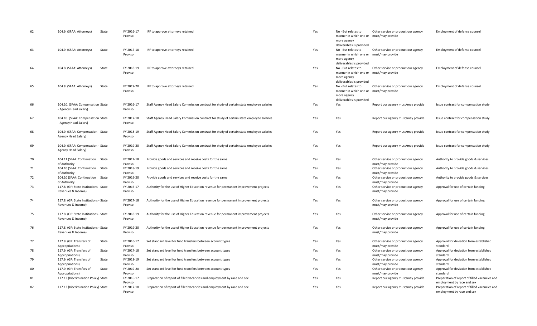| 62 | 104.9. (SFAA: Attorneys)<br>State                                       | FY 2016-17<br>Proviso | IRF to approve attorneys retained                                                         | Yes | No - But relates to<br>manner in which one or must/may provide<br>more agency                                                         | Other service or product our agency                                         | Employment of defense counsel                                               |
|----|-------------------------------------------------------------------------|-----------------------|-------------------------------------------------------------------------------------------|-----|---------------------------------------------------------------------------------------------------------------------------------------|-----------------------------------------------------------------------------|-----------------------------------------------------------------------------|
| 63 | 104.9. (SFAA: Attorneys)<br>State                                       | FY 2017-18<br>Proviso | IRF to approve attorneys retained                                                         | Yes | deliverables is provided<br>No - But relates to<br>manner in which one or must/may provide<br>more agency<br>deliverables is provided | Other service or product our agency                                         | Employment of defense counsel                                               |
| 64 | 104.8. (SFAA: Attorneys)<br>State                                       | FY 2018-19<br>Proviso | IRF to approve attorneys retained                                                         | Yes | No - But relates to<br>manner in which one or must/may provide<br>more agency                                                         | Other service or product our agency                                         | Employment of defense counsel                                               |
| 65 | 104.8. (SFAA: Attorneys)<br>State                                       | FY 2019-20<br>Proviso | IRF to approve attorneys retained                                                         | Yes | deliverables is provided<br>No - But relates to<br>manner in which one or must/may provide<br>more agency<br>deliverables is provided | Other service or product our agency                                         | Employment of defense counsel                                               |
| 66 | 104.10. (SFAA: Compensation State<br>- Agency Head Salary)              | FY 2016-17<br>Proviso | Staff Agency Head Salary Commission contract for study of certain state employee salaries | Yes | Yes                                                                                                                                   | Report our agency must/may provide                                          | Issue contract for compensation study                                       |
| 67 | 104.10. (SFAA: Compensation State<br>- Agency Head Salary)              | FY 2017-18<br>Proviso | Staff Agency Head Salary Commission contract for study of certain state employee salaries | Yes | Yes                                                                                                                                   | Report our agency must/may provide                                          | Issue contract for compensation study                                       |
| 68 | 104.9. (SFAA: Compensation - State<br>Agency Head Salary)               | FY 2018-19<br>Proviso | Staff Agency Head Salary Commission contract for study of certain state employee salaries | Yes | Yes                                                                                                                                   | Report our agency must/may provide                                          | Issue contract for compensation study                                       |
| 69 | 104.9. (SFAA: Compensation - State<br>Agency Head Salary)               | FY 2019-20<br>Proviso | Staff Agency Head Salary Commission contract for study of certain state employee salaries | Yes | Yes                                                                                                                                   | Report our agency must/may provide                                          | Issue contract for compensation study                                       |
| 70 | 104.11 (SFAA: Continuation<br>State<br>of Authority                     | FY 2017-18<br>Proviso | Provide goods and services and receive costs for the same                                 | Yes | Yes                                                                                                                                   | Other service or product our agency<br>must/may provide                     | Authority to provide goods & services                                       |
| 71 | 104.10 (SFAA: Continuation State<br>of Authority                        | FY 2018-19<br>Proviso | Provide goods and services and receive costs for the same                                 | Yes | Yes                                                                                                                                   | Other service or product our agency<br>must/may provide                     | Authority to provide goods & services                                       |
| 72 | 104.10 (SFAA: Continuation State<br>of Authority                        | FY 2019-20<br>Proviso | Provide goods and services and receive costs for the same                                 | Yes | Yes                                                                                                                                   | Other service or product our agency<br>must/may provide                     | Authority to provide goods & services                                       |
| 73 | 117.8. (GP: State Institutions - State<br>Revenues & Income)            | FY 2016-17<br>Proviso | Authority for the use of Higher Education revenue for permanent improvement projects      | Yes | Yes                                                                                                                                   | Other service or product our agency<br>must/may provide                     | Approval for use of certain funding                                         |
| 74 | 117.8. (GP: State Institutions - State<br>Revenues & Income)            | FY 2017-18<br>Proviso | Authority for the use of Higher Education revenue for permanent improvement projects      | Yes | Yes                                                                                                                                   | Other service or product our agency<br>must/may provide                     | Approval for use of certain funding                                         |
| 75 | 117.8. (GP: State Institutions - State<br>Revenues & Income)            | FY 2018-19<br>Proviso | Authority for the use of Higher Education revenue for permanent improvement projects      | Yes | Yes                                                                                                                                   | Other service or product our agency<br>must/may provide                     | Approval for use of certain funding                                         |
| 76 | 117.8. (GP: State Institutions - State<br>Revenues & Income)            | FY 2019-20<br>Proviso | Authority for the use of Higher Education revenue for permanent improvement projects      | Yes | Yes                                                                                                                                   | Other service or product our agency<br>must/may provide                     | Approval for use of certain funding                                         |
| 77 | 117.9. (GP: Transfers of<br>State<br>Appropriations)                    | FY 2016-17<br>Proviso | Set standard level for fund transfers between account types                               | Yes | Yes                                                                                                                                   | Other service or product our agency<br>must/may provide                     | Approval for deviation from established<br>standard                         |
| 78 | 117.9. (GP: Transfers of<br>State<br>Appropriations)                    | FY 2017-18<br>Proviso | Set standard level for fund transfers between account types                               | Yes | Yes                                                                                                                                   | Other service or product our agency<br>must/may provide                     | Approval for deviation from established<br>standard                         |
| 79 | 117.9. (GP: Transfers of<br>State                                       | FY 2018-19<br>Proviso | Set standard level for fund transfers between account types                               | Yes | Yes                                                                                                                                   | Other service or product our agency                                         | Approval for deviation from established<br>standard                         |
| 80 | Appropriations)<br>117.9. (GP: Transfers of<br>State<br>Appropriations) | FY 2019-20<br>Proviso | Set standard level for fund transfers between account types                               | Yes | Yes                                                                                                                                   | must/may provide<br>Other service or product our agency<br>must/may provide | Approval for deviation from established<br>standard                         |
| 81 | 117.13 (Discrimination Policy) State                                    | FY 2016-17<br>Proviso | Preparation of report of filled vacancies and employment by race and sex                  | Yes | Yes                                                                                                                                   | Report our agency must/may provide                                          | Preparation of report of filled vacancies and<br>employment by race and sex |
| 82 | 117.13 (Discrimination Policy) State                                    | FY 2017-18<br>Proviso | Preparation of report of filled vacancies and employment by race and sex                  | Yes | Yes                                                                                                                                   | Report our agency must/may provide                                          | Preparation of report of filled vacancies and<br>employment by race and sex |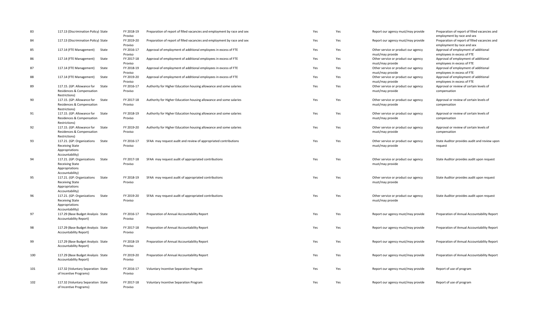| 83  | 117.13 (Discrimination Policy) State                                                               | FY 2018-19<br>Proviso | Preparation of report of filled vacancies and employment by race and sex | Yes | Yes | Report our agency must/may provide                      | Preparation of report of filled vacancies and<br>employment by race and sex |
|-----|----------------------------------------------------------------------------------------------------|-----------------------|--------------------------------------------------------------------------|-----|-----|---------------------------------------------------------|-----------------------------------------------------------------------------|
| 84  | 117.13 (Discrimination Policy) State                                                               | FY 2019-20<br>Proviso | Preparation of report of filled vacancies and employment by race and sex | Yes | Yes | Report our agency must/may provide                      | Preparation of report of filled vacancies and<br>employment by race and sex |
| 85  | 117.14 (FTE Management)<br>State                                                                   | FY 2016-17<br>Proviso | Approval of employment of additional employees in excess of FTE          | Yes | Yes | Other service or product our agency<br>must/may provide | Approval of employment of additional<br>employees in excess of FTE          |
| 86  | 117.14 (FTE Management)<br>State                                                                   | FY 2017-18<br>Proviso | Approval of employment of additional employees in excess of FTE          | Yes | Yes | Other service or product our agency<br>must/may provide | Approval of employment of additional<br>employees in excess of FTE          |
| 87  | 117.14 (FTE Management)<br>State                                                                   | FY 2018-19<br>Proviso | Approval of employment of additional employees in excess of FTE          | Yes | Yes | Other service or product our agency<br>must/may provide | Approval of employment of additional<br>employees in excess of FTE          |
| 88  | 117.14 (FTE Management)<br>State                                                                   | FY 2019-20<br>Proviso | Approval of employment of additional employees in excess of FTE          | Yes | Yes | Other service or product our agency<br>must/may provide | Approval of employment of additional<br>employees in excess of FTE          |
| 89  | 117.15. (GP: Allowance for<br>State<br>Residences & Compensation<br>Restrictions)                  | FY 2016-17<br>Proviso | Authority for Higher Education housing allowance and some salaries       | Yes | Yes | Other service or product our agency<br>must/may provide | Approval or review of certain levels of<br>compensation                     |
| 90  | 117.15. (GP: Allowance for<br>State<br>Residences & Compensation<br>Restrictions)                  | FY 2017-18<br>Proviso | Authority for Higher Education housing allowance and some salaries       | Yes | Yes | Other service or product our agency<br>must/may provide | Approval or review of certain levels of<br>compensation                     |
| 91  | 117.15. (GP: Allowance for<br>State<br>Residences & Compensation<br>Restrictions)                  | FY 2018-19<br>Proviso | Authority for Higher Education housing allowance and some salaries       | Yes | Yes | Other service or product our agency<br>must/may provide | Approval or review of certain levels of<br>compensation                     |
| 92  | 117.15. (GP: Allowance for<br>State<br>Residences & Compensation<br>Restrictions)                  | FY 2019-20<br>Proviso | Authority for Higher Education housing allowance and some salaries       | Yes | Yes | Other service or product our agency<br>must/may provide | Approval or review of certain levels of<br>compensation                     |
| 93  | 117.21. (GP: Organizations<br>State<br><b>Receiving State</b><br>Appropriations<br>Accountability) | FY 2016-17<br>Proviso | SFAA may request audit and review of appropriated contributions          | Yes | Yes | Other service or product our agency<br>must/may provide | State Auditor provides audit and review upon<br>request                     |
| 94  | 117.21. (GP: Organizations<br>State<br><b>Receiving State</b><br>Appropriations<br>Accountability) | FY 2017-18<br>Proviso | SFAA may request audit of appropriated contributions                     | Yes | Yes | Other service or product our agency<br>must/may provide | State Auditor provides audit upon request                                   |
| 95  | 117.21. (GP: Organizations<br>State<br><b>Receiving State</b><br>Appropriations<br>Accountability) | FY 2018-19<br>Proviso | SFAA may request audit of appropriated contributions                     | Yes | Yes | Other service or product our agency<br>must/may provide | State Auditor provides audit upon request                                   |
| 96  | 117.21. (GP: Organizations<br>State<br><b>Receiving State</b><br>Appropriations<br>Accountability) | FY 2019-20<br>Proviso | SFAA may request audit of appropriated contributions                     | Yes | Yes | Other service or product our agency<br>must/may provide | State Auditor provides audit upon request                                   |
| 97  | 117.29 (Base Budget Analysis State<br>Accountability Report)                                       | FY 2016-17<br>Proviso | Preparation of Annual Accountability Report                              | Yes | Yes | Report our agency must/may provide                      | Preparation of Annual Accountability Report                                 |
| 98  | 117.29 (Base Budget Analysis State<br>Accountability Report)                                       | FY 2017-18<br>Proviso | Preparation of Annual Accountability Report                              | Yes | Yes | Report our agency must/may provide                      | Preparation of Annual Accountability Report                                 |
| 99  | 117.29 (Base Budget Analysis State<br>Accountability Report)                                       | FY 2018-19<br>Proviso | Preparation of Annual Accountability Report                              | Yes | Yes | Report our agency must/may provide                      | Preparation of Annual Accountability Report                                 |
| 100 | 117.29 (Base Budget Analysis State<br>Accountability Report)                                       | FY 2019-20<br>Proviso | Preparation of Annual Accountability Report                              | Yes | Yes | Report our agency must/may provide                      | Preparation of Annual Accountability Report                                 |
| 101 | 117.32 (Voluntary Separation State<br>of Incentive Programs)                                       | FY 2016-17<br>Proviso | <b>Voluntary Incentive Separation Program</b>                            | Yes | Yes | Report our agency must/may provide                      | Report of use of program                                                    |
| 102 | 117.32 (Voluntary Separation State<br>of Incentive Programs)                                       | FY 2017-18<br>Proviso | Voluntary Incentive Separation Program                                   | Yes | Yes | Report our agency must/may provide                      | Report of use of program                                                    |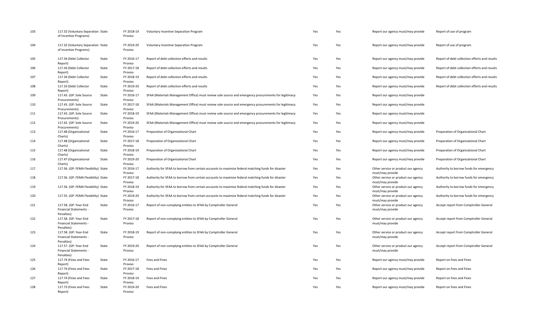| 103 | 117.32 (Voluntary Separation State<br>of Incentive Programs)         |       | FY 2018-19<br>Proviso            | Voluntary Incentive Separation Program                                                               | Yes | Yes | Report our agency must/may provide                      | Report of use of program                      |
|-----|----------------------------------------------------------------------|-------|----------------------------------|------------------------------------------------------------------------------------------------------|-----|-----|---------------------------------------------------------|-----------------------------------------------|
| 104 | 117.32 (Voluntary Separation State<br>of Incentive Programs)         |       | FY 2019-20<br>Proviso            | <b>Voluntary Incentive Separation Program</b>                                                        | Yes | Yes | Report our agency must/may provide                      | Report of use of program                      |
| 105 | 117.34 (Debt Collector<br>Report)                                    | State | FY 2016-17<br>Proviso            | Report of debt collection efforts and results                                                        | Yes | Yes | Report our agency must/may provide                      | Report of debt collection efforts and results |
| 106 | 117.34 (Debt Collector<br>Report)                                    | State | FY 2017-18<br>Proviso            | Report of debt collection efforts and results                                                        | Yes | Yes | Report our agency must/may provide                      | Report of debt collection efforts and results |
| 107 | 117.34 (Debt Collector<br>Report)                                    | State | FY 2018-19<br>Proviso            | Report of debt collection efforts and results                                                        | Yes | Yes | Report our agency must/may provide                      | Report of debt collection efforts and results |
| 108 | 117.33 (Debt Collector<br>Report)                                    | State | FY 2019-20<br>Proviso            | Report of debt collection efforts and results                                                        | Yes | Yes | Report our agency must/may provide                      | Report of debt collection efforts and results |
| 109 | 117.43. (GP: Sole Source<br>Procurements)                            | State | FY 2016-17<br>Proviso            | SFAA (Materials Management Office) must review sole source and emergency procurements for legitimacy | Yes | Yes | Report our agency must/may provide                      |                                               |
| 110 | 117.43. (GP: Sole Source<br>Procurements)                            | State | FY 2017-18<br>Proviso            | SFAA (Materials Management Office) must review sole source and emergency procurements for legitimacy | Yes | Yes | Report our agency must/may provide                      |                                               |
| 111 | 117.43. (GP: Sole Source<br>Procurements)                            | State | FY 2018-19<br>Proviso            | SFAA (Materials Management Office) must review sole source and emergency procurements for legitimacy | Yes | Yes | Report our agency must/may provide                      |                                               |
| 112 | 117.42. (GP: Sole Source<br>Procurements)                            | State | FY 2019-20<br>Proviso            | SFAA (Materials Management Office) must review sole source and emergency procurements for legitimacy | Yes | Yes | Report our agency must/may provide                      |                                               |
| 113 | 117.48 (Organizational<br>Charts)                                    | State | FY 2016-17<br>Proviso            | Preparation of Organizational Chart                                                                  | Yes | Yes | Report our agency must/may provide                      | Preparation of Organizational Chart           |
| 114 | 117.48 (Organizational<br>Charts)                                    | State | FY 2017-18<br>Proviso            | Preparation of Organizational Chart                                                                  | Yes | Yes | Report our agency must/may provide                      | Preparation of Organizational Chart           |
| 115 | 117.48 (Organizational<br>Charts)                                    | State | FY 2018-19<br>Proviso            | Preparation of Organizational Chart                                                                  | Yes | Yes | Report our agency must/may provide                      | Preparation of Organizational Chart           |
| 116 | 117.47 (Organizational<br>Charts)                                    | State | FY 2019-20<br>Proviso            | Preparation of Organizational Chart                                                                  | Yes | Yes | Report our agency must/may provide                      | Preparation of Organizational Chart           |
| 117 | 117.56. (GP: FEMA Flexibility) State                                 |       | FY 2016-17<br>Proviso            | Authority for SFAA to borrow from certain accounts to maximize federal matching funds for disaster   | Yes | Yes | Other service or product our agency<br>must/may provide | Authority to borrow funds for emergency       |
| 118 | 117.56. (GP: FEMA Flexibility) State                                 |       | FY 2017-18<br>Proviso            | Authority for SFAA to borrow from certain accounts to maximize federal matching funds for disaster   | Yes | Yes | Other service or product our agency<br>must/may provide | Authority to borrow funds for emergency       |
| 119 | 117.56. (GP: FEMA Flexibility) State                                 |       | FY 2018-19<br>Proviso            | Authority for SFAA to borrow from certain accounts to maximize federal matching funds for disaster   | Yes | Yes | Other service or product our agency<br>must/may provide | Authority to borrow funds for emergency       |
| 120 | 117.55. (GP: FEMA Flexibility) State                                 |       | FY 2019-20<br>Proviso            | Authority for SFAA to borrow from certain accounts to maximize federal matching funds for disaster   | Yes | Yes | Other service or product our agency<br>must/may provide | Authority to borrow funds for emergency       |
| 121 | 117.58. (GP: Year-End<br>Financial Statements -<br>Penalties)        | State | FY 2016-17<br>Proviso            | Report of non-complying entities to SFAA by Comptroller General                                      | Yes | Yes | Other service or product our agency<br>must/may provide | Accept report from Comptroller General        |
| 122 | 117.58. (GP: Year-End<br><b>Financial Statements -</b><br>Penalties) | State | FY 2017-18<br>Proviso            | Report of non-complying entities to SFAA by Comptroller General                                      | Yes | Yes | Other service or product our agency<br>must/may provide | Accept report from Comptroller General        |
| 123 | 117.58. (GP: Year-End<br>Financial Statements -                      | State | FY 2018-19<br>Proviso            | Report of non-complying entities to SFAA by Comptroller General                                      | Yes | Yes | Other service or product our agency<br>must/may provide | Accept report from Comptroller General        |
| 124 | Penalties)<br>117.57. (GP: Year-End<br>Financial Statements -        | State | FY 2019-20<br>Proviso            | Report of non-complying entities to SFAA by Comptroller General                                      | Yes | Yes | Other service or product our agency<br>must/may provide | Accept report from Comptroller General        |
| 125 | Penalties)<br>117.74 (Fines and Fees                                 | State | FY 2016-17                       | Fees and Fines                                                                                       | Yes | Yes | Report our agency must/may provide                      | Report on Fees and Fines                      |
| 126 | Report)<br>117.74 (Fines and Fees                                    | State | Proviso<br>FY 2017-18            | Fees and Fines                                                                                       | Yes | Yes | Report our agency must/may provide                      | Report on Fees and Fines                      |
| 127 | Report)<br>117.74 (Fines and Fees<br>Report)                         | State | Proviso<br>FY 2018-19<br>Proviso | Fees and Fines                                                                                       | Yes | Yes | Report our agency must/may provide                      | Report on Fees and Fines                      |
| 128 | 117.73 (Fines and Fees<br>Report)                                    | State | FY 2019-20<br>Proviso            | Fees and Fines                                                                                       | Yes | Yes | Report our agency must/may provide                      | Report on Fees and Fines                      |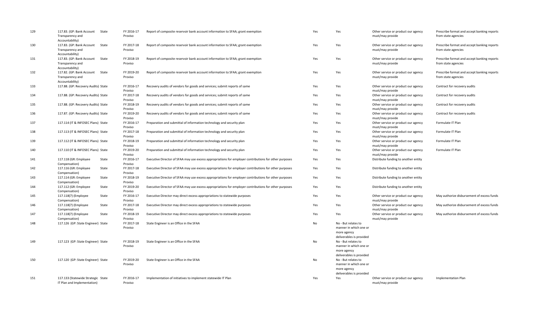| 129 | 117.83. (GP: Bank Account<br>Transparency and<br>Accountability)  | State | FY 2016-17<br>Proviso | Report of composite reservoir bank account information to SFAA; grant exemption                        | Yes | Yes                                                                                      | Other service or product our agency<br>must/may provide | Prescribe format and accept banking reports<br>from state agencies |
|-----|-------------------------------------------------------------------|-------|-----------------------|--------------------------------------------------------------------------------------------------------|-----|------------------------------------------------------------------------------------------|---------------------------------------------------------|--------------------------------------------------------------------|
| 130 | 117.83. (GP: Bank Account<br>Transparency and<br>Accountability)  | State | FY 2017-18<br>Proviso | Report of composite reservoir bank account information to SFAA; grant exemption                        | Yes | Yes                                                                                      | Other service or product our agency<br>must/may provide | Prescribe format and accept banking reports<br>from state agencies |
| 131 | 117.83. (GP: Bank Account<br>Transparency and<br>Accountability)  | State | FY 2018-19<br>Proviso | Report of composite reservoir bank account information to SFAA; grant exemption                        | Yes | Yes                                                                                      | Other service or product our agency<br>must/may provide | Prescribe format and accept banking reports<br>from state agencies |
| 132 | 117.82. (GP: Bank Account<br>Transparency and<br>Accountability)  | State | FY 2019-20<br>Proviso | Report of composite reservoir bank account information to SFAA; grant exemption                        | Yes | Yes                                                                                      | Other service or product our agency<br>must/may provide | Prescribe format and accept banking reports<br>from state agencies |
| 133 | 117.88. (GP: Recovery Audits) State                               |       | FY 2016-17<br>Proviso | Recovery audits of vendors for goods and services; submit reports of same                              | Yes | Yes                                                                                      | Other service or product our agency<br>must/may provide | Contract for recovery audits                                       |
| 134 | 117.88. (GP: Recovery Audits) State                               |       | FY 2017-18<br>Proviso | Recovery audits of vendors for goods and services; submit reports of same                              | Yes | Yes                                                                                      | Other service or product our agency<br>must/may provide | Contract for recovery audits                                       |
| 135 | 117.88. (GP: Recovery Audits) State                               |       | FY 2018-19<br>Proviso | Recovery audits of vendors for goods and services; submit reports of same                              | Yes | Yes                                                                                      | Other service or product our agency<br>must/may provide | Contract for recovery audits                                       |
| 136 | 117.87. (GP: Recovery Audits) State                               |       | FY 2019-20<br>Proviso | Recovery audits of vendors for goods and services; submit reports of same                              | Yes | Yes                                                                                      | Other service or product our agency<br>must/may provide | Contract for recovery audits                                       |
| 137 | 117.114 (IT & INFOSEC Plans) State                                |       | FY 2016-17<br>Proviso | Preparation and submittal of information technology and security plan                                  | Yes | Yes                                                                                      | Other service or product our agency<br>must/may provide | Formulate IT Plan                                                  |
| 138 | 117.113 (IT & INFOSEC Plans) State                                |       | FY 2017-18<br>Proviso | Preparation and submittal of information technology and security plan                                  | Yes | Yes                                                                                      | Other service or product our agency<br>must/may provide | Formulate IT Plan                                                  |
| 139 | 117.112 (IT & INFOSEC Plans) State                                |       | FY 2018-19<br>Proviso | Preparation and submittal of information technology and security plan                                  | Yes | Yes                                                                                      | Other service or product our agency<br>must/may provide | Formulate IT Plan                                                  |
| 140 | 117.110 (IT & INFOSEC Plans) State                                |       | FY 2019-20<br>Proviso | Preparation and submittal of information technology and security plan                                  | Yes | Yes                                                                                      | Other service or product our agency<br>must/may provide | Formulate IT Plan                                                  |
| 141 | 117.118 (GR: Employee<br>Compensation)                            | State | FY 2016-17<br>Proviso | Executive Director of SFAA may use excess appropriations for employer contributions for other purposes | Yes | Yes                                                                                      | Distribute funding to another entity                    |                                                                    |
| 142 | 117.116 (GR: Employee<br>Compensation)                            | State | FY 2017-18<br>Proviso | Executive Director of SFAA may use excess appropriations for employer contributions for other purposes | Yes | Yes                                                                                      | Distribute funding to another entity                    |                                                                    |
| 143 | 117.114 (GR: Employee<br>Compensation)                            | State | FY 2018-19<br>Proviso | Executive Director of SFAA may use excess appropriations for employer contributions for other purposes | Yes | Yes                                                                                      | Distribute funding to another entity                    |                                                                    |
| 144 | 117.112 (GR: Employee<br>Compensation)                            | State | FY 2019-20<br>Proviso | Executive Director of SFAA may use excess appropriations for employer contributions for other purposes | Yes | Yes                                                                                      | Distribute funding to another entity                    |                                                                    |
| 145 | 117.118(7) (Employee<br>Compensation)                             | State | FY 2016-17<br>Proviso | Executive Director may direct excess appropriations to statewide purposes                              | Yes | Yes                                                                                      | Other service or product our agency<br>must/may provide | May authorize disbursement of excess funds                         |
| 146 | 117.118(7) (Employee<br>Compensation)                             | State | FY 2017-18<br>Proviso | Executive Director may direct excess appropriations to statewide purposes                              | Yes | Yes                                                                                      | Other service or product our agency<br>must/may provide | May authorize disbursement of excess funds                         |
| 147 | 117.118(7) (Employee<br>Compensation)                             | State | FY 2018-19<br>Proviso | Executive Director may direct excess appropriations to statewide purposes                              | Yes | Yes                                                                                      | Other service or product our agency<br>must/may provide | May authorize disbursement of excess funds                         |
| 148 | 117.126 (GP: State Engineer) State                                |       | FY 2017-18<br>Proviso | State Engineer is an Office in the SFAA                                                                | No  | No - But relates to<br>manner in which one or<br>more agency<br>deliverables is provided |                                                         |                                                                    |
| 149 | 117.123 (GP: State Engineer) State                                |       | FY 2018-19<br>Proviso | State Engineer is an Office in the SFAA                                                                | No  | No - But relates to<br>manner in which one or<br>more agency<br>deliverables is provided |                                                         |                                                                    |
| 150 | 117.120 (GP: State Engineer) State                                |       | FY 2019-20<br>Proviso | State Engineer is an Office in the SFAA                                                                | No  | No - But relates to<br>manner in which one or<br>more agency<br>deliverables is provided |                                                         |                                                                    |
| 151 | 117.133 (Statewide Strategic State<br>IT Plan and Implementation) |       | FY 2016-17<br>Proviso | Implementation of initiatives to implement statewide IT Plan                                           | Yes | Yes                                                                                      | Other service or product our agency<br>must/may provide | <b>Implementation Plan</b>                                         |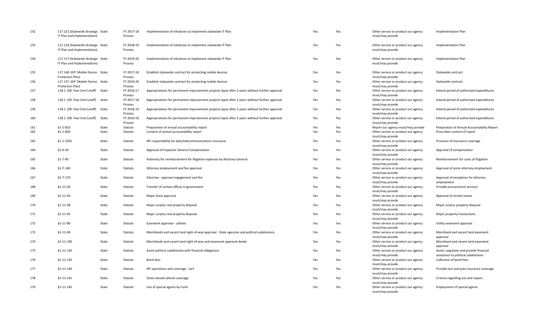| 152 | 117.121 (Statewide Strategic State<br>IT Plan and Implementation) |       | FY 2017-18<br>Proviso | Implementation of initiatives to implement statewide IT Plan                                   | Yes | Yes | Other service or product our agency<br>must/may provide | Implementation Plan                                                             |
|-----|-------------------------------------------------------------------|-------|-----------------------|------------------------------------------------------------------------------------------------|-----|-----|---------------------------------------------------------|---------------------------------------------------------------------------------|
| 153 | 117.119 (Statewide Strategic State<br>IT Plan and Implementation) |       | FY 2018-19<br>Proviso | Implementation of initiatives to implement statewide IT Plan                                   | Yes | Yes | Other service or product our agency<br>must/may provide | Implementation Plan                                                             |
| 154 | 117.117 (Statewide Strategic State<br>IT Plan and Implementation) |       | FY 2019-20<br>Proviso | Implementation of initiatives to implement statewide IT Plan                                   | Yes | Yes | Other service or product our agency<br>must/may provide | Implementation Plan                                                             |
| 155 | 117.148 (GP: Mobile Device State<br>Protection Plan)              |       | FY 2017-18<br>Proviso | Establish statewide contract for protecting mobile devices                                     | Yes | Yes | Other service or product our agency<br>must/may provide | Statewide contract                                                              |
| 156 | 117.137 (GP: Mobile Device State<br>Protection Plan)              |       | FY 2019-20<br>Proviso | Establish statewide contract for protecting mobile devices                                     | Yes | Yes | Other service or product our agency<br>must/may provide | Statewide contract                                                              |
| 157 | 118.1. (SR: Year End Cutoff)                                      | State | FY 2016-17<br>Proviso | Appropriations for permanent improvement projects lapse after 2 years without further approval | Yes | Yes | Other service or product our agency<br>must/may provide | Extend period of authorized expenditures                                        |
| 158 | 118.1. (SR: Year End Cutoff)                                      | State | FY 2017-18<br>Proviso | Appropriations for permanent improvement projects lapse after 2 years without further approval | Yes | Yes | Other service or product our agency<br>must/may provide | Extend period of authorized expenditures                                        |
| 159 | 118.1. (SR: Year End Cutoff)                                      | State | FY 2018-19<br>Proviso | Appropriations for permanent improvement projects lapse after 2 years without further approval | Yes | Yes | Other service or product our agency<br>must/may provide | Extend period of authorized expenditures                                        |
| 160 | 118.1. (SR: Year End Cutoff)                                      | State | FY 2019-20<br>Proviso | Appropriations for permanent improvement projects lapse after 2 years without further approval | Yes | Yes | Other service or product our agency<br>must/may provide | Extend period of authorized expenditures                                        |
| 161 | $$1-1-810$                                                        | State | Statute               | Preparation of annual accountability report                                                    | Yes | Yes | Report our agency must/may provide                      | Preparation of Annual Accountability Report                                     |
| 162 | \$1-1-820                                                         | State | Statute               | Content of annual accountability report                                                        | Yes | Yes | Other service or product our agency<br>must/may provide | Prescribes content of report                                                    |
| 163 | $§1 - 1 - 1025$                                                   | State | Statute               | IRF responsibility for data/telecommunications insurance                                       | Yes | Yes | Other service or product our agency<br>must/may provide | Provision of insurance coverage                                                 |
| 164 | $$1-6-20$                                                         | State | Statute               | Approval of Inspector General Compensation                                                     | Yes | Yes | Other service or product our agency<br>must/may provide | Approval of compensation                                                        |
| 165 | $§1 - 7 - 85$                                                     | State | Statute               | Authority for reimbursement for litigation expenses by Attorney General                        | Yes | Yes | Other service or product our agency<br>must/may provide | Reimbursement for costs of litigation                                           |
| 166 | $§1 - 7 - 160$                                                    | State | Statute               | Attorney employment and fee approval                                                           | Yes | Yes | Other service or product our agency<br>must/may provide | Approval of some attorney employment                                            |
| 167 | $§1 - 7 - 170$                                                    | State | Statute               | Attorney - approve engagement and fee                                                          | Yes | Yes | Other service or product our agency<br>must/may provide | Approval of exceptions for attorney<br>employment                               |
| 168 | $$1-11-20$                                                        | State | Statute               | Transfer of certain offices in government                                                      | Yes | Yes | Other service or product our agency<br>must/may provide | Provide procurement services                                                    |
| 169 | $§1 - 11 - 56$                                                    | State | Statute               | Major lease approval                                                                           | Yes | Yes | Other service or product our agency<br>must/may provide | Approval of certain leases                                                      |
| 170 | $$1-11-58$                                                        | State | Statute               | Major surplus real property disposal                                                           | Yes | Yes | Other service or product our agency<br>must/may provide | Major surplus property disposal                                                 |
| 171 | $§1 - 11 - 65$                                                    | State | Statute               | Major surplus real property disposal                                                           | Yes | Yes | Other service or product our agency<br>must/may provide | Major property transactions                                                     |
| 172 | $$1-11-80$                                                        | State | Statute               | Easement approval - utilities                                                                  | Yes | Yes | Other service or product our agency<br>must/may provide | Utility easement approval                                                       |
| 173 | $§1 - 11 - 90$                                                    | State | Statute               | Marshlands and vacant land right-of-way approval - State agencies and political subdivisions   | Yes | Yes | Other service or product our agency<br>must/may provide | Marshland and vacant land easement<br>approval                                  |
| 174 | §1-11-100                                                         | State | Statute               | Marshlands and vacant land right-of-way and easement approval-deeds                            | Yes | Yes | Other service or product our agency<br>must/may provide | Marshland and vacant land easement<br>approval                                  |
| 175 | \$1-11-130                                                        | State | Statute               | Assist political subdivisions with financial obligations                                       | Yes | Yes | Other service or product our agency<br>must/may provide | Assist, negotiate and provide financial<br>assistance to political subdivisions |
| 176 | $$1 - 11 - 135$                                                   | State | Statute               | Bond fees                                                                                      | Yes | Yes | Other service or product our agency<br>must/may provide | Collection of bond fees                                                         |
| 177 | §1-11-140                                                         | State | Statute               | IRF operations and coverage - tort                                                             | Yes | Yes | Other service or product our agency<br>must/may provide | Provide tort and auto insurance coverage                                        |
| 178 | $§1 - 11 - 141$                                                   | State | Statute               | State-owned vehicle coverage                                                                   | Yes | Yes | Other service or product our agency<br>must/may provide | Criteria regarding use and repairs                                              |
| 179 | §1-11-145                                                         | State | Statute               | Use of special agents by Fund                                                                  | Yes | Yes | Other service or product our agency<br>must/may provide | Employment of special agents                                                    |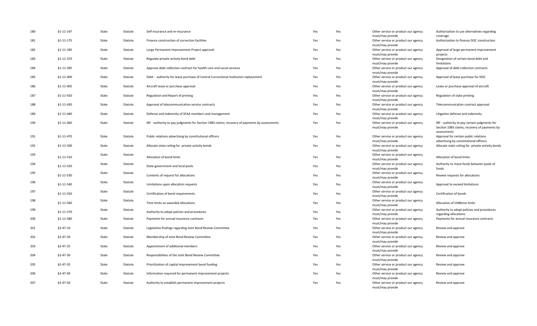| 180 | $§1 - 11 - 147$ | State | Statute | Self-insurance and re-insurance                                                               | Yes | Yes | Other service or product our agency<br>must/may provide                     | Authorization to use alternatives regarding<br>coverage                                                     |
|-----|-----------------|-------|---------|-----------------------------------------------------------------------------------------------|-----|-----|-----------------------------------------------------------------------------|-------------------------------------------------------------------------------------------------------------|
| 181 | $$1 - 11 - 175$ | State | Statute | Finance construction of correction facilities                                                 | Yes | Yes | Other service or product our agency<br>must/may provide                     | Authorization to finance DOC construction                                                                   |
| 182 | \$1-11-185      | State | Statute | Large Permanent Improvement Project approval                                                  | Yes | Yes | Other service or product our agency                                         | Approval of large permanent improvement                                                                     |
| 183 | §1-11-370       | State | Statute | Regulate private activity bond debt                                                           | Yes | Yes | must/may provide<br>Other service or product our agency                     | projects<br>Designation of certain bond debt and                                                            |
| 184 | §1-11-395       | State | Statute | Approve debt collection contract for health care and social services                          | Yes | Yes | must/may provide<br>Other service or product our agency                     | limitations<br>Approval of debt collection contracts                                                        |
| 185 | §1-11-400       | State | Statute | Debt - authority for lease purchase of Central Correctional Institution replacement           | Yes | Yes | must/may provide<br>Other service or product our agency                     | Approval of lease purchase for DOC                                                                          |
| 186 | §1-11-405       | State | Statute | Aircraft lease or purchase approval                                                           | Yes | Yes | must/may provide<br>Other service or product our agency                     | Lease or purchase approval of aircraft                                                                      |
| 187 | $§1 - 11 - 420$ | State | Statute | Regulation and Report of printing                                                             | Yes | Yes | must/may provide<br>Other service or product our agency                     | Regulation of state printing                                                                                |
| 188 | \$1-11-430      | State | Statute | Approval of telecommunication service contracts                                               | Yes | Yes | must/may provide<br>Other service or product our agency                     | Telecommunication contract approval                                                                         |
| 189 | \$1-11-440      | State | Statute | Defense and indemnity of SFAA members and management                                          | Yes | Yes | must/may provide<br>Other service or product our agency                     | Litigation defense and indemnity                                                                            |
|     |                 |       |         |                                                                                               |     |     | must/may provide                                                            |                                                                                                             |
| 190 | $§1 - 11 - 460$ | State | Statute | IRF - authority to pay judgments for Section 1983 claims; recovery of payments by assessments | Yes | Yes | Other service or product our agency<br>must/may provide                     | IRF - authority to pay certain judgments for<br>Section 1983 claims; recovery of payments by<br>assessments |
| 191 | \$1-11-470      | State | Statute | Public relations advertising by constitutional officers                                       | Yes | Yes | Other service or product our agency<br>must/may provide                     | Approval for certain public relations<br>advertising by constitutional officers                             |
| 192 | §1-11-500       | State | Statute | Allocate state ceiling for private activity bonds                                             | Yes | Yes | Other service or product our agency                                         | Allocate state ceiling for private activity bonds                                                           |
| 193 | §1-11-510       | State | Statute | Allocation of bond limits                                                                     | Yes | Yes | must/may provide<br>Other service or product our agency                     | Allocation of bond limits                                                                                   |
| 194 | §1-11-520       | State | Statute | State government and local pools                                                              | Yes | Yes | must/may provide<br>Other service or product our agency                     | Authority to move funds between pools of                                                                    |
| 195 | \$1-11-530      | State | Statute | Contents of request for allocations                                                           | Yes | Yes | must/may provide<br>Other service or product our agency                     | funds<br>Review requests for allocations                                                                    |
| 196 | §1-11-540       | State | Statute | Limitations upon allocation requests                                                          | Yes | Yes | must/may provide<br>Other service or product our agency                     | Approval to exceed limitations                                                                              |
| 197 | §1-11-550       | State | Statute | Certification of bond requirements                                                            | Yes | Yes | must/may provide<br>Other service or product our agency                     | Certification of bonds                                                                                      |
| 198 | §1-11-560       | State | Statute | Time limits on awarded allocations                                                            | Yes | Yes | must/may provide<br>Other service or product our agency                     | Allocation of I248time limits                                                                               |
| 199 |                 | State | Statute |                                                                                               |     |     | must/may provide<br>Other service or product our agency                     | Authority to adopt policies and procedures                                                                  |
|     | §1-11-570       |       |         | Authority to adopt policies and procedures                                                    | Yes | Yes | must/may provide                                                            | regarding allocations                                                                                       |
| 200 | §1-11-580       | State | Statute | Payments for annual insurance contracts                                                       | Yes | Yes | Other service or product our agency<br>must/may provide                     | Payments for annual insurance contracts                                                                     |
| 201 | $§2 - 47 - 10$  | State | Statute | Legislative findings regarding Joint Bond Review Committee                                    | Yes | Yes | Other service or product our agency<br>must/may provide                     | Review and approve                                                                                          |
| 202 | \$2-47-20       | State | Statute | Membership of Joint Bond Review Committee                                                     | Yes | Yes | Other service or product our agency<br>must/may provide                     | Review and approve                                                                                          |
| 203 | $§2 - 47 - 25$  | State | Statute | Appointment of additional members                                                             | Yes | Yes | Other service or product our agency<br>must/may provide                     | Review and approve                                                                                          |
| 204 | $§2 - 47 - 30$  | State | Statute | Responsibilities of the Joint Bond Review Committee                                           | Yes | Yes | Other service or product our agency<br>must/may provide                     | Review and approve                                                                                          |
| 205 | $§2 - 47 - 35$  | State | Statute | Prioritization of capital improvement bond funding                                            | Yes | Yes | Other service or product our agency                                         | Review and approve                                                                                          |
| 206 | §2-47-40        | State | Statute | Information required for permanent improvement projects                                       | Yes | Yes | must/may provide<br>Other service or product our agency                     | Review and approve                                                                                          |
| 207 | \$2-47-50       | State | Statute | Authority to establish permanent improvement projects                                         | Yes | Yes | must/may provide<br>Other service or product our agency<br>must/may provide | Review and approve                                                                                          |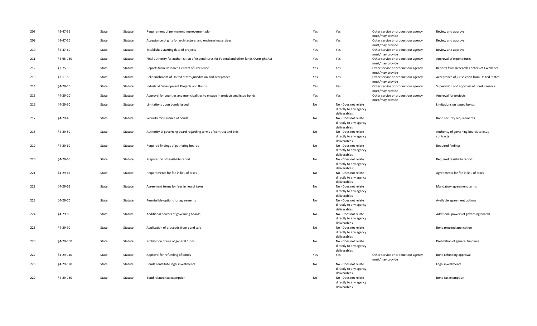| 208 | \$2-47-55      | State | Statute | Requirement of permanent improvement plan                                                   | Yes | Yes                                                                            | Other service or product our agency<br>must/may provide | Review and approve                                  |
|-----|----------------|-------|---------|---------------------------------------------------------------------------------------------|-----|--------------------------------------------------------------------------------|---------------------------------------------------------|-----------------------------------------------------|
| 209 | \$2-47-56      | State | Statute | Acceptance of gifts for architectural and engineering services                              | Yes | Yes                                                                            | Other service or product our agency<br>must/may provide | Review and approve                                  |
| 210 | $§2 - 47 - 60$ | State | Statute | Establishes starting date of projects                                                       | Yes | Yes                                                                            | Other service or product our agency<br>must/may provide | Review and approve                                  |
| 211 | §2-65-130      | State | Statute | Final authority for authorization of expenditures for Federal and other funds Oversight Act | Yes | Yes                                                                            | Other service or product our agency<br>must/may provide | Approval of expenditures                            |
| 212 | $§2 - 75 - 10$ | State | Statute | Reports from Research Centers of Excellence                                                 | Yes | Yes                                                                            | Other service or product our agency<br>must/may provide | Reports from Research Centers of Excellence         |
| 213 | $§3 - 1 - 150$ | State | Statute | Relinquishment of United States jurisdiction and acceptance                                 | Yes | Yes                                                                            | Other service or product our agency<br>must/may provide | Acceptance of jurisdiction from United States       |
| 214 | $§4 - 29 - 10$ | State | Statute | Industrial Development Projects and Bonds                                                   | Yes | Yes                                                                            | Other service or product our agency<br>must/may provide | Supervision and approval of bond issuance           |
| 215 | §4-29-20       | State | Statute | Approval for counties and municipalities to engage in projects and issue bonds              | Yes | Yes                                                                            | Other service or product our agency<br>must/may provide | Approval for projects                               |
| 216 | \$4-29-30      | State | Statute | Limitations upon bonds issued                                                               | No  | No - Does not relate<br>directly to any agency                                 |                                                         | Limitations on issued bonds                         |
| 217 | §4-29-40       | State | Statute | Security for issuance of bonds                                                              | No  | deliverables<br>No - Does not relate<br>directly to any agency                 |                                                         | Bond security requirements                          |
| 218 | §4-29-50       | State | Statute | Authority of governing board regarding terms of contract and bids                           | No  | deliverables<br>No - Does not relate<br>directly to any agency                 |                                                         | Authority of governing boards to issue<br>contracts |
| 219 | §4-29-60       | State | Statute | Required findings of gathering boards                                                       | No  | deliverables<br>No - Does not relate<br>directly to any agency                 |                                                         | Required findings                                   |
| 220 | \$4-29-65      | State | Statute | Preparation of feasibility report                                                           | No  | deliverables<br>No - Does not relate<br>directly to any agency                 |                                                         | Required feasibility report                         |
| 221 | §4-29-67       | State | Statute | Requirements for fee in lieu of taxes                                                       | No  | deliverables<br>No - Does not relate<br>directly to any agency                 |                                                         | Agreements for fee in lieu of taxes                 |
| 222 | \$4-29-69      | State | Statute | Agreement terms for fees in lieu of taxes                                                   | No  | deliverables<br>No - Does not relate<br>directly to any agency                 |                                                         | Mandatory agreement terms                           |
| 223 | §4-29-70       | State | Statute | Permissible options for agreements                                                          | No  | deliverables<br>No - Does not relate<br>directly to any agency                 |                                                         | Available agreement options                         |
| 224 | §4-29-80       | State | Statute | Additional powers of governing boards                                                       | No  | deliverables<br>No - Does not relate<br>directly to any agency                 |                                                         | Additional powers of governing boards               |
| 225 | §4-29-90       | State | Statute | Application of proceeds from bond sale                                                      | No  | deliverables<br>No - Does not relate<br>directly to any agency                 |                                                         | Bond proceed application                            |
| 226 | \$4-29-100     | State | Statute | Prohibition of use of general funds                                                         | No  | deliverables<br>No - Does not relate<br>directly to any agency                 |                                                         | Prohibition of general fund use                     |
| 227 | \$4-29-110     | State | Statute | Approval for refunding of bonds                                                             | Yes | deliverables<br>Yes                                                            | Other service or product our agency<br>must/may provide | Bond refunding approval                             |
| 228 | \$4-29-120     | State | Statute | Bonds constitute legal investments                                                          | No  | No - Does not relate<br>directly to any agency                                 |                                                         | Legal investments                                   |
| 229 | \$4-29-130     | State | Statute | Bond related tax exemption                                                                  | No  | deliverables<br>No - Does not relate<br>directly to any agency<br>deliverables |                                                         | Bond tax exemption                                  |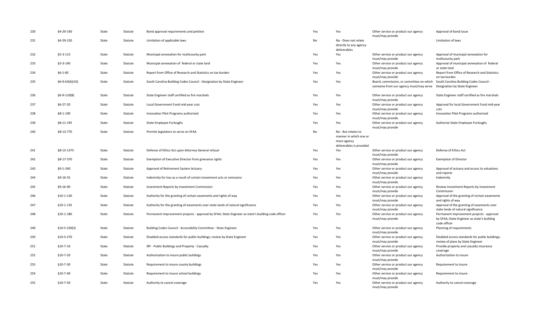| 230 | §4-29-140        | State | Statute | Bond approval requirements and petition                                                            | Yes | Yes                                                                                      | Other service or product our agency<br>must/may provide                            | Approval of bond issue                                                                                   |
|-----|------------------|-------|---------|----------------------------------------------------------------------------------------------------|-----|------------------------------------------------------------------------------------------|------------------------------------------------------------------------------------|----------------------------------------------------------------------------------------------------------|
| 231 | §4-29-150        | State | Statute | Limitation of applicable laws                                                                      | No  | No - Does not relate<br>directly to any agency<br>deliverables                           |                                                                                    | Limitation of laws                                                                                       |
| 232 | $$5 - 3 - 115$   | State | Statute | Municipal annexation for multicounty park                                                          | Yes | Yes                                                                                      | Other service or product our agency<br>must/may provide                            | Approval of municipal annexation for<br>multicounty park                                                 |
| 233 | §5-3-140         | State | Statute | Municipal annexation of federal or state land                                                      | Yes | Yes                                                                                      | Other service or product our agency<br>must/may provide                            | Approval of municipal annexation of federal<br>or state land                                             |
| 234 | $$6-1-85$        | State | Statute | Report from Office of Research and Statistics on tax burden                                        | Yes | Yes                                                                                      | Other service or product our agency<br>must/may provide                            | Report from Office of Research and Statistics<br>on tax burden                                           |
| 235 | $$6-9-63(A)(10)$ | State | Statute | South Carolina Building Codes Council - Designation by State Engineer                              | Yes | Yes                                                                                      | Board, commission, or committee on which<br>someone from our agency must/may serve | South Carolina Building Codes Council -<br>Designation by State Engineer                                 |
| 236 | $$6-9-110(B)$    | State | Statute | State Engineer staff certified as fire marshals                                                    | Yes | Yes                                                                                      | Other service or product our agency<br>must/may provide                            | State Engineer staff certified as fire marshals                                                          |
| 237 | §6-27-20         | State | Statute | Local Government Fund mid-year cuts                                                                | Yes | Yes                                                                                      | Other service or product our agency<br>must/may provide                            | Approval for local Government Fund mid-year<br>cuts                                                      |
| 238 | §8-1-190         | State | Statute | Innovation Pilot Programs authorized                                                               | Yes | Yes                                                                                      | Other service or product our agency<br>must/may provide                            | Innovation Pilot Programs authorized                                                                     |
| 239 | §8-11-195        | State | Statute | State Employee Furloughs                                                                           | Yes | Yes                                                                                      | Other service or product our agency<br>must/may provide                            | Authorize State Employee Furloughs                                                                       |
| 240 | §8-13-770        | State | Statute | Permits legislators to serve on SFAA                                                               | No  | No - But relates to<br>manner in which one or<br>more agency<br>deliverables is provided |                                                                                    |                                                                                                          |
| 241 | §8-13-1373       | State | Statute | Defense of Ethics Act upon Attorney General refusal                                                | Yes | Yes                                                                                      | Other service or product our agency<br>must/may provide                            | Defense of Ethics Act                                                                                    |
| 242 | §8-17-370        | State | Statute | Exemption of Executive Director from grievance rights                                              | Yes | Yes                                                                                      | Other service or product our agency<br>must/may provide                            | <b>Exemption of Director</b>                                                                             |
| 243 | §9-1-240         | State | Statute | Approval of Retirement System Actuary                                                              | Yes | Yes                                                                                      | Other service or product our agency<br>must/may provide                            | Approval of actuary and access to valuations<br>and reports                                              |
| 244 | §9-16-55         | State | Statute | Indemnity for loss as a result of certain investment acts or omissions                             | Yes | Yes                                                                                      | Other service or product our agency<br>must/may provide                            | Indemnity                                                                                                |
| 245 | §9-16-90         | State | Statute | Investment Reports by Investment Commission                                                        | Yes | Yes                                                                                      | Other service or product our agency<br>must/may provide                            | Review Investment Reports by Investment<br>Commission                                                    |
| 246 | \$10-1-130       | State | Statute | Authority for the granting of certain easements and rights of way                                  | Yes | Yes                                                                                      | Other service or product our agency<br>must/may provide                            | Approval of the granting of certain easements<br>and rights of way                                       |
| 247 | \$10-1-135       | State | Statute | Authority for the granting of easements over state lands of natural significance                   | Yes | Yes                                                                                      | Other service or product our agency<br>must/may provide                            | Approval of the granting of easements over<br>state lands of natural significance                        |
| 248 | $$10-1-180$      | State | Statute | Permanent improvement projects - approval by SFAA; State Engineer as state's building code officer | Yes | Yes                                                                                      | Other service or product our agency<br>must/may provide                            | Permanent improvement projects - approval<br>by SFAA; State Engineer as state's building<br>code officer |
| 249 | $$10-5-230(3)$   | State | Statute | Building Codes Council - Accessibility Committee - State Engineer                                  | Yes | Yes                                                                                      | Other service or product our agency<br>must/may provide                            | Planning of requirements                                                                                 |
| 250 | \$10-5-270       | State | Statute | Disabled access standards for public buildings; review by State Engineer                           | Yes | Yes                                                                                      | Other service or product our agency<br>must/may provide                            | Disabled access standards for public buildings;<br>review of plans by State Engineer                     |
| 251 | $$10-7-10$       | State | Statute | IRF - Public Buildings and Property - Casualty                                                     | Yes | Yes                                                                                      | Other service or product our agency<br>must/may provide                            | Provide property and casualty insurance<br>coverage                                                      |
| 252 | \$10-7-20        | State | Statute | Authorization to insure public buildings                                                           | Yes | Yes                                                                                      | Other service or product our agency<br>must/may provide                            | Authorization to insure                                                                                  |
| 253 | \$10-7-30        | State | Statute | Requirement to insure county buildings                                                             | Yes | Yes                                                                                      | Other service or product our agency<br>must/may provide                            | Requirement to insure                                                                                    |
| 254 | §10-7-40         | State | Statute | Requirement to insure school buildings                                                             | Yes | Yes                                                                                      | Other service or product our agency<br>must/may provide                            | Requirement to insure                                                                                    |
| 255 | \$10-7-50        | State | Statute | Authority to cancel coverage                                                                       | Yes | Yes                                                                                      | Other service or product our agency<br>must/may provide                            | Authority to cancel coverage                                                                             |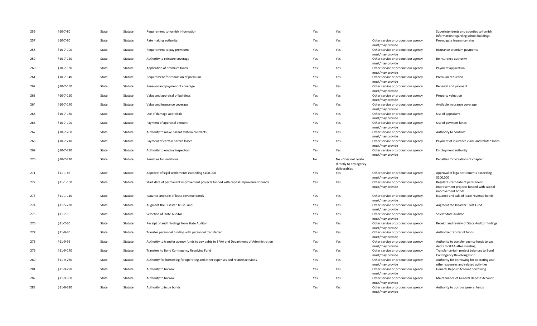| 256 | \$10-7-80       | State | Statute | Requirement to furnish information                                                       | Yes | Yes                                            |                                                                             | Superintendents and counties to furnish<br>information regarding school buildings  |
|-----|-----------------|-------|---------|------------------------------------------------------------------------------------------|-----|------------------------------------------------|-----------------------------------------------------------------------------|------------------------------------------------------------------------------------|
| 257 | §10-7-90        | State | Statute | Rate making authority                                                                    | Yes | Yes                                            | Other service or product our agency<br>must/may provide                     | Promulgate insurance rates                                                         |
| 258 | §10-7-100       | State | Statute | Requirement to pay premiums                                                              | Yes | Yes                                            | Other service or product our agency<br>must/may provide                     | Insurance premium payments                                                         |
| 259 | §10-7-120       | State | Statute | Authority to reinsure coverage                                                           | Yes | Yes                                            | Other service or product our agency<br>must/may provide                     | Reinsurance authority                                                              |
| 260 | §10-7-130       | State | Statute | Application of premium funds                                                             | Yes | Yes                                            | Other service or product our agency<br>must/may provide                     | Payment application                                                                |
| 261 | §10-7-140       | State | Statute | Requirement for reduction of premium                                                     | Yes | Yes                                            | Other service or product our agency<br>must/may provide                     | Premium reduction                                                                  |
| 262 | §10-7-150       | State | Statute | Renewal and payment of coverage                                                          | Yes | Yes                                            | Other service or product our agency<br>must/may provide                     | Renewal and payment                                                                |
| 263 | §10-7-160       | State | Statute | Value and appraisal of buildings                                                         | Yes | Yes                                            | Other service or product our agency<br>must/may provide                     | Property valuation                                                                 |
| 264 | §10-7-170       | State | Statute | Value and insurance coverage                                                             | Yes | Yes                                            | Other service or product our agency                                         | Available insurance coverage                                                       |
| 265 | §10-7-180       | State | Statute | Use of damage appraisals                                                                 | Yes | Yes                                            | must/may provide<br>Other service or product our agency                     | Use of appraisers                                                                  |
| 266 | §10-7-190       | State | Statute | Payment of appraisal amount                                                              | Yes | Yes                                            | must/may provide<br>Other service or product our agency                     | Use of payment funds                                                               |
| 267 | §10-7-200       | State | Statute | Authority to make hazard system contracts                                                | Yes | Yes                                            | must/may provide<br>Other service or product our agency                     | Authority to contract                                                              |
| 268 | §10-7-210       | State | Statute | Payment of certain hazard losses                                                         | Yes | Yes                                            | must/may provide<br>Other service or product our agency                     | Payment of insurance claim and related loans                                       |
| 269 | §10-7-220       | State | Statute | Authority to employ inspectors                                                           | Yes | Yes                                            | must/may provide<br>Other service or product our agency<br>must/may provide | Employment authority                                                               |
| 270 | §10-7-230       | State | Statute | Penalties for violations                                                                 | No  | No - Does not relate<br>directly to any agency |                                                                             | Penalties for violations of chapter                                                |
| 271 | $$11 - 1 - 45$  | State | Statute | Approval of legal settlements exceeding \$100,000                                        | Yes | deliverables<br>Yes                            | Other service or product our agency<br>must/may provide                     | Approval of legal settlements exceeding<br>\$100,000                               |
| 272 | $§11 - 1 - 100$ | State | Statute | Start date of permanent improvement projects funded with capital improvement bonds       | Yes | Yes                                            | Other service or product our agency<br>must/may provide                     | Regulate start date of permanent<br>improvement projects funded with capital       |
| 273 | $§11 - 1 - 110$ | State | Statute | Issuance and sale of lease revenue bonds                                                 | Yes | Yes                                            | Other service or product our agency                                         | improvement bonds<br>Issuance and sale of lease revenue bonds                      |
|     |                 |       |         |                                                                                          |     |                                                | must/may provide                                                            |                                                                                    |
| 274 | \$11-5-230      | State | Statute | Augment the Disaster Trust Fund                                                          | Yes | Yes                                            | Other service or product our agency<br>must/may provide                     | Augment the Disaster Trust Fund                                                    |
| 275 | §11-7-10        | State | Statute | Selection of State Auditor                                                               | Yes | Yes                                            | Other service or product our agency<br>must/may provide                     | Select State Auditor                                                               |
| 276 | $§11 - 7 - 30$  | State | Statute | Receipt of audit findings from State Auditor                                             | Yes | Yes                                            | Other service or product our agency<br>must/may provide                     | Receipt and review of State Auditor findings                                       |
| 277 | $§11 - 9 - 30$  | State | Statute | Transfer personnel funding with personnel transferred                                    | Yes | Yes                                            | Other service or product our agency<br>must/may provide                     | Authorize transfer of funds                                                        |
| 278 | \$11-9-95       | State | Statute | Authority to transfer agency funds to pay debts to SFAA and Department of Administration | Yes | Yes                                            | Other service or product our agency<br>must/may provide                     | Authority to transfer agency funds to pay<br>debts to SFAA after meeting           |
| 279 | §11-9-140       | State | Statute | Transfers to Bond Contingency Revolving Fund                                             | Yes | Yes                                            | Other service or product our agency<br>must/may provide                     | Transfer certain project balances to Bond<br>Contingency Revolving Fund            |
| 280 | \$11-9-280      | State | Statute | Authority for borrowing for operating and other expenses and related activities          | Yes | Yes                                            | Other service or product our agency<br>must/may provide                     | Authority for borrowing for operating and<br>other expenses and related activities |
| 281 | \$11-9-290      | State | Statute | Authority to borrow                                                                      | Yes | Yes                                            | Other service or product our agency<br>must/may provide                     | General Deposit Account borrowing                                                  |
| 282 | §11-9-300       | State | Statute | Authority to borrow                                                                      | Yes | Yes                                            | Other service or product our agency<br>must/may provide                     | Maintenance of General Deposit Account                                             |
| 283 | §11-9-310       | State | Statute | Authority to issue bonds                                                                 | Yes | Yes                                            | Other service or product our agency<br>must/may provide                     | Authority to borrow general funds                                                  |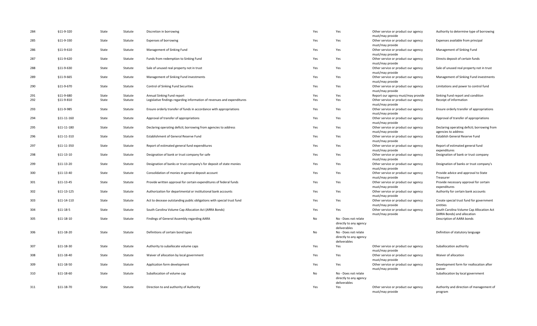| 284 | §11-9-320       | State | Statute | Discretion in borrowing                                                 | Yes | Yes                                                            | Other service or product our agency<br>must/may provide | Authority to determine type of borrowing                                |
|-----|-----------------|-------|---------|-------------------------------------------------------------------------|-----|----------------------------------------------------------------|---------------------------------------------------------|-------------------------------------------------------------------------|
| 285 | §11-9-330       | State | Statute | Expenses of borrowing                                                   | Yes | Yes                                                            | Other service or product our agency<br>must/may provide | Expenses available from principal                                       |
| 286 | §11-9-610       | State | Statute | Management of Sinking Fund                                              | Yes | Yes                                                            | Other service or product our agency<br>must/may provide | Management of Sinking Fund                                              |
| 287 | §11-9-620       | State | Statute | Funds from redemption to Sinking Fund                                   | Yes | Yes                                                            | Other service or product our agency<br>must/may provide | Directs deposit of certain funds                                        |
| 288 | \$11-9-630      | State | Statute | Sale of unused real property not in trust                               | Yes | Yes                                                            | Other service or product our agency<br>must/may provide | Sale of unused real property not in trust                               |
| 289 | §11-9-665       | State | Statute | Management of Sinking Fund investments                                  | Yes | Yes                                                            | Other service or product our agency<br>must/may provide | Management of Sinking Fund investments                                  |
| 290 | §11-9-670       | State | Statute | Control of Sinking Fund Securities                                      | Yes | Yes                                                            | Other service or product our agency<br>must/may provide | Limitations and power to control fund                                   |
| 291 | §11-9-680       | State | Statute | Annual Sinking Fund report                                              | Yes | Yes                                                            | Report our agency must/may provide                      | Sinking Fund report and condition                                       |
| 292 | §11-9-810       | State | Statute | Legislative findings regarding information of revenues and expenditures | Yes | Yes                                                            | Other service or product our agency<br>must/may provide | Receipt of information                                                  |
| 293 | §11-9-985       | State | Statute | Ensure orderly transfer of funds in accordance with appropriations      | Yes | Yes                                                            | Other service or product our agency<br>must/may provide | Ensure orderly transfer of appropriations                               |
| 294 | \$11-11-160     | State | Statute | Approval of transfer of appropriations                                  | Yes | Yes                                                            | Other service or product our agency<br>must/may provide | Approval of transfer of appropriations                                  |
| 295 | §11-11-180      | State | Statute | Declaring operating deficit; borrowing from agencies to address         | Yes | Yes                                                            | Other service or product our agency<br>must/may provide | Declaring operating deficit; borrowing from<br>agencies to address      |
| 296 | §11-11-310      | State | Statute | Establishment of General Reserve Fund                                   | Yes | Yes                                                            | Other service or product our agency<br>must/may provide | Establish General Reserve Fund                                          |
| 297 | \$11-11-350     | State | Statute | Report of estimated general fund expenditures                           | Yes | Yes                                                            | Other service or product our agency<br>must/may provide | Report of estimated general fund<br>expenditures                        |
| 298 | $§11 - 13 - 10$ | State | Statute | Designation of bank or trust company for safe                           | Yes | Yes                                                            | Other service or product our agency<br>must/may provide | Designation of bank or trust company                                    |
| 299 | \$11-13-20      | State | Statute | Designation of banks or trust company's for deposit of state monies     | Yes | Yes                                                            | Other service or product our agency<br>must/may provide | Designation of banks or trust company's                                 |
| 300 | §11-13-40       | State | Statute | Consolidation of monies in general deposit account                      | Yes | Yes                                                            | Other service or product our agency<br>must/may provide | Provide advice and approval to State<br>Treasurer                       |
| 301 | \$11-13-45      | State | Statute | Provide written approval for certain expenditures of federal funds      | Yes | Yes                                                            | Other service or product our agency<br>must/may provide | Provide necessary approval for certain<br>expenditures                  |
| 302 | §11-13-125      | State | Statute | Authorization for departmental or institutional bank accounts           | Yes | Yes                                                            | Other service or product our agency<br>must/may provide | Authority for certain bank accounts                                     |
| 303 | \$11-14-110     | State | Statute | Act to decease outstanding public obligations with special trust fund   | Yes | Yes                                                            | Other service or product our agency<br>must/may provide | Create special trust fund for government<br>entities                    |
| 304 | $§11 - 18 - 5$  | State | Statute | South Carolina Volume Cap Allocation Act (ARRA Bonds)                   | Yes | Yes                                                            | Other service or product our agency<br>must/may provide | South Carolina Volume Cap Allocation Act<br>(ARRA Bonds) and allocation |
| 305 | §11-18-10       | State | Statute | Findings of General Assembly regarding AARA                             | No  | No - Does not relate<br>directly to any agency                 |                                                         | Description of AARA bonds                                               |
| 306 | §11-18-20       | State | Statute | Definitions of certain bond types                                       | No  | deliverables<br>No - Does not relate<br>directly to any agency |                                                         | Definition of statutory language                                        |
| 307 | \$11-18-30      | State | Statute | Authority to suballocate volume caps                                    | Yes | deliverables<br>Yes                                            | Other service or product our agency                     | Suballocation authority                                                 |
| 308 | §11-18-40       | State | Statute | Waiver of allocation by local government                                | Yes | Yes                                                            | must/may provide<br>Other service or product our agency | Waiver of allocation                                                    |
| 309 | §11-18-50       | State | Statute | Application form development                                            | Yes | Yes                                                            | must/may provide<br>Other service or product our agency | Development form for reallocation after<br>waiver                       |
| 310 | §11-18-60       | State | Statute | Suballocation of volume cap                                             | No  | No - Does not relate<br>directly to any agency                 | must/may provide                                        | Suballocation by local government                                       |
| 311 | §11-18-70       | State | Statute | Direction to and authority of Authority                                 | Yes | deliverables<br>Yes                                            | Other service or product our agency<br>must/may provide | Authority and direction of management of<br>program                     |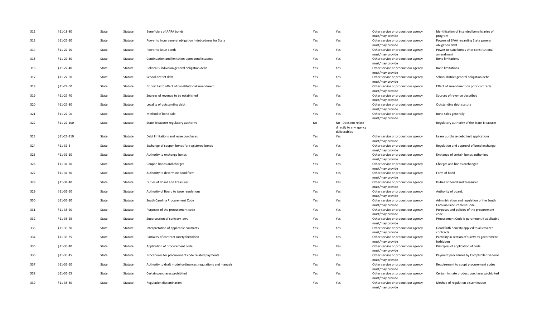| 312 | §11-18-80       | State | Statute | Beneficiary of AARA bonds                                    | Yes | Yes                                            | Other service or product our agency<br>must/may provide                     | Identification of intended beneficiaries of<br>program                  |
|-----|-----------------|-------|---------|--------------------------------------------------------------|-----|------------------------------------------------|-----------------------------------------------------------------------------|-------------------------------------------------------------------------|
| 313 | \$11-27-10      | State | Statute | Power to incur general obligation indebtedness for State     | Yes | Yes                                            | Other service or product our agency<br>must/may provide                     | Powers of SFAA regarding State general<br>obligation debt               |
| 314 | \$11-27-20      | State | Statute | Power to issue bonds                                         | Yes | Yes                                            | Other service or product our agency                                         | Power to issue bonds after constitutional                               |
| 315 | \$11-27-30      | State | Statute | Continuation and limitation upon bond issuance               | Yes | Yes                                            | must/may provide<br>Other service or product our agency<br>must/may provide | amendment<br><b>Bond limitations</b>                                    |
| 316 | $§11 - 27 - 40$ | State | Statute | Political subdivision general obligation debt                | Yes | Yes                                            | Other service or product our agency<br>must/may provide                     | <b>Bond limitations</b>                                                 |
| 317 | \$11-27-50      | State | Statute | School district debt                                         | Yes | Yes                                            | Other service or product our agency<br>must/may provide                     | School district general obligation debt                                 |
| 318 | \$11-27-60      | State | Statute | Ex post facto affect of constitutional amendment             | Yes | Yes                                            | Other service or product our agency<br>must/may provide                     | Effect of amendment on prior contracts                                  |
| 319 | \$11-27-70      | State | Statute | Sources of revenue to be established                         | Yes | Yes                                            | Other service or product our agency<br>must/may provide                     | Sources of revenue described                                            |
| 320 | §11-27-80       | State | Statute | Legality of outstanding debt                                 | Yes | Yes                                            | Other service or product our agency<br>must/may provide                     | Outstanding debt statute                                                |
| 321 | §11-27-90       | State | Statute | Method of bond sale                                          | Yes | Yes                                            | Other service or product our agency<br>must/may provide                     | Bond sales generally                                                    |
| 322 | §11-27-100      | State | Statute | State Treasurer regulatory authority                         | No  | No - Does not relate<br>directly to any agency |                                                                             | Regulatory authority of the State Treasurer                             |
| 323 | §11-27-110      | State | Statute | Debt limitations and lease purchases                         | Yes | deliverables<br>Yes                            | Other service or product our agency<br>must/may provide                     | Lease purchase debt limit applications                                  |
| 324 | $$11-31-5$      | State | Statute | Exchange of coupon bonds for registered bonds                | Yes | Yes                                            | Other service or product our agency<br>must/may provide                     | Regulation and approval of bond exchange                                |
| 325 | \$11-31-10      | State | Statute | Authority to exchange bonds                                  | Yes | Yes                                            | Other service or product our agency<br>must/may provide                     | Exchange of certain bonds authorized                                    |
| 326 | \$11-31-20      | State | Statute | Coupon bonds and charges                                     | Yes | Yes                                            | Other service or product our agency<br>must/may provide                     | Charges and bonds exchanged                                             |
| 327 | §11-31-30       | State | Statute | Authority to determine bond form                             | Yes | Yes                                            | Other service or product our agency<br>must/may provide                     | Form of bond                                                            |
| 328 | \$11-31-40      | State | Statute | Duties of Board and Treasurer                                | Yes | Yes                                            | Other service or product our agency<br>must/may provide                     | Duties of Board and Treasurer                                           |
| 329 | \$11-31-50      | State | Statute | Authority of Board to issue regulations                      | Yes | Yes                                            | Other service or product our agency<br>must/may provide                     | Authority of board.                                                     |
| 330 | \$11-35-10      | State | Statute | South Carolina Procurement Code                              | Yes | Yes                                            | Other service or product our agency                                         | Administration and regulation of the South<br>Carolina Procurement Code |
| 331 | §11-35-20       | State | Statute | Purposes of the procurement code                             | Yes | Yes                                            | must/may provide<br>Other service or product our agency                     | Purposes and policies of the procurement                                |
| 332 | \$11-35-25      | State | Statute | Supersession of contrary laws                                | Yes | Yes                                            | must/may provide<br>Other service or product our agency                     | code<br>Procurement Code is paramount if applicable                     |
| 333 | \$11-35-30      | State | Statute | Interpretation of applicable contracts                       | Yes | Yes                                            | must/may provide<br>Other service or product our agency                     | Good faith honesty applied to all covered                               |
| 334 | \$11-35-35      | State | Statute | Partiality of contract surety forbidden                      | Yes | Yes                                            | must/may provide<br>Other service or product our agency                     | contracts<br>Partiality in section of surety by government              |
| 335 | §11-35-40       | State | Statute | Application of procurement code                              | Yes | Yes                                            | must/may provide<br>Other service or product our agency                     | forbidden<br>Principles of application of code                          |
| 336 | \$11-35-45      | State | Statute | Procedures for procurement code related payments             | Yes | Yes                                            | must/may provide<br>Other service or product our agency                     | Payment procedures by Comptroller General                               |
| 337 | \$11-35-50      | State | Statute | Authority to draft model ordinances, regulations and manuals | Yes | Yes                                            | must/may provide<br>Other service or product our agency                     | Requirement to adopt procurement codes                                  |
| 338 | \$11-35-55      | State | Statute | Certain purchases prohibited                                 | Yes | Yes                                            | must/may provide<br>Other service or product our agency                     | Certain inmate product purchases prohibited                             |
| 339 | §11-35-60       | State | Statute | Regulation dissemination                                     | Yes | Yes                                            | must/may provide<br>Other service or product our agency<br>must/may provide | Method of regulation dissemination                                      |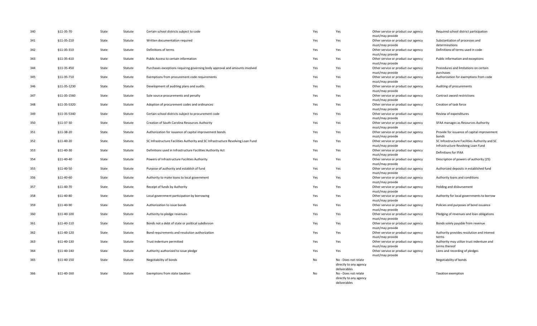| 340 | \$11-35-70   | State | Statute | Certain school districts subject to code                                         | Yes | Yes                                  | Other service or product our agency<br>must/may provide | Required school district participation                                              |
|-----|--------------|-------|---------|----------------------------------------------------------------------------------|-----|--------------------------------------|---------------------------------------------------------|-------------------------------------------------------------------------------------|
| 341 | §11-35-210   | State | Statute | Written documentation required                                                   | Yes | Yes                                  | Other service or product our agency                     | Substantiation of processes and                                                     |
| 342 | §11-35-310   | State | Statute | Definitions of terms                                                             | Yes | Yes                                  | must/may provide<br>Other service or product our agency | determinations<br>Definitions of terms used in code                                 |
| 343 | §11-35-410   | State | Statute | Public Access to certain information                                             | Yes | Yes                                  | must/may provide<br>Other service or product our agency | Public information and exceptions                                                   |
|     |              |       |         |                                                                                  |     |                                      | must/may provide                                        |                                                                                     |
| 344 | \$11-35-450  | State | Statute | Purchases exceptions requiring governing body approval and amounts involved      | Yes | Yes                                  | Other service or product our agency<br>must/may provide | Procedures and limitations on certain<br>purchases                                  |
| 345 | §11-35-710   | State | Statute | Exemptions from procurement code requirements                                    | Yes | Yes                                  | Other service or product our agency                     | Authorization for exemptions from code                                              |
| 346 | §11-35-1230  | State | Statute | Development of auditing plans and audits                                         | Yes | Yes                                  | must/may provide<br>Other service or product our agency | Auditing of procurements                                                            |
|     |              |       |         |                                                                                  |     |                                      | must/may provide                                        |                                                                                     |
| 347 | §11-35-1560  | State | Statute | Sole source procurements and penalty                                             | Yes | Yes                                  | Other service or product our agency<br>must/may provide | Contract award restrictions                                                         |
| 348 | \$11-35-5320 | State | Statute | Adoption of procurement codes and ordinances                                     | Yes | Yes                                  | Other service or product our agency<br>must/may provide | Creation of task force                                                              |
| 349 | \$11-35-5340 | State | Statute | Certain school districts subject to procurement code                             | Yes | Yes                                  | Other service or product our agency                     | Review of expenditures                                                              |
|     | §11-37-30    |       |         |                                                                                  |     | Yes                                  | must/may provide                                        |                                                                                     |
| 350 |              | State | Statute | Creation of South Carolina Resources Authority                                   | Yes |                                      | Other service or product our agency<br>must/may provide | SFAA manages as Resources Authority                                                 |
| 351 | §11-38-20    | State | Statute | Authorization for issuance of capital improvement bonds                          | Yes | Yes                                  | Other service or product our agency<br>must/may provide | Provide for issuance of capital improvement<br>bonds                                |
| 352 | \$11-40-20   | State | Statute | SC Infrastructure Facilities Authority and SC Infrastructure Revolving Loan Fund | Yes | Yes                                  | Other service or product our agency<br>must/may provide | SC Infrastructure Facilities Authority and SC<br>Infrastructure Revolving Loan Fund |
| 353 | \$11-40-30   | State | Statute | Definitions used in Infrastructure Facilities Authority Act                      | Yes | Yes                                  | Other service or product our agency                     | Definitions for IFAA                                                                |
|     |              |       |         |                                                                                  |     |                                      | must/may provide                                        |                                                                                     |
| 354 | §11-40-40    | State | Statute | Powers of Infrastructure Facilities Authority                                    | Yes | Yes                                  | Other service or product our agency<br>must/may provide | Description of powers of authority (25)                                             |
| 355 | §11-40-50    | State | Statute | Purpose of authority and establish of fund                                       | Yes | Yes                                  | Other service or product our agency<br>must/may provide | Authorized deposits in established fund                                             |
| 356 | §11-40-60    | State | Statute | Authority to make loans to local government                                      | Yes | Yes                                  | Other service or product our agency                     | Authority loans and conditions                                                      |
| 357 | §11-40-70    | State | Statute | Receipt of funds by Authority                                                    | Yes | Yes                                  | must/may provide<br>Other service or product our agency | Holding and disbursement                                                            |
|     |              |       |         |                                                                                  |     |                                      | must/may provide                                        |                                                                                     |
| 358 | §11-40-80    | State | Statute | Local government participation by borrowing                                      | Yes | Yes                                  | Other service or product our agency<br>must/may provide | Authority for local governments to borrow                                           |
| 359 | \$11-40-90   | State | Statute | Authorization to issue bonds                                                     | Yes | Yes                                  | Other service or product our agency                     | Policies and purposes of bond issuance                                              |
|     |              |       |         |                                                                                  |     |                                      | must/may provide                                        |                                                                                     |
| 360 | §11-40-100   | State | Statute | Authority to pledge revenues                                                     | Yes | Yes                                  | Other service or product our agency<br>must/may provide | Pledging of revenues and loan obligations                                           |
| 361 | §11-40-110   | State | Statute | Bonds not a debt of state or political subdivision                               | Yes | Yes                                  | Other service or product our agency<br>must/may provide | Bonds solely payable from revenue                                                   |
| 362 | §11-40-120   | State | Statute | Bond requirements and resolution authorization                                   | Yes | Yes                                  | Other service or product our agency                     | Authority provides resolution and interest<br>terms                                 |
| 363 | §11-40-130   | State | Statute | Trust indenture permitted                                                        | Yes | Yes                                  | must/may provide<br>Other service or product our agency | Authority may utilize trust indenture and                                           |
|     |              |       |         |                                                                                  |     |                                      | must/may provide                                        | terms thereof                                                                       |
| 364 | §11-40-140   | State | Statute | Authority authorized to issue pledge                                             | Yes | Yes                                  | Other service or product our agency<br>must/may provide | Liens and recording of pledges                                                      |
| 365 | §11-40-150   | State | Statute | Negotiability of bonds                                                           | No  | No - Does not relate                 |                                                         | Negotiability of bonds                                                              |
|     |              |       |         |                                                                                  |     | directly to any agency               |                                                         |                                                                                     |
| 366 | \$11-40-160  | State | Statute | Exemptions from state taxation                                                   | No  | deliverables<br>No - Does not relate |                                                         | <b>Taxation exemption</b>                                                           |
|     |              |       |         |                                                                                  |     | directly to any agency               |                                                         |                                                                                     |
|     |              |       |         |                                                                                  |     | deliverables                         |                                                         |                                                                                     |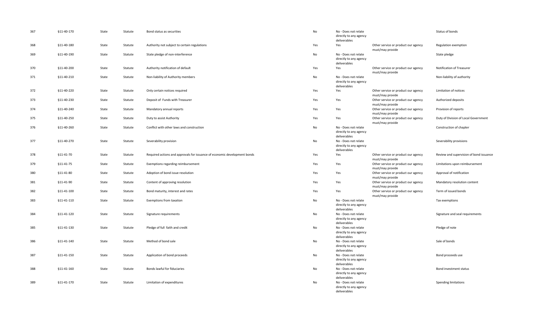| 367 | §11-40-170  | State | Statute | Bond status as securities                                                 | No  | No - Does not relate<br>directly to any agency<br>deliverables |                                                         | Status of bonds                         |
|-----|-------------|-------|---------|---------------------------------------------------------------------------|-----|----------------------------------------------------------------|---------------------------------------------------------|-----------------------------------------|
| 368 | §11-40-180  | State | Statute | Authority not subject to certain regulations                              | Yes | Yes                                                            | Other service or product our agency<br>must/may provide | Regulation exemption                    |
| 369 | §11-40-190  | State | Statute | State pledge of non-interference                                          | No  | No - Does not relate<br>directly to any agency<br>deliverables |                                                         | State pledge                            |
| 370 | §11-40-200  | State | Statute | Authority notification of default                                         | Yes | Yes                                                            | Other service or product our agency<br>must/may provide | Notification of Treasurer               |
| 371 | §11-40-210  | State | Statute | Non-liability of Authority members                                        | No  | No - Does not relate                                           |                                                         | Non-liability of authority              |
|     |             |       |         |                                                                           |     | directly to any agency<br>deliverables                         |                                                         |                                         |
| 372 | §11-40-220  | State | Statute | Only certain notices required                                             | Yes | Yes                                                            | Other service or product our agency<br>must/may provide | Limitation of notices                   |
| 373 | \$11-40-230 | State | Statute | Deposit of Funds with Treasurer                                           | Yes | Yes                                                            | Other service or product our agency<br>must/may provide | Authorized deposits                     |
| 374 | §11-40-240  | State | Statute | Mandatory annual reports                                                  | Yes | Yes                                                            | Other service or product our agency<br>must/may provide | Provision of reports                    |
| 375 | §11-40-250  | State | Statute | Duty to assist Authority                                                  | Yes | Yes                                                            | Other service or product our agency<br>must/may provide | Duty of Division of Local Government    |
| 376 | §11-40-260  | State | Statute | Conflict with other laws and construction                                 | No  | No - Does not relate                                           |                                                         | Construction of chapter                 |
|     |             |       |         |                                                                           |     | directly to any agency                                         |                                                         |                                         |
|     | §11-40-270  |       |         |                                                                           |     | deliverables                                                   |                                                         |                                         |
| 377 |             | State | Statute | Severability provision                                                    | No  | No - Does not relate<br>directly to any agency                 |                                                         | Severability provisions                 |
|     |             |       |         |                                                                           |     | deliverables                                                   |                                                         |                                         |
| 378 | §11-41-70   | State | Statute | Required actions and approvals for issuance of economic development bonds | Yes | Yes                                                            | Other service or product our agency<br>must/may provide | Review and supervision of bond issuance |
| 379 | \$11-41-75  | State | Statute | Exemptions regarding reimbursement                                        | Yes | Yes                                                            | Other service or product our agency<br>must/may provide | Limitations upon reimbursement          |
| 380 | §11-41-80   | State | Statute | Adoption of bond issue resolution                                         | Yes | Yes                                                            | Other service or product our agency<br>must/may provide | Approval of notification                |
| 381 | \$11-41-90  | State | Statute | Content of approving resolution                                           | Yes | Yes                                                            | Other service or product our agency<br>must/may provide | Mandatory resolution content            |
| 382 | §11-41-100  | State | Statute | Bond maturity, interest and rates                                         | Yes | Yes                                                            | Other service or product our agency<br>must/may provide | Term of issued bonds                    |
| 383 | §11-41-110  | State | Statute | Exemptions from taxation                                                  | No  | No - Does not relate                                           |                                                         | Tax exemptions                          |
|     |             |       |         |                                                                           |     | directly to any agency                                         |                                                         |                                         |
| 384 | §11-41-120  | State |         |                                                                           | No  | deliverables                                                   |                                                         |                                         |
|     |             |       | Statute | Signature requirements                                                    |     | No - Does not relate<br>directly to any agency                 |                                                         | Signature and seal requirements         |
|     |             |       |         |                                                                           |     | deliverables                                                   |                                                         |                                         |
| 385 | §11-41-130  | State | Statute | Pledge of full faith and credit                                           | No  | No - Does not relate                                           |                                                         | Pledge of note                          |
|     |             |       |         |                                                                           |     | directly to any agency                                         |                                                         |                                         |
|     |             |       |         |                                                                           |     | deliverables                                                   |                                                         |                                         |
| 386 | §11-41-140  | State | Statute | Method of bond sale                                                       | No  | No - Does not relate                                           |                                                         | Sale of bonds                           |
|     |             |       |         |                                                                           |     | directly to any agency<br>deliverables                         |                                                         |                                         |
| 387 | §11-41-150  | State | Statute | Application of bond proceeds                                              | No  | No - Does not relate                                           |                                                         | Bond proceeds use                       |
|     |             |       |         |                                                                           |     | directly to any agency                                         |                                                         |                                         |
|     |             |       |         |                                                                           |     | deliverables                                                   |                                                         |                                         |
| 388 | §11-41-160  | State | Statute | Bonds lawful for fiduciaries                                              | No  | No - Does not relate                                           |                                                         | Bond investment status                  |
|     |             |       |         |                                                                           |     | directly to any agency                                         |                                                         |                                         |
| 389 | §11-41-170  | State | Statute | Limitation of expenditures                                                | No  | deliverables<br>No - Does not relate                           |                                                         | Spending limitations                    |
|     |             |       |         |                                                                           |     | directly to any agency                                         |                                                         |                                         |
|     |             |       |         |                                                                           |     | deliverables                                                   |                                                         |                                         |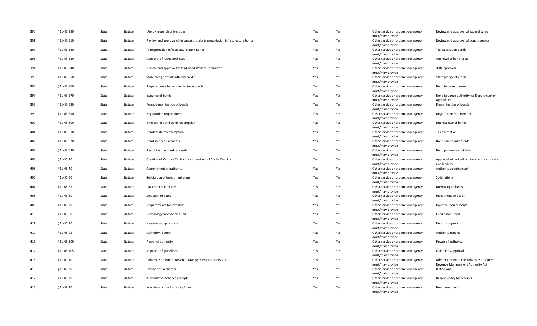| 390 | §11-41-180  | State | Statute | Use by research universities                                                 | Yes | Yes | Other service or product our agency<br>must/may provide | Review and approval of expenditures                                          |
|-----|-------------|-------|---------|------------------------------------------------------------------------------|-----|-----|---------------------------------------------------------|------------------------------------------------------------------------------|
| 391 | §11-43-510  | State | Statute | Review and approval of issuance of state transportation infrastructure bonds | Yes | Yes | Other service or product our agency<br>must/may provide | Review and approval of bond issuance                                         |
| 392 | \$11-43-520 | State | Statute | Transportation Infrastructure Bank Bonds                                     | Yes | Yes | Other service or product our agency<br>must/may provide | <b>Transportation bonds</b>                                                  |
| 393 | §11-43-530  | State | Statute | Approval of requested issue                                                  | Yes | Yes | Other service or product our agency<br>must/may provide | Approval of bond issue                                                       |
| 394 | §11-43-540  | State | Statute | Review and approval by Joint Bond Review Committee                           | Yes | Yes | Other service or product our agency<br>must/may provide | JBRC approval                                                                |
| 395 | §11-43-550  | State | Statute | State pledge of full faith and credit                                        | Yes | Yes | Other service or product our agency<br>must/may provide | State pledge of credit                                                       |
| 396 | \$11-43-560 | State | Statute | Requirements for request to issue bonds                                      | Yes | Yes | Other service or product our agency<br>must/may provide | Bond issue requirements                                                      |
| 397 | \$11-43-570 | State | Statute | Issuance of bonds                                                            | Yes | Yes | Other service or product our agency<br>must/may provide | Bond issuance authority for Department of<br>Agriculture                     |
| 398 | §11-43-580  | State | Statute | Form, denomination of bonds                                                  | Yes | Yes | Other service or product our agency<br>must/may provide | Denomination of bonds                                                        |
| 399 | \$11-43-590 | State | Statute | Registration requirement                                                     | Yes | Yes | Other service or product our agency<br>must/may provide | Registration requirement                                                     |
| 400 | §11-43-600  | State | Statute | Interest rate and bond redemption                                            | Yes | Yes | Other service or product our agency<br>must/may provide | Interest rate of bonds                                                       |
| 401 | §11-43-610  | State | Statute | Bonds state tax exemption                                                    | Yes | Yes | Other service or product our agency<br>must/may provide | Tax exemption                                                                |
| 402 | §11-43-620  | State | Statute | Bond sale requirements                                                       | Yes | Yes | Other service or product our agency<br>must/may provide | Bond sale requirements                                                       |
| 403 | \$11-43-630 | State | Statute | Restriction on bond proceeds                                                 | Yes | Yes | Other service or product our agency<br>must/may provide | Bond proceed restriction                                                     |
| 404 | \$11-45-30  | State | Statute | Creation of Venture Capital Investment Act of South Carolina                 | Yes | Yes | Other service or product our agency<br>must/may provide | Approval of guidelines, tax credit certificate<br>and lenders                |
| 405 | §11-45-40   | State | Statute | Appointment of authority                                                     | Yes | Yes | Other service or product our agency<br>must/may provide | Authority appointment                                                        |
| 406 | §11-45-50   | State | Statute | Solicitation of investment plans                                             | Yes | Yes | Other service or product our agency<br>must/may provide | Solicitations                                                                |
| 407 | \$11-45-55  | State | Statute | Tax credit certificates                                                      | Yes | Yes | Other service or product our agency<br>must/may provide | Borrowing of funds                                                           |
| 408 | §11-45-60   | State | Statute | Selection of plans                                                           | Yes | Yes | Other service or product our agency<br>must/may provide | Investment selection                                                         |
| 409 | \$11-45-70  | State | Statute | Requirements for investors                                                   | Yes | Yes | Other service or product our agency<br>must/may provide | Investor requirements                                                        |
| 410 | \$11-45-80  | State | Statute | Technology Innovation Fund                                                   | Yes | Yes | Other service or product our agency<br>must/may provide | Fund established                                                             |
| 411 | §11-45-90   | State | Statute | Investor group reports                                                       | Yes | Yes | Other service or product our agency<br>must/may provide | Reports of group                                                             |
| 412 | \$11-45-95  | State | Statute | Authority reports                                                            | Yes | Yes | Other service or product our agency<br>must/may provide | Authority reports                                                            |
| 413 | \$11-45-100 | State | Statute | Power of authority                                                           | Yes | Yes | Other service or product our agency<br>must/may provide | Power of authority                                                           |
| 414 | §11-45-105  | State | Statute | Approval of guidelines                                                       | Yes | Yes | Other service or product our agency<br>must/may provide | Guidelines approval                                                          |
| 415 | §11-49-10   | State | Statute | Tobacco Settlement Revenue Management Authority Act                          | Yes | Yes | Other service or product our agency<br>must/may provide | Administration of the Tobacco Settlement<br>Revenue Management Authority Act |
| 416 | \$11-49-20  | State | Statute | Definitions in chapter                                                       | Yes | Yes | Other service or product our agency<br>must/may provide | Definitions                                                                  |
| 417 | §11-49-30   | State | Statute | Authority for tobacco receipts                                               | Yes | Yes | Other service or product our agency<br>must/may provide | Responsibility for receipts                                                  |
| 418 | §11-49-40   | State | Statute | Members of the Authority Board                                               | Yes | Yes | Other service or product our agency<br>must/may provide | Board members                                                                |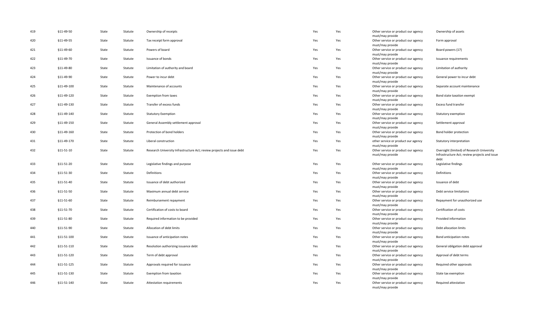| 419 | \$11-49-50  | State | Statute | Ownership of receipts                                                  | Yes | Yes | Other service or product our agency<br>must/may provide | Ownership of assets                                                                                 |
|-----|-------------|-------|---------|------------------------------------------------------------------------|-----|-----|---------------------------------------------------------|-----------------------------------------------------------------------------------------------------|
| 420 | §11-49-55   | State | Statute | Tax receipt form approval                                              | Yes | Yes | Other service or product our agency<br>must/may provide | Form approval                                                                                       |
| 421 | §11-49-60   | State | Statute | Powers of board                                                        | Yes | Yes | Other service or product our agency<br>must/may provide | Board powers (17)                                                                                   |
| 422 | §11-49-70   | State | Statute | Issuance of bonds                                                      | Yes | Yes | Other service or product our agency<br>must/may provide | Issuance requirements                                                                               |
| 423 | §11-49-80   | State | Statute | Limitation of authority and board                                      | Yes | Yes | Other service or product our agency<br>must/may provide | Limitation of authority                                                                             |
| 424 | §11-49-90   | State | Statute | Power to incur debt                                                    | Yes | Yes | Other service or product our agency<br>must/may provide | General power to incur debt                                                                         |
| 425 | §11-49-100  | State | Statute | Maintenance of accounts                                                | Yes | Yes | Other service or product our agency<br>must/may provide | Separate account maintenance                                                                        |
| 426 | §11-49-120  | State | Statute | <b>Exemption from taxes</b>                                            | Yes | Yes | Other service or product our agency<br>must/may provide | Bond state taxation exempt                                                                          |
| 427 | \$11-49-130 | State | Statute | Transfer of excess funds                                               | Yes | Yes | Other service or product our agency<br>must/may provide | Excess fund transfer                                                                                |
| 428 | §11-49-140  | State | Statute | <b>Statutory Exemption</b>                                             | Yes | Yes | Other service or product our agency<br>must/may provide | Statutory exemption                                                                                 |
| 429 | §11-49-150  | State | Statute | General Assembly settlement approval                                   | Yes | Yes | Other service or product our agency<br>must/may provide | Settlement approval                                                                                 |
| 430 | §11-49-160  | State | Statute | Protection of bond holders                                             | Yes | Yes | Other service or product our agency<br>must/may provide | Bond holder protection                                                                              |
| 431 | §11-49-170  | State | Statute | Liberal construction                                                   | Yes | Yes | other service or product our agency<br>must/may provide | Statutory interpretation                                                                            |
| 432 | \$11-51-10  | State | Statute | Research University Infrastructure Act; review projects and issue debt | Yes | Yes | Other service or product our agency<br>must/may provide | Oversight (limited) of Research University<br>Infrastructure Act; review projects and issue<br>debt |
| 433 | §11-51-20   | State | Statute | Legislative findings and purpose                                       | Yes | Yes | Other service or product our agency<br>must/may provide | Legislative findings                                                                                |
| 434 | §11-51-30   | State | Statute | Definitions                                                            | Yes | Yes | Other service or product our agency<br>must/may provide | Definitions                                                                                         |
| 435 | §11-51-40   | State | Statute | Issuance of debt authorized                                            | Yes | Yes | Other service or product our agency<br>must/may provide | Issuance of debt                                                                                    |
| 436 | \$11-51-50  | State | Statute | Maximum annual debt service                                            | Yes | Yes | Other service or product our agency<br>must/may provide | Debt service limitations                                                                            |
| 437 | \$11-51-60  | State | Statute | Reimbursement repayment                                                | Yes | Yes | Other service or product our agency<br>must/may provide | Repayment for unauthorized use                                                                      |
| 438 | \$11-51-70  | State | Statute | Certification of costs to board                                        | Yes | Yes | Other service or product our agency<br>must/may provide | Certification of costs                                                                              |
| 439 | §11-51-80   | State | Statute | Required information to be provided                                    | Yes | Yes | Other service or product our agency<br>must/may provide | Provided information                                                                                |
| 440 | \$11-51-90  | State | Statute | Allocation of debt limits                                              | Yes | Yes | Other service or product our agency<br>must/may provide | Debt allocation limits                                                                              |
| 441 | §11-51-100  | State | Statute | Issuance of anticipation notes                                         | Yes | Yes | Other service or product our agency<br>must/may provide | Bond anticipation notes                                                                             |
| 442 | §11-51-110  | State | Statute | Resolution authorizing issuance debt                                   | Yes | Yes | Other service or product our agency<br>must/may provide | General obligation debt approval                                                                    |
| 443 | \$11-51-120 | State | Statute | Term of debt approval                                                  | Yes | Yes | Other service or product our agency<br>must/may provide | Approval of debt terms                                                                              |
| 444 | §11-51-125  | State | Statute | Approvals required for issuance                                        | Yes | Yes | Other service or product our agency<br>must/may provide | Required other approvals                                                                            |
| 445 | §11-51-130  | State | Statute | Exemption from taxation                                                | Yes | Yes | Other service or product our agency<br>must/may provide | State tax exemption                                                                                 |
| 446 | §11-51-140  | State | Statute | Attestation requirements                                               | Yes | Yes | Other service or product our agency<br>must/may provide | Required attestation                                                                                |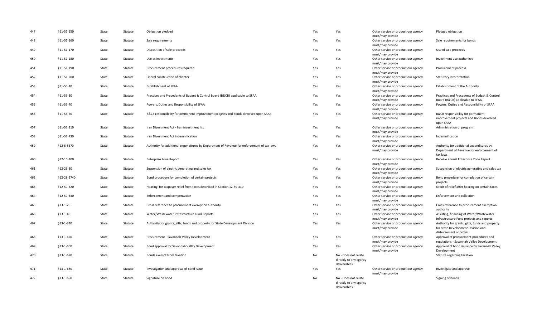| 447 | §11-51-150     | State | Statute | Obligation pledged                                                                         | Yes | Yes                                                            | Other service or product our agency<br>must/may provide | Pledged obligation                                                                                             |
|-----|----------------|-------|---------|--------------------------------------------------------------------------------------------|-----|----------------------------------------------------------------|---------------------------------------------------------|----------------------------------------------------------------------------------------------------------------|
| 448 | §11-51-160     | State | Statute | Sale requirements                                                                          | Yes | Yes                                                            | Other service or product our agency<br>must/may provide | Sale requirements for bonds                                                                                    |
| 449 | §11-51-170     | State | Statute | Disposition of sale proceeds                                                               | Yes | Yes                                                            | Other service or product our agency<br>must/may provide | Use of sale proceeds                                                                                           |
| 450 | §11-51-180     | State | Statute | Use as investments                                                                         | Yes | Yes                                                            | Other service or product our agency<br>must/may provide | Investment use authorized                                                                                      |
| 451 | §11-51-190     | State | Statute | Procurement procedures required                                                            | Yes | Yes                                                            | Other service or product our agency<br>must/may provide | Procurement process                                                                                            |
| 452 | §11-51-200     | State | Statute | Liberal construction of chapter                                                            | Yes | Yes                                                            | Other service or product our agency<br>must/may provide | Statutory interpretation                                                                                       |
| 453 | §11-55-10      | State | Statute | Establishment of SFAA                                                                      | Yes | Yes                                                            | Other service or product our agency<br>must/may provide | Establishment of the Authority                                                                                 |
| 454 | \$11-55-30     | State | Statute | Practices and Precedents of Budget & Control Board (B&CB) applicable to SFAA               | Yes | Yes                                                            | Other service or product our agency<br>must/may provide | Practices and Precedents of Budget & Control<br>Board (B&CB) applicable to SFAA                                |
| 455 | \$11-55-40     | State | Statute | Powers, Duties and Responsibility of SFAA                                                  | Yes | Yes                                                            | Other service or product our agency<br>must/may provide | Powers, Duties and Responsibility of SFAA                                                                      |
| 456 | \$11-55-50     | State | Statute | B&CB responsibility for permanent improvement projects and Bonds devolved upon SFAA        | Yes | Yes                                                            | Other service or product our agency<br>must/may provide | B&CB responsibility for permanent<br>improvement projects and Bonds devolved<br>upon SFAA                      |
| 457 | §11-57-310     | State | Statute | Iran Divestment Act - Iran investment list                                                 | Yes | Yes                                                            | Other service or product our agency<br>must/may provide | Administration of program                                                                                      |
| 458 | §11-57-730     | State | Statute | Iran Divestment Act indemnification                                                        | Yes | Yes                                                            | Other service or product our agency<br>must/may provide | Indemnification                                                                                                |
| 459 | §12-6-5570     | State | Statute | Authority for additional expenditures by Department of Revenue for enforcement of tax laws | Yes | Yes                                                            | Other service or product our agency<br>must/may provide | Authority for additional expenditures by<br>Department of Revenue for enforcement of<br>tax laws               |
| 460 | §12-10-100     | State | Statute | <b>Enterprise Zone Report</b>                                                              | Yes | Yes                                                            | Other service or product our agency<br>must/may provide | Receive annual Enterprise Zone Report                                                                          |
| 461 | \$12-23-30     | State | Statute | Suspension of electric generating and sales tax                                            | Yes | Yes                                                            | Other service or product our agency<br>must/may provide | Suspension of electric generating and sales tax                                                                |
| 462 | §12-28-2740    | State | Statute | Bond procedure for completion of certain projects                                          | Yes | Yes                                                            | Other service or product our agency<br>must/may provide | Bond procedure for completion of certain<br>projects                                                           |
| 463 | §12-59-320     | State | Statute | Hearing for taxpayer relief from taxes described in Section 12-59-310                      | Yes | Yes                                                            | Other service or product our agency<br>must/may provide | Grant of relief after hearing on certain taxes                                                                 |
| 464 | §12-59-330     | State | Statute | Enforcement and compensation                                                               | Yes | Yes                                                            | Other service or product our agency<br>must/may provide | <b>Enforcement and collection</b>                                                                              |
| 465 | $$13-1-25$     | State | Statute | Cross reference to procurement exemption authority                                         | Yes | Yes                                                            | Other service or product our agency<br>must/may provide | Cross reference to procurement exemption<br>authority                                                          |
| 466 | $§13 - 1 - 45$ | State | Statute | Water/Wastewater Infrastructure Fund Reports                                               | Yes | Yes                                                            | Other service or product our agency<br>must/may provide | Assisting, financing of Water/Wastewater<br>Infrastructure Fund projects and reports                           |
| 467 | §13-1-340      | State | Statute | Authority for grants, gifts, funds and property for State Development Division             | Yes | Yes                                                            | Other service or product our agency<br>must/may provide | Authority for grants, gifts, funds and property<br>for State Development Division and<br>disbursement approval |
| 468 | §13-1-620      | State | Statute | Procurement - Savannah Valley Development                                                  | Yes | Yes                                                            | Other service or product our agency<br>must/may provide | Approval of procurement procedures and<br>regulations - Savannah Valley Development                            |
| 469 | §13-1-660      | State | Statute | Bond approval for Savannah Valley Development                                              | Yes | Yes                                                            | Other service or product our agency<br>must/may provide | Approval of bond issuance by Savannah Valley<br>Development                                                    |
| 470 | §13-1-670      | State | Statute | Bonds exempt from taxation                                                                 | No  | No - Does not relate<br>directly to any agency<br>deliverables |                                                         | Statute regarding taxation                                                                                     |
| 471 | \$13-1-680     | State | Statute | Investigation and approval of bond issue                                                   | Yes | Yes                                                            | Other service or product our agency<br>must/may provide | Investigate and approve                                                                                        |
| 472 | \$13-1-690     | State | Statute | Signature on bond                                                                          | No  | No - Does not relate<br>directly to any agency<br>deliverables |                                                         | Signing of bonds                                                                                               |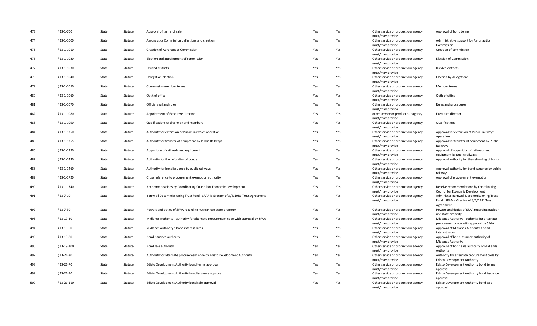| 473 | \$13-1-700     | State | Statute | Approval of terms of sale                                                           | Yes | Yes | Other service or product our agency<br>must/may provide                     | Approval of bond terms                                                                                                   |
|-----|----------------|-------|---------|-------------------------------------------------------------------------------------|-----|-----|-----------------------------------------------------------------------------|--------------------------------------------------------------------------------------------------------------------------|
| 474 | §13-1-1000     | State | Statute | Aeronautics Commission definitions and creation                                     | Yes | Yes | Other service or product our agency<br>must/may provide                     | Administrative support for Aeronautics<br>Commission                                                                     |
| 475 | §13-1-1010     | State | Statute | Creation of Aeronautics Commission                                                  | Yes | Yes | Other service or product our agency<br>must/may provide                     | Creation of commission                                                                                                   |
| 476 | §13-1-1020     | State | Statute | Election and appointment of commission                                              | Yes | Yes | Other service or product our agency<br>must/may provide                     | <b>Election of Commission</b>                                                                                            |
| 477 | §13-1-1030     | State | Statute | Divided districts                                                                   | Yes | Yes | Other service or product our agency<br>must/may provide                     | Divided districts                                                                                                        |
| 478 | \$13-1-1040    | State | Statute | Delegation election                                                                 | Yes | Yes | Other service or product our agency                                         | Election by delegations                                                                                                  |
| 479 | §13-1-1050     | State | Statute | Commission member terms                                                             | Yes | Yes | must/may provide<br>Other service or product our agency                     | Member terms                                                                                                             |
| 480 | \$13-1-1060    | State | Statute | Oath of office                                                                      | Yes | Yes | must/may provide<br>Other service or product our agency                     | Oath of office                                                                                                           |
| 481 | §13-1-1070     | State | Statute | Official seal and rules                                                             | Yes | Yes | must/may provide<br>Other service or product our agency<br>must/may provide | Rules and procedures                                                                                                     |
| 482 | \$13-1-1080    | State | Statute | Appointment of Executive Director                                                   | Yes | Yes | other service or product our agency<br>must/may provide                     | <b>Executive director</b>                                                                                                |
| 483 | \$13-1-1090    | State | Statute | Qualifications of chairman and members                                              | Yes | Yes | Other service or product our agency<br>must/may provide                     | Qualifications                                                                                                           |
| 484 | §13-1-1350     | State | Statute | Authority for extension of Public Railways' operation                               | Yes | Yes | Other service or product our agency<br>must/may provide                     | Approval for extension of Public Railways'<br>operation                                                                  |
| 485 | §13-1-1355     | State | Statute | Authority for transfer of equipment by Public Railways                              | Yes | Yes | Other service or product our agency<br>must/may provide                     | Approval for transfer of equipment by Public<br>Railways                                                                 |
| 486 | §13-1-1390     | State | Statute | Acquisition of railroads and equipment                                              | Yes | Yes | Other service or product our agency<br>must/may provide                     | Approval of acquisition of railroads and<br>equipment by public railways                                                 |
| 487 | \$13-1-1430    | State | Statute | Authority for the refunding of bonds                                                | Yes | Yes | Other service or product our agency<br>must/may provide                     | Approval authority for the refunding of bonds                                                                            |
| 488 | \$13-1-1460    | State | Statute | Authority for bond issuance by public railways                                      | Yes | Yes | Other service or product our agency                                         | Approval authority for bond issuance by public<br>railways                                                               |
| 489 | §13-1-1720     | State | Statute | Cross reference to procurement exemption authority                                  | Yes | Yes | must/may provide<br>Other service or product our agency<br>must/may provide | Approval of procurement exemption                                                                                        |
| 490 | §13-1-1740     | State | Statute | Recommendations by Coordinating Council for Economic Development                    | Yes | Yes | Other service or product our agency                                         | Receive recommendations by Coordinating                                                                                  |
| 491 | $§13 - 7 - 10$ | State | Statute | Barnwell Decommissioning Trust Fund: SFAA is Grantor of 3/4/1981 Trust Agreement    | Yes | Yes | must/may provide<br>Other service or product our agency<br>must/may provide | Council for Economic Development<br>Administer Barnwell Decommissioning Trust<br>Fund: SFAA is Grantor of 3/4/1981 Trust |
| 492 | $$13-7-30$     | State | Statute | Powers and duties of SFAA regarding nuclear-use state property                      | Yes | Yes | Other service or product our agency                                         | Agreement<br>Powers and duties of SFAA regarding nuclear-                                                                |
| 493 | \$13-19-30     | State | Statute | Midlands Authority - authority for alternate procurement code with approval by SFAA | Yes | Yes | must/may provide<br>Other service or product our agency                     | use state property<br>Midlands Authority - authority for alternate                                                       |
| 494 | §13-19-60      | State | Statute | Midlands Authority's bond interest rates                                            | Yes | Yes | must/may provide<br>Other service or product our agency                     | procurement code with approval by SFAA<br>Approval of Midlands Authority's bond                                          |
| 495 | §13-19-80      | State | Statute | Bond issuance authority                                                             | Yes | Yes | must/may provide<br>Other service or product our agency                     | interest rates<br>Approval of bond issuance authority of                                                                 |
| 496 | §13-19-100     | State | Statute | Bond sale authority                                                                 | Yes | Yes | must/may provide<br>Other service or product our agency                     | Midlands Authority<br>Approval of bond sale authority of Midlands                                                        |
| 497 | \$13-21-30     | State | Statute | Authority for alternate procurement code by Edisto Development Authority            | Yes | Yes | must/may provide<br>Other service or product our agency                     | Authority<br>Authority for alternate procurement code by                                                                 |
| 498 | \$13-21-70     | State | Statute | Edisto Development Authority bond terms approval                                    | Yes | Yes | must/may provide<br>Other service or product our agency                     | <b>Edisto Development Authority</b><br>Edisto Development Authority bond terms                                           |
| 499 | \$13-21-90     | State | Statute | Edisto Development Authority bond issuance approval                                 | Yes | Yes | must/may provide<br>Other service or product our agency                     | approval<br>Edisto Development Authority bond issuance                                                                   |
| 500 | §13-21-110     | State | Statute | Edisto Development Authority bond sale approval                                     | Yes | Yes | must/may provide<br>Other service or product our agency<br>must/may provide | approval<br>Edisto Development Authority bond sale<br>approval                                                           |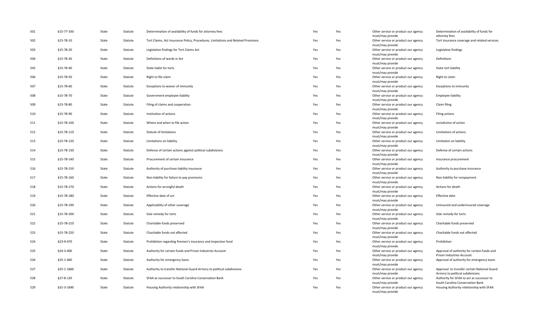| 501 | §15-77-330  | State | Statute | Determination of availability of funds for attorney fees                          | Yes | Yes | Other service or product our agency<br>must/may provide | Determination of availability of funds for<br>attorney fees                     |
|-----|-------------|-------|---------|-----------------------------------------------------------------------------------|-----|-----|---------------------------------------------------------|---------------------------------------------------------------------------------|
| 502 | \$15-78-10  | State | Statute | Tort Claims, Act Insurance Policy, Procedures, Limitations and Related Provisions | Yes | Yes | Other service or product our agency                     | Tort insurance coverage and related services                                    |
| 503 | §15-78-20   | State | Statute | Legislative findings for Tort Claims Act                                          | Yes | Yes | must/may provide<br>Other service or product our agency | Legislative findings                                                            |
| 504 | §15-78-30   | State | Statute | Definitions of words in Act                                                       | Yes | Yes | must/may provide<br>Other service or product our agency | Definitions                                                                     |
| 505 | §15-78-40   | State | Statute | State liable for torts                                                            | Yes | Yes | must/may provide<br>Other service or product our agency | State tort liability                                                            |
| 506 | \$15-78-50  | State | Statute | Right to file claim                                                               | Yes | Yes | must/may provide<br>Other service or product our agency | Right to claim                                                                  |
| 507 | §15-78-60   | State | Statute | Exceptions to waiver of immunity                                                  | Yes | Yes | must/may provide<br>Other service or product our agency | <b>Exceptions to immunity</b>                                                   |
| 508 | §15-78-70   | State | Statute | Government employee liability                                                     | Yes | Yes | must/may provide<br>Other service or product our agency | Employee liability                                                              |
| 509 | §15-78-80   | State | Statute | Filing of claims and cooperation                                                  | Yes | Yes | must/may provide<br>Other service or product our agency | Claim filing                                                                    |
| 510 | §15-78-90   | State | Statute | Institution of actions                                                            | Yes | Yes | must/may provide<br>Other service or product our agency | Filing actions                                                                  |
| 511 | \$15-78-100 | State | Statute | Where and when to file action                                                     | Yes | Yes | must/may provide<br>Other service or product our agency | Jurisdiction of action                                                          |
| 512 | §15-78-110  | State | Statute | Statute of limitations                                                            | Yes | Yes | must/may provide<br>Other service or product our agency | Limitations of actions                                                          |
| 513 | §15-78-120  | State | Statute | Limitations on liability                                                          | Yes | Yes | must/may provide<br>Other service or product our agency | Limitation on liability                                                         |
| 514 | §15-78-130  | State | Statute | Defense of certain actions against political subdivisions                         | Yes | Yes | must/may provide<br>Other service or product our agency | Defense of certain actions                                                      |
| 515 | \$15-78-140 | State | Statute | Procurement of certain insurance                                                  | Yes | Yes | must/may provide<br>Other service or product our agency | Insurance procurement                                                           |
| 516 | \$15-78-150 | State | Statute | Authority of purchase liability insurance                                         | Yes | Yes | must/may provide<br>Other service or product our agency | Authority to purchase insurance                                                 |
| 517 | \$15-78-160 | State | Statute | Non-liability for failure to pay premiums                                         | Yes | Yes | must/may provide<br>Other service or product our agency | Non-liability for nonpayment                                                    |
| 518 | §15-78-170  | State | Statute | Actions for wrongful death                                                        | Yes | Yes | must/may provide<br>Other service or product our agency | Actions for death                                                               |
| 519 | \$15-78-180 | State | Statute | Effective date of act                                                             | Yes | Yes | must/may provide<br>Other service or product our agency | <b>Effective date</b>                                                           |
| 520 | §15-78-190  | State | Statute | Applicability of other coverage                                                   | Yes | Yes | must/may provide<br>Other service or product our agency | Uninsured and underinsured coverage                                             |
| 521 | \$15-78-200 | State | Statute | Sole remedy for torts                                                             | Yes | Yes | must/may provide<br>Other service or product our agency | Sole remedy for torts                                                           |
| 522 | \$15-78-210 | State | Statute | Charitable funds preserved                                                        | Yes | Yes | must/may provide<br>Other service or product our agency | Charitable funds preserved                                                      |
| 523 | \$15-78-220 | State | Statute | Charitable funds not affected                                                     | Yes | Yes | must/may provide<br>Other service or product our agency | Charitable funds not affected                                                   |
|     | §23-9-470   | State |         | Prohibition regarding firemen's insurance and inspection fund                     |     | Yes | must/may provide                                        | Prohibition                                                                     |
| 524 |             |       | Statute |                                                                                   | Yes |     | Other service or product our agency<br>must/may provide |                                                                                 |
| 525 | §24-3-400   | State | Statute | Authority for certain funds and Prison Industries Account                         | Yes | Yes | Other service or product our agency<br>must/may provide | Approval of authority for certain funds and<br>Prison Industries Account        |
| 526 | §25-1-460   | State | Statute | Authority for emergency loans                                                     | Yes | Yes | Other service or product our agency<br>must/may provide | Approval of authority for emergency loans                                       |
| 527 | §25-1-1660  | State | Statute | Authority to transfer National Guard Armory to political subdivisions             | Yes | Yes | Other service or product our agency<br>must/may provide | Approval to transfer certain National Guard<br>Armory to political subdivisions |
| 528 | §27-8-120   | State | Statute | SFAA as successor to South Carolina Conservation Bank                             | Yes | Yes | Other service or product our agency<br>must/may provide | Authority for SFAA to act as successor to<br>South Carolina Conservation Bank   |
| 529 | §31-3-1690  | State | Statute | Housing Authority relationship with SFAA                                          | Yes | Yes | Other service or product our agency<br>must/may provide | Housing Authority relationship with SFAA                                        |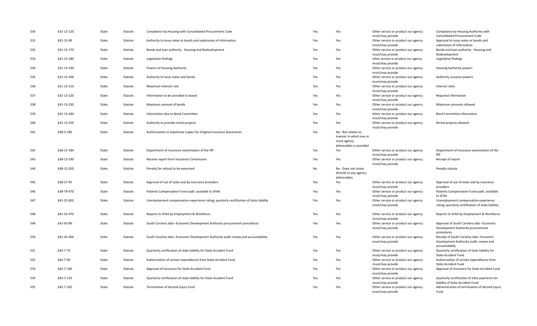| 530 | \$31-12-120 | State | Statute | Compliance by Housing with Consolidated Procurement Code                                | Yes | Yes                                                                                      | Other service or product our agency<br>must/may provide                     | Compliance by Housing Authority with<br><b>Consolidated Procurement Code</b>                          |
|-----|-------------|-------|---------|-----------------------------------------------------------------------------------------|-----|------------------------------------------------------------------------------------------|-----------------------------------------------------------------------------|-------------------------------------------------------------------------------------------------------|
| 531 | §31-13-90   | State | Statute | Authority to issue notes or bonds and submission of information                         | Yes | Yes                                                                                      | Other service or product our agency<br>must/may provide                     | Approval to issue notes or bonds and<br>submission of information                                     |
| 532 | \$31-13-170 | State | Statute | Bonds and loan authority - Housing and Redevelopment                                    | Yes | Yes                                                                                      | Other service or product our agency                                         | Bonds and loan authority - Housing and                                                                |
| 533 | \$31-13-180 | State | Statute | Legislative findings                                                                    | Yes | Yes                                                                                      | must/may provide<br>other service or product our agency<br>must/may provide | Redevelopment<br>Legislative findings                                                                 |
| 534 | §31-13-190  | State | Statute | Powers of Housing Authority                                                             | Yes | Yes                                                                                      | Other service or product our agency<br>must/may provide                     | Housing Authority powers                                                                              |
| 535 | §31-13-200  | State | Statute | Authority to issue notes and bonds                                                      | Yes | Yes                                                                                      | Other service or product our agency<br>must/may provide                     | Authority issuance powers                                                                             |
| 536 | \$31-13-210 | State | Statute | Maximum interest rate                                                                   | Yes | Yes                                                                                      | Other service or product our agency<br>must/may provide                     | Interest rates                                                                                        |
| 537 | \$31-13-220 | State | Statute | Information to be provided to board                                                     | Yes | Yes                                                                                      | Other service or product our agency<br>must/may provide                     | Required information                                                                                  |
| 538 | \$31-13-230 | State | Statute | Maximum amount of bonds                                                                 | Yes | Yes                                                                                      | Other service or product our agency<br>must/may provide                     | Maximum amounts allowed                                                                               |
| 539 | §31-13-240  | State | Statute | Information also to Bond Committee                                                      | Yes | Yes                                                                                      | Other service or product our agency<br>must/may provide                     | Bond Committee information                                                                            |
| 540 | §31-13-250  | State | Statute | Authority to provide rental projects                                                    | Yes | Yes                                                                                      | Other service or product our agency<br>must/may provide                     | Rental projects allowed                                                                               |
| 541 | §38-5-190   | State | Statute | Authorization to Substitute Copies for Original Insurance Documents                     | Yes | No - But relates to<br>manner in which one or<br>more agency<br>deliverables is provided |                                                                             |                                                                                                       |
| 542 | \$38-13-180 | State | Statute | Department of Insurance examination of the IRF                                          | Yes | Yes                                                                                      | Other service or product our agency<br>must/may provide                     | Department of Insurance examination of the<br><b>IRF</b>                                              |
| 543 | §38-13-190  | State | Statute | Receive report form Insurance Commission                                                | Yes | Yes                                                                                      | Other service or product our agency<br>must/may provide                     | Receipt of report                                                                                     |
| 544 | §38-13-200  | State | Statute | Penalty for refusal to be examined                                                      | No  | No - Does not relate<br>directly to any agency<br>deliverables                           |                                                                             | Penalty statute                                                                                       |
| 545 | §38-57-45   | State | Statute | Approval of use of state seal by insurance providers                                    | Yes | Yes                                                                                      | Other service or product our agency<br>must/may provide                     | Approval of use of state seal by insurance<br>providers                                               |
| 546 | §38-79-470  | State | Statute | Patients Compensation Fund audit available to SFAA                                      | Yes | Yes                                                                                      | Other service or product our agency<br>must/may provide                     | Patients Compensation Fund audit available<br>to SFAA                                                 |
| 547 | §41-31-820  | State | Statute | Unemployment compensation experience rating; quarterly certification of state liability | Yes | Yes                                                                                      | Other service or product our agency<br>must/may provide                     | Unemployment compensation experience<br>rating; quarterly certification of state liability            |
| 548 | \$41-33-470 | State | Statute | Reports to SFAA by Employment & Workforce                                               | Yes | Yes                                                                                      | Other service or product our agency<br>must/may provide                     | Reports to SFAA by Employment & Workforce                                                             |
| 549 | §41-43-90   | State | Statute | South Carolina Jobs--Economic Development Authority procurement procedures              | Yes | Yes                                                                                      | Other service or product our agency<br>must/may provide                     | Approval of South Carolina Jobs--Economic<br>Development Authority procurement<br>procedures          |
| 550 | §41-43-260  | State | Statute | South Carolina Jobs--Economic Development Authority audit review and accountability     | Yes | Yes                                                                                      | Other service or product our agency<br>must/may provide                     | Receipt of South Carolina Jobs--Economic<br>Development Authority audit, review and<br>accountability |
| 551 | §42-7-75    | State | Statute | Quarterly certification of state liability for State Accident Fund                      | Yes | Yes                                                                                      | Other service or product our agency<br>must/may provide                     | Quarterly certification of state liability for<br><b>State Accident Fund</b>                          |
| 552 | §42-7-90    | State | Statute | Authorization of certain expenditures from State Accident Fund                          | Yes | Yes                                                                                      | Other service or product our agency<br>must/may provide                     | Authorization of certain expenditures from<br><b>State Accident Fund</b>                              |
| 553 | §42-7-100   | State | Statute | Approval of insurance for State Accident Fund                                           | Yes | Yes                                                                                      | Other service or product our agency<br>must/may provide                     | Approval of insurance for State Accident Fund                                                         |
| 554 | §42-7-210   | State | Statute | Quarterly certification of state liability for State Accident Fund                      | Yes | Yes                                                                                      | Other service or product our agency<br>must/may provide                     | Quarterly certification of state payments for<br>liability of State Accident Fund                     |
| 555 | §42-7-320   | State | Statute | Termination of Second Injury Fund                                                       | Yes | Yes                                                                                      | Other service or product our agency<br>must/may provide                     | Administration of termination of Second Injury<br>Fund                                                |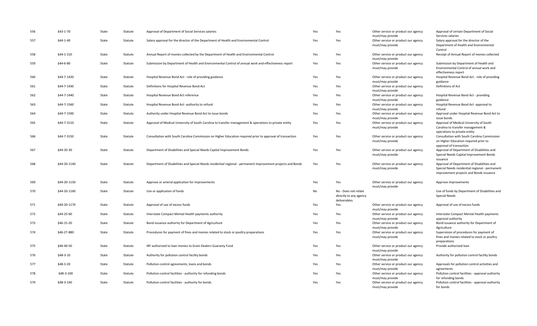| 557<br>§44-1-40<br>State<br>Statute<br>Salary approval for the director of the Department of Health and Environmental Control<br>Yes<br>Yes<br>Other service or product our agency<br>Salary approval for the director of the<br>Department of Health and Environmental<br>must/may provide<br>Control<br>558<br>§44-1-210<br>State<br>Statute<br>Annual Report of monies collected by the Department of Health and Environmental Control<br>Yes<br>Yes<br>Other service or product our agency<br>Receipt of Annual Report of monies collected<br>must/may provide<br>§44-6-80<br>Submission by Department of Health and Environmental Control of annual work and effectiveness report<br>Other service or product our agency<br>Submission by Department of Health and<br>559<br>State<br>Statute<br>Yes<br>Yes<br>Environmental Control of annual work and<br>must/may provide<br>effectiveness report<br>§44-7-1420<br>State<br>Statute<br>Hospital Revenue Bond Act - role of providing guidance<br>Yes<br>Yes<br>Other service or product our agency<br>Hospital Revenue Bond Act - role of providing<br>560<br>must/may provide<br>guidance<br>§44-7-1430<br>State<br>Statute<br>Definitions for Hospital Revenue Bond Act<br>Yes<br>Yes<br>Definitions of Act<br>561<br>Other service or product our agency<br>must/may provide<br>562<br>§44-7-1440<br>State<br>Statute<br>Hospital Revenue Bond Act reference<br>Yes<br>Yes<br>Other service or product our agency<br>Hospital Revenue Bond Act - providing<br>guidance<br>must/may provide<br>Yes<br>§44-7-1560<br>State<br>Statute<br>Hospital Revenue Bond Act -authority to refund<br>Yes<br>Hospital Revenue Bond Act -approval to<br>563<br>Other service or product our agency<br>must/may provide<br>refund<br>564<br>§44-7-1590<br>State<br>Statute<br>Authority under Hospital Revenue Bond Act to issue bonds<br>Yes<br>Yes<br>Other service or product our agency<br>Approval under Hospital Revenue Bond Act to<br>must/may provide<br>issue bonds<br>§44-7-3110<br>565<br>State<br>Statute<br>Approval of Medical University of South Carolina to transfer management & operations to private entity<br>Yes<br>Yes<br>Other service or product our agency<br>Approval of Medical University of South<br>must/may provide<br>Carolina to transfer management &<br>operations to private entity<br>566<br>§44-7-3150<br>State<br>Statute<br>Consultation with South Carolina Commission on Higher Education required prior to approval of transaction<br>Yes<br>Yes<br>Other service or product our agency<br>Consultation with South Carolina Commission<br>must/may provide<br>on Higher Education required prior to<br>approval of transaction<br>Yes<br>567<br>\$44-20-30<br>State<br>Statute<br>Department of Disabilities and Special Needs Capital Improvement Bonds<br>Yes<br>Approval of Department of Disabilities and<br>Other service or product our agency<br>must/may provide<br>Special Needs Capital Improvement Bonds<br>issuance<br>§44-20-1140<br>State<br>568<br>Statute<br>Department of Disabilities and Special Needs residential regional - permanent improvement projects and Bonds<br>Yes<br>Yes<br>Other service or product our agency<br>Approval of Department of Disabilities and<br>must/may provide<br>Special Needs residential regional - permanent<br>improvement projects and Bonds issuance<br>§44-20-1150<br>569<br>State<br>Statute<br>Approve or amend application for improvements<br>Yes<br>Yes<br>Other service or product our agency<br>Approve improvements<br>must/may provide<br>Use or application of funds<br>Use of funds by Department of Disabilities and<br>§44-20-1160<br>State<br>Statute<br>No<br>No - Does not relate<br>570<br>directly to any agency<br><b>Special Needs</b><br>deliverables<br>571<br>§44-20-1170<br>State<br>Statute<br>Approval of use of excess funds<br>Yes<br>Yes<br>Other service or product our agency<br>Approval of use of excess funds<br>must/may provide<br>§44-25-60<br>Interstate Compact Mental Health payments<br>572<br>State<br>Statute<br>Interstate Compact Mental Health payments authority<br>Yes<br>Yes<br>Other service or product our agency<br>must/may provide<br>approval authority<br>§46-15-20<br>State<br>Statute<br>Bond issuance authority for Department of Agriculture<br>Yes<br>Bond issuance authority for Department of<br>573<br>Yes<br>Other service or product our agency<br>must/may provide<br>Agriculture<br>574<br>§46-27-880<br>State<br>Statute<br>Procedures for payment of fines and monies related to stock or poultry preparations<br>Yes<br>Yes<br>Supervision of procedures for payment of<br>Other service or product our agency<br>must/may provide<br>fines and monies related to stock or poultry<br>preparations<br>§46-40-50<br>IRF authorized to loan monies to Grain Dealers Guaranty Fund<br>Provide authorized loan<br>575<br>State<br>Statute<br>Yes<br>Yes<br>Other service or product our agency<br>must/may provide<br>§48-3-10<br>Authority for pollution control facility bonds<br>Authority for pollution control facility bonds<br>State<br>Statute<br>Yes<br>Yes<br>Other service or product our agency<br>576<br>must/may provide<br>577<br>§48-3-20<br>State<br>Statute<br>Pollution control agreements, loans and bonds<br>Yes<br>Yes<br>Other service or product our agency<br>Approvals for pollution control activities and<br>must/may provide<br>agreements<br>Pollution control facilities - authority for refunding bonds<br>Pollution control facilities - approval authority<br>578<br>\$48-3-100<br>State<br>Statute<br>Yes<br>Yes<br>Other service or product our agency<br>for refunding bonds<br>must/may provide<br>§48-3-140<br>Pollution control facilities - authority for bonds<br>Pollution control facilities - approval authority<br>579<br>State<br>Statute<br>Yes<br>Yes<br>Other service or product our agency<br>must/may provide<br>for bonds | 556 | §43-1-70 | State | Statute | Approval of Department of Social Services salaries | Yes | Yes | Other service or product our agency<br>must/may provide | Approval of certain Department of Social<br>Services salaries |
|-----------------------------------------------------------------------------------------------------------------------------------------------------------------------------------------------------------------------------------------------------------------------------------------------------------------------------------------------------------------------------------------------------------------------------------------------------------------------------------------------------------------------------------------------------------------------------------------------------------------------------------------------------------------------------------------------------------------------------------------------------------------------------------------------------------------------------------------------------------------------------------------------------------------------------------------------------------------------------------------------------------------------------------------------------------------------------------------------------------------------------------------------------------------------------------------------------------------------------------------------------------------------------------------------------------------------------------------------------------------------------------------------------------------------------------------------------------------------------------------------------------------------------------------------------------------------------------------------------------------------------------------------------------------------------------------------------------------------------------------------------------------------------------------------------------------------------------------------------------------------------------------------------------------------------------------------------------------------------------------------------------------------------------------------------------------------------------------------------------------------------------------------------------------------------------------------------------------------------------------------------------------------------------------------------------------------------------------------------------------------------------------------------------------------------------------------------------------------------------------------------------------------------------------------------------------------------------------------------------------------------------------------------------------------------------------------------------------------------------------------------------------------------------------------------------------------------------------------------------------------------------------------------------------------------------------------------------------------------------------------------------------------------------------------------------------------------------------------------------------------------------------------------------------------------------------------------------------------------------------------------------------------------------------------------------------------------------------------------------------------------------------------------------------------------------------------------------------------------------------------------------------------------------------------------------------------------------------------------------------------------------------------------------------------------------------------------------------------------------------------------------------------------------------------------------------------------------------------------------------------------------------------------------------------------------------------------------------------------------------------------------------------------------------------------------------------------------------------------------------------------------------------------------------------------------------------------------------------------------------------------------------------------------------------------------------------------------------------------------------------------------------------------------------------------------------------------------------------------------------------------------------------------------------------------------------------------------------------------------------------------------------------------------------------------------------------------------------------------------------------------------------------------------------------------------------------------------------------------------------------------------------------------------------------------------------------------------------------------------------------------------------------------------------------------------------------------------------------------------------------------------------------------------------------------------------------------------------------------------------------------------------------------------------------------------------------------------------------------------------------------------------------------------------------------------------------------------------------------------------------------------------------------------------------------------------------------------------------------------------------------------------------------------------------------------------------------------------------------------------------------------------------------------------------------------------------------------------------------------------------------------------------------------------------------------------------------------------------------------------------------|-----|----------|-------|---------|----------------------------------------------------|-----|-----|---------------------------------------------------------|---------------------------------------------------------------|
|                                                                                                                                                                                                                                                                                                                                                                                                                                                                                                                                                                                                                                                                                                                                                                                                                                                                                                                                                                                                                                                                                                                                                                                                                                                                                                                                                                                                                                                                                                                                                                                                                                                                                                                                                                                                                                                                                                                                                                                                                                                                                                                                                                                                                                                                                                                                                                                                                                                                                                                                                                                                                                                                                                                                                                                                                                                                                                                                                                                                                                                                                                                                                                                                                                                                                                                                                                                                                                                                                                                                                                                                                                                                                                                                                                                                                                                                                                                                                                                                                                                                                                                                                                                                                                                                                                                                                                                                                                                                                                                                                                                                                                                                                                                                                                                                                                                                                                                                                                                                                                                                                                                                                                                                                                                                                                                                                                                                                                                                                                                                                                                                                                                                                                                                                                                                                                                                                                                                                                                                     |     |          |       |         |                                                    |     |     |                                                         |                                                               |
|                                                                                                                                                                                                                                                                                                                                                                                                                                                                                                                                                                                                                                                                                                                                                                                                                                                                                                                                                                                                                                                                                                                                                                                                                                                                                                                                                                                                                                                                                                                                                                                                                                                                                                                                                                                                                                                                                                                                                                                                                                                                                                                                                                                                                                                                                                                                                                                                                                                                                                                                                                                                                                                                                                                                                                                                                                                                                                                                                                                                                                                                                                                                                                                                                                                                                                                                                                                                                                                                                                                                                                                                                                                                                                                                                                                                                                                                                                                                                                                                                                                                                                                                                                                                                                                                                                                                                                                                                                                                                                                                                                                                                                                                                                                                                                                                                                                                                                                                                                                                                                                                                                                                                                                                                                                                                                                                                                                                                                                                                                                                                                                                                                                                                                                                                                                                                                                                                                                                                                                                     |     |          |       |         |                                                    |     |     |                                                         |                                                               |
|                                                                                                                                                                                                                                                                                                                                                                                                                                                                                                                                                                                                                                                                                                                                                                                                                                                                                                                                                                                                                                                                                                                                                                                                                                                                                                                                                                                                                                                                                                                                                                                                                                                                                                                                                                                                                                                                                                                                                                                                                                                                                                                                                                                                                                                                                                                                                                                                                                                                                                                                                                                                                                                                                                                                                                                                                                                                                                                                                                                                                                                                                                                                                                                                                                                                                                                                                                                                                                                                                                                                                                                                                                                                                                                                                                                                                                                                                                                                                                                                                                                                                                                                                                                                                                                                                                                                                                                                                                                                                                                                                                                                                                                                                                                                                                                                                                                                                                                                                                                                                                                                                                                                                                                                                                                                                                                                                                                                                                                                                                                                                                                                                                                                                                                                                                                                                                                                                                                                                                                                     |     |          |       |         |                                                    |     |     |                                                         |                                                               |
|                                                                                                                                                                                                                                                                                                                                                                                                                                                                                                                                                                                                                                                                                                                                                                                                                                                                                                                                                                                                                                                                                                                                                                                                                                                                                                                                                                                                                                                                                                                                                                                                                                                                                                                                                                                                                                                                                                                                                                                                                                                                                                                                                                                                                                                                                                                                                                                                                                                                                                                                                                                                                                                                                                                                                                                                                                                                                                                                                                                                                                                                                                                                                                                                                                                                                                                                                                                                                                                                                                                                                                                                                                                                                                                                                                                                                                                                                                                                                                                                                                                                                                                                                                                                                                                                                                                                                                                                                                                                                                                                                                                                                                                                                                                                                                                                                                                                                                                                                                                                                                                                                                                                                                                                                                                                                                                                                                                                                                                                                                                                                                                                                                                                                                                                                                                                                                                                                                                                                                                                     |     |          |       |         |                                                    |     |     |                                                         |                                                               |
|                                                                                                                                                                                                                                                                                                                                                                                                                                                                                                                                                                                                                                                                                                                                                                                                                                                                                                                                                                                                                                                                                                                                                                                                                                                                                                                                                                                                                                                                                                                                                                                                                                                                                                                                                                                                                                                                                                                                                                                                                                                                                                                                                                                                                                                                                                                                                                                                                                                                                                                                                                                                                                                                                                                                                                                                                                                                                                                                                                                                                                                                                                                                                                                                                                                                                                                                                                                                                                                                                                                                                                                                                                                                                                                                                                                                                                                                                                                                                                                                                                                                                                                                                                                                                                                                                                                                                                                                                                                                                                                                                                                                                                                                                                                                                                                                                                                                                                                                                                                                                                                                                                                                                                                                                                                                                                                                                                                                                                                                                                                                                                                                                                                                                                                                                                                                                                                                                                                                                                                                     |     |          |       |         |                                                    |     |     |                                                         |                                                               |
|                                                                                                                                                                                                                                                                                                                                                                                                                                                                                                                                                                                                                                                                                                                                                                                                                                                                                                                                                                                                                                                                                                                                                                                                                                                                                                                                                                                                                                                                                                                                                                                                                                                                                                                                                                                                                                                                                                                                                                                                                                                                                                                                                                                                                                                                                                                                                                                                                                                                                                                                                                                                                                                                                                                                                                                                                                                                                                                                                                                                                                                                                                                                                                                                                                                                                                                                                                                                                                                                                                                                                                                                                                                                                                                                                                                                                                                                                                                                                                                                                                                                                                                                                                                                                                                                                                                                                                                                                                                                                                                                                                                                                                                                                                                                                                                                                                                                                                                                                                                                                                                                                                                                                                                                                                                                                                                                                                                                                                                                                                                                                                                                                                                                                                                                                                                                                                                                                                                                                                                                     |     |          |       |         |                                                    |     |     |                                                         |                                                               |
|                                                                                                                                                                                                                                                                                                                                                                                                                                                                                                                                                                                                                                                                                                                                                                                                                                                                                                                                                                                                                                                                                                                                                                                                                                                                                                                                                                                                                                                                                                                                                                                                                                                                                                                                                                                                                                                                                                                                                                                                                                                                                                                                                                                                                                                                                                                                                                                                                                                                                                                                                                                                                                                                                                                                                                                                                                                                                                                                                                                                                                                                                                                                                                                                                                                                                                                                                                                                                                                                                                                                                                                                                                                                                                                                                                                                                                                                                                                                                                                                                                                                                                                                                                                                                                                                                                                                                                                                                                                                                                                                                                                                                                                                                                                                                                                                                                                                                                                                                                                                                                                                                                                                                                                                                                                                                                                                                                                                                                                                                                                                                                                                                                                                                                                                                                                                                                                                                                                                                                                                     |     |          |       |         |                                                    |     |     |                                                         |                                                               |
|                                                                                                                                                                                                                                                                                                                                                                                                                                                                                                                                                                                                                                                                                                                                                                                                                                                                                                                                                                                                                                                                                                                                                                                                                                                                                                                                                                                                                                                                                                                                                                                                                                                                                                                                                                                                                                                                                                                                                                                                                                                                                                                                                                                                                                                                                                                                                                                                                                                                                                                                                                                                                                                                                                                                                                                                                                                                                                                                                                                                                                                                                                                                                                                                                                                                                                                                                                                                                                                                                                                                                                                                                                                                                                                                                                                                                                                                                                                                                                                                                                                                                                                                                                                                                                                                                                                                                                                                                                                                                                                                                                                                                                                                                                                                                                                                                                                                                                                                                                                                                                                                                                                                                                                                                                                                                                                                                                                                                                                                                                                                                                                                                                                                                                                                                                                                                                                                                                                                                                                                     |     |          |       |         |                                                    |     |     |                                                         |                                                               |
|                                                                                                                                                                                                                                                                                                                                                                                                                                                                                                                                                                                                                                                                                                                                                                                                                                                                                                                                                                                                                                                                                                                                                                                                                                                                                                                                                                                                                                                                                                                                                                                                                                                                                                                                                                                                                                                                                                                                                                                                                                                                                                                                                                                                                                                                                                                                                                                                                                                                                                                                                                                                                                                                                                                                                                                                                                                                                                                                                                                                                                                                                                                                                                                                                                                                                                                                                                                                                                                                                                                                                                                                                                                                                                                                                                                                                                                                                                                                                                                                                                                                                                                                                                                                                                                                                                                                                                                                                                                                                                                                                                                                                                                                                                                                                                                                                                                                                                                                                                                                                                                                                                                                                                                                                                                                                                                                                                                                                                                                                                                                                                                                                                                                                                                                                                                                                                                                                                                                                                                                     |     |          |       |         |                                                    |     |     |                                                         |                                                               |
|                                                                                                                                                                                                                                                                                                                                                                                                                                                                                                                                                                                                                                                                                                                                                                                                                                                                                                                                                                                                                                                                                                                                                                                                                                                                                                                                                                                                                                                                                                                                                                                                                                                                                                                                                                                                                                                                                                                                                                                                                                                                                                                                                                                                                                                                                                                                                                                                                                                                                                                                                                                                                                                                                                                                                                                                                                                                                                                                                                                                                                                                                                                                                                                                                                                                                                                                                                                                                                                                                                                                                                                                                                                                                                                                                                                                                                                                                                                                                                                                                                                                                                                                                                                                                                                                                                                                                                                                                                                                                                                                                                                                                                                                                                                                                                                                                                                                                                                                                                                                                                                                                                                                                                                                                                                                                                                                                                                                                                                                                                                                                                                                                                                                                                                                                                                                                                                                                                                                                                                                     |     |          |       |         |                                                    |     |     |                                                         |                                                               |
|                                                                                                                                                                                                                                                                                                                                                                                                                                                                                                                                                                                                                                                                                                                                                                                                                                                                                                                                                                                                                                                                                                                                                                                                                                                                                                                                                                                                                                                                                                                                                                                                                                                                                                                                                                                                                                                                                                                                                                                                                                                                                                                                                                                                                                                                                                                                                                                                                                                                                                                                                                                                                                                                                                                                                                                                                                                                                                                                                                                                                                                                                                                                                                                                                                                                                                                                                                                                                                                                                                                                                                                                                                                                                                                                                                                                                                                                                                                                                                                                                                                                                                                                                                                                                                                                                                                                                                                                                                                                                                                                                                                                                                                                                                                                                                                                                                                                                                                                                                                                                                                                                                                                                                                                                                                                                                                                                                                                                                                                                                                                                                                                                                                                                                                                                                                                                                                                                                                                                                                                     |     |          |       |         |                                                    |     |     |                                                         |                                                               |
|                                                                                                                                                                                                                                                                                                                                                                                                                                                                                                                                                                                                                                                                                                                                                                                                                                                                                                                                                                                                                                                                                                                                                                                                                                                                                                                                                                                                                                                                                                                                                                                                                                                                                                                                                                                                                                                                                                                                                                                                                                                                                                                                                                                                                                                                                                                                                                                                                                                                                                                                                                                                                                                                                                                                                                                                                                                                                                                                                                                                                                                                                                                                                                                                                                                                                                                                                                                                                                                                                                                                                                                                                                                                                                                                                                                                                                                                                                                                                                                                                                                                                                                                                                                                                                                                                                                                                                                                                                                                                                                                                                                                                                                                                                                                                                                                                                                                                                                                                                                                                                                                                                                                                                                                                                                                                                                                                                                                                                                                                                                                                                                                                                                                                                                                                                                                                                                                                                                                                                                                     |     |          |       |         |                                                    |     |     |                                                         |                                                               |
|                                                                                                                                                                                                                                                                                                                                                                                                                                                                                                                                                                                                                                                                                                                                                                                                                                                                                                                                                                                                                                                                                                                                                                                                                                                                                                                                                                                                                                                                                                                                                                                                                                                                                                                                                                                                                                                                                                                                                                                                                                                                                                                                                                                                                                                                                                                                                                                                                                                                                                                                                                                                                                                                                                                                                                                                                                                                                                                                                                                                                                                                                                                                                                                                                                                                                                                                                                                                                                                                                                                                                                                                                                                                                                                                                                                                                                                                                                                                                                                                                                                                                                                                                                                                                                                                                                                                                                                                                                                                                                                                                                                                                                                                                                                                                                                                                                                                                                                                                                                                                                                                                                                                                                                                                                                                                                                                                                                                                                                                                                                                                                                                                                                                                                                                                                                                                                                                                                                                                                                                     |     |          |       |         |                                                    |     |     |                                                         |                                                               |
|                                                                                                                                                                                                                                                                                                                                                                                                                                                                                                                                                                                                                                                                                                                                                                                                                                                                                                                                                                                                                                                                                                                                                                                                                                                                                                                                                                                                                                                                                                                                                                                                                                                                                                                                                                                                                                                                                                                                                                                                                                                                                                                                                                                                                                                                                                                                                                                                                                                                                                                                                                                                                                                                                                                                                                                                                                                                                                                                                                                                                                                                                                                                                                                                                                                                                                                                                                                                                                                                                                                                                                                                                                                                                                                                                                                                                                                                                                                                                                                                                                                                                                                                                                                                                                                                                                                                                                                                                                                                                                                                                                                                                                                                                                                                                                                                                                                                                                                                                                                                                                                                                                                                                                                                                                                                                                                                                                                                                                                                                                                                                                                                                                                                                                                                                                                                                                                                                                                                                                                                     |     |          |       |         |                                                    |     |     |                                                         |                                                               |
|                                                                                                                                                                                                                                                                                                                                                                                                                                                                                                                                                                                                                                                                                                                                                                                                                                                                                                                                                                                                                                                                                                                                                                                                                                                                                                                                                                                                                                                                                                                                                                                                                                                                                                                                                                                                                                                                                                                                                                                                                                                                                                                                                                                                                                                                                                                                                                                                                                                                                                                                                                                                                                                                                                                                                                                                                                                                                                                                                                                                                                                                                                                                                                                                                                                                                                                                                                                                                                                                                                                                                                                                                                                                                                                                                                                                                                                                                                                                                                                                                                                                                                                                                                                                                                                                                                                                                                                                                                                                                                                                                                                                                                                                                                                                                                                                                                                                                                                                                                                                                                                                                                                                                                                                                                                                                                                                                                                                                                                                                                                                                                                                                                                                                                                                                                                                                                                                                                                                                                                                     |     |          |       |         |                                                    |     |     |                                                         |                                                               |
|                                                                                                                                                                                                                                                                                                                                                                                                                                                                                                                                                                                                                                                                                                                                                                                                                                                                                                                                                                                                                                                                                                                                                                                                                                                                                                                                                                                                                                                                                                                                                                                                                                                                                                                                                                                                                                                                                                                                                                                                                                                                                                                                                                                                                                                                                                                                                                                                                                                                                                                                                                                                                                                                                                                                                                                                                                                                                                                                                                                                                                                                                                                                                                                                                                                                                                                                                                                                                                                                                                                                                                                                                                                                                                                                                                                                                                                                                                                                                                                                                                                                                                                                                                                                                                                                                                                                                                                                                                                                                                                                                                                                                                                                                                                                                                                                                                                                                                                                                                                                                                                                                                                                                                                                                                                                                                                                                                                                                                                                                                                                                                                                                                                                                                                                                                                                                                                                                                                                                                                                     |     |          |       |         |                                                    |     |     |                                                         |                                                               |
|                                                                                                                                                                                                                                                                                                                                                                                                                                                                                                                                                                                                                                                                                                                                                                                                                                                                                                                                                                                                                                                                                                                                                                                                                                                                                                                                                                                                                                                                                                                                                                                                                                                                                                                                                                                                                                                                                                                                                                                                                                                                                                                                                                                                                                                                                                                                                                                                                                                                                                                                                                                                                                                                                                                                                                                                                                                                                                                                                                                                                                                                                                                                                                                                                                                                                                                                                                                                                                                                                                                                                                                                                                                                                                                                                                                                                                                                                                                                                                                                                                                                                                                                                                                                                                                                                                                                                                                                                                                                                                                                                                                                                                                                                                                                                                                                                                                                                                                                                                                                                                                                                                                                                                                                                                                                                                                                                                                                                                                                                                                                                                                                                                                                                                                                                                                                                                                                                                                                                                                                     |     |          |       |         |                                                    |     |     |                                                         |                                                               |
|                                                                                                                                                                                                                                                                                                                                                                                                                                                                                                                                                                                                                                                                                                                                                                                                                                                                                                                                                                                                                                                                                                                                                                                                                                                                                                                                                                                                                                                                                                                                                                                                                                                                                                                                                                                                                                                                                                                                                                                                                                                                                                                                                                                                                                                                                                                                                                                                                                                                                                                                                                                                                                                                                                                                                                                                                                                                                                                                                                                                                                                                                                                                                                                                                                                                                                                                                                                                                                                                                                                                                                                                                                                                                                                                                                                                                                                                                                                                                                                                                                                                                                                                                                                                                                                                                                                                                                                                                                                                                                                                                                                                                                                                                                                                                                                                                                                                                                                                                                                                                                                                                                                                                                                                                                                                                                                                                                                                                                                                                                                                                                                                                                                                                                                                                                                                                                                                                                                                                                                                     |     |          |       |         |                                                    |     |     |                                                         |                                                               |
|                                                                                                                                                                                                                                                                                                                                                                                                                                                                                                                                                                                                                                                                                                                                                                                                                                                                                                                                                                                                                                                                                                                                                                                                                                                                                                                                                                                                                                                                                                                                                                                                                                                                                                                                                                                                                                                                                                                                                                                                                                                                                                                                                                                                                                                                                                                                                                                                                                                                                                                                                                                                                                                                                                                                                                                                                                                                                                                                                                                                                                                                                                                                                                                                                                                                                                                                                                                                                                                                                                                                                                                                                                                                                                                                                                                                                                                                                                                                                                                                                                                                                                                                                                                                                                                                                                                                                                                                                                                                                                                                                                                                                                                                                                                                                                                                                                                                                                                                                                                                                                                                                                                                                                                                                                                                                                                                                                                                                                                                                                                                                                                                                                                                                                                                                                                                                                                                                                                                                                                                     |     |          |       |         |                                                    |     |     |                                                         |                                                               |
|                                                                                                                                                                                                                                                                                                                                                                                                                                                                                                                                                                                                                                                                                                                                                                                                                                                                                                                                                                                                                                                                                                                                                                                                                                                                                                                                                                                                                                                                                                                                                                                                                                                                                                                                                                                                                                                                                                                                                                                                                                                                                                                                                                                                                                                                                                                                                                                                                                                                                                                                                                                                                                                                                                                                                                                                                                                                                                                                                                                                                                                                                                                                                                                                                                                                                                                                                                                                                                                                                                                                                                                                                                                                                                                                                                                                                                                                                                                                                                                                                                                                                                                                                                                                                                                                                                                                                                                                                                                                                                                                                                                                                                                                                                                                                                                                                                                                                                                                                                                                                                                                                                                                                                                                                                                                                                                                                                                                                                                                                                                                                                                                                                                                                                                                                                                                                                                                                                                                                                                                     |     |          |       |         |                                                    |     |     |                                                         |                                                               |
|                                                                                                                                                                                                                                                                                                                                                                                                                                                                                                                                                                                                                                                                                                                                                                                                                                                                                                                                                                                                                                                                                                                                                                                                                                                                                                                                                                                                                                                                                                                                                                                                                                                                                                                                                                                                                                                                                                                                                                                                                                                                                                                                                                                                                                                                                                                                                                                                                                                                                                                                                                                                                                                                                                                                                                                                                                                                                                                                                                                                                                                                                                                                                                                                                                                                                                                                                                                                                                                                                                                                                                                                                                                                                                                                                                                                                                                                                                                                                                                                                                                                                                                                                                                                                                                                                                                                                                                                                                                                                                                                                                                                                                                                                                                                                                                                                                                                                                                                                                                                                                                                                                                                                                                                                                                                                                                                                                                                                                                                                                                                                                                                                                                                                                                                                                                                                                                                                                                                                                                                     |     |          |       |         |                                                    |     |     |                                                         |                                                               |
|                                                                                                                                                                                                                                                                                                                                                                                                                                                                                                                                                                                                                                                                                                                                                                                                                                                                                                                                                                                                                                                                                                                                                                                                                                                                                                                                                                                                                                                                                                                                                                                                                                                                                                                                                                                                                                                                                                                                                                                                                                                                                                                                                                                                                                                                                                                                                                                                                                                                                                                                                                                                                                                                                                                                                                                                                                                                                                                                                                                                                                                                                                                                                                                                                                                                                                                                                                                                                                                                                                                                                                                                                                                                                                                                                                                                                                                                                                                                                                                                                                                                                                                                                                                                                                                                                                                                                                                                                                                                                                                                                                                                                                                                                                                                                                                                                                                                                                                                                                                                                                                                                                                                                                                                                                                                                                                                                                                                                                                                                                                                                                                                                                                                                                                                                                                                                                                                                                                                                                                                     |     |          |       |         |                                                    |     |     |                                                         |                                                               |
|                                                                                                                                                                                                                                                                                                                                                                                                                                                                                                                                                                                                                                                                                                                                                                                                                                                                                                                                                                                                                                                                                                                                                                                                                                                                                                                                                                                                                                                                                                                                                                                                                                                                                                                                                                                                                                                                                                                                                                                                                                                                                                                                                                                                                                                                                                                                                                                                                                                                                                                                                                                                                                                                                                                                                                                                                                                                                                                                                                                                                                                                                                                                                                                                                                                                                                                                                                                                                                                                                                                                                                                                                                                                                                                                                                                                                                                                                                                                                                                                                                                                                                                                                                                                                                                                                                                                                                                                                                                                                                                                                                                                                                                                                                                                                                                                                                                                                                                                                                                                                                                                                                                                                                                                                                                                                                                                                                                                                                                                                                                                                                                                                                                                                                                                                                                                                                                                                                                                                                                                     |     |          |       |         |                                                    |     |     |                                                         |                                                               |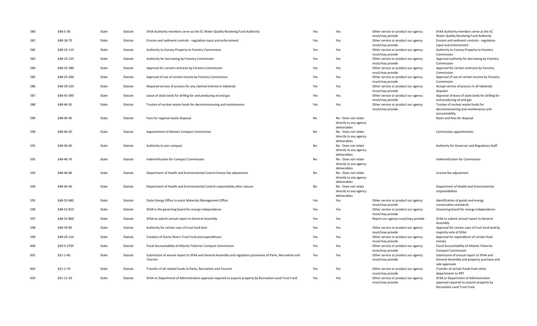| 580 | \$48-5-30   | State | Statute | SFAA Authority members serve as the SC Water Quality Revolving Fund Authority                               | Yes | Yes                                            | Other service or product our agency                     | SFAA Authority members serve as the SC                              |
|-----|-------------|-------|---------|-------------------------------------------------------------------------------------------------------------|-----|------------------------------------------------|---------------------------------------------------------|---------------------------------------------------------------------|
|     | §48-18-70   | State | Statute |                                                                                                             | Yes | Yes                                            | must/may provide                                        | Water Quality Revolving Fund Authority                              |
| 581 |             |       |         | Erosion and sediment controls - regulation input and enforcement                                            |     |                                                | Other service or product our agency<br>must/may provide | Erosion and sediment controls - regulation<br>input and enforcement |
| 582 | §48-23-110  | State | Statute | Authority to Convey Property to Forestry Commission                                                         | Yes | Yes                                            | Other service or product our agency                     | Authority to Convey Property to Forestry                            |
|     |             |       |         |                                                                                                             |     |                                                | must/may provide                                        | Commission                                                          |
| 583 | \$48-23-135 | State | Statute | Authority for borrowing by Forestry Commission                                                              | Yes | Yes                                            | Other service or product our agency                     | Approval authority for borrowing by Forestry                        |
|     |             |       |         |                                                                                                             |     |                                                | must/may provide                                        | Commission                                                          |
| 584 | §48-23-280  | State | Statute | Approval for certain contracts by Forestry Commission                                                       | Yes | Yes                                            | Other service or product our agency                     | Approval for certain contracts by Forestry                          |
|     |             |       |         |                                                                                                             |     |                                                | must/may provide                                        | Commission                                                          |
| 585 | §48-23-290  | State | Statute | Approval of use of certain income by Forestry Commission                                                    | Yes | Yes                                            | Other service or product our agency<br>must/may provide | Approval of use of certain income by Forestry<br>Commission         |
| 586 | §48-39-220  | State | Statute | Required service of process for any claimed interest in tidelands                                           | Yes | Yes                                            | Other service or product our agency                     | Accept service of process in all tidelands                          |
|     |             |       |         |                                                                                                             |     |                                                | must/may provide                                        | disputes                                                            |
| 587 | §48-43-390  | State | Statute | Lease of state lands for drilling for and producing oil and gas                                             | Yes | Yes                                            | Other service or product our agency                     | Approval of lease of state lands for drilling for                   |
|     |             |       |         |                                                                                                             |     |                                                | must/may provide                                        | and producing oil and gas                                           |
| 588 | §48-46-30   | State | Statute | Trustee of nuclear waste funds for decommissioning and maintenance                                          | Yes | Yes                                            | Other service or product our agency                     | Trustee of nuclear waste funds for                                  |
|     |             |       |         |                                                                                                             |     |                                                | must/may provide                                        | decommissioning and maintenance and                                 |
| 589 | §48-46-40   | State | Statute | Fees for regional waste disposal                                                                            | No  | No - Does not relate                           |                                                         | accountability<br>Rates and fees for disposal                       |
|     |             |       |         |                                                                                                             |     | directly to any agency                         |                                                         |                                                                     |
|     |             |       |         |                                                                                                             |     | deliverables                                   |                                                         |                                                                     |
| 590 | §48-46-50   | State | Statute | Appointment of Atlantic Compact Commission                                                                  | No  | No - Does not relate                           |                                                         | Commission appointments                                             |
|     |             |       |         |                                                                                                             |     | directly to any agency                         |                                                         |                                                                     |
|     |             |       |         |                                                                                                             |     | deliverables                                   |                                                         |                                                                     |
| 591 | §48-46-60   | State | Statute | Authority to join compact                                                                                   | No  | No - Does not relate                           |                                                         | Authority for Governor and Regulatory Staff                         |
|     |             |       |         |                                                                                                             |     | directly to any agency                         |                                                         |                                                                     |
| 592 | §48-46-70   | State | Statute | Indemnification for Compact Commission                                                                      | No  | deliverables<br>No - Does not relate           |                                                         | Indemnification for Commission                                      |
|     |             |       |         |                                                                                                             |     | directly to any agency                         |                                                         |                                                                     |
|     |             |       |         |                                                                                                             |     | deliverables                                   |                                                         |                                                                     |
| 593 | §48-46-80   | State | Statute | Department of Health and Environmental Control license fee adjustment                                       | No  | No - Does not relate                           |                                                         | License fee adjustment                                              |
|     |             |       |         |                                                                                                             |     | directly to any agency                         |                                                         |                                                                     |
|     |             |       |         |                                                                                                             |     | deliverables                                   |                                                         |                                                                     |
| 594 | §48-46-90   | State | Statute | Department of Health and Environmental Control responsibility after closure                                 | No  | No - Does not relate<br>directly to any agency |                                                         | Department of Health and Environmental<br>responsibilities          |
|     |             |       |         |                                                                                                             |     | deliverables                                   |                                                         |                                                                     |
| 595 | §48-52-680  | State | Statute | State Energy Office to assist Materials Management Office                                                   | Yes | Yes                                            | Other service or product our agency                     | Identification of goods and energy                                  |
|     |             |       |         |                                                                                                             |     |                                                | must/may provide                                        | conservation standards                                              |
| 596 | §48-52-810  | State | Statute | SFAA is the governing board for energy independence                                                         | Yes | Yes                                            | Other service or product our agency                     | Governing board for energy independence                             |
|     |             |       |         |                                                                                                             |     |                                                | must/may provide                                        |                                                                     |
| 597 | §48-52-860  | State | Statute | SFAA to submit annual report to General Assembly                                                            | Yes | Yes                                            | Report our agency must/may provide                      | SFAA to submit annual report to General<br>Assembly                 |
| 598 | §48-59-80   | State | Statute | Authority for certain uses of trust fund land                                                               | Yes | Yes                                            | Other service or product our agency                     | Approval for certain uses of trust fund land by                     |
|     |             |       |         |                                                                                                             |     |                                                | must/may provide                                        | majority vote of SFAA                                               |
| 599 | §49-29-110  | State | Statute | Creation of Scenic Rivers Trust Fund and expenditures                                                       | Yes | Yes                                            | Other service or product our agency                     | Approval for expenditure of certain fund                            |
|     |             |       |         |                                                                                                             |     |                                                | must/may provide                                        | monies                                                              |
| 600 | §50-5-2720  | State | Statute | Fiscal Accountability of Atlantic Fisheries Compact Commission                                              | Yes | Yes                                            | Other service or product our agency                     | Fiscal Accountability of Atlantic Fisheries                         |
|     |             |       |         |                                                                                                             |     |                                                | must/may provide                                        | <b>Compact Commission</b>                                           |
| 601 | \$51-1-60   | State | Statute | Submission of annual report to SFAA and General Assembly and regulatory provisions of Parks, Recreation and | Yes | Yes                                            | Other service or product our agency                     | Submission of annual report to SFAA and                             |
|     |             |       |         | Tourism                                                                                                     |     |                                                | must/may provide                                        | General Assembly and property purchase and<br>sale approvals        |
| 602 | §51-1-70    | State | Statute | Transfer of all related funds to Parks, Recreation and Tourism                                              | Yes | Yes                                            | Other service or product our agency                     | Transfer of certain funds from other                                |
|     |             |       |         |                                                                                                             |     |                                                | must/may provide                                        | departments to PRT                                                  |
| 603 | §51-11-20   | State | Statute | SFAA or Department of Administration approval required to acquire property by Recreation Land Trust Fund    | Yes | Yes                                            | Other service or product our agency                     | SFAA or Department of Administration                                |
|     |             |       |         |                                                                                                             |     |                                                | must/may provide                                        | approval required to acquire property by                            |
|     |             |       |         |                                                                                                             |     |                                                |                                                         | Recreation Land Trust Fund                                          |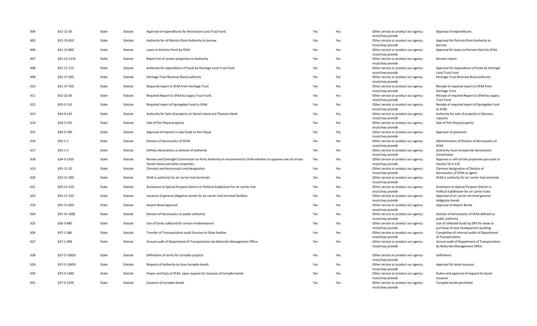| 604 | §51-11-50    | State | Statute | Approval of expenditures for Recreation Land Trust Fund                                                    | Yes | Yes | Other service or product our agency<br>must/may provide | Approval of expenditures                                         |
|-----|--------------|-------|---------|------------------------------------------------------------------------------------------------------------|-----|-----|---------------------------------------------------------|------------------------------------------------------------------|
| 605 | §51-13-810   | State | Statute | Authority for of Patriots Point Authority to borrow                                                        | Yes | Yes | Other service or product our agency                     | Approval for Patriots Point Authority to                         |
| 606 | §51-13-860   | State | Statute | Loans to Patriots Point by SFAA                                                                            | Yes | Yes | must/may provide<br>Other service or product our agency | borrow<br>Approval for loans to Patriots Point by SFAA           |
|     |              |       |         |                                                                                                            |     |     | must/may provide                                        |                                                                  |
| 607 | §51-13-1310  | State | Statute | Report list of certain properties to Authority                                                             | Yes | Yes | Other service or product our agency                     | Receive report                                                   |
|     |              |       |         |                                                                                                            |     |     | must/may provide                                        |                                                                  |
| 608 | §51-17-115   | State | Statute | Authority for expenditure of funds by Heritage Land Trust Fund                                             | Yes | Yes | Other service or product our agency<br>must/may provide | Approval for expenditure of funds by Heritage<br>Land Trust Fund |
| 609 | \$51-17-320  | State | Statute | Heritage Trust Revenue Bond authority                                                                      | Yes | Yes | Other service or product our agency                     | Heritage Trust Revenue Bond authority                            |
|     |              |       |         |                                                                                                            |     |     | must/may provide                                        |                                                                  |
| 610 | \$51-17-350  | State | Statute | Required report to SFAA from Heritage Trust                                                                | Yes | Yes | Other service or product our agency                     | Receipt of required report to SFAA from                          |
|     |              |       |         |                                                                                                            |     |     | must/may provide                                        | <b>Heritage Trust</b>                                            |
| 611 | \$51-22-30   | State | Statute | Required Report to SFAA by Legacy Trust Fund                                                               | Yes | Yes | Other service or product our agency                     | Receipt of required Report to SFAA by Legacy                     |
|     |              |       |         |                                                                                                            |     |     | must/may provide                                        | <b>Trust Fund</b>                                                |
| 612 | \$52-5-110   | State | Statute | Required report of Springdale Fund to SFAA                                                                 | Yes | Yes | Other service or product our agency                     | Receipt of required report of Springdale Fund                    |
|     |              |       |         |                                                                                                            |     |     | must/may provide                                        | to SFAA                                                          |
| 613 | \$54-3-119   | State | Statute | Authority for Sale of property on Daniel Island and Thomas Island                                          | Yes | Yes | Other service or product our agency                     | Authority for sale of property in fiduciary                      |
|     |              |       |         |                                                                                                            |     |     | must/may provide                                        | capacity                                                         |
| 614 | §54-3-155    | State | Statute | Sale of Port Royal property                                                                                | Yes | Yes | Other service or product our agency                     | Sale of Port Royal property                                      |
|     |              |       |         |                                                                                                            |     |     | must/may provide                                        |                                                                  |
| 615 | §54-3-700    | State | Statute | Approval of interest in sale funds to Port Royal                                                           | Yes | Yes | Other service or product our agency                     | Approval of payments                                             |
|     |              |       |         |                                                                                                            |     |     | must/may provide                                        |                                                                  |
| 616 | $$55-1-1$    | State | Statute | Division of Aeronautics of SFAA                                                                            | Yes | Yes | Other service or product our agency                     | Administration of Division of Aeronautics of                     |
|     |              |       |         |                                                                                                            |     |     | must/may provide                                        | SFAA                                                             |
| 617 | $§55-1-5$    | State | Statute | Defines Aeronautics as division of authority                                                               | Yes | Yes | Other service or product our agency                     | Authority must incorporate Aeronautics                           |
|     |              |       |         |                                                                                                            |     |     | must/may provide                                        | Commission                                                       |
| 618 | §54-3-1310   | State | Statute | Review and Oversight Commission on Ports Authority to recommend to SFAA whether to approve sale of certain | Yes | Yes | Other service or product our agency                     | Approve or sell certain properties pursuant to                   |
|     |              |       |         | Daniel Island and other properties                                                                         |     |     | must/may provide                                        | Section 54-3-119                                                 |
| 619 | \$55-11-10   | State | Statute | Clemson and Aeronautics and designation                                                                    | Yes | Yes | Other service or product our agency                     | Clemson designation of Division of                               |
|     |              |       |         |                                                                                                            |     |     | must/may provide                                        | Aeronautics of SFAA as agent                                     |
| 620 | \$55-11-500  | State | Statute | SFAA is authority for air carrier hub terminals                                                            | Yes | Yes | Other service or product our agency                     | SFAA is authority for air carrier hub terminals                  |
|     |              |       |         |                                                                                                            |     |     | must/may provide                                        |                                                                  |
| 621 | §55-11-510   | State | Statute | Assistance to Special Purpose District or Political Subdivision for air carrier hub                        | Yes | Yes | Other service or product our agency                     | Assistance to Special Purpose District or                        |
|     |              |       |         |                                                                                                            |     |     | must/may provide                                        | Political Subdivision for air carrier hubs                       |
| 622 | §55-11-520   | State | Statute | Issuance of general obligation bonds for air carrier hub terminal facilities                               | Yes | Yes | Other service or product our agency                     | Approval of air carrier terminal general                         |
|     |              |       |         |                                                                                                            |     |     |                                                         |                                                                  |
|     |              |       |         |                                                                                                            |     |     | must/may provide                                        | obligation bonds                                                 |
| 623 | §55-11-650   | State | Statute | Airport Bond approval                                                                                      | Yes | Yes | Other service or product our agency                     | Approval of Airport Bonds                                        |
|     |              |       |         |                                                                                                            |     |     | must/may provide                                        |                                                                  |
| 624 | §55-15-10(f) | State | Statute | Division of Aeronautics as public authority                                                                | Yes | Yes | Other service or product our agency                     | Division of Aeronautics of SFAA defined as                       |
|     |              |       |         |                                                                                                            |     |     | must/may provide                                        | public authority                                                 |
| 625 | §56-3-840    | State | Statute | Use of funds collected for certain misdemeanors                                                            | Yes | Yes | Other service or product our agency                     | Use of collected funds by DPS for lease or                       |
|     |              |       |         |                                                                                                            |     |     | must/may provide                                        | purchase of new headquarters building                            |
| 626 | \$57-1-360   | State | Statute | Transfer of Transportation audit function to State Auditor                                                 | Yes | Yes | Other service or product our agency                     | Completion of internal audits of Department                      |
|     |              |       |         |                                                                                                            |     |     | must/may provide                                        | of Transportation                                                |
| 627 | §57-1-490    | State | Statute | Annual audit of Department of Transportation by Materials Management Office                                | Yes | Yes | Other service or product our agency                     | Annual audit of Department of Transportation                     |
|     |              |       |         |                                                                                                            |     |     | must/may provide                                        | by Materials Management Office                                   |
|     |              |       |         |                                                                                                            |     |     |                                                         |                                                                  |
| 628 | §57-5-13620  | State | Statute | Definitions of terms for turnpike projects                                                                 | Yes | Yes | Other service or product our agency                     | Definitions                                                      |
|     |              |       |         |                                                                                                            |     |     | must/may provide                                        |                                                                  |
| 629 | \$57-5-13650 | State | Statute | Request of Authority to issue turnpike bonds                                                               | Yes | Yes | Other service or product our agency                     | Approval for bond issuance                                       |
|     |              |       |         |                                                                                                            |     |     | must/may provide                                        |                                                                  |
| 630 | \$57-5-1360  | State | Statute | Power and Duty of SFAA upon request for issuance of turnpike bonds                                         | Yes | Yes | Other service or product our agency                     | Duties and approval of request for bond                          |
|     |              |       |         |                                                                                                            |     |     | must/may provide                                        | issuance                                                         |
| 631 | §57-5-1370   | State | Statute | Issuance of turnpike bonds                                                                                 | Yes | Yes | Other service or product our agency                     | Turnpike bonds permitted                                         |
|     |              |       |         |                                                                                                            |     |     | must/may provide                                        |                                                                  |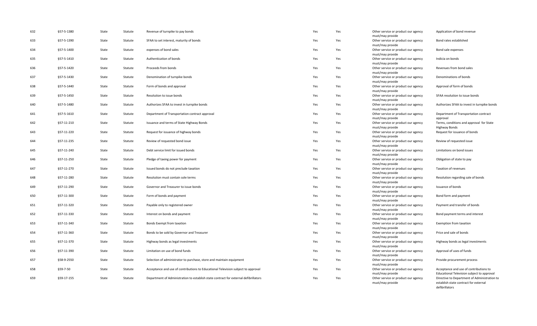| 632 | §57-5-1380  | State | Statute | Revenue of turnpike to pay bonds                                                     | Yes | Yes | Other service or product our agency<br>must/may provide | Application of bond revenue                                                                             |
|-----|-------------|-------|---------|--------------------------------------------------------------------------------------|-----|-----|---------------------------------------------------------|---------------------------------------------------------------------------------------------------------|
| 633 | §57-5-1390  | State | Statute | SFAA to set interest, maturity of bonds                                              | Yes | Yes | Other service or product our agency<br>must/may provide | Bond rates established                                                                                  |
| 634 | §57-5-1400  | State | Statute | expenses of bond sales                                                               | Yes | Yes | Other service or product our agency<br>must/may provide | Bond sale expenses                                                                                      |
| 635 | §57-5-1410  | State | Statute | Authentication of bonds                                                              | Yes | Yes | Other service or product our agency<br>must/may provide | Indicia on bonds                                                                                        |
| 636 | §57-5-1420  | State | Statute | Proceeds from bonds                                                                  | Yes | Yes | Other service or product our agency<br>must/may provide | Revenues from bond sales                                                                                |
| 637 | §57-5-1430  | State | Statute | Denomination of turnpike bonds                                                       | Yes | Yes | Other service or product our agency<br>must/may provide | Denominations of bonds                                                                                  |
| 638 | §57-5-1440  | State | Statute | Form of bonds and approval                                                           | Yes | Yes | Other service or product our agency<br>must/may provide | Approval of form of bonds                                                                               |
| 639 | §57-5-1450  | State | Statute | Resolution to issue bonds                                                            | Yes | Yes | Other service or product our agency<br>must/may provide | SFAA resolution to issue bonds                                                                          |
| 640 | §57-5-1480  | State | Statute | Authorizes SFAA to invest in turnpike bonds                                          | Yes | Yes | Other service or product our agency<br>must/may provide | Authorizes SFAA to invest in turnpike bonds                                                             |
| 641 | §57-5-1610  | State | Statute | Department of Transportation contract approval                                       | Yes | Yes | Other service or product our agency<br>must/may provide | Department of Transportation contract<br>approval                                                       |
| 642 | §57-11-210  | State | Statute | Issuance and terms of State Highway Bonds                                            | Yes | Yes | Other service or product our agency<br>must/may provide | Terms, conditions and approval for State<br><b>Highway Bonds</b>                                        |
| 643 | §57-11-220  | State | Statute | Request for issuance of highway bonds                                                | Yes | Yes | Other service or product our agency<br>must/may provide | Request for issuance of bonds                                                                           |
| 644 | §57-11-235  | State | Statute | Review of requested bond issue                                                       | Yes | Yes | Other service or product our agency<br>must/may provide | Review of requested issue                                                                               |
| 645 | §57-11-240  | State | Statute | Debt service limit for issued bonds                                                  | Yes | Yes | Other service or product our agency<br>must/may provide | Limitations on bond issues                                                                              |
| 646 | §57-11-250  | State | Statute | Pledge of taxing power for payment                                                   | Yes | Yes | Other service or product our agency<br>must/may provide | Obligation of state to pay                                                                              |
| 647 | §57-11-270  | State | Statute | Issued bonds do not preclude taxation                                                | Yes | Yes | Other service or product our agency<br>must/may provide | Taxation of revenues                                                                                    |
| 648 | §57-11-280  | State | Statute | Resolution must contain sole terms                                                   | Yes | Yes | Other service or product our agency<br>must/may provide | Resolution regarding sale of bonds                                                                      |
| 649 | §57-11-290  | State | Statute | Governor and Treasurer to issue bonds                                                | Yes | Yes | Other service or product our agency<br>must/may provide | Issuance of bonds                                                                                       |
| 650 | §57-11-300  | State | Statute | Form of bonds and payment                                                            | Yes | Yes | Other service or product our agency<br>must/may provide | Bond form and payment                                                                                   |
| 651 | §57-11-320  | State | Statute | Payable only to registered owner                                                     | Yes | Yes | Other service or product our agency<br>must/may provide | Payment and transfer of bonds                                                                           |
| 652 | §57-11-330  | State | Statute | Interest on bonds and payment                                                        | Yes | Yes | Other service or product our agency<br>must/may provide | Bond payment terms and interest                                                                         |
| 653 | §57-11-340  | State | Statute | Bonds Exempt from taxation                                                           | Yes | Yes | Other service or product our agency<br>must/may provide | Exemption from taxation                                                                                 |
| 654 | \$57-11-360 | State | Statute | Bonds to be sold by Governor and Treasurer                                           | Yes | Yes | Other service or product our agency<br>must/may provide | Price and sale of bonds                                                                                 |
| 655 | §57-11-370  | State | Statute | Highway bonds as legal investments                                                   | Yes | Yes | Other service or product our agency<br>must/may provide | Highway bonds as legal investments                                                                      |
| 656 | §57-11-390  | State | Statute | Limitation on use of bond funds                                                      | Yes | Yes | Other service or product our agency<br>must/may provide | Approval of uses of funds                                                                               |
| 657 | §58-9-2550  | State | Statute | Selection of administrator to purchase, store and maintain equipment                 | Yes | Yes | Other service or product our agency<br>must/may provide | Provide procurement process                                                                             |
| 658 | \$59-7-50   | State | Statute | Acceptance and use of contributions to Educational Television subject to approval    | Yes | Yes | Other service or product our agency<br>must/may provide | Acceptance and use of contributions to<br>Educational Television subject to approval                    |
| 659 | §59-17-155  | State | Statute | Department of Administration to establish state contract for external defibrillators | Yes | Yes | Other service or product our agency<br>must/may provide | Directive to Department of Administration to<br>establish state contract for external<br>defibrillators |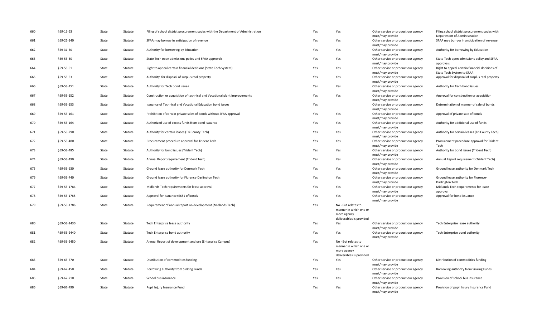| 660 | §59-19-93    | State | Statute | Filing of school district procurement codes with the Department of Administration | Yes | Yes                                           | Other service or product our agency<br>must/may provide                     | Filing school district procurement codes with<br>Department of Administration |
|-----|--------------|-------|---------|-----------------------------------------------------------------------------------|-----|-----------------------------------------------|-----------------------------------------------------------------------------|-------------------------------------------------------------------------------|
| 661 | §59-21-140   | State | Statute | SFAA may borrow in anticipation of revenue                                        | Yes | Yes                                           | Other service or product our agency                                         | SFAA may borrow in anticipation of revenue                                    |
| 662 | §59-31-60    | State | Statute | Authority for borrowing by Education                                              | Yes | Yes                                           | must/may provide<br>Other service or product our agency<br>must/may provide | Authority for borrowing by Education                                          |
| 663 | §59-53-30    | State | Statute | State Tech open admissions policy and SFAA approvals                              | Yes | Yes                                           | Other service or product our agency<br>must/may provide                     | State Tech open admissions policy and SFAA<br>approvals                       |
| 664 | §59-53-51    | State | Statute | Right to appeal certain financial decisions (State Tech System)                   | Yes | Yes                                           | Other service or product our agency<br>must/may provide                     | Right to appeal certain financial decisions of<br>State Tech System to SFAA   |
| 665 | \$59-53-53   | State | Statute | Authority for disposal of surplus real property                                   | Yes | Yes                                           | Other service or product our agency<br>must/may provide                     | Approval for disposal of surplus real property                                |
| 666 | §59-53-151   | State | Statute | Authority for Tech bond issues                                                    | Yes | Yes                                           | Other service or product our agency<br>must/may provide                     | Authority for Tech bond issues                                                |
| 667 | §59-53-152   | State | Statute | Construction or acquisition of technical and Vocational plant Improvements        | Yes | Yes                                           | Other service or product our agency<br>must/may provide                     | Approval for construction or acquisition                                      |
| 668 | §59-53-153   | State | Statute | Issuance of Technical and Vocational Education bond issues                        | Yes |                                               | Other service or product our agency<br>must/may provide                     | Determination of manner of sale of bonds                                      |
| 669 | §59-53-161   | State | Statute | Prohibition of certain private sales of bonds without SFAA approval               | Yes | Yes                                           | Other service or product our agency<br>must/may provide                     | Approval of private sale of bonds                                             |
| 670 | §59-53-164   | State | Statute | Authorized use of excess funds from bond issuance                                 | Yes | Yes                                           | Other service or product our agency<br>must/may provide                     | Authority for additional use of funds                                         |
| 671 | §59-53-290   | State | Statute | Authority for certain leases (Tri County Tech)                                    | Yes | Yes                                           | Other service or product our agency<br>must/may provide                     | Authority for certain leases (Tri County Tech)                                |
| 672 | §59-53-480   | State | Statute | Procurement procedure approval for Trident Tech                                   | Yes | Yes                                           | Other service or product our agency<br>must/may provide                     | Procurement procedure approval for Trident<br>Tech                            |
| 673 | §59-53-485   | State | Statute | Authority for bond issues (Trident Tech)                                          | Yes | Yes                                           | Other service or product our agency<br>must/may provide                     | Authority for bond issues (Trident Tech)                                      |
| 674 | §59-53-490   | State | Statute | Annual Report requirement (Trident Tech)                                          | Yes | Yes                                           | Other service or product our agency<br>must/may provide                     | Annual Report requirement (Trident Tech)                                      |
| 675 | §59-53-630   | State | Statute | Ground lease authority for Denmark Tech                                           | Yes | Yes                                           | Other service or product our agency<br>must/may provide                     | Ground lease authority for Denmark Tech                                       |
| 676 | \$59-53-740  | State | Statute | Ground lease authority for Florence-Darlington Tech                               | Yes | Yes                                           | Other service or product our agency<br>must/may provide                     | Ground lease authority for Florence-<br>Darlington Tech                       |
| 677 | §59-53-1784  | State | Statute | Midlands Tech requirements for lease approval                                     | Yes | Yes                                           | Other service or product our agency<br>must/may provide                     | Midlands Tech requirements for lease<br>approval                              |
| 678 | \$59-53-1785 | State | Statute | Approval for issuance+E681 of bonds                                               | Yes | Yes                                           | Other service or product our agency<br>must/may provide                     | Approval for bond issuance                                                    |
| 679 | \$59-53-1786 | State | Statute | Requirement of annual report on development (Midlands Tech)                       | Yes | No - But relates to                           |                                                                             |                                                                               |
|     |              |       |         |                                                                                   |     | manner in which one or                        |                                                                             |                                                                               |
|     |              |       |         |                                                                                   |     | more agency<br>deliverables is provided       |                                                                             |                                                                               |
| 680 | §59-53-2430  | State | Statute | Tech Enterprise lease authority                                                   | Yes | Yes                                           | Other service or product our agency<br>must/may provide                     | Tech Enterprise lease authority                                               |
| 681 | §59-53-2440  | State | Statute | Tech Enterprise bond authority                                                    | Yes | Yes                                           | Other service or product our agency<br>must/may provide                     | Tech Enterprise bond authority                                                |
| 682 | §59-53-2450  | State | Statute | Annual Report of development and use (Enterprise Campus)                          | Yes | No - But relates to<br>manner in which one or |                                                                             |                                                                               |
|     |              |       |         |                                                                                   |     | more agency<br>deliverables is provided       |                                                                             |                                                                               |
| 683 | §59-63-770   | State | Statute | Distribution of commodities funding                                               | Yes | Yes                                           | Other service or product our agency<br>must/may provide                     | Distribution of commodities funding                                           |
| 684 | §59-67-450   | State | Statute | Borrowing authority from Sinking Funds                                            | Yes | Yes                                           | Other service or product our agency<br>must/may provide                     | Borrowing authority from Sinking Funds                                        |
| 685 | §59-67-710   | State | Statute | School bus insurance                                                              | Yes | Yes                                           | Other service or product our agency<br>must/may provide                     | Provision of school bus insurance                                             |
| 686 | §59-67-790   | State | Statute | Pupil Injury Insurance Fund                                                       | Yes | Yes                                           | Other service or product our agency<br>must/may provide                     | Provision of pupil Injury Insurance Fund                                      |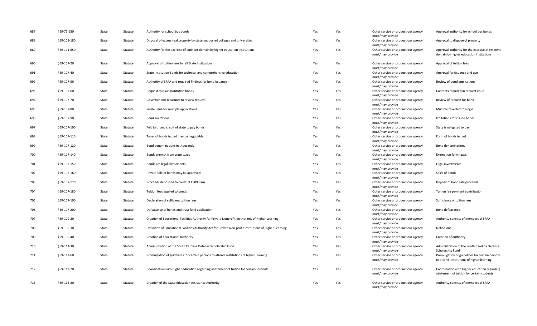| 687 | §59-71-530  | State | Statute | Authority for school bus bonds                                                                            | Yes | Yes | Other service or product our agency<br>must/may provide                     | Approval authority for school bus bonds                                                     |
|-----|-------------|-------|---------|-----------------------------------------------------------------------------------------------------------|-----|-----|-----------------------------------------------------------------------------|---------------------------------------------------------------------------------------------|
| 688 | §59-101-180 | State | Statute | Disposal of excess real property by state-supported colleges and universities                             | Yes | Yes | Other service or product our agency<br>must/may provide                     | Approval to dispose of property                                                             |
| 689 | §59-101-650 | State | Statute | Authority for the exercise of eminent domain by higher education institutions                             | Yes | Yes | Other service or product our agency                                         | Approval authority for the exercise of eminent                                              |
|     |             |       |         |                                                                                                           |     |     | must/may provide                                                            | domain by higher education institutions                                                     |
| 690 | §59-107-20  | State | Statute | Approval of tuition fees for all State Institutions                                                       | Yes | Yes | Other service or product our agency<br>must/may provide                     | Approval of tuition fees                                                                    |
| 691 | §59-107-40  | State | Statute | State Institution Bonds for technical and comprehensive education                                         | Yes | Yes | Other service or product our agency<br>must/may provide                     | Approval for issuance and use                                                               |
| 692 | §59-107-50  | State | Statute | Authority of SFAA and required findings for bond issuance                                                 | Yes | Yes | Other service or product our agency<br>must/may provide                     | Review of bond applications                                                                 |
| 693 | §59-107-60  | State | Statute | Request to issue institution bonds                                                                        | Yes | Yes | Other service or product our agency<br>must/may provide                     | Contents required in request issue                                                          |
| 694 | §59-107-70  | State | Statute | Governor and Treasurer to review request                                                                  | Yes | Yes | Other service or product our agency<br>must/may provide                     | Review of request for bond                                                                  |
| 695 | §59-107-80  | State | Statute | Single issue for multiple applications                                                                    | Yes | Yes | Other service or product our agency<br>must/may provide                     | Multiple reverted to single                                                                 |
| 696 | §59-107-90  | State | Statute | <b>Bond limitations</b>                                                                                   | Yes | Yes | Other service or product our agency<br>must/may provide                     | limitations for issued bonds                                                                |
| 697 | §59-107-100 | State | Statute | Full, faith and credit of state to pay bonds                                                              | Yes | Yes | Other service or product our agency<br>must/may provide                     | State is obligated to pay                                                                   |
| 698 | §59-107-110 | State | Statute | Types of bonds issued may be negotiable                                                                   | Yes | Yes | Other service or product our agency<br>must/may provide                     | Form of bonds issued                                                                        |
| 699 | §59-107-120 | State | Statute | Bond denominations in thousands                                                                           | Yes | Yes | Other service or product our agency<br>must/may provide                     | Bond denominations                                                                          |
| 700 | §59-107-140 | State | Statute | Bonds exempt from state taxes                                                                             | Yes | Yes | Other service or product our agency<br>must/may provide                     | <b>Exemption form taxes</b>                                                                 |
| 701 | §59-107-150 | State | Statute | Bonds are legal investments                                                                               | Yes | Yes | Other service or product our agency<br>must/may provide                     | Legal investments                                                                           |
| 702 | §59-107-160 | State | Statute | Private sale of bonds may be approved                                                                     | Yes | Yes | Other service or product our agency<br>must/may provide                     | Sales of bonds                                                                              |
| 703 | §59-107-170 | State | Statute | Proceeds deposited to credit of E809SFAA                                                                  | Yes | Yes | Other service or product our agency<br>must/may provide                     | Deposit of bond sale proceeds                                                               |
| 704 | §59-107-180 | State | Statute | Tuition fees applied to bonds                                                                             | Yes | Yes | Other service or product our agency                                         | Tuition fee payment contribution                                                            |
| 705 | §59-107-190 | State | Statute | Declaration of sufficient tuition fees                                                                    | Yes | Yes | must/may provide<br>Other service or product our agency                     | Sufficiency of tuition fees                                                                 |
| 706 | §59-107-200 | State | Statute | Defeasance of bonds and trust fund application                                                            | Yes | Yes | must/may provide<br>Other service or product our agency<br>must/may provide | Bond defeasance                                                                             |
| 707 | §59-109-20  | State | Statute | Creation of Educational Facilities Authority for Private Nonprofit Institutions of Higher Learning        | Yes | Yes | Other service or product our agency<br>must/may provide                     | Authority consists of members of SFAA                                                       |
| 708 | \$59-109-30 | State | Statute | Definition of Educational Facilities Authority Act for Private Non-profit Institutions of Higher Learning | Yes | Yes | Other service or product our agency<br>must/may provide                     | Definitions                                                                                 |
| 709 | \$59-109-40 | State | Statute | Creation of Educational Authority                                                                         | Yes | Yes | Other service or product our agency<br>must/may provide                     | Creation of authority                                                                       |
| 710 | §59-111-30  | State | Statute | Administration of the South Carolina Defense Scholarship Fund                                             | Yes | Yes | Other service or product our agency<br>must/may provide                     | Administration of the South Carolina Defense<br>Scholarship Fund                            |
| 711 | §59-112-60  | State | Statute | Promulgation of guidelines for certain persons to attend institutions of higher learning                  | Yes | Yes | Other service or product our agency<br>must/may provide                     | Promulgation of guidelines for certain persons<br>to attend institutions of higher learning |
| 712 | §59-112-70  | State | Statute | Coordination with Higher education regarding abatement of tuition for certain students                    | Yes | Yes | Other service or product our agency<br>must/may provide                     | Coordination with Higher education regarding<br>abatement of tuition for certain students   |
| 713 | §59-115-20  | State | Statute | Creation of the State Education Assistance Authority                                                      | Yes | Yes | Other service or product our agency<br>must/may provide                     | Authority consists of members of SFAA                                                       |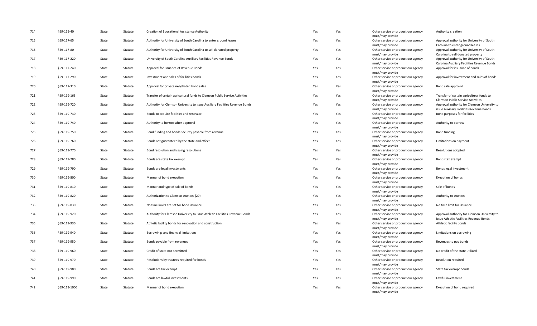| 714 | §59-115-40   | State | Statute | Creation of Educational Assistance Authority                                 | Yes | Yes | Other service or product our agency<br>must/may provide | Authority creation                                                                       |
|-----|--------------|-------|---------|------------------------------------------------------------------------------|-----|-----|---------------------------------------------------------|------------------------------------------------------------------------------------------|
| 715 | §59-117-65   | State | Statute | Authority for University of South Carolina to enter ground leases            | Yes | Yes | Other service or product our agency                     | Approval authority for University of South                                               |
| 716 | \$59-117-80  | State | Statute | Authority for University of South Carolina to sell donated property          | Yes | Yes | must/may provide<br>Other service or product our agency | Carolina to enter ground leases<br>Approval authority for University of South            |
| 717 | §59-117-220  | State | Statute | University of South Carolina Auxiliary Facilities Revenue Bonds              | Yes | Yes | must/may provide<br>Other service or product our agency | Carolina to sell donated property<br>Approval authority for University of South          |
|     |              |       |         |                                                                              |     |     | must/may provide                                        | Carolina Auxiliary Facilities Revenue Bonds                                              |
| 718 | §59-117-240  | State | Statute | Approval for issuance of Revenue Bonds                                       | Yes | Yes | Other service or product our agency<br>must/may provide | Approval for issuance of bonds                                                           |
| 719 | §59-117-290  | State | Statute | Investment and sales of facilities bonds                                     | Yes | Yes | Other service or product our agency<br>must/may provide | Approval for investment and sales of bonds                                               |
| 720 | §59-117-310  | State | Statute | Approval for private negotiated bond sales                                   | Yes | Yes | Other service or product our agency                     | Bond sale approval                                                                       |
| 721 | §59-119-165  | State | Statute | Transfer of certain agricultural funds to Clemson Public Service Activities  | Yes | Yes | must/may provide<br>Other service or product our agency | Transfer of certain agricultural funds to                                                |
|     |              |       |         |                                                                              |     |     | must/may provide                                        | <b>Clemson Public Service Activities</b>                                                 |
| 722 | §59-119-720  | State | Statute | Authority for Clemson University to issue Auxiliary Facilities Revenue Bonds | Yes | Yes | Other service or product our agency<br>must/may provide | Approval authority for Clemson University to<br>issue Auxiliary Facilities Revenue Bonds |
| 723 | §59-119-730  | State | Statute | Bonds to acquire facilities and renovate                                     | Yes | Yes | Other service or product our agency                     | Bond purposes for facilities                                                             |
| 724 | §59-119-740  | State | Statute | Authority to borrow after approval                                           | Yes | Yes | must/may provide<br>Other service or product our agency | Authority to borrow                                                                      |
|     |              |       |         |                                                                              |     |     | must/may provide                                        |                                                                                          |
| 725 | §59-119-750  | State | Statute | Bond funding and bonds security payable from revenue                         | Yes | Yes | Other service or product our agency<br>must/may provide | Bond funding                                                                             |
| 726 | §59-119-760  | State | Statute | Bonds not guaranteed by the state and effect                                 | Yes | Yes | Other service or product our agency<br>must/may provide | Limitations on payment                                                                   |
| 727 | §59-119-770  | State | Statute | Bond resolution and issuing resolutions                                      | Yes | Yes | Other service or product our agency                     | Resolutions adopted                                                                      |
|     |              |       |         |                                                                              |     |     | must/may provide                                        |                                                                                          |
| 728 | §59-119-780  | State | Statute | Bonds are state tax exempt                                                   | Yes | Yes | Other service or product our agency<br>must/may provide | Bonds tax exempt                                                                         |
| 729 | §59-119-790  | State | Statute | Bonds are legal investments                                                  | Yes | Yes | Other service or product our agency                     | Bonds legal investment                                                                   |
| 730 | §59-119-800  | State | Statute | Manner of bond execution                                                     | Yes | Yes | must/may provide<br>Other service or product our agency | <b>Execution of bonds</b>                                                                |
|     |              |       |         |                                                                              |     |     | must/may provide                                        |                                                                                          |
| 731 | §59-119-810  | State | Statute | Manner and type of sale of bonds                                             | Yes | Yes | Other service or product our agency<br>must/may provide | Sale of bonds                                                                            |
| 732 | §59-119-820  | State | Statute | Authorization to Clemson trustees (20)                                       | Yes | Yes | Other service or product our agency                     | Authority to trustees                                                                    |
| 733 | §59-119-830  | State | Statute | No time limits are set for bond issuance                                     | Yes | Yes | must/may provide<br>Other service or product our agency | No time limit for issuance                                                               |
|     |              |       |         |                                                                              |     |     | must/may provide                                        |                                                                                          |
| 734 | §59-119-920  | State | Statute | Authority for Clemson University to issue Athletic Facilities Revenue Bonds  | Yes | Yes | Other service or product our agency<br>must/may provide | Approval authority for Clemson University to<br>issue Athletic Facilities Revenue Bonds  |
| 735 | §59-119-930  | State | Statute | Athletic facility bonds for renovation and construction                      | Yes | Yes | Other service or product our agency                     | Athletic facility bonds                                                                  |
|     |              |       |         |                                                                              |     |     | must/may provide                                        |                                                                                          |
| 736 | §59-119-940  | State | Statute | Borrowings and financial limitations                                         | Yes | Yes | Other service or product our agency<br>must/may provide | Limitations on borrowing                                                                 |
| 737 | §59-119-950  | State | Statute | Bonds payable from revenues                                                  | Yes | Yes | Other service or product our agency                     | Revenues to pay bonds                                                                    |
|     |              |       |         |                                                                              |     |     | must/may provide                                        |                                                                                          |
| 738 | §59-119-960  | State | Statute | Credit of state not permitted                                                | Yes | Yes | Other service or product our agency<br>must/may provide | No credit of the state utilized                                                          |
| 739 | §59-119-970  | State | Statute | Resolutions by trustees required for bonds                                   | Yes | Yes | Other service or product our agency                     | Resolution required                                                                      |
| 740 | §59-119-980  | State | Statute | Bonds are tax exempt                                                         | Yes | Yes | must/may provide<br>Other service or product our agency | State tax exempt bonds                                                                   |
|     |              |       |         |                                                                              |     |     | must/may provide                                        |                                                                                          |
| 741 | §59-119-990  | State | Statute | Bonds are lawful investments                                                 | Yes | Yes | Other service or product our agency                     | Lawful investment                                                                        |
| 742 | §59-119-1000 | State | Statute | Manner of bond execution                                                     | Yes | Yes | must/may provide<br>Other service or product our agency | Execution of bond required                                                               |
|     |              |       |         |                                                                              |     |     | must/may provide                                        |                                                                                          |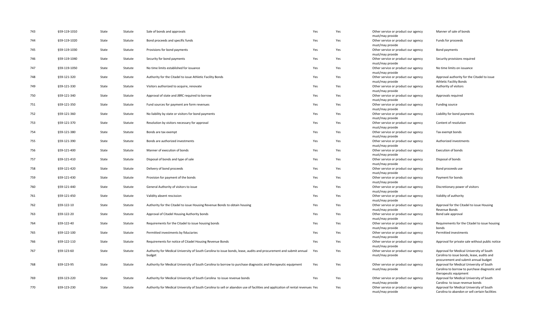| 743 | §59-119-1010 | State | Statute | Sale of bonds and approvals                                                                                                    | Yes | Yes | Other service or product our agency<br>must/may provide                     | Manner of sale of bonds                                                                                                        |
|-----|--------------|-------|---------|--------------------------------------------------------------------------------------------------------------------------------|-----|-----|-----------------------------------------------------------------------------|--------------------------------------------------------------------------------------------------------------------------------|
| 744 | §59-119-1020 | State | Statute | Bond proceeds and specific funds                                                                                               | Yes | Yes | Other service or product our agency                                         | Funds for proceeds                                                                                                             |
| 745 | §59-119-1030 | State | Statute | Provisions for bond payments                                                                                                   | Yes | Yes | must/may provide<br>Other service or product our agency                     | Bond payments                                                                                                                  |
| 746 | §59-119-1040 | State | Statute | Security for bond payments                                                                                                     | Yes | Yes | must/may provide<br>Other service or product our agency                     | Security provisions required                                                                                                   |
| 747 | §59-119-1050 | State | Statute | No time limits established for issuance                                                                                        | Yes | Yes | must/may provide<br>Other service or product our agency                     | No time limits on issuance                                                                                                     |
| 748 | §59-121-320  | State | Statute | Authority for the Citadel to issue Athletic Facility Bonds                                                                     | Yes | Yes | must/may provide<br>Other service or product our agency                     | Approval authority for the Citadel to issue                                                                                    |
|     |              |       |         |                                                                                                                                |     |     | must/may provide                                                            | <b>Athletic Facility Bonds</b>                                                                                                 |
| 749 | §59-121-330  | State | Statute | Visitors authorized to acquire, renovate                                                                                       | Yes | Yes | Other service or product our agency<br>must/may provide                     | Authority of visitors                                                                                                          |
| 750 | §59-121-340  | State | Statute | Approval of state and JBRC required to borrow                                                                                  | Yes | Yes | Other service or product our agency<br>must/may provide                     | Approvals required                                                                                                             |
| 751 | §59-121-350  | State | Statute | Fund sources for payment are form revenues                                                                                     | Yes | Yes | Other service or product our agency                                         | Funding source                                                                                                                 |
| 752 | §59-121-360  | State | Statute | No liability by state or visitors for bond payments                                                                            | Yes | Yes | must/may provide<br>Other service or product our agency                     | Liability for bond payments                                                                                                    |
|     |              |       |         |                                                                                                                                |     |     | must/may provide                                                            |                                                                                                                                |
| 753 | §59-121-370  | State | Statute | Resolution by visitors necessary for approval                                                                                  | Yes | Yes | Other service or product our agency                                         | Content of resolution                                                                                                          |
| 754 | §59-121-380  | State | Statute | Bonds are tax exempt                                                                                                           | Yes | Yes | must/may provide                                                            | Tax exempt bonds                                                                                                               |
|     |              |       |         |                                                                                                                                |     |     | Other service or product our agency<br>must/may provide                     |                                                                                                                                |
| 755 | §59-121-390  | State | Statute | Bonds are authorized investments                                                                                               | Yes | Yes | Other service or product our agency<br>must/may provide                     | Authorized investments                                                                                                         |
| 756 | §59-121-400  | State | Statute | Manner of execution of bonds                                                                                                   | Yes | Yes | Other service or product our agency<br>must/may provide                     | <b>Execution of bonds</b>                                                                                                      |
| 757 | §59-121-410  | State | Statute | Disposal of bonds and type of sale                                                                                             | Yes | Yes | Other service or product our agency<br>must/may provide                     | Disposal of bonds                                                                                                              |
| 758 | §59-121-420  | State | Statute | Delivery of bond proceeds                                                                                                      | Yes | Yes | Other service or product our agency                                         | Bond proceeds use                                                                                                              |
| 759 | \$59-121-430 | State | Statute | Provision for payment of the bonds                                                                                             | Yes | Yes | must/may provide<br>Other service or product our agency                     | Payment for bonds                                                                                                              |
| 760 | §59-121-440  | State | Statute | General Authority of visitors to issue                                                                                         | Yes | Yes | must/may provide<br>Other service or product our agency                     | Discretionary power of visitors                                                                                                |
|     |              |       |         |                                                                                                                                |     |     | must/may provide                                                            |                                                                                                                                |
| 761 | §59-121-450  | State | Statute | Validity absent rescission                                                                                                     | Yes | Yes | Other service or product our agency<br>must/may provide                     | Validity of authority                                                                                                          |
| 762 | \$59-122-10  | State | Statute | Authority for the Citadel to issue Housing Revenue Bonds to obtain housing                                                     | Yes | Yes | Other service or product our agency<br>must/may provide                     | Approval for the Citadel to issue Housing<br>Revenue Bonds                                                                     |
| 763 | \$59-122-20  | State | Statute | Approval of Citadel Housing Authority bonds                                                                                    | Yes | Yes | Other service or product our agency                                         | Bond sale approval                                                                                                             |
| 764 | §59-122-40   | State | Statute | Requirements for the Citadel to issue housing bonds                                                                            | Yes | Yes | must/may provide<br>Other service or product our agency                     | Requirements for the Citadel to issue housing                                                                                  |
| 765 | §59-122-100  | State | Statute | Permitted investments by fiduciaries                                                                                           | Yes | Yes | must/may provide<br>Other service or product our agency                     | bonds<br>Permitted investments                                                                                                 |
|     |              |       |         |                                                                                                                                |     |     | must/may provide                                                            |                                                                                                                                |
| 766 | §59-122-110  | State | Statute | Requirements for notice of Citadel Housing Revenue Bonds                                                                       | Yes | Yes | Other service or product our agency<br>must/may provide                     | Approval for private sale without public notice                                                                                |
| 767 | §59-123-60   | State | Statute | Authority for Medical University of South Carolina to issue bonds, lease, audits and procurement and submit annual<br>budget   | Yes | Yes | Other service or product our agency<br>must/may provide                     | Approval for Medical University of South<br>Carolina to issue bonds, lease, audits and<br>procurement and submit annual budget |
| 768 | \$59-123-95  | State | Statute | Authority for Medical University of South Carolina to borrow to purchase diagnostic and therapeutic equipment                  | Yes | Yes | Other service or product our agency<br>must/may provide                     | Approval for Medical University of South<br>Carolina to borrow to purchase diagnostic and                                      |
| 769 | §59-123-220  | State | Statute | Authority for Medical University of South Carolina to issue revenue bonds                                                      | Yes | Yes | Other service or product our agency                                         | therapeutic equipment<br>Approval for Medical University of South<br>Carolina to issue revenue bonds                           |
| 770 | §59-123-230  | State | Statute | Authority for Medical University of South Carolina to sell or abandon use of facilities and application of rental revenues Yes |     | Yes | must/may provide<br>Other service or product our agency<br>must/may provide | Approval for Medical University of South<br>Carolina to abandon or sell certain facilities                                     |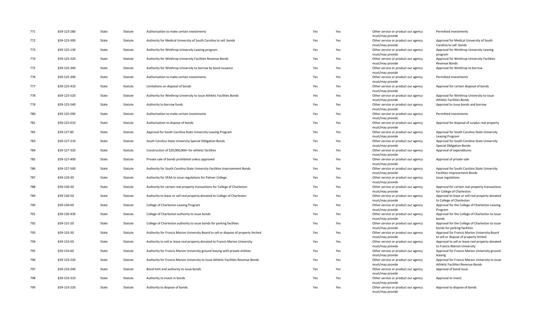| 771 | §59-123-280 | State | Statute | Authorization to make certain investments                                            | Yes | Yes | Other service or product our agency<br>must/may provide | Permitted investments                                                                  |
|-----|-------------|-------|---------|--------------------------------------------------------------------------------------|-----|-----|---------------------------------------------------------|----------------------------------------------------------------------------------------|
| 772 | §59-123-300 | State | Statute | Authority for Medical University of South Carolina to sell bonds                     | Yes | Yes | Other service or product our agency                     | Approval for Medical University of South                                               |
| 773 | §59-125-130 | State | Statute | Authority for Winthrop University Leasing program                                    | Yes | Yes | must/may provide<br>Other service or product our agency | Carolina to sell bonds<br>Approval for Winthrop University Leasing                     |
| 774 | §59-125-320 | State | Statute | Authority for Winthrop University Facilities Revenue Bonds                           | Yes | Yes | must/may provide<br>Other service or product our agency | program<br>Approval for Winthrop University Facilities                                 |
|     |             |       |         |                                                                                      |     |     | must/may provide                                        | Revenue Bonds                                                                          |
| 775 | §59-125-340 | State | Statute | Authority for Winthrop University to borrow by bond issuance                         | Yes | Yes | Other service or product our agency<br>must/may provide | Approval for Winthrop to borrow                                                        |
| 776 | §59-125-390 | State | Statute | Authorization to make certain investments                                            | Yes | Yes | Other service or product our agency                     | Permitted investments                                                                  |
| 777 | §59-125-410 | State | Statute | Limitations on disposal of bonds                                                     | Yes | Yes | must/may provide<br>Other service or product our agency | Approval for certain disposal of bonds                                                 |
| 778 | §59-125-520 | State | Statute | Authority for Winthrop University to issue Athletic Facilities Bonds                 | Yes | Yes | must/may provide<br>Other service or product our agency | Approval for Winthrop University to issue                                              |
|     |             |       |         |                                                                                      |     |     | must/may provide                                        | <b>Athletic Facilities Bonds</b>                                                       |
| 779 | §59-125-540 | State | Statute | Authority to borrow funds                                                            | Yes | Yes | Other service or product our agency<br>must/may provide | Approval to issue bonds and borrow                                                     |
| 780 | §59-125-590 | State | Statute | Authorization to make certain investments                                            | Yes | Yes | Other service or product our agency                     | Permitted investments                                                                  |
| 781 | §59-125-610 | State | Statute | Authorization to dispose of bonds                                                    | Yes | Yes | must/may provide<br>Other service or product our agency | Approval for disposal of surplus real property                                         |
|     |             |       |         |                                                                                      |     |     | must/may provide                                        |                                                                                        |
| 782 | §59-127-85  | State | Statute | Approval for South Carolina State University Leasing Program                         | Yes | Yes | Other service or product our agency<br>must/may provide | Approval for South Carolina State University<br>Leasing Program                        |
| 783 | §59-127-310 | State | Statute | South Carolina State University Special Obligation Bonds                             | Yes | Yes | Other service or product our agency                     | Approval for South Carolina State University                                           |
| 784 | §59-127-320 | State | Statute | Construction of \$20,000,000+ for athletic facilities                                | Yes | Yes | must/may provide<br>Other service or product our agency | <b>Special Obligation Bonds</b><br>Approval of expenditures                            |
|     |             |       |         |                                                                                      |     |     | must/may provide                                        |                                                                                        |
| 785 | §59-127-400 | State | Statute | Private sale of bonds prohibited unless approved                                     | Yes | Yes | Other service or product our agency                     | Approval of private sale                                                               |
| 786 | §59-127-500 | State | Statute | Authority for South Carolina State University Facilities Improvement Bonds           | Yes | Yes | must/may provide<br>Other service or product our agency | Approval for South Carolina State University                                           |
|     |             |       |         |                                                                                      |     |     | must/may provide                                        | Facilities Improvement Bonds                                                           |
| 787 | \$59-129-30 | State | Statute | Authority for SFAA to issue regulations for Palmer College                           | Yes | Yes | Other service or product our agency                     | Issue regulations                                                                      |
| 788 | §59-130-30  | State | Statute | Authority for certain real property transactions for College of Charleston           | Yes | Yes | must/may provide<br>Other service or product our agency | Approval for certain real property transactions                                        |
|     |             |       |         |                                                                                      |     |     | must/may provide                                        | for College of Charleston                                                              |
| 789 | \$59-130-50 | State | Statute | Authority to lease or sell real property donated to College of Charleston            | Yes | Yes | Other service or product our agency<br>must/may provide | Approval to lease or sell real property donated<br>to College of Charleston            |
| 790 | §59-130-60  | State | Statute | College of Charleston Leasing Program                                                | Yes | Yes | Other service or product our agency                     | Approval for the College of Charleston Leasing                                         |
|     |             |       |         |                                                                                      |     |     | must/may provide                                        | Program                                                                                |
| 791 | §59-130-430 | State | Statute | College of Charleston authority to issue bonds                                       | Yes | Yes | Other service or product our agency<br>must/may provide | Approval for the College of Charleston to issue<br>bonds                               |
| 792 | §59-131-20  | State | Statute | College of Charleston authority to issue bonds for parking facilities                | Yes | Yes | Other service or product our agency<br>must/may provide | Approval for the College of Charleston to issue<br>bonds for parking facilities        |
| 793 | \$59-133-30 | State | Statute | Authority for Francis Marion University Board to sell or dispose of property limited | Yes | Yes | Other service or product our agency<br>must/may provide | Approval for Francis Marion University Board<br>to sell or dispose of property limited |
| 794 | §59-133-50  | State | Statute | Authority to sell or lease real property donated to Francis Marion University        | Yes | Yes | Other service or product our agency                     | Approval to sell or lease real property donated                                        |
|     |             |       |         |                                                                                      |     |     | must/may provide                                        | to Francis Marion University                                                           |
| 795 | §59-133-60  | State | Statute | Authority for Francis Marion University ground leasing with private entities         | Yes | Yes | Other service or product our agency<br>must/may provide | Approval for Francis Marion University ground<br>leasing                               |
| 796 | §59-133-220 | State | Statute | Authority for Francis Marion University to issue Athletic Facilities Revenue Bonds   | Yes | Yes | Other service or product our agency                     | Approval for Francis Marion University to issue                                        |
|     |             |       |         |                                                                                      |     |     | must/may provide                                        | Athletic Facilities Revenue Bonds                                                      |
| 797 | §59-133-240 | State | Statute | Bond limit and authority to issue bonds                                              | Yes | Yes | Other service or product our agency<br>must/may provide | Approval of bond issue                                                                 |
| 798 | §59-133-310 | State | Statute | Authority to invest in bonds                                                         | Yes | Yes | Other service or product our agency                     | Approval to invest                                                                     |
|     |             |       |         |                                                                                      |     |     | must/may provide                                        |                                                                                        |
| 799 | §59-133-220 | State | Statute | Authority to dispose of bonds                                                        | Yes | Yes | Other service or product our agency<br>must/may provide | Approval to dispose of bonds                                                           |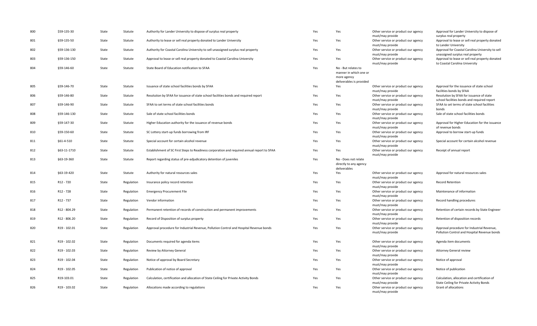| 800 | \$59-135-30  | State | Statute    | Authority for Lander University to dispose of surplus real property                         | Yes | Yes                                                                                      | Other service or product our agency<br>must/may provide | Approval for Lander University to dispose of<br>surplus real property                      |
|-----|--------------|-------|------------|---------------------------------------------------------------------------------------------|-----|------------------------------------------------------------------------------------------|---------------------------------------------------------|--------------------------------------------------------------------------------------------|
| 801 | §59-135-50   | State | Statute    | Authority to lease or sell real property donated to Lander University                       | Yes | Yes                                                                                      | Other service or product our agency<br>must/may provide | Approval to lease or sell real property donated<br>to Lander University                    |
| 802 | §59-136-130  | State | Statute    | Authority for Coastal Carolina University to sell unassigned surplus real property          | Yes | Yes                                                                                      | Other service or product our agency<br>must/may provide | Approval for Coastal Carolina University to sell<br>unassigned surplus real property       |
| 803 | §59-136-150  | State | Statute    | Approval to lease or sell real property donated to Coastal Carolina University              | Yes | Yes                                                                                      | Other service or product our agency<br>must/may provide | Approval to lease or sell real property donated<br>to Coastal Carolina University          |
| 804 | §59-146-60   | State | Statute    | State Board of Education notification to SFAA                                               | Yes | No - But relates to<br>manner in which one or<br>more agency<br>deliverables is provided |                                                         |                                                                                            |
| 805 | §59-146-70   | State | Statute    | Issuance of state school facilities bonds by SFAA                                           | Yes | Yes                                                                                      | Other service or product our agency<br>must/may provide | Approval for the issuance of state school<br>facilities bonds by SFAA                      |
| 806 | §59-146-80   | State | Statute    | Resolution by SFAA for issuance of state school facilities bonds and required report        | Yes | Yes                                                                                      | Other service or product our agency<br>must/may provide | Resolution by SFAA for issuance of state<br>school facilities bonds and required report    |
| 807 | §59-146-90   | State | Statute    | SFAA to set terms of state school facilities bonds                                          | Yes | Yes                                                                                      | Other service or product our agency<br>must/may provide | SFAA to set terms of state school facilities<br>bonds                                      |
| 808 | §59-146-130  | State | Statute    | Sale of state school facilities bonds                                                       | Yes | Yes                                                                                      | Other service or product our agency<br>must/may provide | Sale of state school facilities bonds                                                      |
| 809 | §59-147-30   | State | Statute    | Higher Education authority for the issuance of revenue bonds                                | Yes | Yes                                                                                      | Other service or product our agency<br>must/may provide | Approval for Higher Education for the issuance<br>of revenue bonds                         |
| 810 | §59-150-60   | State | Statute    | SC Lottery start-up funds borrowing from IRF                                                | Yes | Yes                                                                                      | Other service or product our agency<br>must/may provide | Approval to borrow start-up funds                                                          |
| 811 | \$61-4-510   | State | Statute    | Special account for certain alcohol revenue                                                 | Yes | Yes                                                                                      | Other service or product our agency<br>must/may provide | Special account for certain alcohol revenue                                                |
| 812 | §63-11-1710  | State | Statute    | Establishment of SC First Steps to Readiness corporation and required annual report to SFAA | Yes | Yes                                                                                      | Other service or product our agency<br>must/may provide | Receipt of annual report                                                                   |
| 813 | §63-19-360   | State | Statute    | Report regarding status of pre-adjudicatory detention of juveniles                          | Yes | No - Does not relate<br>directly to any agency<br>deliverables                           |                                                         |                                                                                            |
| 814 | §63-19-420   | State | Statute    | Authority for natural resources sales                                                       | Yes | Yes                                                                                      | Other service or product our agency<br>must/may provide | Approval for natural resources sales                                                       |
| 815 | R12 - 720    | State | Regulation | Insurance policy record retention                                                           | Yes | Yes                                                                                      | Other service or product our agency<br>must/may provide | Record Retention                                                                           |
| 816 | R12 - 728    | State | Regulation | <b>Emergency Procurement File</b>                                                           | Yes | Yes                                                                                      | Other service or product our agency<br>must/may provide | Maintenance of information                                                                 |
| 817 | R12 - 737    | State | Regulation | Vendor information                                                                          | Yes | Yes                                                                                      | Other service or product our agency<br>must/may provide | Record handling procedures                                                                 |
| 818 | R12 - 804.29 | State | Regulation | Permanent retention of records of construction and permanent improvements                   | Yes | Yes                                                                                      | Other service or product our agency<br>must/may provide | Retention of certain records by State Engineer                                             |
| 819 | R12 - 806.20 | State | Regulation | Record of Disposition of surplus property                                                   | Yes | Yes                                                                                      | Other service or product our agency<br>must/may provide | Retention of disposition records                                                           |
| 820 | R19 - 102.01 | State | Regulation | Approval procedure for Industrial Revenue, Pollution Control and Hospital Revenue bonds     | Yes | Yes                                                                                      | Other service or product our agency<br>must/may provide | Approval procedure for Industrial Revenue,<br>Pollution Control and Hospital Revenue bonds |
| 821 | R19 - 102.02 | State | Regulation | Documents required for agenda items                                                         | Yes | Yes                                                                                      | Other service or product our agency<br>must/may provide | Agenda item documents                                                                      |
| 822 | R19 - 102.03 | State | Regulation | Review by Attorney General                                                                  | Yes | Yes                                                                                      | Other service or product our agency<br>must/may provide | <b>Attorney General review</b>                                                             |
| 823 | R19 - 102.04 | State | Regulation | Notice of approval by Board Secretary                                                       | Yes | Yes                                                                                      | Other service or product our agency<br>must/may provide | Notice of approval                                                                         |
| 824 | R19 - 102.05 | State | Regulation | Publication of notice of approval                                                           | Yes | Yes                                                                                      | Other service or product our agency<br>must/may provide | Notice of publication                                                                      |
| 825 | R19-103.01   | State | Regulation | Calculation, certification and allocation of State Ceiling for Private Activity Bonds       | Yes | Yes                                                                                      | Other service or product our agency<br>must/may provide | Calculation, allocation and certification of<br>State Ceiling for Private Activity Bonds   |
| 826 | R19 - 103.02 | State | Regulation | Allocations made according to regulations                                                   | Yes | Yes                                                                                      | Other service or product our agency<br>must/may provide | Grant of allocations                                                                       |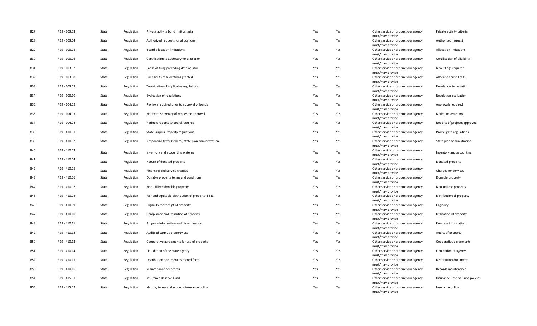| 827 | R19 - 103.03 | State | Regulation | Private activity bond limit criteria                   | Yes | Yes | Other service or product our agency<br>must/may provide                     | Private activity criteria       |
|-----|--------------|-------|------------|--------------------------------------------------------|-----|-----|-----------------------------------------------------------------------------|---------------------------------|
| 828 | R19 - 103.04 | State | Regulation | Authorized requests for allocations                    | Yes | Yes | Other service or product our agency<br>must/may provide                     | Authorized request              |
| 829 | R19 - 103.05 | State | Regulation | Board allocation limitations                           | Yes | Yes | Other service or product our agency<br>must/may provide                     | Allocation limitations          |
| 830 | R19 - 103.06 | State | Regulation | Certification to Secretary for allocation              | Yes | Yes | Other service or product our agency<br>must/may provide                     | Certification of eligibility    |
| 831 | R19 - 103.07 | State | Regulation | Lapse of filing preceding date of issue                | Yes | Yes | Other service or product our agency<br>must/may provide                     | New filings required            |
| 832 | R19 - 103.08 | State | Regulation | Time limits of allocations granted                     | Yes | Yes | Other service or product our agency<br>must/may provide                     | Allocation time limits          |
| 833 | R19 - 103.09 | State | Regulation | Termination of applicable regulations                  | Yes | Yes | Other service or product our agency<br>must/may provide                     | Regulation termination          |
| 834 | R19 - 103.10 | State | Regulation | Evaluation of regulations                              | Yes | Yes | Other service or product our agency<br>must/may provide                     | Regulation evaluation           |
| 835 | R19 - 104.02 | State | Regulation | Reviews required prior to approval of bonds            | Yes | Yes | Other service or product our agency<br>must/may provide                     | Approvals required              |
| 836 | R19 - 104.03 | State | Regulation | Notice to Secretary of requested approval              | Yes | Yes | Other service or product our agency<br>must/may provide                     | Notice to secretary             |
| 837 | R19 - 104.04 | State | Regulation | Periodic reports to board required                     | Yes | Yes | Other service or product our agency<br>must/may provide                     | Reports of projects approved    |
| 838 | R19 - 410.01 | State | Regulation | State Surplus Property regulations                     | Yes | Yes | Other service or product our agency<br>must/may provide                     | Promulgate regulations          |
| 839 | R19 - 410.02 | State | Regulation | Responsibility for (federal) state plan administration | Yes | Yes | Other service or product our agency<br>must/may provide                     | State plan administration       |
| 840 | R19 - 410.03 | State | Regulation | Inventory and accounting systems                       | Yes | Yes | Other service or product our agency<br>must/may provide                     | Inventory and accounting        |
| 841 | R19 - 410.04 | State | Regulation | Return of donated property                             | Yes | Yes | Other service or product our agency<br>must/may provide                     | Donated property                |
| 842 | R19 - 410.05 | State | Regulation | Financing and service charges                          | Yes | Yes | Other service or product our agency<br>must/may provide                     | Charges for services            |
| 843 | R19 - 410.06 | State | Regulation | Donable property terms and conditions                  | Yes | Yes | Other service or product our agency<br>must/may provide                     | Donable property                |
| 844 | R19 - 410.07 | State | Regulation | Non-utilized donable property                          | Yes | Yes | Other service or product our agency<br>must/may provide                     | Non-utilized property           |
| 845 | R19 - 410.08 | State | Regulation | Fair and equitable distribution of property+E843       | Yes | Yes | Other service or product our agency<br>must/may provide                     | Distribution of property        |
| 846 | R19 - 410.09 | State | Regulation | Eligibility for receipt of property                    | Yes | Yes | Other service or product our agency<br>must/may provide                     | Eligibility                     |
| 847 | R19 - 410.10 | State | Regulation | Compliance and utilization of property                 | Yes | Yes | Other service or product our agency<br>must/may provide                     | Utilization of property         |
| 848 | R19 - 410.11 | State | Regulation | Program information and dissemination                  | Yes | Yes | Other service or product our agency<br>must/may provide                     | Program information             |
| 849 | R19 - 410.12 | State | Regulation | Audits of surplus property use                         | Yes | Yes | Other service or product our agency<br>must/may provide                     | Audits of property              |
| 850 | R19 - 410.13 | State | Regulation | Cooperative agreements for use of property             | Yes | Yes | Other service or product our agency<br>must/may provide                     | Cooperative agreements          |
| 851 | R19 - 410.14 | State | Regulation | Liquidation of the state agency                        | Yes | Yes | Other service or product our agency<br>must/may provide                     | Liquidation of agency           |
| 852 | R19 - 410.15 | State | Regulation | Distribution document as record form                   | Yes | Yes | Other service or product our agency<br>must/may provide                     | Distribution document           |
| 853 | R19 - 410.16 | State | Regulation | Maintenance of records                                 | Yes | Yes | Other service or product our agency<br>must/may provide                     | Records maintenance             |
| 854 | R19 - 415.01 | State | Regulation | Insurance Reserve Fund                                 | Yes | Yes | Other service or product our agency                                         | Insurance Reserve Fund policies |
| 855 | R19 - 415.02 | State | Regulation | Nature, terms and scope of insurance policy            | Yes | Yes | must/may provide<br>Other service or product our agency<br>must/may provide | Insurance policy                |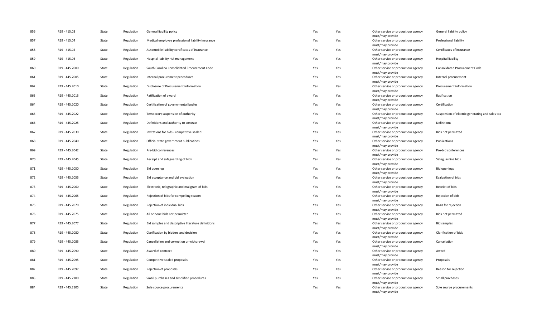| 856 | R19 - 415.03   | State | Regulation | General liability policy                           | Yes | Yes | Other service or product our agency<br>must/may provide | General liability policy                        |
|-----|----------------|-------|------------|----------------------------------------------------|-----|-----|---------------------------------------------------------|-------------------------------------------------|
| 857 | R19 - 415.04   | State | Regulation | Medical employee professional liability insurance  | Yes | Yes | Other service or product our agency<br>must/may provide | Professional liability                          |
| 858 | R19 - 415.05   | State | Regulation | Automobile liability certificates of insurance     | Yes | Yes | Other service or product our agency<br>must/may provide | Certificates of insurance                       |
| 859 | R19 - 415.06   | State | Regulation | Hospital liability risk management                 | Yes | Yes | Other service or product our agency<br>must/may provide | Hospital liability                              |
| 860 | R19 - 445.2000 | State | Regulation | South Carolina Consolidated Procurement Code       | Yes | Yes | Other service or product our agency<br>must/may provide | <b>Consolidated Procurement Code</b>            |
| 861 | R19 - 445.2005 | State | Regulation | Internal procurement procedures                    | Yes | Yes | Other service or product our agency<br>must/may provide | Internal procurement                            |
| 862 | R19 - 445.2010 | State | Regulation | Disclosure of Procurement information              | Yes | Yes | Other service or product our agency<br>must/may provide | Procurement information                         |
| 863 | R19 - 445.2015 | State | Regulation | Ratification of award                              | Yes | Yes | Other service or product our agency<br>must/may provide | Ratification                                    |
| 864 | R19 - 445.2020 | State | Regulation | Certification of governmental bodies               | Yes | Yes | Other service or product our agency<br>must/may provide | Certification                                   |
| 865 | R19 - 445.2022 | State | Regulation | Temporary suspension of authority                  | Yes | Yes | Other service or product our agency<br>must/may provide | Suspension of electric generating and sales tax |
| 866 | R19 - 445.2025 | State | Regulation | Definitions and authority to contract              | Yes | Yes | Other service or product our agency<br>must/may provide | Definitions                                     |
| 867 | R19 - 445.2030 | State | Regulation | Invitations for bids - competitive sealed          | Yes | Yes | Other service or product our agency<br>must/may provide | Bids not permitted                              |
| 868 | R19 - 445.2040 | State | Regulation | Official state government publications             | Yes | Yes | Other service or product our agency<br>must/may provide | Publications                                    |
| 869 | R19 - 445.2042 | State | Regulation | Pre-bid conferences                                | Yes | Yes | Other service or product our agency<br>must/may provide | Pre-bid conferences                             |
| 870 | R19 - 445.2045 | State | Regulation | Receipt and safeguarding of bids                   | Yes | Yes | Other service or product our agency<br>must/may provide | Safeguarding bids                               |
| 871 | R19 - 445.2050 | State | Regulation | <b>Bid openings</b>                                | Yes | Yes | Other service or product our agency<br>must/may provide | <b>Bid openings</b>                             |
| 872 | R19 - 445.2055 | State | Regulation | Bid acceptance and bid evaluation                  | Yes | Yes | Other service or product our agency<br>must/may provide | Evaluation of bids                              |
| 873 | R19 - 445.2060 | State | Regulation | Electronic, telegraphic and mailgram of bids       | Yes | Yes | Other service or product our agency<br>must/may provide | Receipt of bids                                 |
| 874 | R19 - 445.2065 | State | Regulation | Rejection of bids for compelling reason            | Yes | Yes | Other service or product our agency<br>must/may provide | Rejection of bids                               |
| 875 | R19 - 445.2070 | State | Regulation | Rejection of individual bids                       | Yes | Yes | Other service or product our agency<br>must/may provide | Basis for rejection                             |
| 876 | R19 - 445.2075 | State | Regulation | All or none bids not permitted                     | Yes | Yes | Other service or product our agency<br>must/may provide | Bids not permitted                              |
| 877 | R19 - 445.2077 | State | Regulation | Bid samples and descriptive literature definitions | Yes | Yes | Other service or product our agency<br>must/may provide | <b>Bid samples</b>                              |
| 878 | R19 - 445.2080 | State | Regulation | Clarification by bidders and decision              | Yes | Yes | Other service or product our agency<br>must/may provide | Clarification of bids                           |
| 879 | R19 - 445.2085 | State | Regulation | Cancellation and correction or withdrawal          | Yes | Yes | Other service or product our agency<br>must/may provide | Cancellation                                    |
| 880 | R19 - 445.2090 | State | Regulation | Award of contract                                  | Yes | Yes | Other service or product our agency<br>must/may provide | Award                                           |
| 881 | R19 - 445.2095 | State | Regulation | Competitive sealed proposals                       | Yes | Yes | Other service or product our agency<br>must/may provide | Proposals                                       |
| 882 | R19 - 445.2097 | State | Regulation | Rejection of proposals                             | Yes | Yes | Other service or product our agency<br>must/may provide | Reason for rejection                            |
| 883 | R19 - 445.2100 | State | Regulation | Small purchases and simplified procedures          | Yes | Yes | Other service or product our agency<br>must/may provide | Small purchases                                 |
| 884 | R19 - 445.2105 | State | Regulation | Sole source procurements                           | Yes | Yes | Other service or product our agency<br>must/may provide | Sole source procurements                        |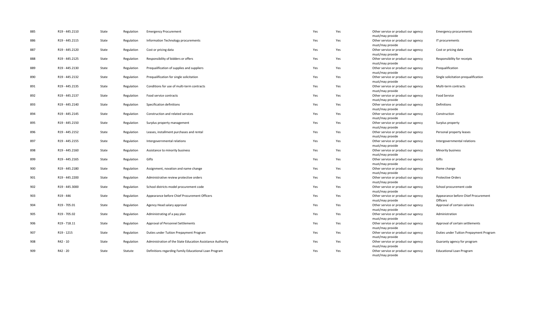| 885 | R19 - 445.2110        | State | Regulation | <b>Emergency Procurement</b>                               | Yes | Yes | Other service or product our agency<br>must/may provide | <b>Emergency procurements</b>                   |
|-----|-----------------------|-------|------------|------------------------------------------------------------|-----|-----|---------------------------------------------------------|-------------------------------------------------|
| 886 | R19 - 445.2115        | State | Regulation | Information Technology procurements                        | Yes | Yes | Other service or product our agency<br>must/may provide | IT procurements                                 |
| 887 | R19 - 445.2120        | State | Regulation | Cost or pricing data                                       | Yes | Yes | Other service or product our agency<br>must/may provide | Cost or pricing data                            |
| 888 | R19 - 445.2125        | State | Regulation | Responsibility of bidders or offers                        | Yes | Yes | Other service or product our agency<br>must/may provide | Responsibility for receipts                     |
| 889 | R19 - 445.2130        | State | Regulation | Prequalification of supplies and suppliers                 | Yes | Yes | Other service or product our agency<br>must/may provide | Pregualification                                |
| 890 | R19 - 445.2132        | State | Regulation | Prequalification for single solicitation                   | Yes | Yes | Other service or product our agency<br>must/may provide | Single solicitation prequalification            |
| 891 | R19 - 445.2135        | State | Regulation | Conditions for use of multi-term contracts                 | Yes | Yes | Other service or product our agency<br>must/may provide | Multi-term contracts                            |
| 892 | R19 - 445.2137        | State | Regulation | Food service contracts                                     | Yes | Yes | Other service or product our agency<br>must/may provide | Food Service                                    |
| 893 | R19 - 445.2140        | State | Regulation | Specification definitions                                  | Yes | Yes | Other service or product our agency<br>must/may provide | Definitions                                     |
| 894 | R19 - 445.2145        | State | Regulation | Construction and related services                          | Yes | Yes | Other service or product our agency<br>must/may provide | Construction                                    |
| 895 | R19 - 445.2150        | State | Regulation | Surplus property management                                | Yes | Yes | Other service or product our agency<br>must/may provide | Surplus property                                |
| 896 | R19 - 445.2152        | State | Regulation | Leases, installment purchases and rental                   | Yes | Yes | Other service or product our agency<br>must/may provide | Personal property leases                        |
| 897 | R19 - 445.2155        | State | Regulation | Intergovernmental relations                                | Yes | Yes | Other service or product our agency<br>must/may provide | Intergovernmental relations                     |
| 898 | R19 - 445.2160        | State | Regulation | Assistance to minority business                            | Yes | Yes | Other service or product our agency<br>must/may provide | Minority business                               |
| 899 | R19 - 445.2165        | State | Regulation | Gifts                                                      | Yes | Yes | Other service or product our agency<br>must/may provide | Gifts                                           |
| 900 | R19 - 445.2180        | State | Regulation | Assignment, novation and name change                       | Yes | Yes | Other service or product our agency<br>must/may provide | Name change                                     |
| 901 | R19 - 445.2200        | State | Regulation | Administrative review protective orders                    | Yes | Yes | Other service or product our agency<br>must/may provide | Protective Orders                               |
| 902 | R19 - 445.3000        | State | Regulation | School districts model procurement code                    | Yes | Yes | Other service or product our agency<br>must/may provide | School procurement code                         |
| 903 | R <sub>19</sub> - 446 | State | Regulation | Appearance before Chief Procurement Officers               | Yes | Yes | Other service or product our agency<br>must/may provide | Appearance before Chief Procurement<br>Officers |
| 904 | R19 - 705.01          | State | Regulation | Agency Head salary approval                                | Yes | Yes | Other service or product our agency<br>must/may provide | Approval of certain salaries                    |
| 905 | R19 - 705.02          | State | Regulation | Administrating of a pay plan                               | Yes | Yes | Other service or product our agency<br>must/may provide | Administration                                  |
| 906 | R19 - 718.11          | State | Regulation | Approval of Personnel Settlements                          | Yes | Yes | Other service or product our agency<br>must/may provide | Approval of certain settlements                 |
| 907 | R19 - 1215            | State | Regulation | Duties under Tuition Prepayment Program                    | Yes | Yes | Other service or product our agency<br>must/may provide | Duties under Tuition Prepayment Program         |
| 908 | R42 - 10              | State | Regulation | Administration of the State Education Assistance Authority | Yes | Yes | Other service or product our agency<br>must/may provide | Guaranty agency for program                     |
| 909 | R42 - 20              | State | Statute    | Definitions regarding Family Educational Loan Program      | Yes | Yes | Other service or product our agency<br>must/may provide | <b>Educational Loan Program</b>                 |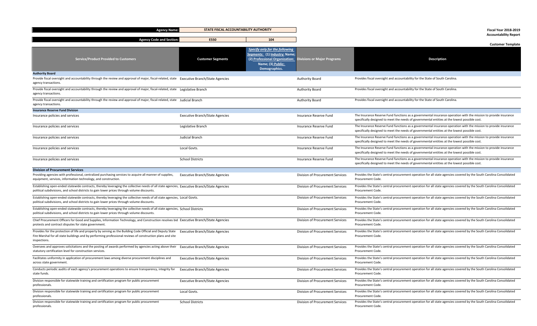| <b>Agency Name:</b>                                                                                                                                                                                                                                                      | STATE FISCAL ACCOUNTABILITY AUTHORITY  |                                                                                                                                                |                                         | <b>Fiscal Year 2018-2019</b><br><b>Accountability Report</b>                                                                                                                                                      |  |  |
|--------------------------------------------------------------------------------------------------------------------------------------------------------------------------------------------------------------------------------------------------------------------------|----------------------------------------|------------------------------------------------------------------------------------------------------------------------------------------------|-----------------------------------------|-------------------------------------------------------------------------------------------------------------------------------------------------------------------------------------------------------------------|--|--|
| <b>Agency Code and Section:</b>                                                                                                                                                                                                                                          | E550                                   | 104                                                                                                                                            |                                         |                                                                                                                                                                                                                   |  |  |
|                                                                                                                                                                                                                                                                          |                                        |                                                                                                                                                |                                         | <b>Customer Template</b>                                                                                                                                                                                          |  |  |
| <b>Service/Product Provided to Customers</b>                                                                                                                                                                                                                             | <b>Customer Segments</b>               | <b>Specify only for the following</b><br>Segments: (1) Industry: Name;<br>(2) Professional Organization:<br>Name; (3) Public:<br>Demographics. | <b>Divisions or Major Programs</b>      | <b>Description</b>                                                                                                                                                                                                |  |  |
| <b>Authority Board</b>                                                                                                                                                                                                                                                   |                                        |                                                                                                                                                |                                         |                                                                                                                                                                                                                   |  |  |
| Provide fiscal oversight and accountability through the review and approval of major, fiscal-related, state Executive Branch/State Agencies<br>agency transactions.                                                                                                      |                                        |                                                                                                                                                | <b>Authority Board</b>                  | Provides fiscal oversight and accountability for the State of South Carolina.                                                                                                                                     |  |  |
| Provide fiscal oversight and accountability through the review and approval of major, fiscal-related, state Legislative Branch<br>agency transactions.                                                                                                                   |                                        |                                                                                                                                                | Authority Board                         | Provides fiscal oversight and accountability for the State of South Carolina.                                                                                                                                     |  |  |
| Provide fiscal oversight and accountability through the review and approval of major, fiscal-related, state Judicial Branch<br>agency transactions                                                                                                                       |                                        |                                                                                                                                                | Authority Board                         | Provides fiscal oversight and accountability for the State of South Carolina.                                                                                                                                     |  |  |
| <b>Insurance Reserve Fund Division</b>                                                                                                                                                                                                                                   |                                        |                                                                                                                                                |                                         |                                                                                                                                                                                                                   |  |  |
| Insurance policies and services                                                                                                                                                                                                                                          | <b>Executive Branch/State Agencies</b> |                                                                                                                                                | Insurance Reserve Fund                  | The Insurance Reserve Fund functions as a governmental insurance operation with the mission to provide insurance<br>specifically designed to meet the needs of governmental entities at the lowest possible cost. |  |  |
| Insurance policies and services                                                                                                                                                                                                                                          | Legislative Branch                     |                                                                                                                                                | Insurance Reserve Fund                  | The Insurance Reserve Fund functions as a governmental insurance operation with the mission to provide insurance<br>specifically designed to meet the needs of governmental entities at the lowest possible cost. |  |  |
| Insurance policies and services                                                                                                                                                                                                                                          | Judicial Branch                        |                                                                                                                                                | Insurance Reserve Fund                  | The Insurance Reserve Fund functions as a governmental insurance operation with the mission to provide insurance<br>specifically designed to meet the needs of governmental entities at the lowest possible cost. |  |  |
| Insurance policies and services                                                                                                                                                                                                                                          | Local Govts.                           |                                                                                                                                                | Insurance Reserve Fund                  | The Insurance Reserve Fund functions as a governmental insurance operation with the mission to provide insurance<br>specifically designed to meet the needs of governmental entities at the lowest possible cost. |  |  |
| Insurance policies and services                                                                                                                                                                                                                                          | <b>School Districts</b>                |                                                                                                                                                | Insurance Reserve Fund                  | The Insurance Reserve Fund functions as a governmental insurance operation with the mission to provide insurance<br>specifically designed to meet the needs of governmental entities at the lowest possible cost. |  |  |
| <b>Division of Procurement Services</b>                                                                                                                                                                                                                                  |                                        |                                                                                                                                                |                                         |                                                                                                                                                                                                                   |  |  |
| Providing agencies with professional, centralized purchasing services to acquire all manner of supplies,<br>equipment, services, information technology, and construction.                                                                                               | <b>Executive Branch/State Agencies</b> |                                                                                                                                                | <b>Division of Procurement Services</b> | Provides the State's central procurement operation for all state agencies covered by the South Carolina Consolidated<br><b>Procurement Code</b>                                                                   |  |  |
| Establishing open-ended statewide contracts, thereby leveraging the collective needs of all state agencies, Executive Branch/State Agencies<br>political subdivisions, and school districts to gain lower prices through volume discounts.                               |                                        |                                                                                                                                                | Division of Procurement Services        | Provides the State's central procurement operation for all state agencies covered by the South Carolina Consolidated<br>Procurement Code.                                                                         |  |  |
| Establishing open-ended statewide contracts, thereby leveraging the collective needs of all state agencies, Local Govts.<br>political subdivisions, and school districts to gain lower prices through volume discounts.                                                  |                                        |                                                                                                                                                | Division of Procurement Services        | Provides the State's central procurement operation for all state agencies covered by the South Carolina Consolidated<br>Procurement Code.                                                                         |  |  |
| Establishing open-ended statewide contracts, thereby leveraging the collective needs of all state agencies, School Districts<br>political subdivisions, and school districts to gain lower prices through volume discounts.                                              |                                        |                                                                                                                                                | Division of Procurement Services        | Provides the State's central procurement operation for all state agencies covered by the South Carolina Consolidated<br><b>Procurement Code</b>                                                                   |  |  |
| Chief Procurement Officers for Good and Supplies, Information Technology, and Construction resolves bid Executive Branch/State Agencies<br>protests and contract disputes for state government.                                                                          |                                        |                                                                                                                                                | Division of Procurement Services        | Provides the State's central procurement operation for all state agencies covered by the South Carolina Consolidated<br>Procurement Code.                                                                         |  |  |
| Provides for the protection of life and property by serving as the Building Code Official and Deputy State Executive Branch/State Agencies<br>Fire Marshal for all state buildings and by performing professional reviews of construction plans and site<br>inspections. |                                        |                                                                                                                                                | Division of Procurement Services        | Provides the State's central procurement operation for all state agencies covered by the South Carolina Consolidated<br><b>Procurement Code</b>                                                                   |  |  |
| Oversees and approves solicitations and the posting of awards performed by agencies acting above their Executive Branch/State Agencies<br>statutory certification level for construction services.                                                                       |                                        |                                                                                                                                                | Division of Procurement Services        | Provides the State's central procurement operation for all state agencies covered by the South Carolina Consolidated<br>Procurement Code.                                                                         |  |  |
| Facilitates uniformity in application of procurement laws among diverse procurement disciplines and<br>across state government.                                                                                                                                          | <b>Executive Branch/State Agencies</b> |                                                                                                                                                | <b>Division of Procurement Services</b> | Provides the State's central procurement operation for all state agencies covered by the South Carolina Consolidated<br>Procurement Code.                                                                         |  |  |
| Conducts periodic audits of each agency's procurement operations to ensure transparency, integrity for<br>state funds.                                                                                                                                                   | <b>Executive Branch/State Agencies</b> |                                                                                                                                                | Division of Procurement Services        | Provides the State's central procurement operation for all state agencies covered by the South Carolina Consolidated<br>Procurement Code.                                                                         |  |  |
| Division responsible for statewide training and certification program for public procurement<br>professionals.                                                                                                                                                           | <b>Executive Branch/State Agencies</b> |                                                                                                                                                | Division of Procurement Services        | Provides the State's central procurement operation for all state agencies covered by the South Carolina Consolidated<br>Procurement Code.                                                                         |  |  |
| Division responsible for statewide training and certification program for public procurement<br>professionals.                                                                                                                                                           | Local Govts.                           |                                                                                                                                                | Division of Procurement Services        | Provides the State's central procurement operation for all state agencies covered by the South Carolina Consolidated<br><b>Procurement Code</b>                                                                   |  |  |
| Division responsible for statewide training and certification program for public procurement<br>professionals.                                                                                                                                                           | <b>School Districts</b>                |                                                                                                                                                | Division of Procurement Services        | Provides the State's central procurement operation for all state agencies covered by the South Carolina Consolidated<br><b>Procurement Code</b>                                                                   |  |  |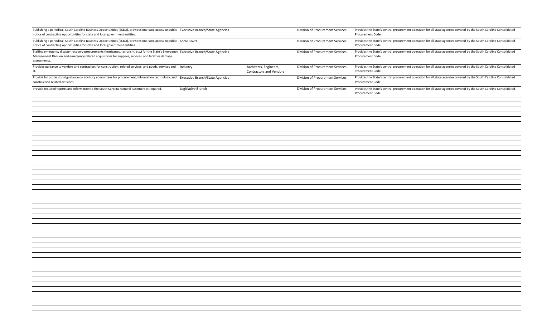| Publishing a periodical, South Carolina Business Opportunities (SCBO), provides one-stop access to public Executive Branch/State Agencies<br>notice of contracting opportunities for state and local government entities.                                         |                    |                                                          | Division of Procurement Services | Provides the State's central procurement operation for all state agencies covered by the South Carolina Consolidated<br>Procurement Code. |
|-------------------------------------------------------------------------------------------------------------------------------------------------------------------------------------------------------------------------------------------------------------------|--------------------|----------------------------------------------------------|----------------------------------|-------------------------------------------------------------------------------------------------------------------------------------------|
| Publishing a periodical, South Carolina Business Opportunities (SCBO), provides one-stop access to public Local Govts.<br>notice of contracting opportunities for state and local government entities.                                                            |                    |                                                          | Division of Procurement Services | Provides the State's central procurement operation for all state agencies covered by the South Carolina Consolidated<br>Procurement Code. |
| Staffing emergency disaster recovery procurements (hurricanes, terrorism, etc.) for the State's Emergency Executive Branch/State Agencies<br>Management Division and emergency related acquisitions for supplies, services, and facilities damage<br>assessments. |                    |                                                          | Division of Procurement Services | Provides the State's central procurement operation for all state agencies covered by the South Carolina Consolidated<br>Procurement Code. |
| Provides guidance to vendors and contractors for construction, related services, and goods, services and   Industry<br>IT.                                                                                                                                        |                    | Architects, Engineers,<br><b>Contractors and Vendors</b> | Division of Procurement Services | Provides the State's central procurement operation for all state agencies covered by the South Carolina Consolidated<br>Procurement Code. |
| Provide for professional guidance on advisory committees for procurement, information technology, and Executive Branch/State Agencies<br>construction related activities.                                                                                         |                    |                                                          | Division of Procurement Services | Provides the State's central procurement operation for all state agencies covered by the South Carolina Consolidated<br>Procurement Code. |
| Provide required reports and information to the South Carolina General Assembly as required.                                                                                                                                                                      | Legislative Branch |                                                          | Division of Procurement Services | Provides the State's central procurement operation for all state agencies covered by the South Carolina Consolidated<br>Procurement Code. |
|                                                                                                                                                                                                                                                                   |                    |                                                          |                                  |                                                                                                                                           |
|                                                                                                                                                                                                                                                                   |                    |                                                          |                                  |                                                                                                                                           |
|                                                                                                                                                                                                                                                                   |                    |                                                          |                                  |                                                                                                                                           |
|                                                                                                                                                                                                                                                                   |                    |                                                          |                                  |                                                                                                                                           |
|                                                                                                                                                                                                                                                                   |                    |                                                          |                                  |                                                                                                                                           |
|                                                                                                                                                                                                                                                                   |                    |                                                          |                                  |                                                                                                                                           |
|                                                                                                                                                                                                                                                                   |                    |                                                          |                                  |                                                                                                                                           |
|                                                                                                                                                                                                                                                                   |                    |                                                          |                                  |                                                                                                                                           |
|                                                                                                                                                                                                                                                                   |                    |                                                          |                                  |                                                                                                                                           |
|                                                                                                                                                                                                                                                                   |                    |                                                          |                                  |                                                                                                                                           |
|                                                                                                                                                                                                                                                                   |                    |                                                          |                                  |                                                                                                                                           |
|                                                                                                                                                                                                                                                                   |                    |                                                          |                                  |                                                                                                                                           |
|                                                                                                                                                                                                                                                                   |                    |                                                          |                                  |                                                                                                                                           |
|                                                                                                                                                                                                                                                                   |                    |                                                          |                                  |                                                                                                                                           |
|                                                                                                                                                                                                                                                                   |                    |                                                          |                                  |                                                                                                                                           |
|                                                                                                                                                                                                                                                                   |                    |                                                          |                                  |                                                                                                                                           |
|                                                                                                                                                                                                                                                                   |                    |                                                          |                                  |                                                                                                                                           |
|                                                                                                                                                                                                                                                                   |                    |                                                          |                                  |                                                                                                                                           |
|                                                                                                                                                                                                                                                                   |                    |                                                          |                                  |                                                                                                                                           |
|                                                                                                                                                                                                                                                                   |                    |                                                          |                                  |                                                                                                                                           |
|                                                                                                                                                                                                                                                                   |                    |                                                          |                                  |                                                                                                                                           |
|                                                                                                                                                                                                                                                                   |                    |                                                          |                                  |                                                                                                                                           |
|                                                                                                                                                                                                                                                                   |                    |                                                          |                                  |                                                                                                                                           |
|                                                                                                                                                                                                                                                                   |                    |                                                          |                                  |                                                                                                                                           |
|                                                                                                                                                                                                                                                                   |                    |                                                          |                                  |                                                                                                                                           |
|                                                                                                                                                                                                                                                                   |                    |                                                          |                                  |                                                                                                                                           |
|                                                                                                                                                                                                                                                                   |                    |                                                          |                                  |                                                                                                                                           |
|                                                                                                                                                                                                                                                                   |                    |                                                          |                                  |                                                                                                                                           |
|                                                                                                                                                                                                                                                                   |                    |                                                          |                                  |                                                                                                                                           |
|                                                                                                                                                                                                                                                                   |                    |                                                          |                                  |                                                                                                                                           |
|                                                                                                                                                                                                                                                                   |                    |                                                          |                                  |                                                                                                                                           |
|                                                                                                                                                                                                                                                                   |                    |                                                          |                                  |                                                                                                                                           |
|                                                                                                                                                                                                                                                                   |                    |                                                          |                                  |                                                                                                                                           |
|                                                                                                                                                                                                                                                                   |                    |                                                          |                                  |                                                                                                                                           |
|                                                                                                                                                                                                                                                                   |                    |                                                          |                                  |                                                                                                                                           |
|                                                                                                                                                                                                                                                                   |                    |                                                          |                                  |                                                                                                                                           |
|                                                                                                                                                                                                                                                                   |                    |                                                          |                                  |                                                                                                                                           |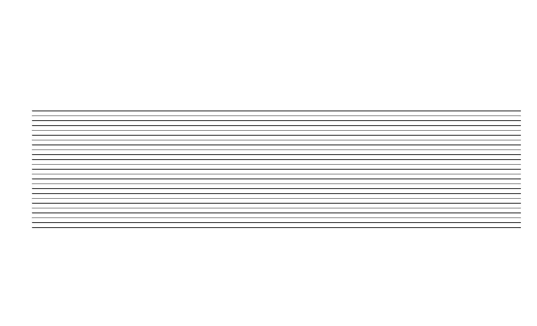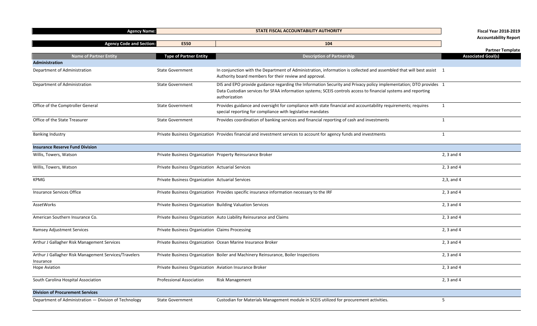| <b>Agency Name:</b>                                                |                                                           | <b>Fiscal Year 2018-2019</b>                                                                                                                                                                                                                         |                           |
|--------------------------------------------------------------------|-----------------------------------------------------------|------------------------------------------------------------------------------------------------------------------------------------------------------------------------------------------------------------------------------------------------------|---------------------------|
| <b>Agency Code and Section:</b>                                    | E550                                                      | <b>Accountability Report</b>                                                                                                                                                                                                                         |                           |
|                                                                    |                                                           |                                                                                                                                                                                                                                                      | <b>Partner Template</b>   |
| <b>Name of Partner Entity</b>                                      | <b>Type of Partner Entity</b>                             | <b>Description of Partnership</b>                                                                                                                                                                                                                    | <b>Associated Goal(s)</b> |
| Administration                                                     |                                                           |                                                                                                                                                                                                                                                      |                           |
| Department of Administration                                       | <b>State Government</b>                                   | In conjunction with the Department of Administration, information is collected and assembled that will best assist 1<br>Authority board members for their review and approval.                                                                       |                           |
| Department of Administration                                       | <b>State Government</b>                                   | DIS and EPO provide guidance regarding the Information Security and Privacy policy implementation; DTO provides 1<br>Data Custodian services for SFAA information systems; SCEIS controls access to financial systems and reporting<br>authorization |                           |
| Office of the Comptroller General                                  | <b>State Government</b>                                   | Provides guidance and oversight for compliance with state financial and accountability requirements; requires<br>special reporting for compliance with legislative mandates                                                                          | 1                         |
| Office of the State Treasurer                                      | <b>State Government</b>                                   | Provides coordination of banking services and financial reporting of cash and investments                                                                                                                                                            | $\mathbf{1}$              |
| <b>Banking Industry</b>                                            |                                                           | Private Business Organization Provides financial and investment services to account for agency funds and investments                                                                                                                                 | 1                         |
| <b>Insurance Reserve Fund Division</b>                             |                                                           |                                                                                                                                                                                                                                                      |                           |
| Willis, Towers, Watson                                             | Private Business Organization Property Reinsurance Broker |                                                                                                                                                                                                                                                      | $2, 3$ and 4              |
| Willis, Towers, Watson                                             | Private Business Organization Actuarial Services          |                                                                                                                                                                                                                                                      | $2, 3$ and 4              |
| <b>KPMG</b>                                                        | Private Business Organization Actuarial Services          |                                                                                                                                                                                                                                                      | $2,3$ , and 4             |
| <b>Insurance Services Office</b>                                   |                                                           | Private Business Organization Provides specific insurance information necessary to the IRF                                                                                                                                                           | $2, 3$ and 4              |
| AssetWorks                                                         | Private Business Organization Building Valuation Services |                                                                                                                                                                                                                                                      | $2, 3$ and 4              |
| American Southern Insurance Co.                                    |                                                           | Private Business Organization Auto Liability Reinsurance and Claims                                                                                                                                                                                  | $2, 3$ and 4              |
| Ramsey Adjustment Services                                         | Private Business Organization Claims Processing           |                                                                                                                                                                                                                                                      | $2, 3$ and 4              |
| Arthur J Gallagher Risk Management Services                        |                                                           | Private Business Organization Ocean Marine Insurance Broker                                                                                                                                                                                          | $2, 3$ and 4              |
| Arthur J Gallagher Risk Management Services/Travelers<br>Insurance |                                                           | Private Business Organization Boiler and Machinery Reinsurance, Boiler Inspections                                                                                                                                                                   | $2, 3$ and 4              |
| <b>Hope Aviation</b>                                               | Private Business Organization Aviation Insurance Broker   |                                                                                                                                                                                                                                                      | 2, 3 and 4                |
| South Carolina Hospital Association                                | <b>Professional Association</b>                           | <b>Risk Management</b>                                                                                                                                                                                                                               | 2, 3 and 4                |
| <b>Division of Procurement Services</b>                            |                                                           |                                                                                                                                                                                                                                                      |                           |
| Department of Administration - Division of Technology              | <b>State Government</b>                                   | Custodian for Materials Management module in SCEIS utilized for procurement activities.                                                                                                                                                              | 5                         |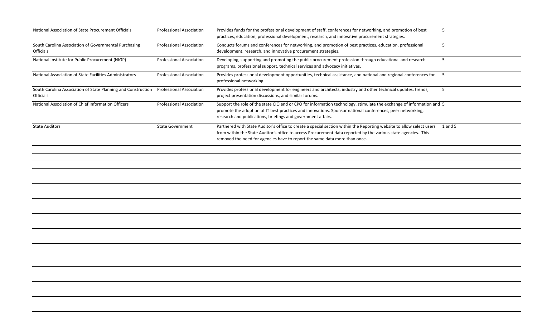| National Association of State Procurement Officials           | <b>Professional Association</b> | Provides funds for the professional development of staff, conferences for networking, and promotion of best          |         |
|---------------------------------------------------------------|---------------------------------|----------------------------------------------------------------------------------------------------------------------|---------|
|                                                               |                                 | practices, education, professional development, research, and innovative procurement strategies.                     |         |
| South Carolina Association of Governmental Purchasing         | <b>Professional Association</b> | Conducts forums and conferences for networking, and promotion of best practices, education, professional             | 5       |
| <b>Officials</b>                                              |                                 | development, research, and innovative procurement strategies.                                                        |         |
| National Institute for Public Procurement (NIGP)              | <b>Professional Association</b> | Developing, supporting and promoting the public procurement profession through educational and research              |         |
|                                                               |                                 | programs, professional support, technical services and advocacy initiatives.                                         |         |
| National Association of State Facilities Administrators       | <b>Professional Association</b> | Provides professional development opportunities, technical assistance, and national and regional conferences for 5   |         |
|                                                               |                                 | professional networking.                                                                                             |         |
| South Carolina Association of State Planning and Construction | Professional Association        | Provides professional development for engineers and architects, industry and other technical updates, trends,        |         |
| <b>Officials</b>                                              |                                 | project presentation discussions, and similar forums.                                                                |         |
| National Association of Chief Information Officers            | <b>Professional Association</b> | Support the role of the state CIO and or CPO for information technology, stimulate the exchange of information and 5 |         |
|                                                               |                                 | promote the adoption of IT best practices and innovations. Sponsor national conferences, peer networking,            |         |
|                                                               |                                 | research and publications, briefings and government affairs.                                                         |         |
| <b>State Auditors</b>                                         | <b>State Government</b>         | Partnered with State Auditor's office to create a special section within the Reporting website to allow select users | 1 and 5 |
|                                                               |                                 | from within the State Auditor's office to access Procurement data reported by the various state agencies. This       |         |
|                                                               |                                 | removed the need for agencies have to report the same data more than once.                                           |         |
|                                                               |                                 |                                                                                                                      |         |
|                                                               |                                 |                                                                                                                      |         |
|                                                               |                                 |                                                                                                                      |         |
|                                                               |                                 |                                                                                                                      |         |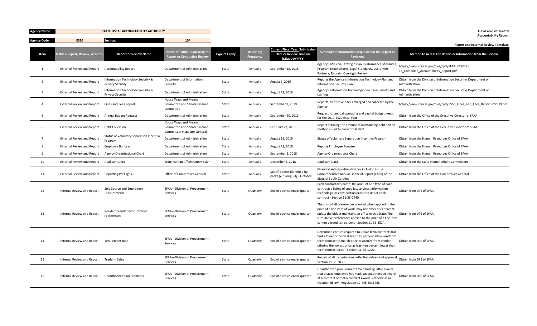| <b>Agency Name:</b>     | STATE FISCAL ACCOUNTABILITY AUTHORITY            |                                                              |                                                                                      |                       |                               |                                                                                          |                                                                                                                                                                                                                                                                                                 | <b>Fiscal Year 2018-2019</b>                                                                             |
|-------------------------|--------------------------------------------------|--------------------------------------------------------------|--------------------------------------------------------------------------------------|-----------------------|-------------------------------|------------------------------------------------------------------------------------------|-------------------------------------------------------------------------------------------------------------------------------------------------------------------------------------------------------------------------------------------------------------------------------------------------|----------------------------------------------------------------------------------------------------------|
| <b>Agency Code:</b>     | E550                                             | Section:                                                     | 104                                                                                  |                       |                               |                                                                                          |                                                                                                                                                                                                                                                                                                 | <b>Accountability Report</b>                                                                             |
| Item                    | Is this a Report, Review, or both?               | <b>Report or Review Name</b>                                 | Name of Entity Requesting the<br><b>Report or Conducting Review</b>                  | <b>Type of Entity</b> | <b>Reporting</b><br>Frequency | <b>Current Fiscal Year: Submission</b><br><b>Date or Review Timeline</b><br>(MM/DD/YYYY) | Summary of Information Requested in the Report or<br>Reviewed                                                                                                                                                                                                                                   | <b>Report and External Review Template</b><br>Method to Access the Report or Information from the Review |
| $\mathbf{1}$            | External Review and Report Accountability Report |                                                              | Department of Administration                                                         | State                 | Annually                      | September 15, 2018                                                                       | Agency's Mission, Strategic Plan, Performance Measures,<br>Program Expenditures, Legal Standards, Customers,<br>Partners, Reports, Oversight Review                                                                                                                                             | https://www.sfaa.sc.gov/files/rpts/SFAA FY2017-<br>18 Combined Accountability Report.pdf                 |
| $\overline{2}$          | <b>External Review and Report</b>                | Information Technology Security &<br><b>Privacy Security</b> | Department of Information<br>Security                                                | State                 | Annually                      | August 3, 2019                                                                           | Reports the Agency's Information Technology Plan and<br>Information Security Plan                                                                                                                                                                                                               | Obtain from the Division of Information Security/ Department of<br>Administration                        |
| $\overline{\mathbf{3}}$ | <b>External Review and Report</b>                | Information Technology Security &<br><b>Privacy Security</b> | Department of Administration                                                         | State                 | Annually                      | August 23, 2019                                                                          | Agency's Information Technology purchases, assets and<br>staffing                                                                                                                                                                                                                               | Obtain from the Division of Information Security/ Department of<br>Administration                        |
| $\overline{4}$          | <b>External Review and Report</b>                | Fines and Fees Report                                        | House Ways and Means<br>Committee and Senate Finance<br>Committee                    | State                 | Annually                      | September 1, 2019                                                                        | Reports all fines and fees charged and collected by the<br>Agency                                                                                                                                                                                                                               | https://www.sfaa.sc.gov/files/rpts/E550 Fines and Fees Report-FY2019.pdf                                 |
| 5                       | External Review and Report Annual Budget Request |                                                              | Department of Administration                                                         | State                 | Annually                      | September 20, 2019                                                                       | Request for annual operating and capital budget needs<br>for the 2019-2020 fiscal year                                                                                                                                                                                                          | Obtain from the Office of the Executive Director of SFAA                                                 |
| 6                       | <b>External Review and Report</b>                | <b>Debt Collection</b>                                       | House Ways and Means<br>Committee and Senate Finance<br>Committee; Inspector General | State                 | Annually                      | February 27, 2019                                                                        | Report detailing the amount of outstanding debt and all<br>methods used to collect that debt                                                                                                                                                                                                    | Obtain from the Office of the Executive Director of SFAA                                                 |
| $\overline{7}$          | <b>External Review and Report</b>                | Status of Voluntary Separation Incentive<br>Program          | Department of Administration                                                         | State                 | Annually                      | August 15, 2019                                                                          | Status of Voluntary Separation Incentive Program                                                                                                                                                                                                                                                | Obtain from the Human Resources Office of SFAA                                                           |
| 8                       | <b>External Review and Report</b>                | <b>Employee Bonuses</b>                                      | Department of Administration                                                         | State                 | Annually                      | August 28, 2018                                                                          | Reports Employee Bonuses                                                                                                                                                                                                                                                                        | Obtain from the Human Resources Office of SFAA                                                           |
| $\mathbf{q}$            | <b>External Review and Report</b>                | Agency Organizational Chart                                  | Department of Administration                                                         | State                 | Annually                      | September 1, 2018                                                                        | Agency Organizational Chart                                                                                                                                                                                                                                                                     | Obtain from the Human Resources Office of SFAA                                                           |
| 10                      | External Review and Report Applicant Data        |                                                              | State Human Affairs Commission                                                       | State                 | Annually                      | December 6, 2018                                                                         | <b>Applicant Data</b>                                                                                                                                                                                                                                                                           | Obtain from the State Human Affairs Commission                                                           |
| 11                      | <b>External Review and Report</b>                | <b>Reporting Packages</b>                                    | Office of Comptroller General                                                        | State                 | Annually                      | Specific dates identified by<br>package during July - October                            | Financial and reporting data for inclusion in the<br>Comprehensive Annual Financial Report (CAFR) of the<br>State of South Carolina                                                                                                                                                             | Obtain from the Office of the Comptroller General                                                        |
| 12                      | Internal Review and Report                       | Sole Source and Emergency<br>Procurements                    | SFAA-Division of Procurement<br>Services                                             | State                 | Quarterly                     | End of each calendar quarter                                                             | Each contractor's name; the amount and type of each<br>contract; a listing of supplies, services, information<br>technology, or construction procured under each<br>contract - Section 11-35-2440.                                                                                              | Obtain from DPS of SFAA                                                                                  |
| 13                      | Internal Review and Report                       | <b>Resident Vendor Procurement</b><br>Preferences            | SFAA-Division of Procurement<br>Services                                             | State                 | Quarterly                     | End of each calendar quarter                                                             | The sum of all preferences allowed when applied to the<br>price of a line item of work, may not exceed six percent<br>unless the bidder maintains an office in this State. The<br>cumulative preferences applied to the price of a line item<br>cannot exceed ten percent - Section 11-35-1524. | Obtain from DPS of SFAA                                                                                  |
| 14                      | Internal Review and Report                       | Ten Percent Rule                                             | SFAA-Division of Procurement<br>Services                                             | State                 | Quarterly                     | End of each calendar quarter                                                             | Determine entities required to utilize term contracts but<br>find a lower price by at least ten percent allow vendor of<br>term contract to match price or acquire from vendor<br>offering the lowest price at least ten percent lower than<br>term contract price - Section 11-35-1220.        | Obtain from DPS of SFAA                                                                                  |
| 15                      | Internal Review and Report Trade-in Sales        |                                                              | SFAA-Division of Procurement<br>Services                                             | State                 | Quarterly                     | End of each calendar quarter                                                             | Record of all trade-in sales reflecting values and approval<br>Section 11-35-3830.                                                                                                                                                                                                              | Obtain from DPS of SFAA                                                                                  |
| 16                      | Internal Review and Report                       | Unauthorized Procurements                                    | SFAA-Division of Procurement<br>Services                                             | State                 | Quarterly                     | End of each calendar quarter                                                             | Unauthorized procurements from finding, after award,<br>that a State employee has made an unauthorized award<br>of a contract or that a contract award is otherwise in<br>violation of law - Regulation 19-445.2015 (B).                                                                        | Obtain from DPS of SFAA                                                                                  |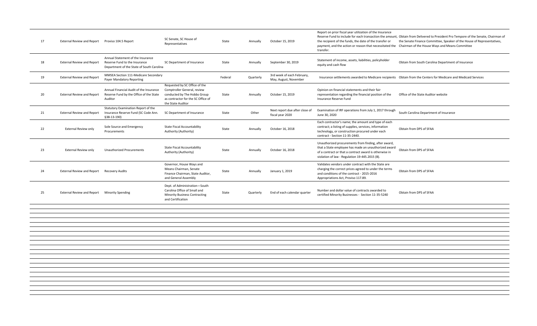| 17 | External Review and Report Proviso 104.5 Report |                                                                                                                 | SC Senate, SC House of<br>Representatives                                                                                                               | State   | Annually  | October 15, 2019                                    | Report on prior fiscal year utilization of the Insurance<br>the recipient of the funds, the date of the transfer or<br>payment, and the action or reason that necessitated the<br>transfer.                              | Reserve Fund to include for each transaction the amount, Obtain from Delivered to President Pro Tempore of the Senate, Chairman of<br>the Senate Finance Committee, Speaker of the House of Representatives,<br>Chairman of the House Ways and Means Committee |
|----|-------------------------------------------------|-----------------------------------------------------------------------------------------------------------------|---------------------------------------------------------------------------------------------------------------------------------------------------------|---------|-----------|-----------------------------------------------------|--------------------------------------------------------------------------------------------------------------------------------------------------------------------------------------------------------------------------|----------------------------------------------------------------------------------------------------------------------------------------------------------------------------------------------------------------------------------------------------------------|
| 18 | <b>External Review and Report</b>               | Annual Statement of the Insurance<br>Reserve Fund to the Insurance<br>Department of the State of South Carolina | SC Department of Insurance                                                                                                                              | State   | Annually  | September 30, 2019                                  | Statement of income, assets, liabilities, policyholder<br>equity and cash flow                                                                                                                                           | Obtain from South Carolina Department of Insurance                                                                                                                                                                                                             |
| 19 | <b>External Review and Report</b>               | MMSEA Section 111-Medicare Secondary<br>Payer Mandatory Reporting                                               |                                                                                                                                                         | Federal | Quarterly | 3rd week of each February,<br>May, August, November |                                                                                                                                                                                                                          | Insurance settlements awarded to Medicare recipients  Obtain from the Centers for Medicare and Medicaid Services                                                                                                                                               |
| 20 | <b>External Review and Report</b>               | Annual Financial Audit of the Insurance<br>Reserve Fund by the Office of the State<br>Auditor                   | Requested by SC Office of the<br>Comptroller General, review<br>conducted by The Hobbs Group<br>as contractor for the SC Office of<br>the State Auditor | State   | Annually  | October 15, 2019                                    | Opinion on financial statements and their fair<br>representation regarding the financial position of the<br>Insurance Reserve Fund                                                                                       | Office of the State Auditor website                                                                                                                                                                                                                            |
| 21 | <b>External Review and Report</b>               | Statutory Examination Report of the<br>Insurance Reserve Fund (SC Code Ann.<br>§38-13-190)                      | SC Department of Insurance                                                                                                                              | State   | Other     | Next report due after close of<br>fiscal year 2020  | Examination of IRF operations from July 1, 2017 through<br>June 30, 2020                                                                                                                                                 | South Carolina Department of Insurance                                                                                                                                                                                                                         |
| 22 | External Review only                            | Sole Source and Emergency<br>Procurements                                                                       | <b>State Fiscal Accountability</b><br>Authority (Authority)                                                                                             | State   | Annually  | October 16, 2018                                    | Each contractor's name; the amount and type of each<br>contract; a listing of supplies, services, information<br>technology, or construction procured under each<br>contract - Section 11-35-2440.                       | Obtain from DPS of SFAA                                                                                                                                                                                                                                        |
| 23 | <b>External Review only</b>                     | Unauthorized Procurements                                                                                       | <b>State Fiscal Accountability</b><br>Authority (Authority)                                                                                             | State   | Annually  | October 16, 2018                                    | Unauthorized procurements from finding, after award,<br>that a State employee has made an unauthorized award<br>of a contract or that a contract award is otherwise in<br>violation of law - Regulation 19-445.2015 (B). | Obtain from DPS of SFAA                                                                                                                                                                                                                                        |
| 24 | <b>External Review and Report</b>               | <b>Recovery Audits</b>                                                                                          | Governor, House Ways and<br>Means Chairman, Senate<br>Finance Chairman, State Auditor,<br>and General Assembly                                          | State   | Annually  | January 1, 2019                                     | Validates vendors under contract with the State are<br>charging the correct prices agreed to under the terms<br>and conditions of the contract - 2015-2016<br>Appropriations Act, Proviso 117.89.                        | Obtain from DPS of SFAA                                                                                                                                                                                                                                        |
| 25 | External Review and Report Minority Spending    |                                                                                                                 | Dept. of Administration-South<br>Carolina Office of Small and<br><b>Minority Business Contracting</b><br>and Certification                              | State   | Quarterly | End of each calendar quarter                        | Number and dollar value of contracts awarded to<br>certified Minority Businesses - Section 11-35-5240                                                                                                                    | Obtain from DPS of SFAA                                                                                                                                                                                                                                        |
|    |                                                 |                                                                                                                 |                                                                                                                                                         |         |           |                                                     |                                                                                                                                                                                                                          |                                                                                                                                                                                                                                                                |
|    |                                                 |                                                                                                                 |                                                                                                                                                         |         |           |                                                     |                                                                                                                                                                                                                          |                                                                                                                                                                                                                                                                |
|    |                                                 |                                                                                                                 |                                                                                                                                                         |         |           |                                                     |                                                                                                                                                                                                                          |                                                                                                                                                                                                                                                                |
|    |                                                 |                                                                                                                 |                                                                                                                                                         |         |           |                                                     |                                                                                                                                                                                                                          |                                                                                                                                                                                                                                                                |
|    |                                                 |                                                                                                                 |                                                                                                                                                         |         |           |                                                     |                                                                                                                                                                                                                          |                                                                                                                                                                                                                                                                |
|    |                                                 |                                                                                                                 |                                                                                                                                                         |         |           |                                                     |                                                                                                                                                                                                                          |                                                                                                                                                                                                                                                                |
|    |                                                 |                                                                                                                 |                                                                                                                                                         |         |           |                                                     |                                                                                                                                                                                                                          |                                                                                                                                                                                                                                                                |
|    |                                                 |                                                                                                                 |                                                                                                                                                         |         |           |                                                     |                                                                                                                                                                                                                          |                                                                                                                                                                                                                                                                |
|    |                                                 |                                                                                                                 |                                                                                                                                                         |         |           |                                                     |                                                                                                                                                                                                                          |                                                                                                                                                                                                                                                                |
|    |                                                 |                                                                                                                 |                                                                                                                                                         |         |           |                                                     |                                                                                                                                                                                                                          |                                                                                                                                                                                                                                                                |
|    |                                                 |                                                                                                                 |                                                                                                                                                         |         |           |                                                     |                                                                                                                                                                                                                          |                                                                                                                                                                                                                                                                |
|    |                                                 |                                                                                                                 |                                                                                                                                                         |         |           |                                                     |                                                                                                                                                                                                                          |                                                                                                                                                                                                                                                                |
|    |                                                 |                                                                                                                 |                                                                                                                                                         |         |           |                                                     |                                                                                                                                                                                                                          |                                                                                                                                                                                                                                                                |
|    |                                                 |                                                                                                                 |                                                                                                                                                         |         |           |                                                     |                                                                                                                                                                                                                          |                                                                                                                                                                                                                                                                |
|    |                                                 |                                                                                                                 |                                                                                                                                                         |         |           |                                                     |                                                                                                                                                                                                                          |                                                                                                                                                                                                                                                                |